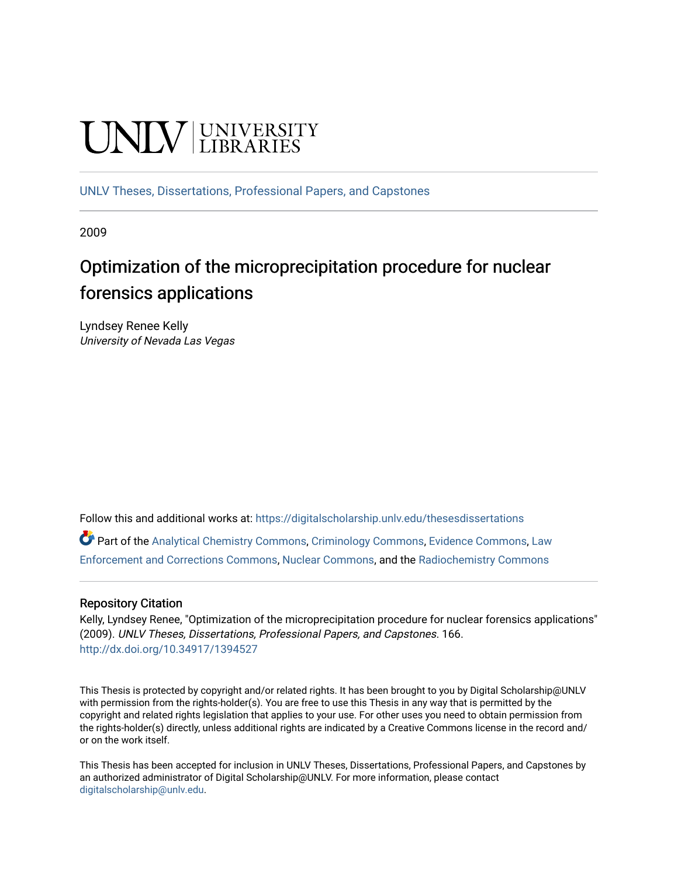# **UNIVERSITY**

[UNLV Theses, Dissertations, Professional Papers, and Capstones](https://digitalscholarship.unlv.edu/thesesdissertations)

2009

# Optimization of the microprecipitation procedure for nuclear forensics applications

Lyndsey Renee Kelly University of Nevada Las Vegas

Follow this and additional works at: [https://digitalscholarship.unlv.edu/thesesdissertations](https://digitalscholarship.unlv.edu/thesesdissertations?utm_source=digitalscholarship.unlv.edu%2Fthesesdissertations%2F166&utm_medium=PDF&utm_campaign=PDFCoverPages)

Part of the [Analytical Chemistry Commons,](http://network.bepress.com/hgg/discipline/132?utm_source=digitalscholarship.unlv.edu%2Fthesesdissertations%2F166&utm_medium=PDF&utm_campaign=PDFCoverPages) [Criminology Commons](http://network.bepress.com/hgg/discipline/417?utm_source=digitalscholarship.unlv.edu%2Fthesesdissertations%2F166&utm_medium=PDF&utm_campaign=PDFCoverPages), [Evidence Commons,](http://network.bepress.com/hgg/discipline/601?utm_source=digitalscholarship.unlv.edu%2Fthesesdissertations%2F166&utm_medium=PDF&utm_campaign=PDFCoverPages) [Law](http://network.bepress.com/hgg/discipline/854?utm_source=digitalscholarship.unlv.edu%2Fthesesdissertations%2F166&utm_medium=PDF&utm_campaign=PDFCoverPages)  [Enforcement and Corrections Commons,](http://network.bepress.com/hgg/discipline/854?utm_source=digitalscholarship.unlv.edu%2Fthesesdissertations%2F166&utm_medium=PDF&utm_campaign=PDFCoverPages) [Nuclear Commons](http://network.bepress.com/hgg/discipline/203?utm_source=digitalscholarship.unlv.edu%2Fthesesdissertations%2F166&utm_medium=PDF&utm_campaign=PDFCoverPages), and the [Radiochemistry Commons](http://network.bepress.com/hgg/discipline/1196?utm_source=digitalscholarship.unlv.edu%2Fthesesdissertations%2F166&utm_medium=PDF&utm_campaign=PDFCoverPages) 

#### Repository Citation

Kelly, Lyndsey Renee, "Optimization of the microprecipitation procedure for nuclear forensics applications" (2009). UNLV Theses, Dissertations, Professional Papers, and Capstones. 166. <http://dx.doi.org/10.34917/1394527>

This Thesis is protected by copyright and/or related rights. It has been brought to you by Digital Scholarship@UNLV with permission from the rights-holder(s). You are free to use this Thesis in any way that is permitted by the copyright and related rights legislation that applies to your use. For other uses you need to obtain permission from the rights-holder(s) directly, unless additional rights are indicated by a Creative Commons license in the record and/ or on the work itself.

This Thesis has been accepted for inclusion in UNLV Theses, Dissertations, Professional Papers, and Capstones by an authorized administrator of Digital Scholarship@UNLV. For more information, please contact [digitalscholarship@unlv.edu](mailto:digitalscholarship@unlv.edu).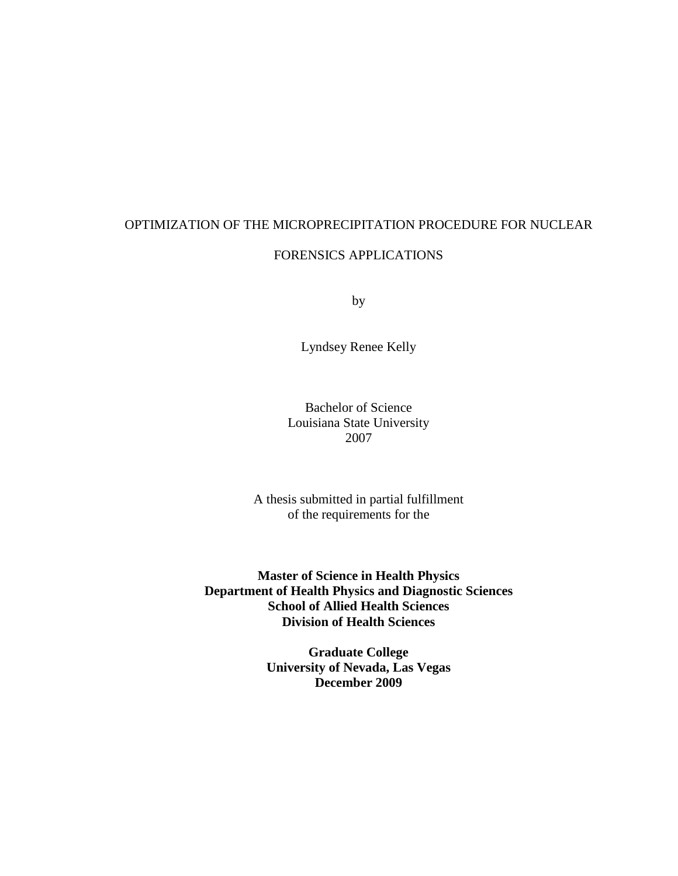# OPTIMIZATION OF THE MICROPRECIPITATION PROCEDURE FOR NUCLEAR FORENSICS APPLICATIONS

by

Lyndsey Renee Kelly

Bachelor of Science Louisiana State University 2007

A thesis submitted in partial fulfillment of the requirements for the

**Master of Science in Health Physics Department of Health Physics and Diagnostic Sciences School of Allied Health Sciences Division of Health Sciences** 

> **Graduate College University of Nevada, Las Vegas December 2009**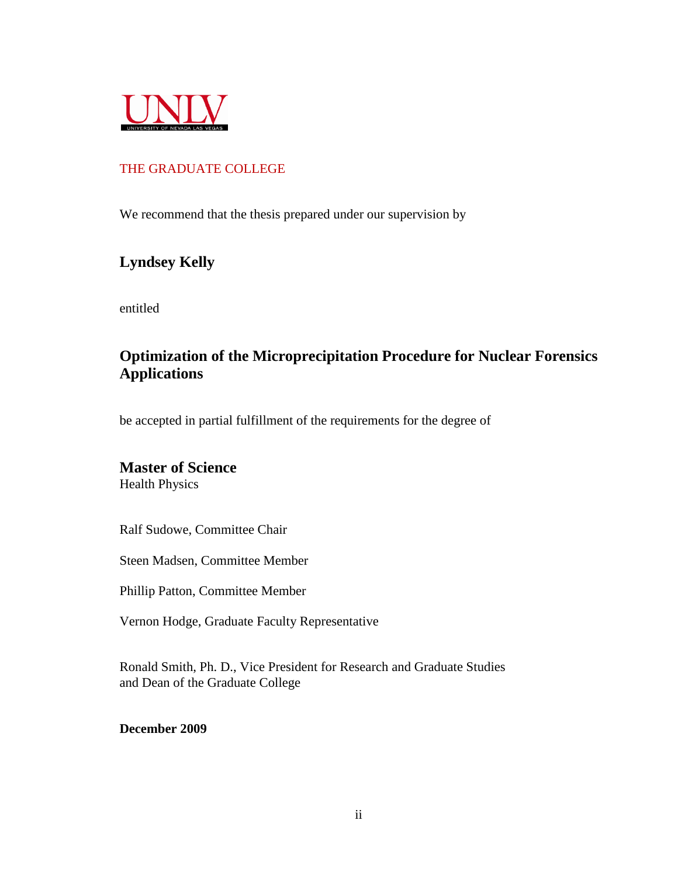

### THE GRADUATE COLLEGE

We recommend that the thesis prepared under our supervision by

# **Lyndsey Kelly**

entitled

# **Optimization of the Microprecipitation Procedure for Nuclear Forensics Applications**

be accepted in partial fulfillment of the requirements for the degree of

## **Master of Science**

Health Physics

Ralf Sudowe, Committee Chair

Steen Madsen, Committee Member

Phillip Patton, Committee Member

Vernon Hodge, Graduate Faculty Representative

Ronald Smith, Ph. D., Vice President for Research and Graduate Studies and Dean of the Graduate College

**December 2009**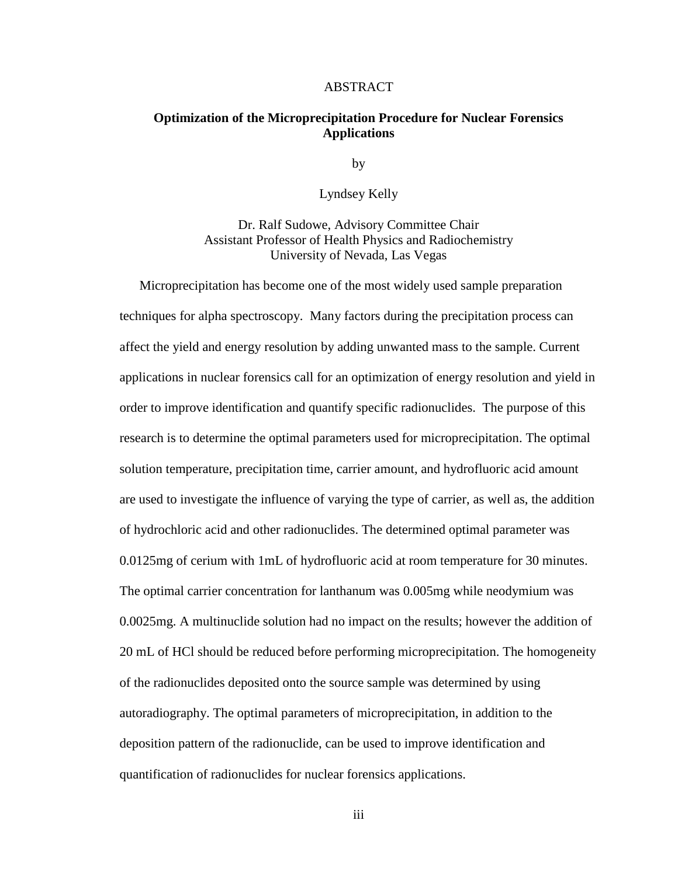#### ABSTRACT

#### **Optimization of the Microprecipitation Procedure for Nuclear Forensics Applications**

by

Lyndsey Kelly

Dr. Ralf Sudowe, Advisory Committee Chair Assistant Professor of Health Physics and Radiochemistry University of Nevada, Las Vegas

Microprecipitation has become one of the most widely used sample preparation techniques for alpha spectroscopy. Many factors during the precipitation process can affect the yield and energy resolution by adding unwanted mass to the sample. Current applications in nuclear forensics call for an optimization of energy resolution and yield in order to improve identification and quantify specific radionuclides. The purpose of this research is to determine the optimal parameters used for microprecipitation. The optimal solution temperature, precipitation time, carrier amount, and hydrofluoric acid amount are used to investigate the influence of varying the type of carrier, as well as, the addition of hydrochloric acid and other radionuclides. The determined optimal parameter was 0.0125mg of cerium with 1mL of hydrofluoric acid at room temperature for 30 minutes. The optimal carrier concentration for lanthanum was 0.005mg while neodymium was 0.0025mg. A multinuclide solution had no impact on the results; however the addition of 20 mL of HCl should be reduced before performing microprecipitation. The homogeneity of the radionuclides deposited onto the source sample was determined by using autoradiography. The optimal parameters of microprecipitation, in addition to the deposition pattern of the radionuclide, can be used to improve identification and quantification of radionuclides for nuclear forensics applications.

iii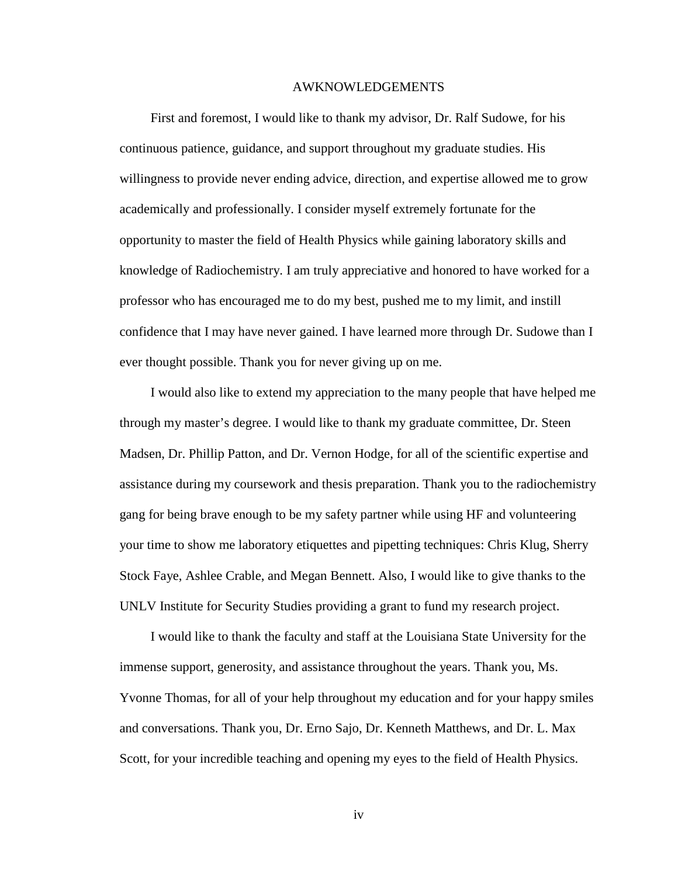#### AWKNOWLEDGEMENTS

 First and foremost, I would like to thank my advisor, Dr. Ralf Sudowe, for his continuous patience, guidance, and support throughout my graduate studies. His willingness to provide never ending advice, direction, and expertise allowed me to grow academically and professionally. I consider myself extremely fortunate for the opportunity to master the field of Health Physics while gaining laboratory skills and knowledge of Radiochemistry. I am truly appreciative and honored to have worked for a professor who has encouraged me to do my best, pushed me to my limit, and instill confidence that I may have never gained. I have learned more through Dr. Sudowe than I ever thought possible. Thank you for never giving up on me.

 I would also like to extend my appreciation to the many people that have helped me through my master's degree. I would like to thank my graduate committee, Dr. Steen Madsen, Dr. Phillip Patton, and Dr. Vernon Hodge, for all of the scientific expertise and assistance during my coursework and thesis preparation. Thank you to the radiochemistry gang for being brave enough to be my safety partner while using HF and volunteering your time to show me laboratory etiquettes and pipetting techniques: Chris Klug, Sherry Stock Faye, Ashlee Crable, and Megan Bennett. Also, I would like to give thanks to the UNLV Institute for Security Studies providing a grant to fund my research project.

 I would like to thank the faculty and staff at the Louisiana State University for the immense support, generosity, and assistance throughout the years. Thank you, Ms. Yvonne Thomas, for all of your help throughout my education and for your happy smiles and conversations. Thank you, Dr. Erno Sajo, Dr. Kenneth Matthews, and Dr. L. Max Scott, for your incredible teaching and opening my eyes to the field of Health Physics.

iv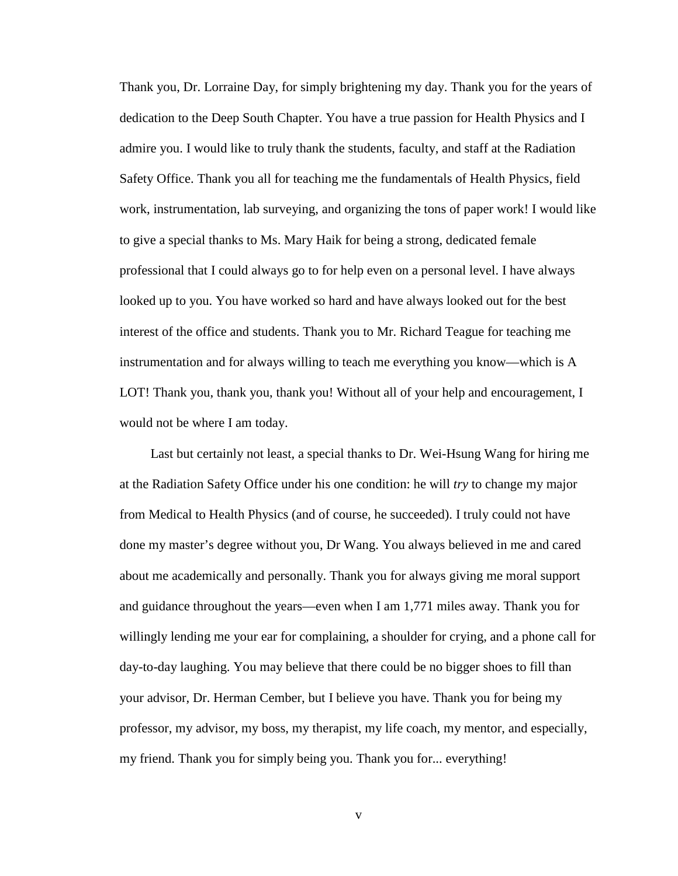Thank you, Dr. Lorraine Day, for simply brightening my day. Thank you for the years of dedication to the Deep South Chapter. You have a true passion for Health Physics and I admire you. I would like to truly thank the students, faculty, and staff at the Radiation Safety Office. Thank you all for teaching me the fundamentals of Health Physics, field work, instrumentation, lab surveying, and organizing the tons of paper work! I would like to give a special thanks to Ms. Mary Haik for being a strong, dedicated female professional that I could always go to for help even on a personal level. I have always looked up to you. You have worked so hard and have always looked out for the best interest of the office and students. Thank you to Mr. Richard Teague for teaching me instrumentation and for always willing to teach me everything you know—which is A LOT! Thank you, thank you, thank you! Without all of your help and encouragement, I would not be where I am today.

 Last but certainly not least, a special thanks to Dr. Wei-Hsung Wang for hiring me at the Radiation Safety Office under his one condition: he will *try* to change my major from Medical to Health Physics (and of course, he succeeded). I truly could not have done my master's degree without you, Dr Wang. You always believed in me and cared about me academically and personally. Thank you for always giving me moral support and guidance throughout the years—even when I am 1,771 miles away. Thank you for willingly lending me your ear for complaining, a shoulder for crying, and a phone call for day-to-day laughing. You may believe that there could be no bigger shoes to fill than your advisor, Dr. Herman Cember, but I believe you have. Thank you for being my professor, my advisor, my boss, my therapist, my life coach, my mentor, and especially, my friend. Thank you for simply being you. Thank you for... everything!

v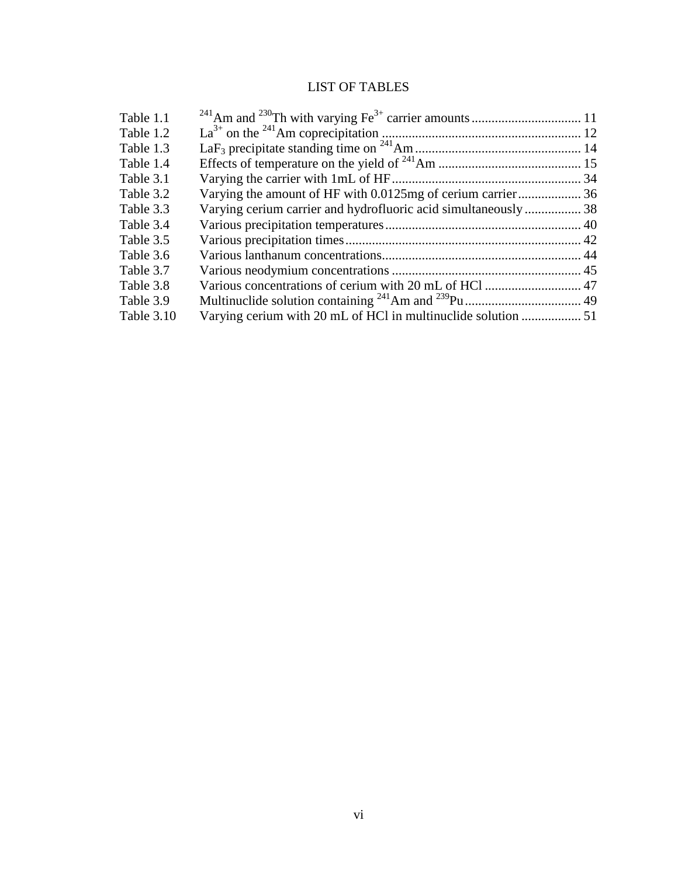# LIST OF TABLES

| Table 1.1  |                                                                |  |
|------------|----------------------------------------------------------------|--|
| Table 1.2  |                                                                |  |
| Table 1.3  |                                                                |  |
| Table 1.4  |                                                                |  |
| Table 3.1  |                                                                |  |
| Table 3.2  | Varying the amount of HF with 0.0125mg of cerium carrier 36    |  |
| Table 3.3  | Varying cerium carrier and hydrofluoric acid simultaneously 38 |  |
| Table 3.4  |                                                                |  |
| Table 3.5  |                                                                |  |
| Table 3.6  |                                                                |  |
| Table 3.7  |                                                                |  |
| Table 3.8  | Various concentrations of cerium with 20 mL of HCl  47         |  |
| Table 3.9  |                                                                |  |
| Table 3.10 |                                                                |  |
|            |                                                                |  |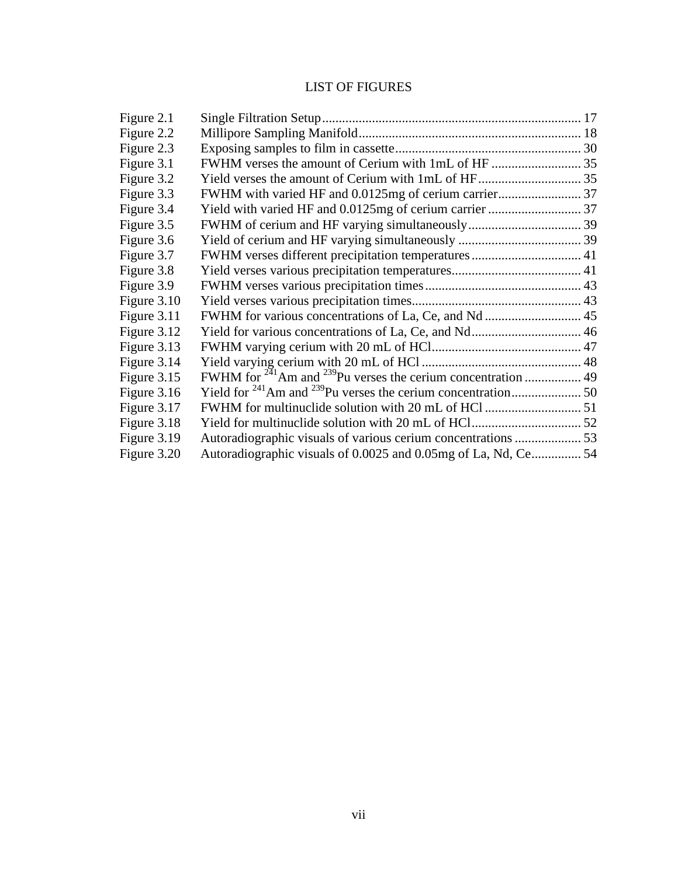# LIST OF FIGURES

| FWHM verses different precipitation temperatures 41<br>Autoradiographic visuals of 0.0025 and 0.05mg of La, Nd, Ce54 |
|----------------------------------------------------------------------------------------------------------------------|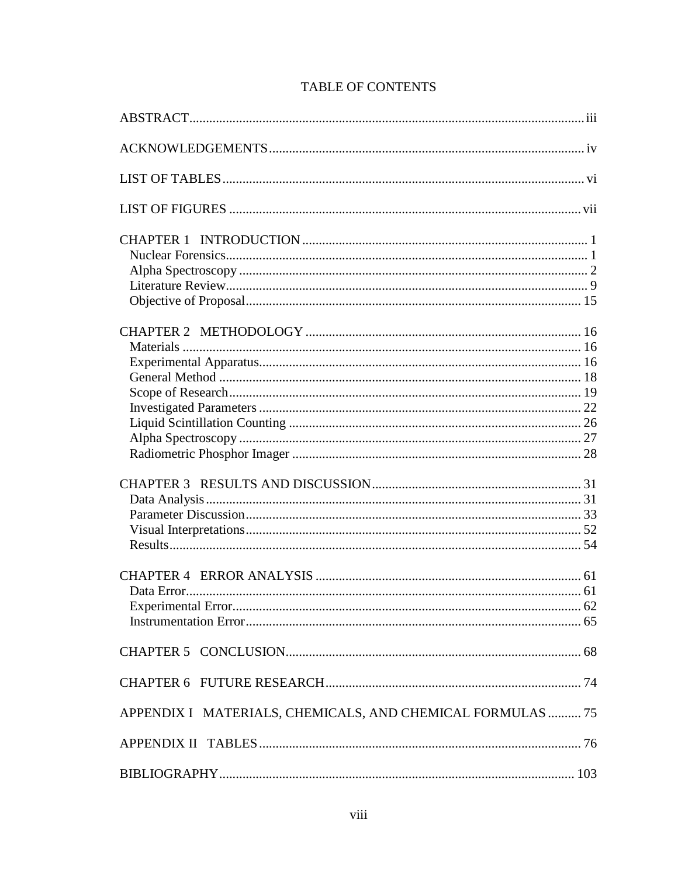| APPENDIX I MATERIALS, CHEMICALS, AND CHEMICAL FORMULAS  75 |  |
|------------------------------------------------------------|--|
|                                                            |  |
|                                                            |  |

## **TABLE OF CONTENTS**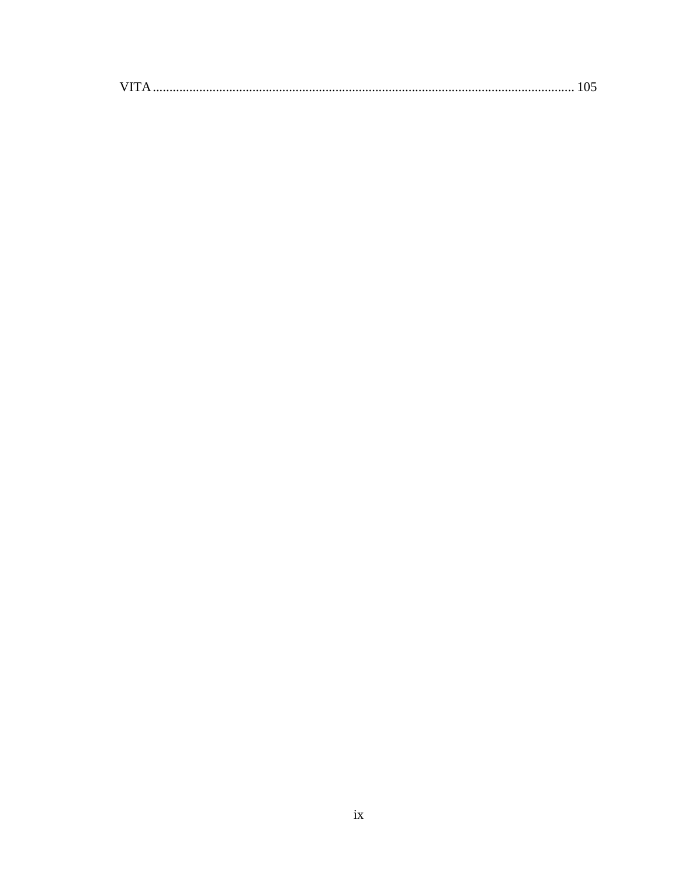| VIT. |
|------|
|------|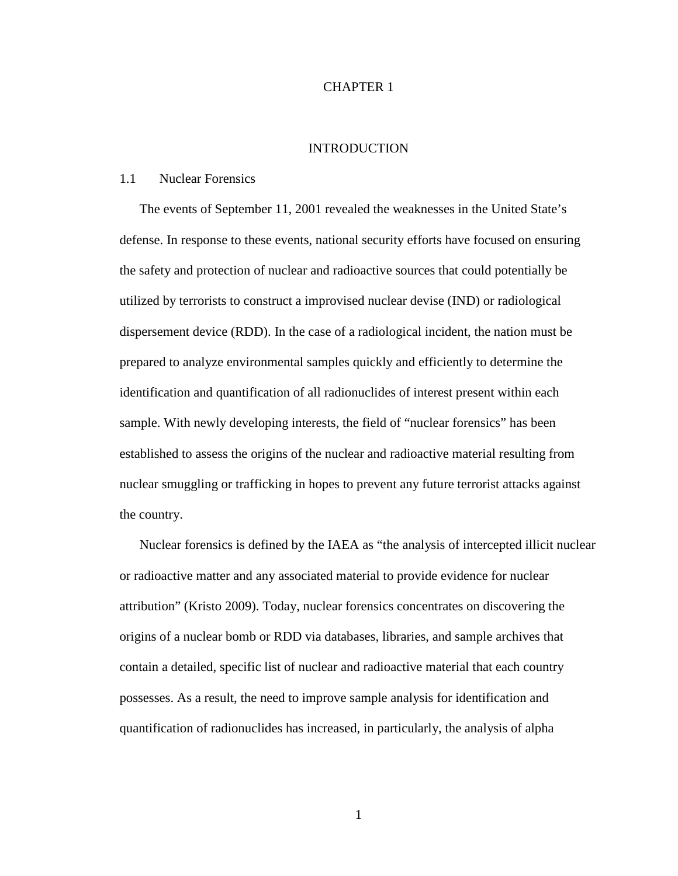#### CHAPTER 1

#### INTRODUCTION

#### 1.1 Nuclear Forensics

The events of September 11, 2001 revealed the weaknesses in the United State's defense. In response to these events, national security efforts have focused on ensuring the safety and protection of nuclear and radioactive sources that could potentially be utilized by terrorists to construct a improvised nuclear devise (IND) or radiological dispersement device (RDD). In the case of a radiological incident, the nation must be prepared to analyze environmental samples quickly and efficiently to determine the identification and quantification of all radionuclides of interest present within each sample. With newly developing interests, the field of "nuclear forensics" has been established to assess the origins of the nuclear and radioactive material resulting from nuclear smuggling or trafficking in hopes to prevent any future terrorist attacks against the country.

Nuclear forensics is defined by the IAEA as "the analysis of intercepted illicit nuclear or radioactive matter and any associated material to provide evidence for nuclear attribution" (Kristo 2009). Today, nuclear forensics concentrates on discovering the origins of a nuclear bomb or RDD via databases, libraries, and sample archives that contain a detailed, specific list of nuclear and radioactive material that each country possesses. As a result, the need to improve sample analysis for identification and quantification of radionuclides has increased, in particularly, the analysis of alpha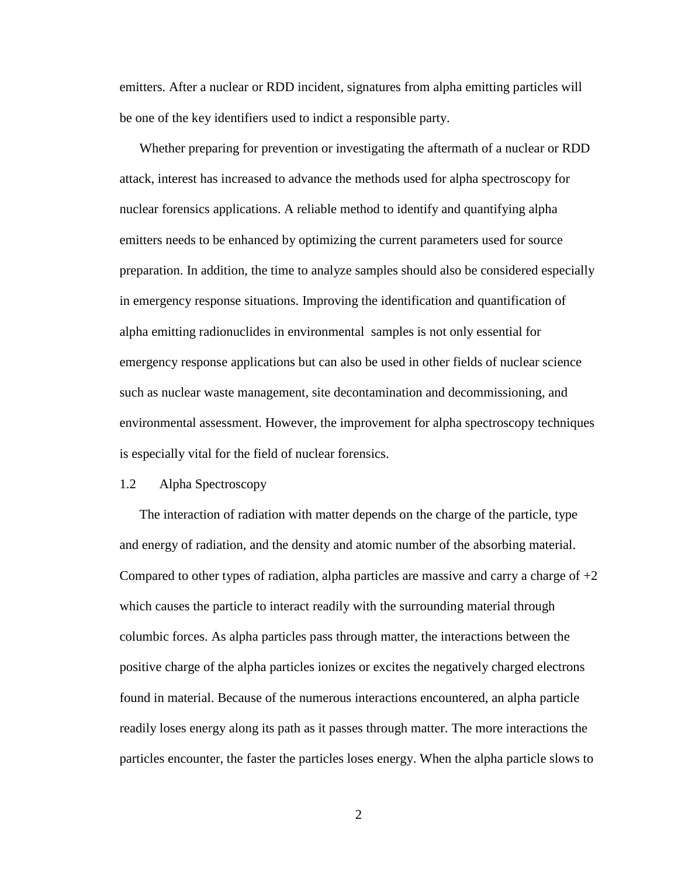emitters. After a nuclear or RDD incident, signatures from alpha emitting particles will be one of the key identifiers used to indict a responsible party.

Whether preparing for prevention or investigating the aftermath of a nuclear or RDD attack, interest has increased to advance the methods used for alpha spectroscopy for nuclear forensics applications. A reliable method to identify and quantifying alpha emitters needs to be enhanced by optimizing the current parameters used for source preparation. In addition, the time to analyze samples should also be considered especially in emergency response situations. Improving the identification and quantification of alpha emitting radionuclides in environmental samples is not only essential for emergency response applications but can also be used in other fields of nuclear science such as nuclear waste management, site decontamination and decommissioning, and environmental assessment. However, the improvement for alpha spectroscopy techniques is especially vital for the field of nuclear forensics.

#### 1.2 Alpha Spectroscopy

The interaction of radiation with matter depends on the charge of the particle, type and energy of radiation, and the density and atomic number of the absorbing material. Compared to other types of radiation, alpha particles are massive and carry a charge of  $+2$ which causes the particle to interact readily with the surrounding material through columbic forces. As alpha particles pass through matter, the interactions between the positive charge of the alpha particles ionizes or excites the negatively charged electrons found in material. Because of the numerous interactions encountered, an alpha particle readily loses energy along its path as it passes through matter. The more interactions the particles encounter, the faster the particles loses energy. When the alpha particle slows to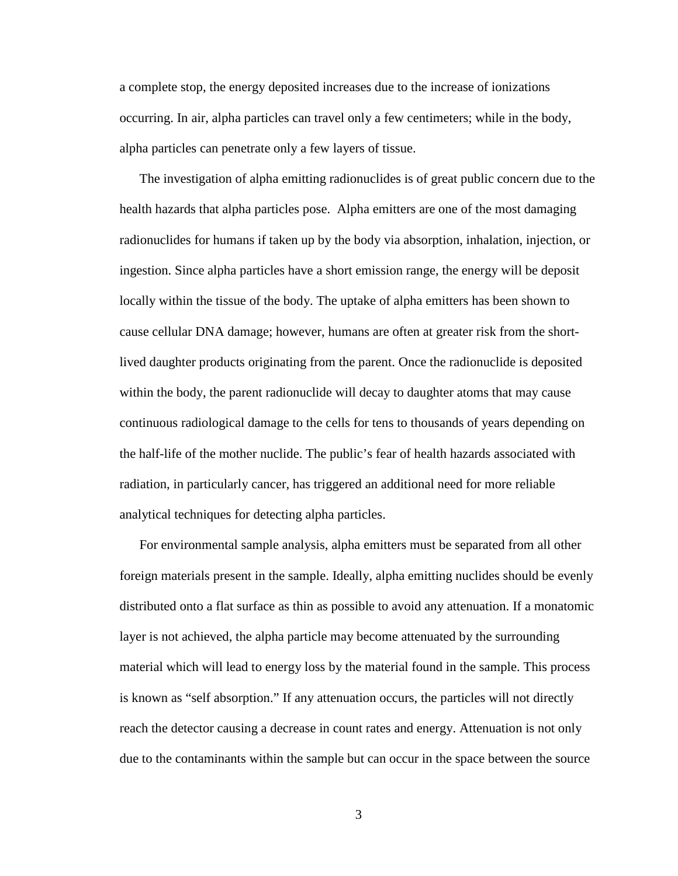a complete stop, the energy deposited increases due to the increase of ionizations occurring. In air, alpha particles can travel only a few centimeters; while in the body, alpha particles can penetrate only a few layers of tissue.

The investigation of alpha emitting radionuclides is of great public concern due to the health hazards that alpha particles pose. Alpha emitters are one of the most damaging radionuclides for humans if taken up by the body via absorption, inhalation, injection, or ingestion. Since alpha particles have a short emission range, the energy will be deposit locally within the tissue of the body. The uptake of alpha emitters has been shown to cause cellular DNA damage; however, humans are often at greater risk from the shortlived daughter products originating from the parent. Once the radionuclide is deposited within the body, the parent radionuclide will decay to daughter atoms that may cause continuous radiological damage to the cells for tens to thousands of years depending on the half-life of the mother nuclide. The public's fear of health hazards associated with radiation, in particularly cancer, has triggered an additional need for more reliable analytical techniques for detecting alpha particles.

For environmental sample analysis, alpha emitters must be separated from all other foreign materials present in the sample. Ideally, alpha emitting nuclides should be evenly distributed onto a flat surface as thin as possible to avoid any attenuation. If a monatomic layer is not achieved, the alpha particle may become attenuated by the surrounding material which will lead to energy loss by the material found in the sample. This process is known as "self absorption." If any attenuation occurs, the particles will not directly reach the detector causing a decrease in count rates and energy. Attenuation is not only due to the contaminants within the sample but can occur in the space between the source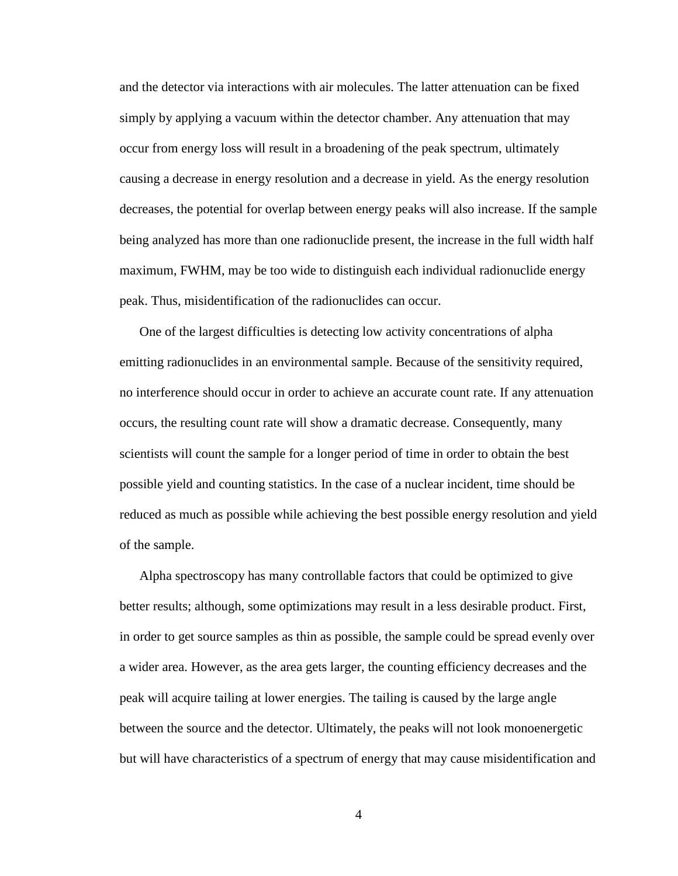and the detector via interactions with air molecules. The latter attenuation can be fixed simply by applying a vacuum within the detector chamber. Any attenuation that may occur from energy loss will result in a broadening of the peak spectrum, ultimately causing a decrease in energy resolution and a decrease in yield. As the energy resolution decreases, the potential for overlap between energy peaks will also increase. If the sample being analyzed has more than one radionuclide present, the increase in the full width half maximum, FWHM, may be too wide to distinguish each individual radionuclide energy peak. Thus, misidentification of the radionuclides can occur.

One of the largest difficulties is detecting low activity concentrations of alpha emitting radionuclides in an environmental sample. Because of the sensitivity required, no interference should occur in order to achieve an accurate count rate. If any attenuation occurs, the resulting count rate will show a dramatic decrease. Consequently, many scientists will count the sample for a longer period of time in order to obtain the best possible yield and counting statistics. In the case of a nuclear incident, time should be reduced as much as possible while achieving the best possible energy resolution and yield of the sample.

Alpha spectroscopy has many controllable factors that could be optimized to give better results; although, some optimizations may result in a less desirable product. First, in order to get source samples as thin as possible, the sample could be spread evenly over a wider area. However, as the area gets larger, the counting efficiency decreases and the peak will acquire tailing at lower energies. The tailing is caused by the large angle between the source and the detector. Ultimately, the peaks will not look monoenergetic but will have characteristics of a spectrum of energy that may cause misidentification and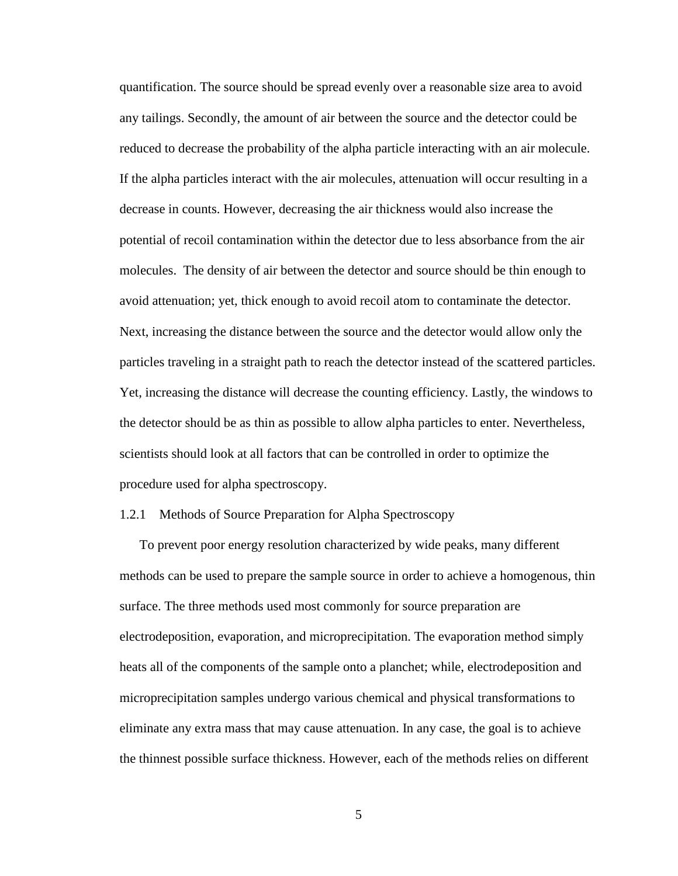quantification. The source should be spread evenly over a reasonable size area to avoid any tailings. Secondly, the amount of air between the source and the detector could be reduced to decrease the probability of the alpha particle interacting with an air molecule. If the alpha particles interact with the air molecules, attenuation will occur resulting in a decrease in counts. However, decreasing the air thickness would also increase the potential of recoil contamination within the detector due to less absorbance from the air molecules. The density of air between the detector and source should be thin enough to avoid attenuation; yet, thick enough to avoid recoil atom to contaminate the detector. Next, increasing the distance between the source and the detector would allow only the particles traveling in a straight path to reach the detector instead of the scattered particles. Yet, increasing the distance will decrease the counting efficiency. Lastly, the windows to the detector should be as thin as possible to allow alpha particles to enter. Nevertheless, scientists should look at all factors that can be controlled in order to optimize the procedure used for alpha spectroscopy.

#### 1.2.1 Methods of Source Preparation for Alpha Spectroscopy

To prevent poor energy resolution characterized by wide peaks, many different methods can be used to prepare the sample source in order to achieve a homogenous, thin surface. The three methods used most commonly for source preparation are electrodeposition, evaporation, and microprecipitation. The evaporation method simply heats all of the components of the sample onto a planchet; while, electrodeposition and microprecipitation samples undergo various chemical and physical transformations to eliminate any extra mass that may cause attenuation. In any case, the goal is to achieve the thinnest possible surface thickness. However, each of the methods relies on different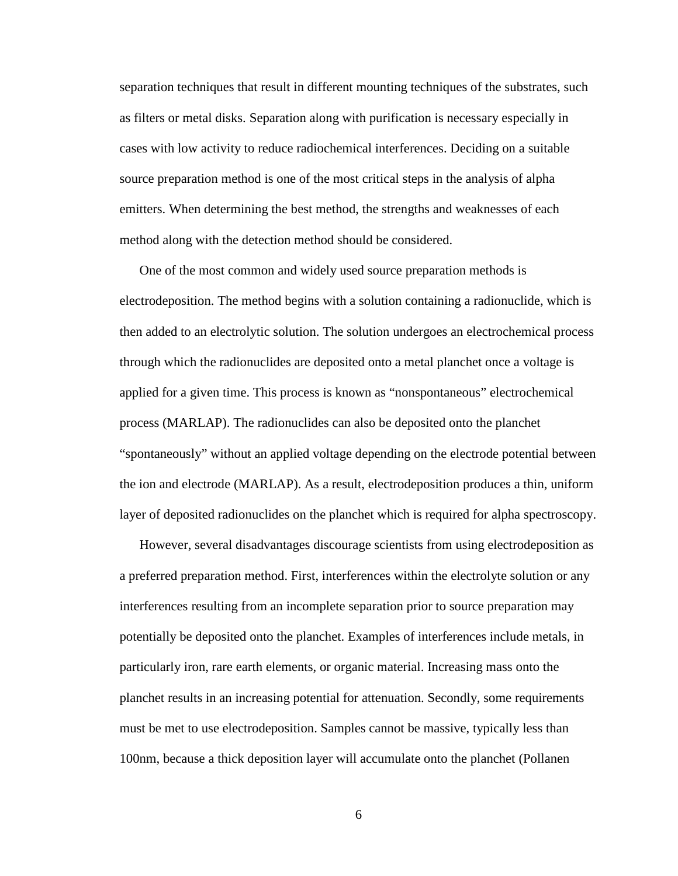separation techniques that result in different mounting techniques of the substrates, such as filters or metal disks. Separation along with purification is necessary especially in cases with low activity to reduce radiochemical interferences. Deciding on a suitable source preparation method is one of the most critical steps in the analysis of alpha emitters. When determining the best method, the strengths and weaknesses of each method along with the detection method should be considered.

One of the most common and widely used source preparation methods is electrodeposition. The method begins with a solution containing a radionuclide, which is then added to an electrolytic solution. The solution undergoes an electrochemical process through which the radionuclides are deposited onto a metal planchet once a voltage is applied for a given time. This process is known as "nonspontaneous" electrochemical process (MARLAP). The radionuclides can also be deposited onto the planchet "spontaneously" without an applied voltage depending on the electrode potential between the ion and electrode (MARLAP). As a result, electrodeposition produces a thin, uniform layer of deposited radionuclides on the planchet which is required for alpha spectroscopy.

 However, several disadvantages discourage scientists from using electrodeposition as a preferred preparation method. First, interferences within the electrolyte solution or any interferences resulting from an incomplete separation prior to source preparation may potentially be deposited onto the planchet. Examples of interferences include metals, in particularly iron, rare earth elements, or organic material. Increasing mass onto the planchet results in an increasing potential for attenuation. Secondly, some requirements must be met to use electrodeposition. Samples cannot be massive, typically less than 100nm, because a thick deposition layer will accumulate onto the planchet (Pollanen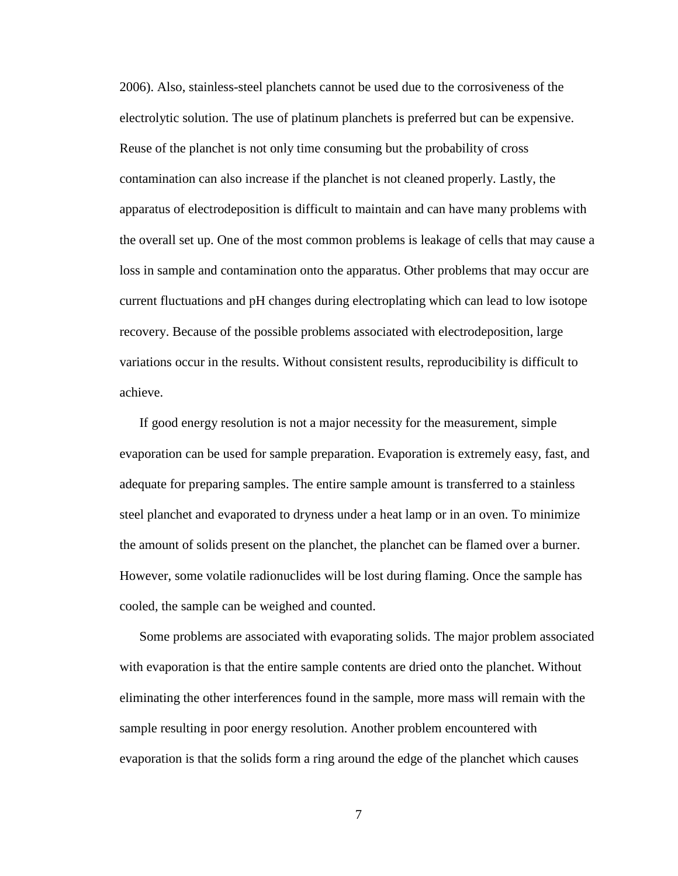2006). Also, stainless-steel planchets cannot be used due to the corrosiveness of the electrolytic solution. The use of platinum planchets is preferred but can be expensive. Reuse of the planchet is not only time consuming but the probability of cross contamination can also increase if the planchet is not cleaned properly. Lastly, the apparatus of electrodeposition is difficult to maintain and can have many problems with the overall set up. One of the most common problems is leakage of cells that may cause a loss in sample and contamination onto the apparatus. Other problems that may occur are current fluctuations and pH changes during electroplating which can lead to low isotope recovery. Because of the possible problems associated with electrodeposition, large variations occur in the results. Without consistent results, reproducibility is difficult to achieve.

If good energy resolution is not a major necessity for the measurement, simple evaporation can be used for sample preparation. Evaporation is extremely easy, fast, and adequate for preparing samples. The entire sample amount is transferred to a stainless steel planchet and evaporated to dryness under a heat lamp or in an oven. To minimize the amount of solids present on the planchet, the planchet can be flamed over a burner. However, some volatile radionuclides will be lost during flaming. Once the sample has cooled, the sample can be weighed and counted.

Some problems are associated with evaporating solids. The major problem associated with evaporation is that the entire sample contents are dried onto the planchet. Without eliminating the other interferences found in the sample, more mass will remain with the sample resulting in poor energy resolution. Another problem encountered with evaporation is that the solids form a ring around the edge of the planchet which causes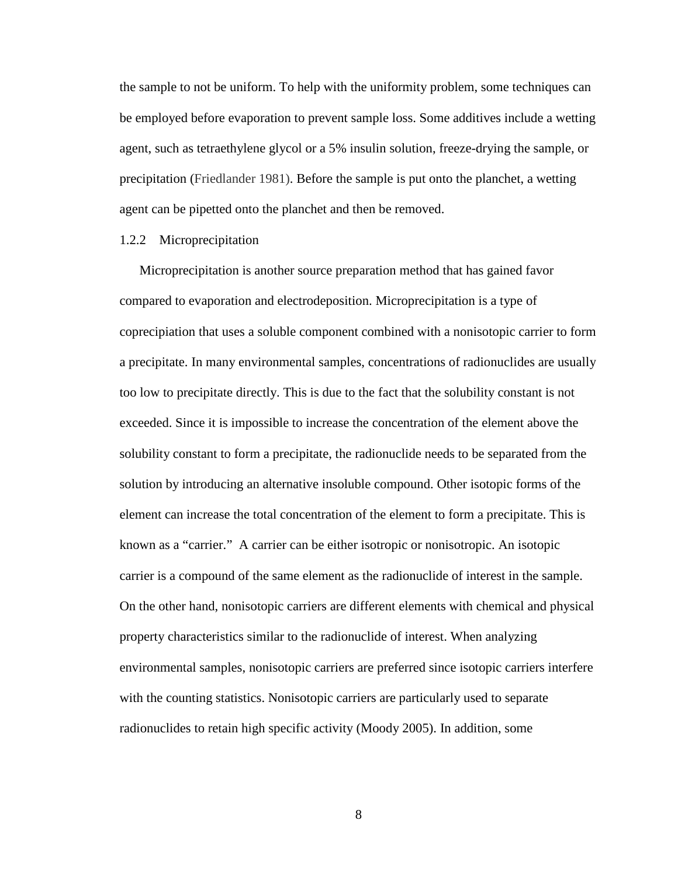the sample to not be uniform. To help with the uniformity problem, some techniques can be employed before evaporation to prevent sample loss. Some additives include a wetting agent, such as tetraethylene glycol or a 5% insulin solution, freeze-drying the sample, or precipitation (Friedlander 1981). Before the sample is put onto the planchet, a wetting agent can be pipetted onto the planchet and then be removed.

#### 1.2.2 Microprecipitation

 Microprecipitation is another source preparation method that has gained favor compared to evaporation and electrodeposition. Microprecipitation is a type of coprecipiation that uses a soluble component combined with a nonisotopic carrier to form a precipitate. In many environmental samples, concentrations of radionuclides are usually too low to precipitate directly. This is due to the fact that the solubility constant is not exceeded. Since it is impossible to increase the concentration of the element above the solubility constant to form a precipitate, the radionuclide needs to be separated from the solution by introducing an alternative insoluble compound. Other isotopic forms of the element can increase the total concentration of the element to form a precipitate. This is known as a "carrier." A carrier can be either isotropic or nonisotropic. An isotopic carrier is a compound of the same element as the radionuclide of interest in the sample. On the other hand, nonisotopic carriers are different elements with chemical and physical property characteristics similar to the radionuclide of interest. When analyzing environmental samples, nonisotopic carriers are preferred since isotopic carriers interfere with the counting statistics. Nonisotopic carriers are particularly used to separate radionuclides to retain high specific activity (Moody 2005). In addition, some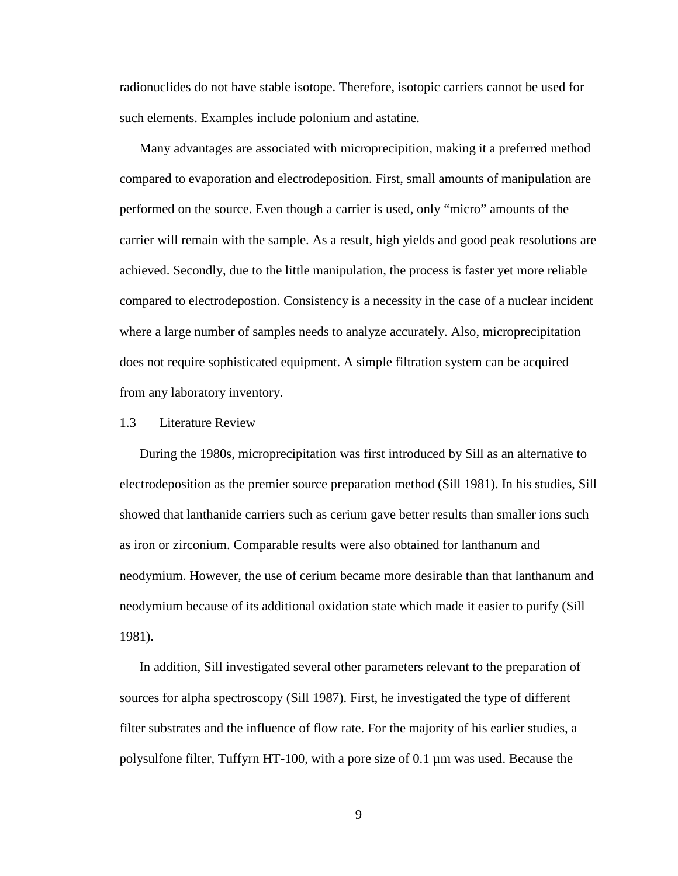radionuclides do not have stable isotope. Therefore, isotopic carriers cannot be used for such elements. Examples include polonium and astatine.

 Many advantages are associated with microprecipition, making it a preferred method compared to evaporation and electrodeposition. First, small amounts of manipulation are performed on the source. Even though a carrier is used, only "micro" amounts of the carrier will remain with the sample. As a result, high yields and good peak resolutions are achieved. Secondly, due to the little manipulation, the process is faster yet more reliable compared to electrodepostion. Consistency is a necessity in the case of a nuclear incident where a large number of samples needs to analyze accurately. Also, microprecipitation does not require sophisticated equipment. A simple filtration system can be acquired from any laboratory inventory.

#### 1.3 Literature Review

 During the 1980s, microprecipitation was first introduced by Sill as an alternative to electrodeposition as the premier source preparation method (Sill 1981). In his studies, Sill showed that lanthanide carriers such as cerium gave better results than smaller ions such as iron or zirconium. Comparable results were also obtained for lanthanum and neodymium. However, the use of cerium became more desirable than that lanthanum and neodymium because of its additional oxidation state which made it easier to purify (Sill 1981).

 In addition, Sill investigated several other parameters relevant to the preparation of sources for alpha spectroscopy (Sill 1987). First, he investigated the type of different filter substrates and the influence of flow rate. For the majority of his earlier studies, a polysulfone filter, Tuffyrn HT-100, with a pore size of 0.1 µm was used. Because the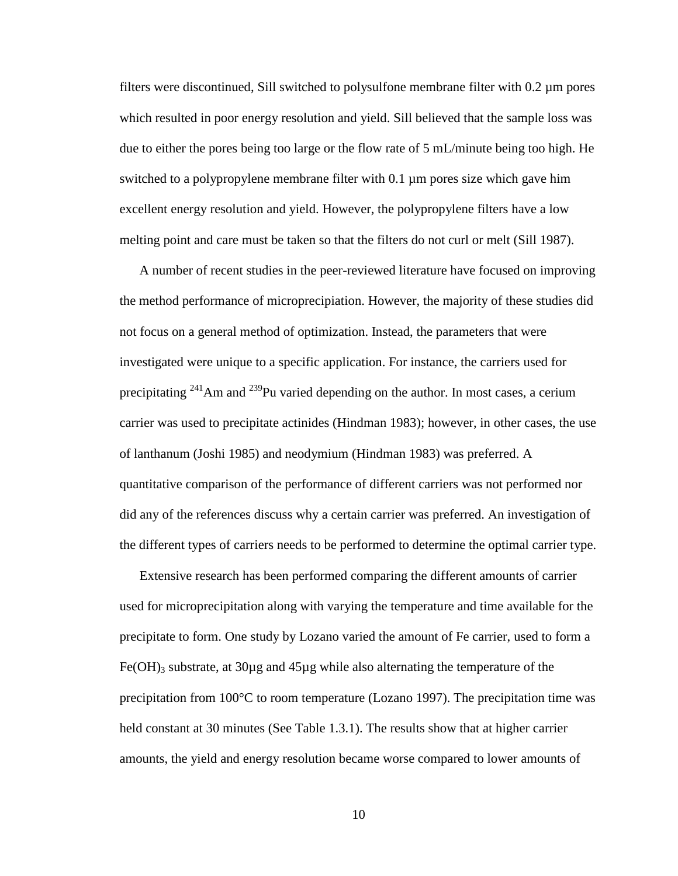filters were discontinued, Sill switched to polysulfone membrane filter with 0.2 µm pores which resulted in poor energy resolution and yield. Sill believed that the sample loss was due to either the pores being too large or the flow rate of 5 mL/minute being too high. He switched to a polypropylene membrane filter with 0.1 µm pores size which gave him excellent energy resolution and yield. However, the polypropylene filters have a low melting point and care must be taken so that the filters do not curl or melt (Sill 1987).

 A number of recent studies in the peer-reviewed literature have focused on improving the method performance of microprecipiation. However, the majority of these studies did not focus on a general method of optimization. Instead, the parameters that were investigated were unique to a specific application. For instance, the carriers used for precipitating  $241$ Am and  $239$ Pu varied depending on the author. In most cases, a cerium carrier was used to precipitate actinides (Hindman 1983); however, in other cases, the use of lanthanum (Joshi 1985) and neodymium (Hindman 1983) was preferred. A quantitative comparison of the performance of different carriers was not performed nor did any of the references discuss why a certain carrier was preferred. An investigation of the different types of carriers needs to be performed to determine the optimal carrier type.

 Extensive research has been performed comparing the different amounts of carrier used for microprecipitation along with varying the temperature and time available for the precipitate to form. One study by Lozano varied the amount of Fe carrier, used to form a Fe(OH)<sub>3</sub> substrate, at 30 $\mu$ g and 45 $\mu$ g while also alternating the temperature of the precipitation from 100°C to room temperature (Lozano 1997). The precipitation time was held constant at 30 minutes (See Table 1.3.1). The results show that at higher carrier amounts, the yield and energy resolution became worse compared to lower amounts of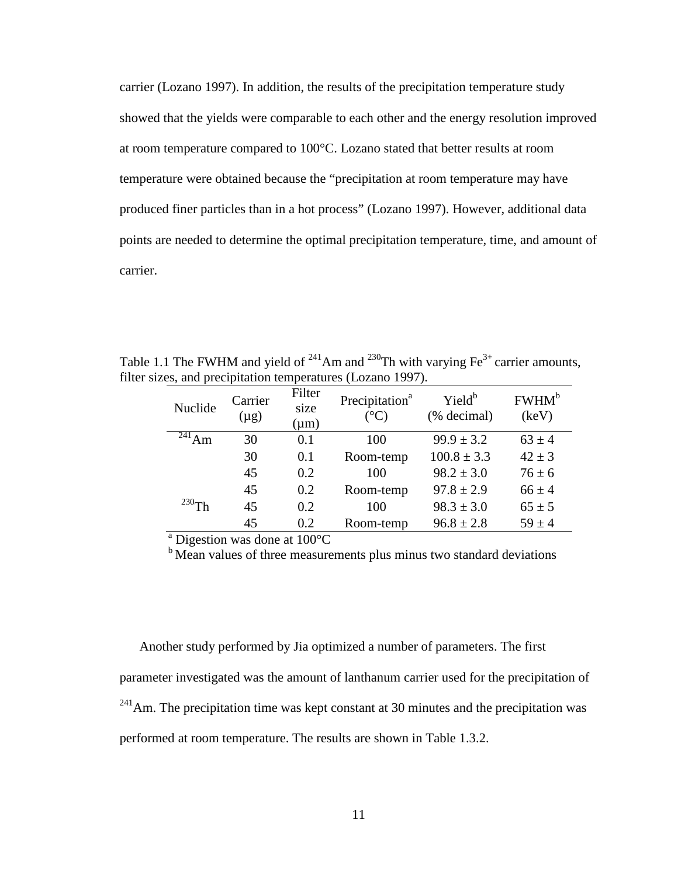carrier (Lozano 1997). In addition, the results of the precipitation temperature study showed that the yields were comparable to each other and the energy resolution improved at room temperature compared to 100°C. Lozano stated that better results at room temperature were obtained because the "precipitation at room temperature may have produced finer particles than in a hot process" (Lozano 1997). However, additional data points are needed to determine the optimal precipitation temperature, time, and amount of carrier.

Table 1.1 The FWHM and yield of  $^{241}$ Am and  $^{230}$ Th with varying Fe<sup>3+</sup> carrier amounts, filter sizes, and precipitation temperatures (Lozano 1997).

| Nuclide                | Carrier<br>$(\mu g)$ | Filter<br>size<br>$(\mu m)$ | Precipitation <sup>a</sup><br>$({}^{\circ}C)$ | Yield <sup>b</sup><br>(% decimal) | FWHM <sup>b</sup><br>(key) |
|------------------------|----------------------|-----------------------------|-----------------------------------------------|-----------------------------------|----------------------------|
| $\overline{^{241}}$ Am | 30                   | 0.1                         | 100                                           | $99.9 \pm 3.2$                    | $63 \pm 4$                 |
|                        | 30                   | 0.1                         | Room-temp                                     | $100.8 \pm 3.3$                   | $42 \pm 3$                 |
|                        | 45                   | 0.2                         | 100                                           | $98.2 \pm 3.0$                    | $76 \pm 6$                 |
|                        | 45                   | 0.2                         | Room-temp                                     | $97.8 \pm 2.9$                    | $66 \pm 4$                 |
| $^{230}$ Th            | 45                   | 0.2                         | 100                                           | $98.3 \pm 3.0$                    | $65 \pm 5$                 |
|                        | 45                   | 0.2                         | Room-temp                                     | $96.8 \pm 2.8$                    | $59 \pm 4$                 |

<sup>a</sup> Digestion was done at 100°C

 $<sup>b</sup>$  Mean values of three measurements plus minus two standard deviations</sup>

 Another study performed by Jia optimized a number of parameters. The first parameter investigated was the amount of lanthanum carrier used for the precipitation of  $^{241}$ Am. The precipitation time was kept constant at 30 minutes and the precipitation was performed at room temperature. The results are shown in Table 1.3.2.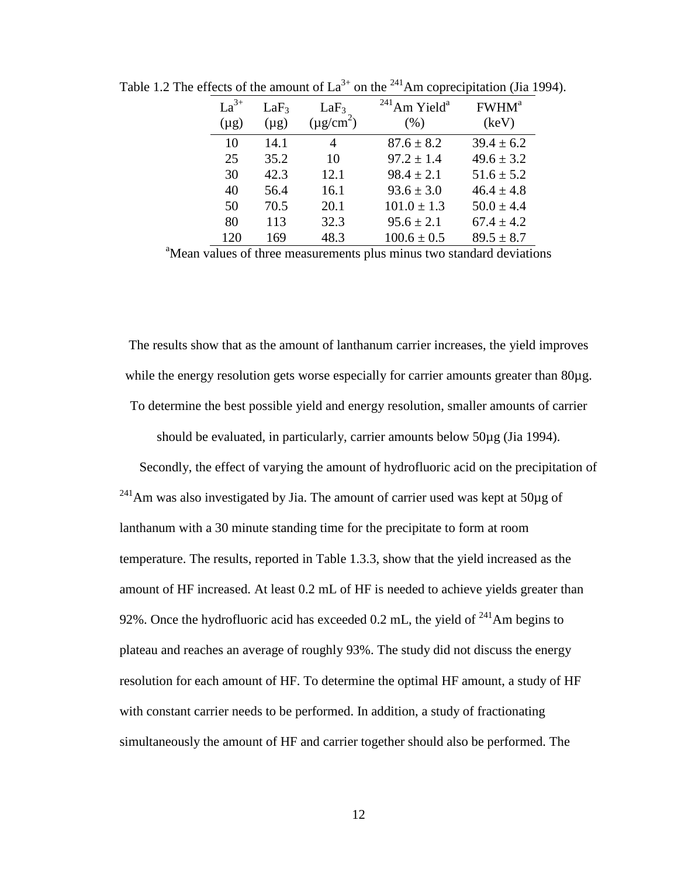| $La^{3+}$<br>$(\mu g)$ | LaF <sub>3</sub><br>$(\mu g)$ | LaF <sub>3</sub><br>$(\mu$ g/cm <sup>2</sup> ) | $^{241}$ Am Yield <sup>a</sup><br>(% ) | FWHM <sup>a</sup><br>(keV) |
|------------------------|-------------------------------|------------------------------------------------|----------------------------------------|----------------------------|
| 10                     | 14.1                          | 4                                              | $87.6 \pm 8.2$                         | $39.4 \pm 6.2$             |
| 25                     | 35.2                          | 10                                             | $97.2 \pm 1.4$                         | $49.6 \pm 3.2$             |
| 30                     | 42.3                          | 12.1                                           | $98.4 \pm 2.1$                         | $51.6 \pm 5.2$             |
| 40                     | 56.4                          | 16.1                                           | $93.6 \pm 3.0$                         | $46.4 \pm 4.8$             |
| 50                     | 70.5                          | 20.1                                           | $101.0 \pm 1.3$                        | $50.0 \pm 4.4$             |
| 80                     | 113                           | 32.3                                           | $95.6 \pm 2.1$                         | $67.4 \pm 4.2$             |
| 120                    | 169                           | 48.3                                           | $100.6 \pm 0.5$                        | $89.5 \pm 8.7$             |

Table 1.2 The effects of the amount of  $La^{3+}$  on the <sup>241</sup>Am coprecipitation (Jia 1994).

<sup>a</sup>Mean values of three measurements plus minus two standard deviations

The results show that as the amount of lanthanum carrier increases, the yield improves while the energy resolution gets worse especially for carrier amounts greater than 80 $\mu$ g. To determine the best possible yield and energy resolution, smaller amounts of carrier

should be evaluated, in particularly, carrier amounts below 50µg (Jia 1994).

 Secondly, the effect of varying the amount of hydrofluoric acid on the precipitation of  $^{241}$ Am was also investigated by Jia. The amount of carrier used was kept at 50 $\mu$ g of lanthanum with a 30 minute standing time for the precipitate to form at room temperature. The results, reported in Table 1.3.3, show that the yield increased as the amount of HF increased. At least 0.2 mL of HF is needed to achieve yields greater than 92%. Once the hydrofluoric acid has exceeded 0.2 mL, the yield of  $^{241}$ Am begins to plateau and reaches an average of roughly 93%. The study did not discuss the energy resolution for each amount of HF. To determine the optimal HF amount, a study of HF with constant carrier needs to be performed. In addition, a study of fractionating simultaneously the amount of HF and carrier together should also be performed. The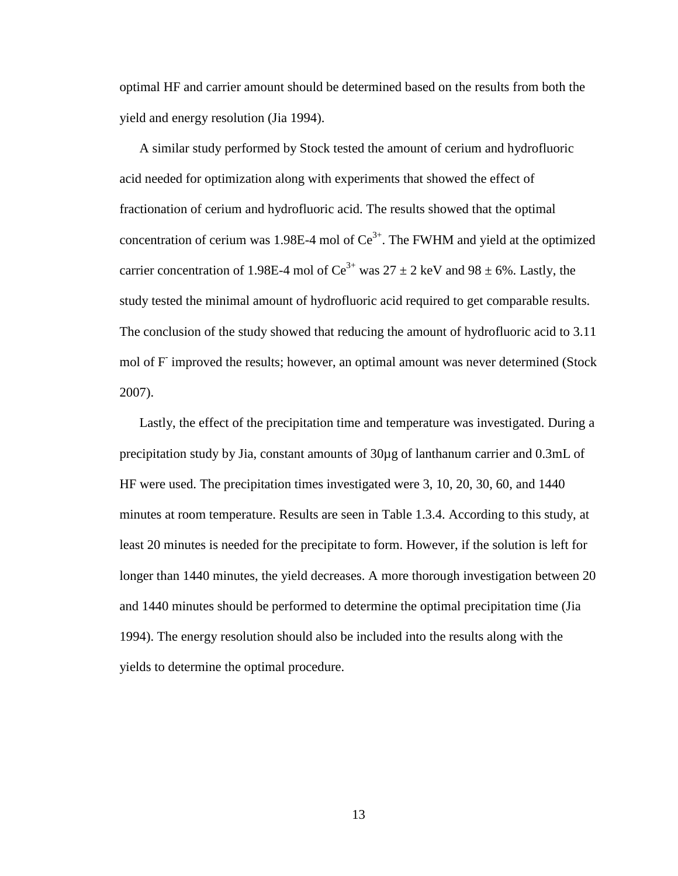optimal HF and carrier amount should be determined based on the results from both the yield and energy resolution (Jia 1994).

 A similar study performed by Stock tested the amount of cerium and hydrofluoric acid needed for optimization along with experiments that showed the effect of fractionation of cerium and hydrofluoric acid. The results showed that the optimal concentration of cerium was 1.98E-4 mol of  $Ce^{3+}$ . The FWHM and yield at the optimized carrier concentration of 1.98E-4 mol of  $Ce^{3+}$  was  $27 \pm 2$  keV and 98  $\pm$  6%. Lastly, the study tested the minimal amount of hydrofluoric acid required to get comparable results. The conclusion of the study showed that reducing the amount of hydrofluoric acid to 3.11 mol of F improved the results; however, an optimal amount was never determined (Stock 2007).

 Lastly, the effect of the precipitation time and temperature was investigated. During a precipitation study by Jia, constant amounts of 30µg of lanthanum carrier and 0.3mL of HF were used. The precipitation times investigated were 3, 10, 20, 30, 60, and 1440 minutes at room temperature. Results are seen in Table 1.3.4. According to this study, at least 20 minutes is needed for the precipitate to form. However, if the solution is left for longer than 1440 minutes, the yield decreases. A more thorough investigation between 20 and 1440 minutes should be performed to determine the optimal precipitation time (Jia 1994). The energy resolution should also be included into the results along with the yields to determine the optimal procedure.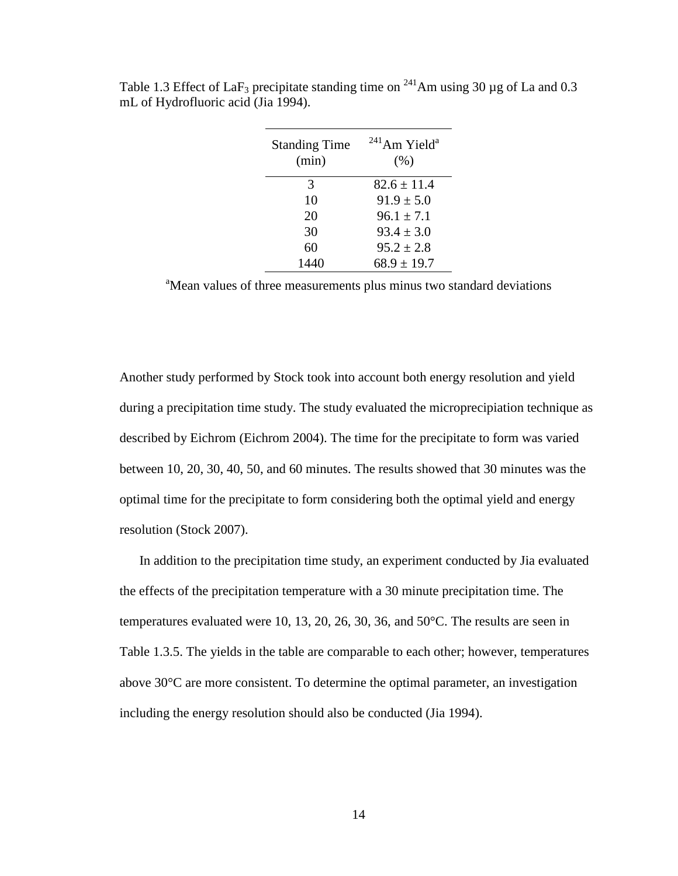| <b>Standing Time</b><br>(min) | $^{241}$ Am Yield <sup>a</sup><br>(% ) |
|-------------------------------|----------------------------------------|
| 3                             | $82.6 \pm 11.4$                        |
| 10                            | $91.9 \pm 5.0$                         |
| 20                            | $96.1 \pm 7.1$                         |
| 30                            | $93.4 \pm 3.0$                         |
| 60                            | $95.2 \pm 2.8$                         |
| 1440                          | $68.9 \pm 19.7$                        |

Table 1.3 Effect of LaF<sub>3</sub> precipitate standing time on <sup>241</sup>Am using 30 µg of La and 0.3 mL of Hydrofluoric acid (Jia 1994).

<sup>a</sup>Mean values of three measurements plus minus two standard deviations

Another study performed by Stock took into account both energy resolution and yield during a precipitation time study. The study evaluated the microprecipiation technique as described by Eichrom (Eichrom 2004). The time for the precipitate to form was varied between 10, 20, 30, 40, 50, and 60 minutes. The results showed that 30 minutes was the optimal time for the precipitate to form considering both the optimal yield and energy resolution (Stock 2007).

 In addition to the precipitation time study, an experiment conducted by Jia evaluated the effects of the precipitation temperature with a 30 minute precipitation time. The temperatures evaluated were 10, 13, 20, 26, 30, 36, and 50°C. The results are seen in Table 1.3.5. The yields in the table are comparable to each other; however, temperatures above 30°C are more consistent. To determine the optimal parameter, an investigation including the energy resolution should also be conducted (Jia 1994).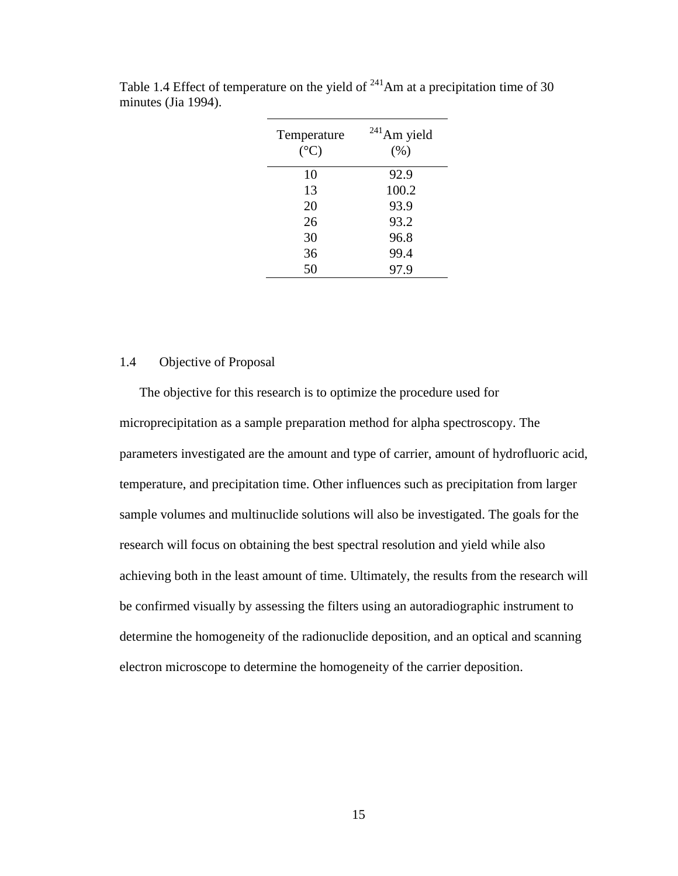| Temperature<br>$({}^{\circ}C)$ | $241$ Am yield<br>(% ) |
|--------------------------------|------------------------|
| 10                             | 92.9                   |
| 13                             | 100.2                  |
| 20                             | 93.9                   |
| 26                             | 93.2                   |
| 30                             | 96.8                   |
| 36                             | 99.4                   |
| 50                             | 97.9                   |
|                                |                        |

Table 1.4 Effect of temperature on the yield of  $^{241}$ Am at a precipitation time of 30 minutes (Jia 1994).

#### 1.4 Objective of Proposal

The objective for this research is to optimize the procedure used for microprecipitation as a sample preparation method for alpha spectroscopy. The parameters investigated are the amount and type of carrier, amount of hydrofluoric acid, temperature, and precipitation time. Other influences such as precipitation from larger sample volumes and multinuclide solutions will also be investigated. The goals for the research will focus on obtaining the best spectral resolution and yield while also achieving both in the least amount of time. Ultimately, the results from the research will be confirmed visually by assessing the filters using an autoradiographic instrument to determine the homogeneity of the radionuclide deposition, and an optical and scanning electron microscope to determine the homogeneity of the carrier deposition.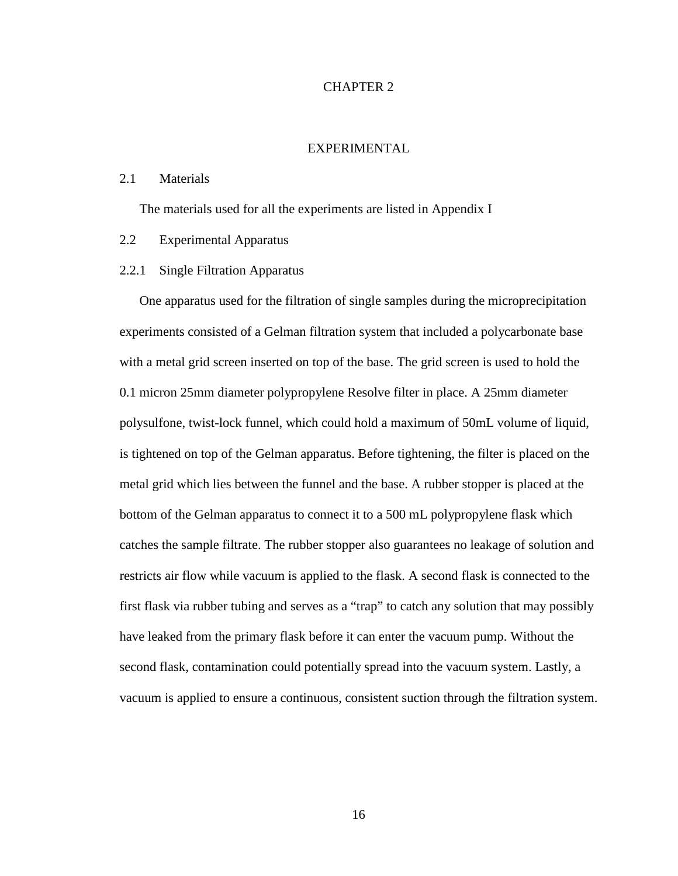#### CHAPTER 2

#### EXPERIMENTAL

#### 2.1 Materials

The materials used for all the experiments are listed in Appendix I

#### 2.2 Experimental Apparatus

#### 2.2.1 Single Filtration Apparatus

One apparatus used for the filtration of single samples during the microprecipitation experiments consisted of a Gelman filtration system that included a polycarbonate base with a metal grid screen inserted on top of the base. The grid screen is used to hold the 0.1 micron 25mm diameter polypropylene Resolve filter in place. A 25mm diameter polysulfone, twist-lock funnel, which could hold a maximum of 50mL volume of liquid, is tightened on top of the Gelman apparatus. Before tightening, the filter is placed on the metal grid which lies between the funnel and the base. A rubber stopper is placed at the bottom of the Gelman apparatus to connect it to a 500 mL polypropylene flask which catches the sample filtrate. The rubber stopper also guarantees no leakage of solution and restricts air flow while vacuum is applied to the flask. A second flask is connected to the first flask via rubber tubing and serves as a "trap" to catch any solution that may possibly have leaked from the primary flask before it can enter the vacuum pump. Without the second flask, contamination could potentially spread into the vacuum system. Lastly, a vacuum is applied to ensure a continuous, consistent suction through the filtration system.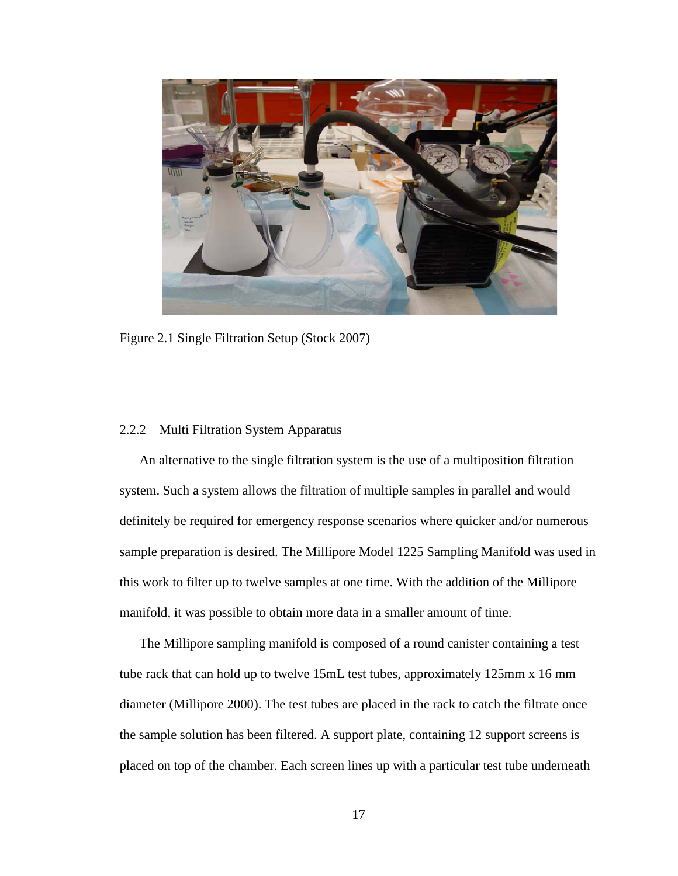

Figure 2.1 Single Filtration Setup (Stock 2007)

#### 2.2.2 Multi Filtration System Apparatus

An alternative to the single filtration system is the use of a multiposition filtration system. Such a system allows the filtration of multiple samples in parallel and would definitely be required for emergency response scenarios where quicker and/or numerous sample preparation is desired. The Millipore Model 1225 Sampling Manifold was used in this work to filter up to twelve samples at one time. With the addition of the Millipore manifold, it was possible to obtain more data in a smaller amount of time.

The Millipore sampling manifold is composed of a round canister containing a test tube rack that can hold up to twelve 15mL test tubes, approximately 125mm x 16 mm diameter (Millipore 2000). The test tubes are placed in the rack to catch the filtrate once the sample solution has been filtered. A support plate, containing 12 support screens is placed on top of the chamber. Each screen lines up with a particular test tube underneath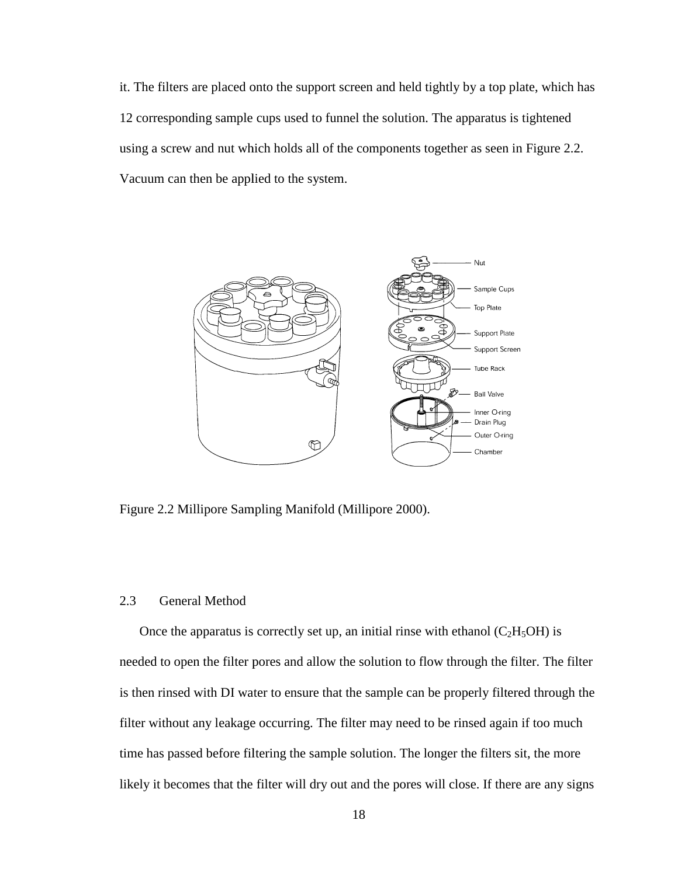it. The filters are placed onto the support screen and held tightly by a top plate, which has 12 corresponding sample cups used to funnel the solution. The apparatus is tightened using a screw and nut which holds all of the components together as seen in Figure 2.2. Vacuum can then be applied to the system.



Figure 2.2 Millipore Sampling Manifold (Millipore 2000).

#### 2.3 General Method

Once the apparatus is correctly set up, an initial rinse with ethanol  $(C_2H_5OH)$  is needed to open the filter pores and allow the solution to flow through the filter. The filter is then rinsed with DI water to ensure that the sample can be properly filtered through the filter without any leakage occurring. The filter may need to be rinsed again if too much time has passed before filtering the sample solution. The longer the filters sit, the more likely it becomes that the filter will dry out and the pores will close. If there are any signs is correctly set up, an initial rinse with ethanol  $(C_2H_5OH)$  is<br>er pores and allow the solution to flow through the filter. The<br>water to ensure that the sample can be properly filtered throug<br>age occurring. The filter ma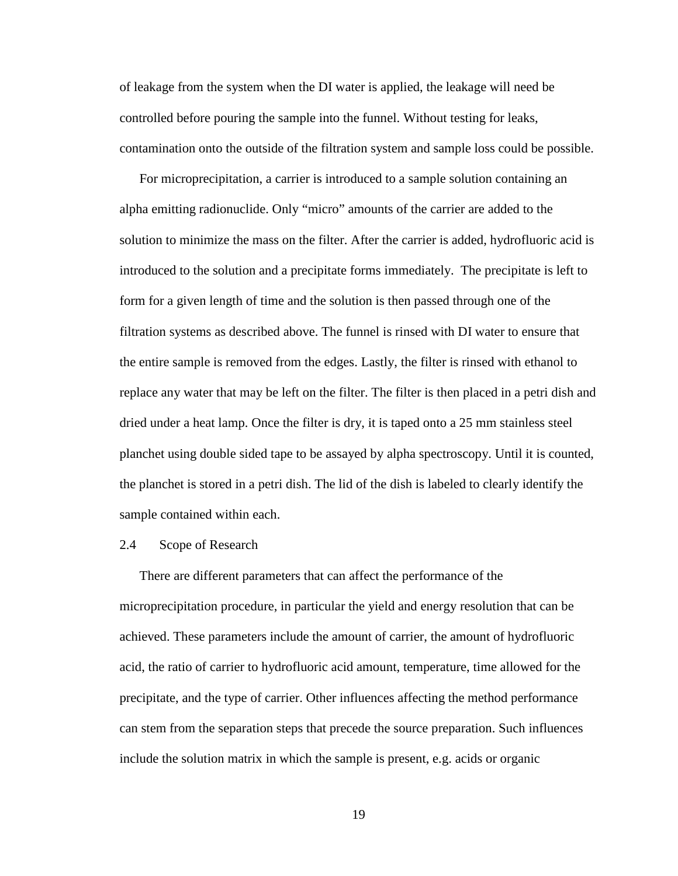of leakage from the system when the DI water is applied, the leakage will need be controlled before pouring the sample into the funnel. Without testing for leaks, contamination onto the outside of the filtration system and sample loss could be possible.

For microprecipitation, a carrier is introduced to a sample solution containing an alpha emitting radionuclide. Only "micro" amounts of the carrier are added to the solution to minimize the mass on the filter. After the carrier is added, hydrofluoric acid is introduced to the solution and a precipitate forms immediately. The precipitate is left to form for a given length of time and the solution is then passed through one of the filtration systems as described above. The funnel is rinsed with DI water to ensure that the entire sample is removed from the edges. Lastly, the filter is rinsed with ethanol to replace any water that may be left on the filter. The filter is then placed in a petri dish and dried under a heat lamp. Once the filter is dry, it is taped onto a 25 mm stainless steel planchet using double sided tape to be assayed by alpha spectroscopy. Until it is counted, the planchet is stored in a petri dish. The lid of the dish is labeled to clearly identify the sample contained within each.

#### 2.4 Scope of Research

There are different parameters that can affect the performance of the microprecipitation procedure, in particular the yield and energy resolution that can be achieved. These parameters include the amount of carrier, the amount of hydrofluoric acid, the ratio of carrier to hydrofluoric acid amount, temperature, time allowed for the precipitate, and the type of carrier. Other influences affecting the method performance can stem from the separation steps that precede the source preparation. Such influences include the solution matrix in which the sample is present, e.g. acids or organic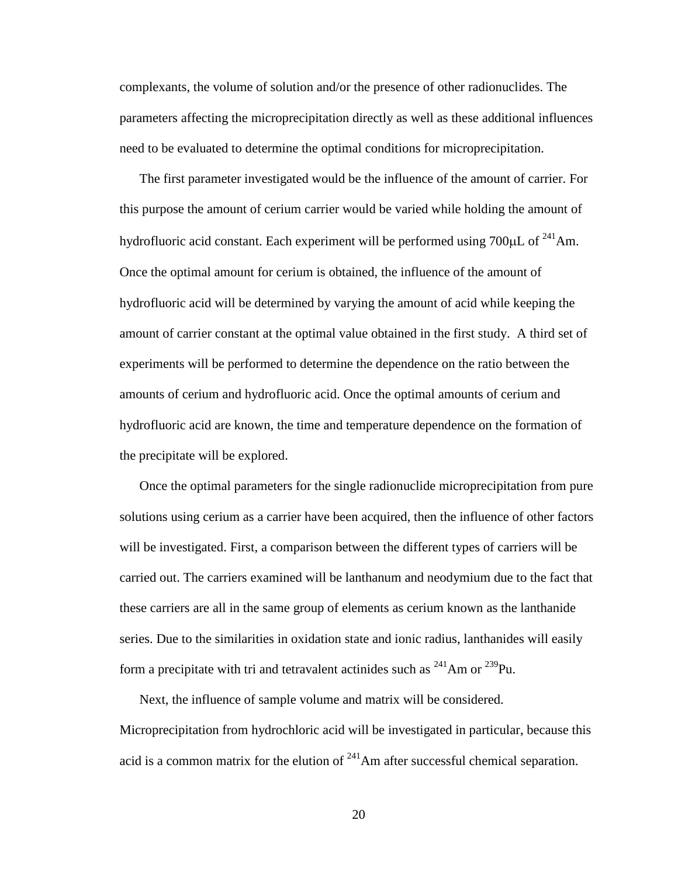complexants, the volume of solution and/or the presence of other radionuclides. The parameters affecting the microprecipitation directly as well as these additional influences need to be evaluated to determine the optimal conditions for microprecipitation.

The first parameter investigated would be the influence of the amount of carrier. For this purpose the amount of cerium carrier would be varied while holding the amount of hydrofluoric acid constant. Each experiment will be performed using  $700 \mu L$  of  $^{241}$ Am. Once the optimal amount for cerium is obtained, the influence of the amount of hydrofluoric acid will be determined by varying the amount of acid while keeping the amount of carrier constant at the optimal value obtained in the first study. A third set of experiments will be performed to determine the dependence on the ratio between the amounts of cerium and hydrofluoric acid. Once the optimal amounts of cerium and hydrofluoric acid are known, the time and temperature dependence on the formation of the precipitate will be explored.

Once the optimal parameters for the single radionuclide microprecipitation from pure solutions using cerium as a carrier have been acquired, then the influence of other factors will be investigated. First, a comparison between the different types of carriers will be carried out. The carriers examined will be lanthanum and neodymium due to the fact that these carriers are all in the same group of elements as cerium known as the lanthanide series. Due to the similarities in oxidation state and ionic radius, lanthanides will easily form a precipitate with tri and tetravalent actinides such as  $^{241}$ Am or  $^{239}$ Pu.

Next, the influence of sample volume and matrix will be considered. Microprecipitation from hydrochloric acid will be investigated in particular, because this acid is a common matrix for the elution of  $^{241}$ Am after successful chemical separation.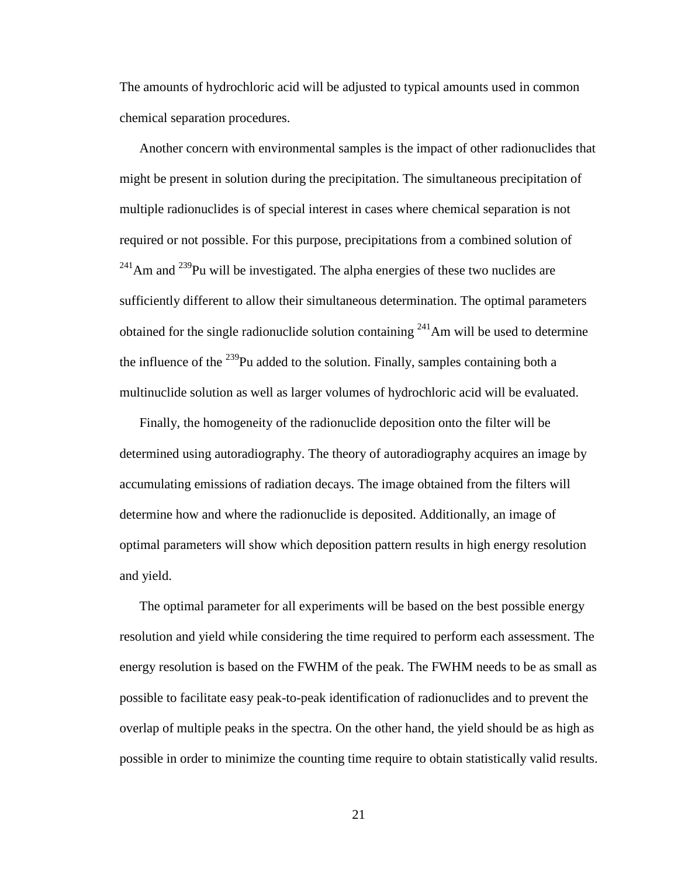The amounts of hydrochloric acid will be adjusted to typical amounts used in common chemical separation procedures.

Another concern with environmental samples is the impact of other radionuclides that might be present in solution during the precipitation. The simultaneous precipitation of multiple radionuclides is of special interest in cases where chemical separation is not required or not possible. For this purpose, precipitations from a combined solution of  $^{241}$ Am and  $^{239}$ Pu will be investigated. The alpha energies of these two nuclides are sufficiently different to allow their simultaneous determination. The optimal parameters obtained for the single radionuclide solution containing  $241$  Am will be used to determine the influence of the  $^{239}$ Pu added to the solution. Finally, samples containing both a multinuclide solution as well as larger volumes of hydrochloric acid will be evaluated.

Finally, the homogeneity of the radionuclide deposition onto the filter will be determined using autoradiography. The theory of autoradiography acquires an image by accumulating emissions of radiation decays. The image obtained from the filters will determine how and where the radionuclide is deposited. Additionally, an image of optimal parameters will show which deposition pattern results in high energy resolution and yield.

The optimal parameter for all experiments will be based on the best possible energy resolution and yield while considering the time required to perform each assessment. The energy resolution is based on the FWHM of the peak. The FWHM needs to be as small as possible to facilitate easy peak-to-peak identification of radionuclides and to prevent the overlap of multiple peaks in the spectra. On the other hand, the yield should be as high as possible in order to minimize the counting time require to obtain statistically valid results.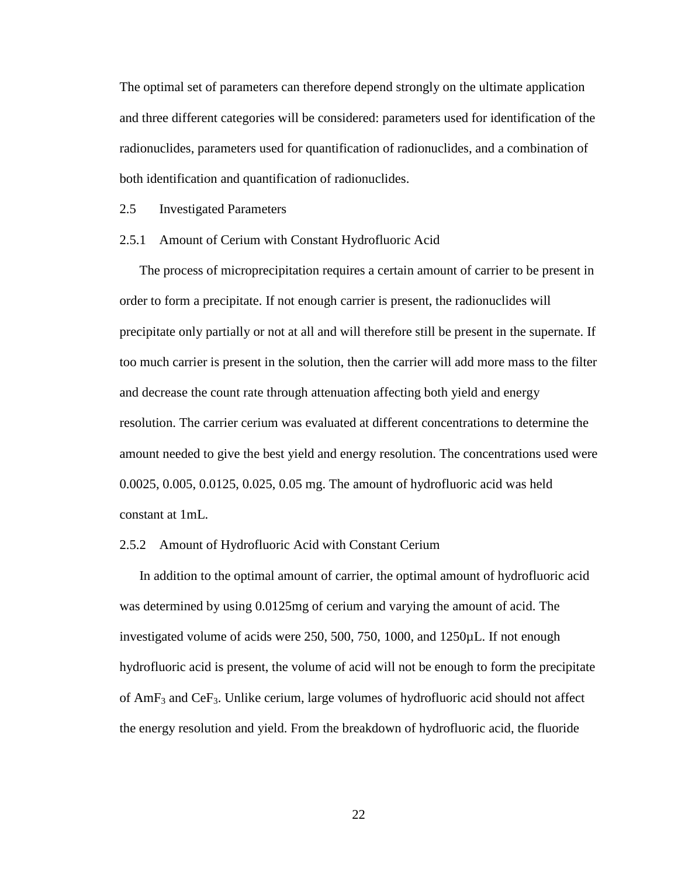The optimal set of parameters can therefore depend strongly on the ultimate application and three different categories will be considered: parameters used for identification of the radionuclides, parameters used for quantification of radionuclides, and a combination of both identification and quantification of radionuclides.

2.5 Investigated Parameters

#### 2.5.1 Amount of Cerium with Constant Hydrofluoric Acid

The process of microprecipitation requires a certain amount of carrier to be present in order to form a precipitate. If not enough carrier is present, the radionuclides will precipitate only partially or not at all and will therefore still be present in the supernate. If too much carrier is present in the solution, then the carrier will add more mass to the filter and decrease the count rate through attenuation affecting both yield and energy resolution. The carrier cerium was evaluated at different concentrations to determine the amount needed to give the best yield and energy resolution. The concentrations used were 0.0025, 0.005, 0.0125, 0.025, 0.05 mg. The amount of hydrofluoric acid was held constant at 1mL.

#### 2.5.2 Amount of Hydrofluoric Acid with Constant Cerium

 In addition to the optimal amount of carrier, the optimal amount of hydrofluoric acid was determined by using 0.0125mg of cerium and varying the amount of acid. The investigated volume of acids were 250, 500, 750, 1000, and 1250µL. If not enough hydrofluoric acid is present, the volume of acid will not be enough to form the precipitate of  $AmF_3$  and CeF<sub>3</sub>. Unlike cerium, large volumes of hydrofluoric acid should not affect the energy resolution and yield. From the breakdown of hydrofluoric acid, the fluoride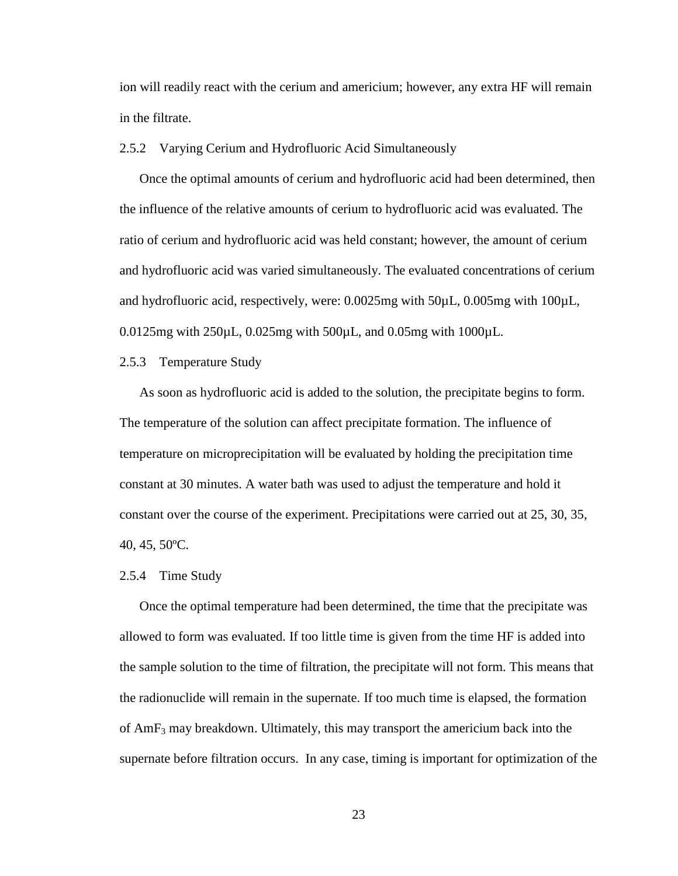ion will readily react with the cerium and americium; however, any extra HF will remain in the filtrate.

#### 2.5.2 Varying Cerium and Hydrofluoric Acid Simultaneously

Once the optimal amounts of cerium and hydrofluoric acid had been determined, then the influence of the relative amounts of cerium to hydrofluoric acid was evaluated. The ratio of cerium and hydrofluoric acid was held constant; however, the amount of cerium and hydrofluoric acid was varied simultaneously. The evaluated concentrations of cerium and hydrofluoric acid, respectively, were: 0.0025mg with 50µL, 0.005mg with 100µL, 0.0125mg with 250µL, 0.025mg with 500µL, and 0.05mg with 1000µL.

#### 2.5.3 Temperature Study

As soon as hydrofluoric acid is added to the solution, the precipitate begins to form. The temperature of the solution can affect precipitate formation. The influence of temperature on microprecipitation will be evaluated by holding the precipitation time constant at 30 minutes. A water bath was used to adjust the temperature and hold it constant over the course of the experiment. Precipitations were carried out at 25, 30, 35, 40, 45, 50ºC.

#### 2.5.4 Time Study

Once the optimal temperature had been determined, the time that the precipitate was allowed to form was evaluated. If too little time is given from the time HF is added into the sample solution to the time of filtration, the precipitate will not form. This means that the radionuclide will remain in the supernate. If too much time is elapsed, the formation of  $AmF_3$  may breakdown. Ultimately, this may transport the americium back into the supernate before filtration occurs. In any case, timing is important for optimization of the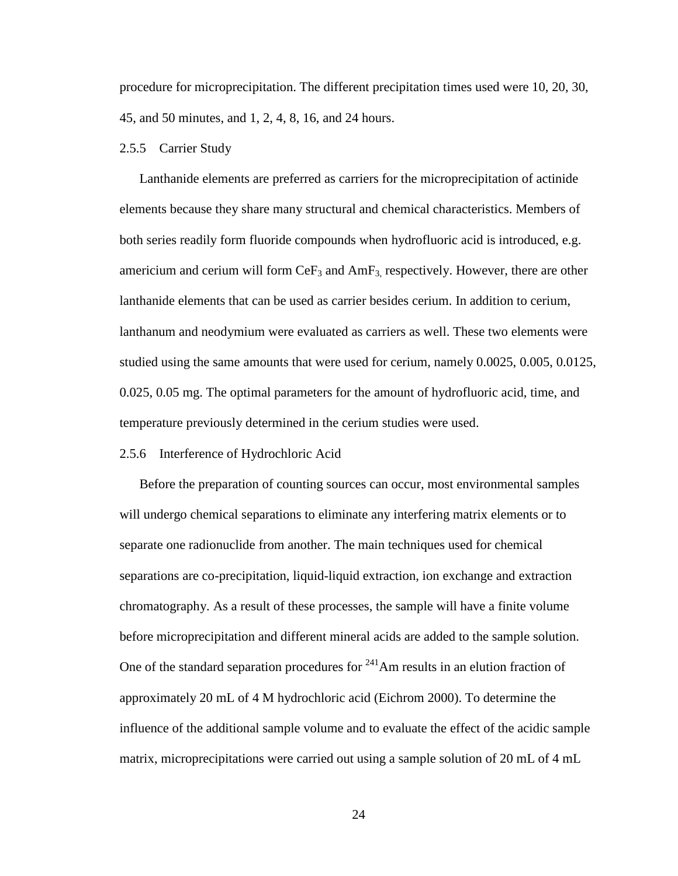procedure for microprecipitation. The different precipitation times used were 10, 20, 30, 45, and 50 minutes, and 1, 2, 4, 8, 16, and 24 hours.

#### 2.5.5 Carrier Study

Lanthanide elements are preferred as carriers for the microprecipitation of actinide elements because they share many structural and chemical characteristics. Members of both series readily form fluoride compounds when hydrofluoric acid is introduced, e.g. americium and cerium will form  $CeF_3$  and  $AmF_3$  respectively. However, there are other lanthanide elements that can be used as carrier besides cerium. In addition to cerium, lanthanum and neodymium were evaluated as carriers as well. These two elements were studied using the same amounts that were used for cerium, namely 0.0025, 0.005, 0.0125, 0.025, 0.05 mg. The optimal parameters for the amount of hydrofluoric acid, time, and temperature previously determined in the cerium studies were used.

#### 2.5.6 Interference of Hydrochloric Acid

Before the preparation of counting sources can occur, most environmental samples will undergo chemical separations to eliminate any interfering matrix elements or to separate one radionuclide from another. The main techniques used for chemical separations are co-precipitation, liquid-liquid extraction, ion exchange and extraction chromatography. As a result of these processes, the sample will have a finite volume before microprecipitation and different mineral acids are added to the sample solution. One of the standard separation procedures for  $241$ Am results in an elution fraction of approximately 20 mL of 4 M hydrochloric acid (Eichrom 2000). To determine the influence of the additional sample volume and to evaluate the effect of the acidic sample matrix, microprecipitations were carried out using a sample solution of 20 mL of 4 mL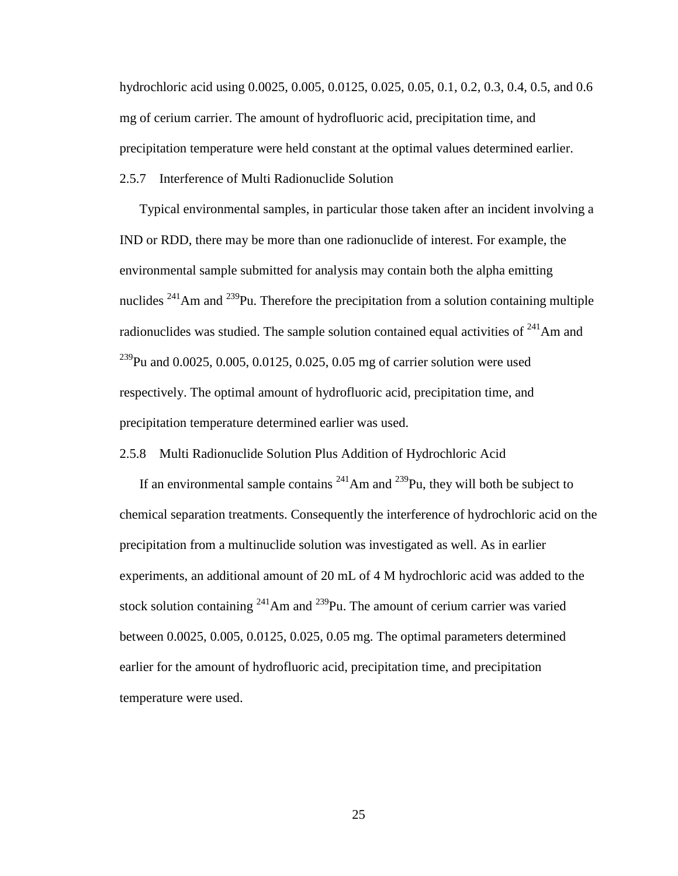hydrochloric acid using 0.0025, 0.005, 0.0125, 0.025, 0.05, 0.1, 0.2, 0.3, 0.4, 0.5, and 0.6 mg of cerium carrier. The amount of hydrofluoric acid, precipitation time, and precipitation temperature were held constant at the optimal values determined earlier.

2.5.7 Interference of Multi Radionuclide Solution

Typical environmental samples, in particular those taken after an incident involving a IND or RDD, there may be more than one radionuclide of interest. For example, the environmental sample submitted for analysis may contain both the alpha emitting nuclides  $241$ Am and  $239$ Pu. Therefore the precipitation from a solution containing multiple radionuclides was studied. The sample solution contained equal activities of  $241$ Am and <sup>239</sup>Pu and 0.0025, 0.005, 0.0125, 0.025, 0.05 mg of carrier solution were used respectively. The optimal amount of hydrofluoric acid, precipitation time, and precipitation temperature determined earlier was used.

2.5.8 Multi Radionuclide Solution Plus Addition of Hydrochloric Acid

If an environmental sample contains  $^{241}$ Am and  $^{239}$ Pu, they will both be subject to chemical separation treatments. Consequently the interference of hydrochloric acid on the precipitation from a multinuclide solution was investigated as well. As in earlier experiments, an additional amount of 20 mL of 4 M hydrochloric acid was added to the stock solution containing  $^{241}$ Am and  $^{239}$ Pu. The amount of cerium carrier was varied between 0.0025, 0.005, 0.0125, 0.025, 0.05 mg. The optimal parameters determined earlier for the amount of hydrofluoric acid, precipitation time, and precipitation temperature were used.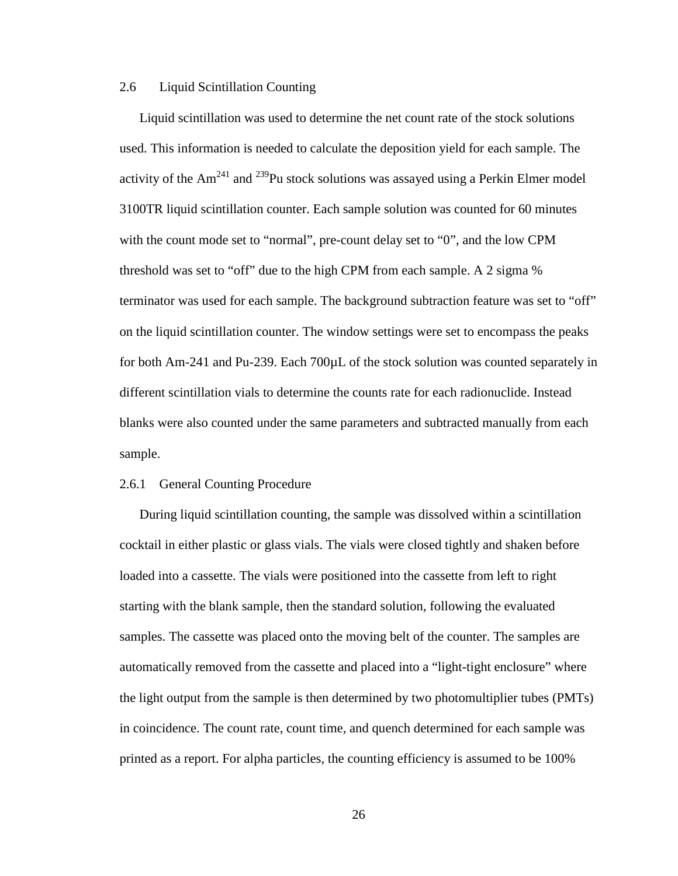#### 2.6 Liquid Scintillation Counting

Liquid scintillation was used to determine the net count rate of the stock solutions used. This information is needed to calculate the deposition yield for each sample. The activity of the  $Am^{241}$  and  $^{239}$ Pu stock solutions was assayed using a Perkin Elmer model 3100TR liquid scintillation counter. Each sample solution was counted for 60 minutes with the count mode set to "normal", pre-count delay set to "0", and the low CPM threshold was set to "off" due to the high CPM from each sample. A 2 sigma % terminator was used for each sample. The background subtraction feature was set to "off" on the liquid scintillation counter. The window settings were set to encompass the peaks for both Am-241 and Pu-239. Each 700µL of the stock solution was counted separately in different scintillation vials to determine the counts rate for each radionuclide. Instead blanks were also counted under the same parameters and subtracted manually from each sample.

#### 2.6.1 General Counting Procedure

During liquid scintillation counting, the sample was dissolved within a scintillation cocktail in either plastic or glass vials. The vials were closed tightly and shaken before loaded into a cassette. The vials were positioned into the cassette from left to right starting with the blank sample, then the standard solution, following the evaluated samples. The cassette was placed onto the moving belt of the counter. The samples are automatically removed from the cassette and placed into a "light-tight enclosure" where the light output from the sample is then determined by two photomultiplier tubes (PMTs) in coincidence. The count rate, count time, and quench determined for each sample was printed as a report. For alpha particles, the counting efficiency is assumed to be 100%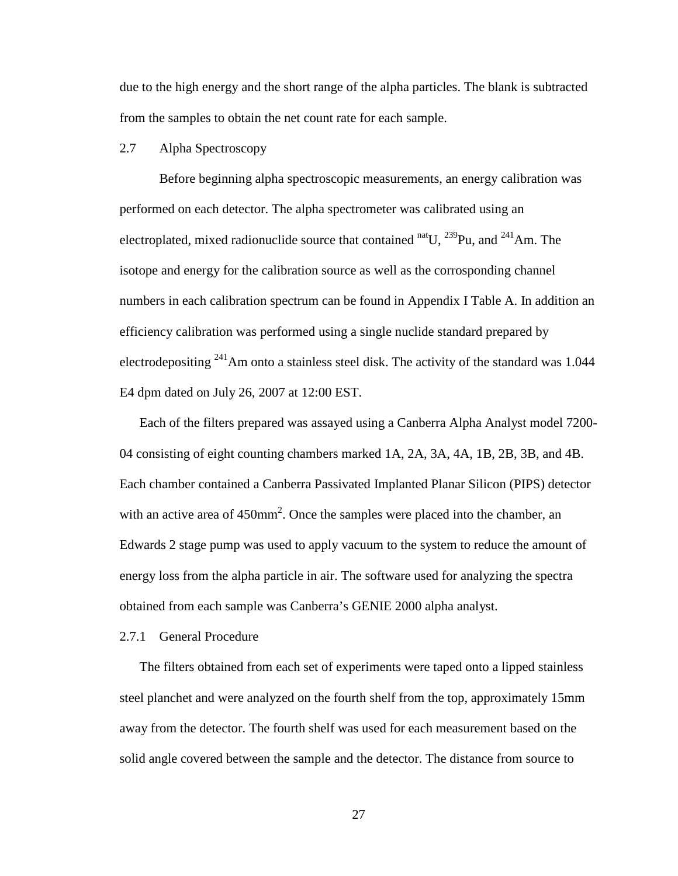due to the high energy and the short range of the alpha particles. The blank is subtracted from the samples to obtain the net count rate for each sample.

## 2.7 Alpha Spectroscopy

Before beginning alpha spectroscopic measurements, an energy calibration was performed on each detector. The alpha spectrometer was calibrated using an electroplated, mixed radionuclide source that contained  $\frac{\text{nat}}{\text{U}}$ ,  $\frac{239}{\text{Pu}}$ , and  $\frac{241}{\text{Am}}$ . The isotope and energy for the calibration source as well as the corrosponding channel numbers in each calibration spectrum can be found in Appendix I Table A. In addition an efficiency calibration was performed using a single nuclide standard prepared by electrodepositing <sup>241</sup>Am onto a stainless steel disk. The activity of the standard was 1.044 E4 dpm dated on July 26, 2007 at 12:00 EST.

Each of the filters prepared was assayed using a Canberra Alpha Analyst model 7200- 04 consisting of eight counting chambers marked 1A, 2A, 3A, 4A, 1B, 2B, 3B, and 4B. Each chamber contained a Canberra Passivated Implanted Planar Silicon (PIPS) detector with an active area of  $450$ mm<sup>2</sup>. Once the samples were placed into the chamber, an Edwards 2 stage pump was used to apply vacuum to the system to reduce the amount of energy loss from the alpha particle in air. The software used for analyzing the spectra obtained from each sample was Canberra's GENIE 2000 alpha analyst.

### 2.7.1 General Procedure

The filters obtained from each set of experiments were taped onto a lipped stainless steel planchet and were analyzed on the fourth shelf from the top, approximately 15mm away from the detector. The fourth shelf was used for each measurement based on the solid angle covered between the sample and the detector. The distance from source to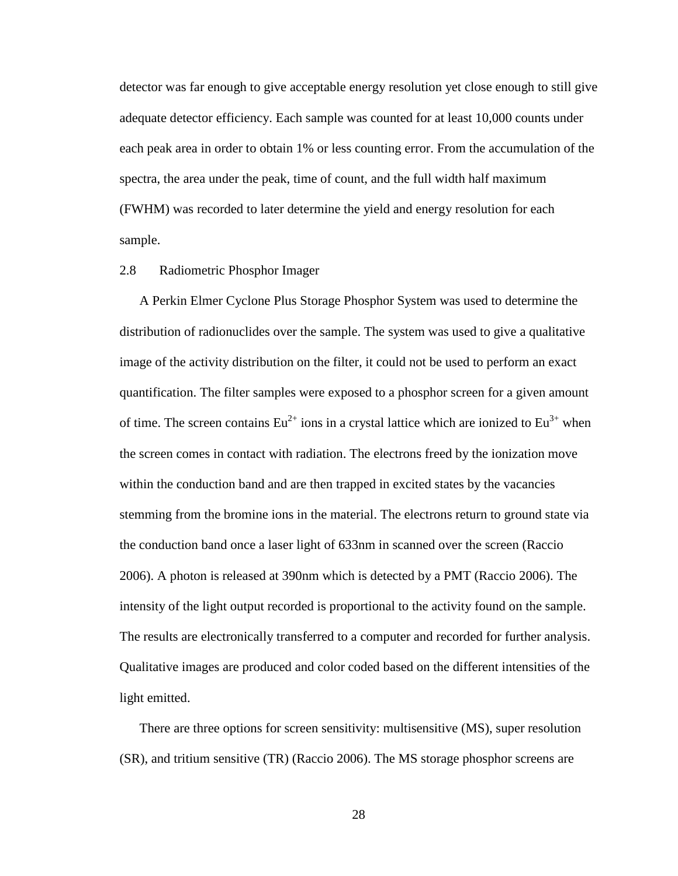detector was far enough to give acceptable energy resolution yet close enough to still give adequate detector efficiency. Each sample was counted for at least 10,000 counts under each peak area in order to obtain 1% or less counting error. From the accumulation of the spectra, the area under the peak, time of count, and the full width half maximum (FWHM) was recorded to later determine the yield and energy resolution for each sample.

## 2.8 Radiometric Phosphor Imager

A Perkin Elmer Cyclone Plus Storage Phosphor System was used to determine the distribution of radionuclides over the sample. The system was used to give a qualitative image of the activity distribution on the filter, it could not be used to perform an exact quantification. The filter samples were exposed to a phosphor screen for a given amount of time. The screen contains  $Eu^{2+}$  ions in a crystal lattice which are ionized to  $Eu^{3+}$  when the screen comes in contact with radiation. The electrons freed by the ionization move within the conduction band and are then trapped in excited states by the vacancies stemming from the bromine ions in the material. The electrons return to ground state via the conduction band once a laser light of 633nm in scanned over the screen (Raccio 2006). A photon is released at 390nm which is detected by a PMT (Raccio 2006). The intensity of the light output recorded is proportional to the activity found on the sample. The results are electronically transferred to a computer and recorded for further analysis. Qualitative images are produced and color coded based on the different intensities of the light emitted.

There are three options for screen sensitivity: multisensitive (MS), super resolution (SR), and tritium sensitive (TR) (Raccio 2006). The MS storage phosphor screens are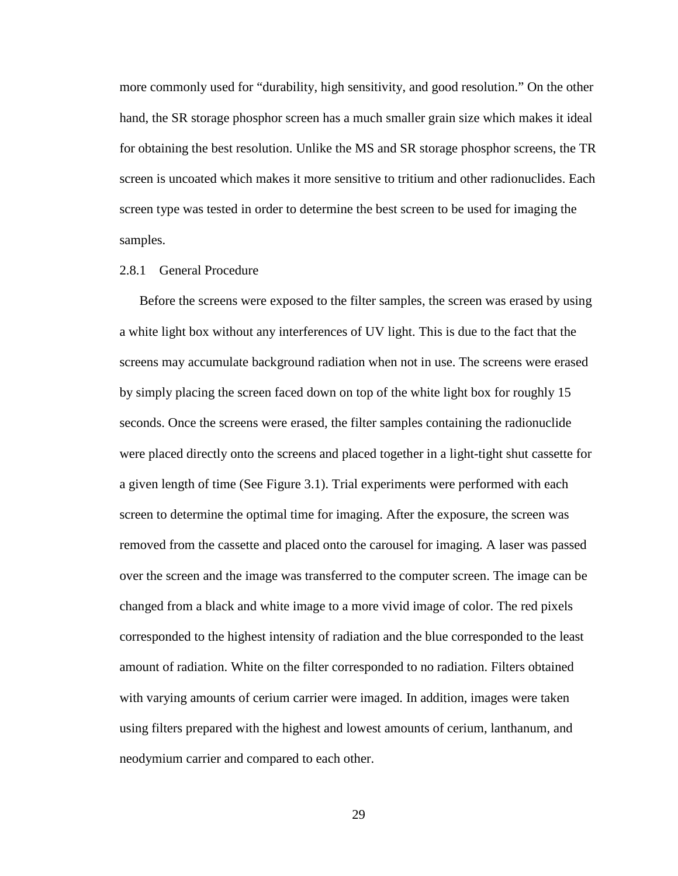more commonly used for "durability, high sensitivity, and good resolution." On the other hand, the SR storage phosphor screen has a much smaller grain size which makes it ideal for obtaining the best resolution. Unlike the MS and SR storage phosphor screens, the TR screen is uncoated which makes it more sensitive to tritium and other radionuclides. Each screen type was tested in order to determine the best screen to be used for imaging the samples.

## 2.8.1 General Procedure

Before the screens were exposed to the filter samples, the screen was erased by using a white light box without any interferences of UV light. This is due to the fact that the screens may accumulate background radiation when not in use. The screens were erased by simply placing the screen faced down on top of the white light box for roughly 15 seconds. Once the screens were erased, the filter samples containing the radionuclide were placed directly onto the screens and placed together in a light-tight shut cassette for a given length of time (See Figure 3.1). Trial experiments were performed with each screen to determine the optimal time for imaging. After the exposure, the screen was removed from the cassette and placed onto the carousel for imaging. A laser was passed over the screen and the image was transferred to the computer screen. The image can be changed from a black and white image to a more vivid image of color. The red pixels corresponded to the highest intensity of radiation and the blue corresponded to the least amount of radiation. White on the filter corresponded to no radiation. Filters obtained with varying amounts of cerium carrier were imaged. In addition, images were taken using filters prepared with the highest and lowest amounts of cerium, lanthanum, and neodymium carrier and compared to each other.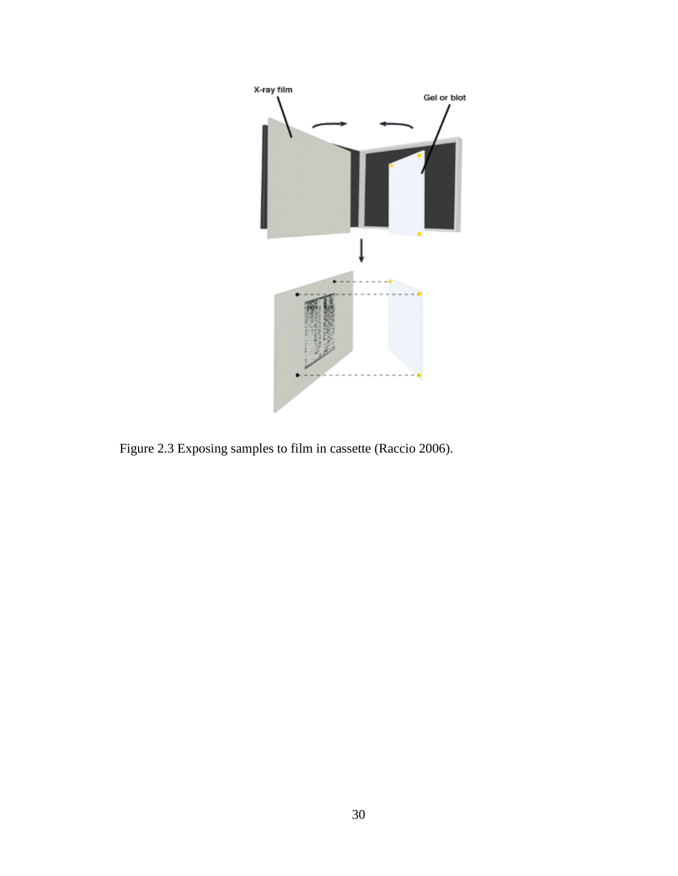

Figure 2.3 Exposing samples to film in cassette (Raccio 2006).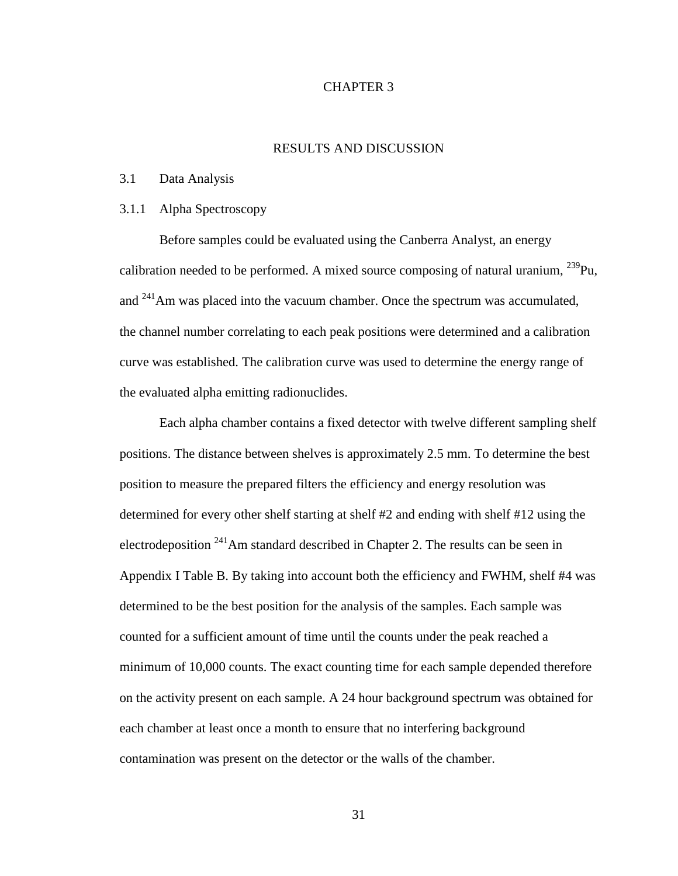## CHAPTER 3

## RESULTS AND DISCUSSION

### 3.1 Data Analysis

## 3.1.1 Alpha Spectroscopy

Before samples could be evaluated using the Canberra Analyst, an energy calibration needed to be performed. A mixed source composing of natural uranium,  $^{239}$ Pu, and <sup>241</sup>Am was placed into the vacuum chamber. Once the spectrum was accumulated, the channel number correlating to each peak positions were determined and a calibration curve was established. The calibration curve was used to determine the energy range of the evaluated alpha emitting radionuclides.

Each alpha chamber contains a fixed detector with twelve different sampling shelf positions. The distance between shelves is approximately 2.5 mm. To determine the best position to measure the prepared filters the efficiency and energy resolution was determined for every other shelf starting at shelf #2 and ending with shelf #12 using the electrodeposition <sup>241</sup>Am standard described in Chapter 2. The results can be seen in Appendix I Table B. By taking into account both the efficiency and FWHM, shelf #4 was determined to be the best position for the analysis of the samples. Each sample was counted for a sufficient amount of time until the counts under the peak reached a minimum of 10,000 counts. The exact counting time for each sample depended therefore on the activity present on each sample. A 24 hour background spectrum was obtained for each chamber at least once a month to ensure that no interfering background contamination was present on the detector or the walls of the chamber.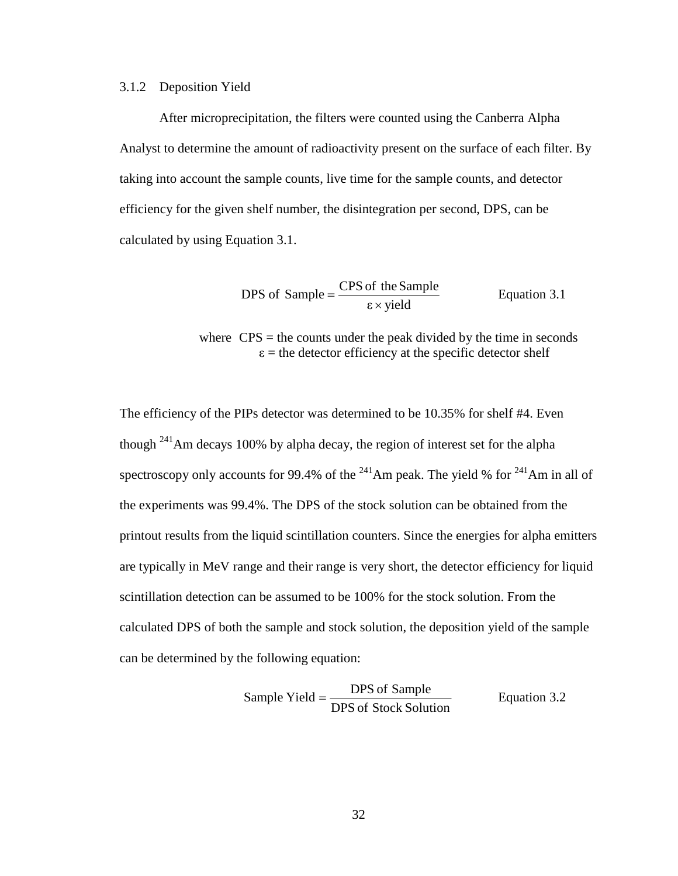### 3.1.2 Deposition Yield

After microprecipitation, the filters were counted using the Canberra Alpha Analyst to determine the amount of radioactivity present on the surface of each filter. By taking into account the sample counts, live time for the sample counts, and detector efficiency for the given shelf number, the disintegration per second, DPS, can be calculated by using Equation 3.1.

$$
DPS of Sample = \frac{CPS \text{ of the Sample}}{\epsilon \times \text{yield}} \qquad \text{Equation 3.1}
$$

where  $CPS =$  the counts under the peak divided by the time in seconds  $\varepsilon$  = the detector efficiency at the specific detector shelf

The efficiency of the PIPs detector was determined to be 10.35% for shelf #4. Even though  $^{241}$ Am decays 100% by alpha decay, the region of interest set for the alpha spectroscopy only accounts for 99.4% of the  $^{241}$ Am peak. The yield % for  $^{241}$ Am in all of the experiments was 99.4%. The DPS of the stock solution can be obtained from the printout results from the liquid scintillation counters. Since the energies for alpha emitters are typically in MeV range and their range is very short, the detector efficiency for liquid scintillation detection can be assumed to be 100% for the stock solution. From the calculated DPS of both the sample and stock solution, the deposition yield of the sample can be determined by the following equation:

Sample Yield = 
$$
\frac{\text{DPS of Sample}}{\text{DPS of Stock Solution}}
$$
 Equation 3.2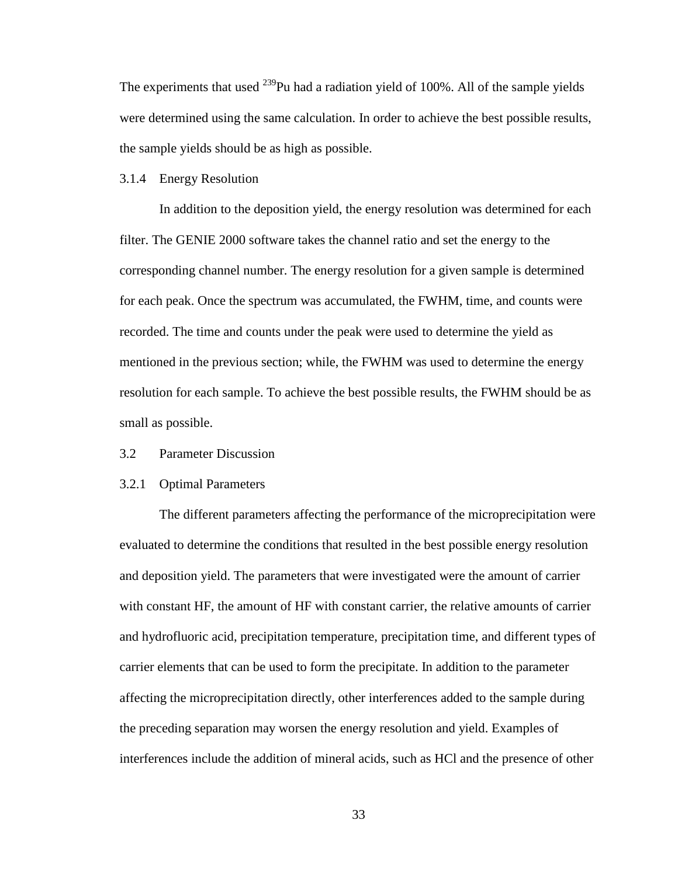The experiments that used  $^{239}$ Pu had a radiation yield of 100%. All of the sample yields were determined using the same calculation. In order to achieve the best possible results, the sample yields should be as high as possible.

### 3.1.4 Energy Resolution

In addition to the deposition yield, the energy resolution was determined for each filter. The GENIE 2000 software takes the channel ratio and set the energy to the corresponding channel number. The energy resolution for a given sample is determined for each peak. Once the spectrum was accumulated, the FWHM, time, and counts were recorded. The time and counts under the peak were used to determine the yield as mentioned in the previous section; while, the FWHM was used to determine the energy resolution for each sample. To achieve the best possible results, the FWHM should be as small as possible.

## 3.2 Parameter Discussion

### 3.2.1 Optimal Parameters

The different parameters affecting the performance of the microprecipitation were evaluated to determine the conditions that resulted in the best possible energy resolution and deposition yield. The parameters that were investigated were the amount of carrier with constant HF, the amount of HF with constant carrier, the relative amounts of carrier and hydrofluoric acid, precipitation temperature, precipitation time, and different types of carrier elements that can be used to form the precipitate. In addition to the parameter affecting the microprecipitation directly, other interferences added to the sample during the preceding separation may worsen the energy resolution and yield. Examples of interferences include the addition of mineral acids, such as HCl and the presence of other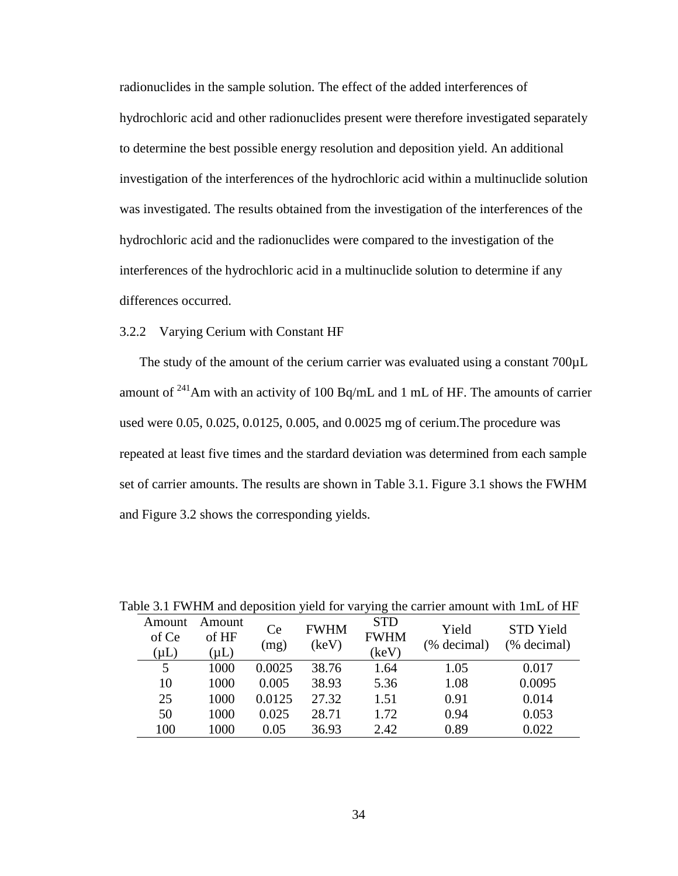radionuclides in the sample solution. The effect of the added interferences of hydrochloric acid and other radionuclides present were therefore investigated separately to determine the best possible energy resolution and deposition yield. An additional investigation of the interferences of the hydrochloric acid within a multinuclide solution was investigated. The results obtained from the investigation of the interferences of the hydrochloric acid and the radionuclides were compared to the investigation of the interferences of the hydrochloric acid in a multinuclide solution to determine if any differences occurred.

## 3.2.2 Varying Cerium with Constant HF

The study of the amount of the cerium carrier was evaluated using a constant  $700\mu L$ amount of <sup>241</sup>Am with an activity of 100 Bq/mL and 1 mL of HF. The amounts of carrier used were 0.05, 0.025, 0.0125, 0.005, and 0.0025 mg of cerium.The procedure was repeated at least five times and the stardard deviation was determined from each sample set of carrier amounts. The results are shown in Table 3.1. Figure 3.1 shows the FWHM and Figure 3.2 shows the corresponding yields.

|                              |                              |            |                      |                                    |                      | able 5.1 F w film and deposition yield for varying the carrier amount with Thill of Fif |
|------------------------------|------------------------------|------------|----------------------|------------------------------------|----------------------|-----------------------------------------------------------------------------------------|
| Amount<br>of Ce<br>$(\mu L)$ | Amount<br>of HF<br>$(\mu L)$ | Ce<br>(mg) | <b>FWHM</b><br>(keV) | <b>STD</b><br><b>FWHM</b><br>(keV) | Yield<br>(% decimal) | <b>STD</b> Yield<br>(% decimal)                                                         |
| 5                            | 1000                         | 0.0025     | 38.76                | 1.64                               | 1.05                 | 0.017                                                                                   |
| 10                           | 1000                         | 0.005      | 38.93                | 5.36                               | 1.08                 | 0.0095                                                                                  |
| 25                           | 1000                         | 0.0125     | 27.32                | 1.51                               | 0.91                 | 0.014                                                                                   |
| 50                           | 1000                         | 0.025      | 28.71                | 1.72                               | 0.94                 | 0.053                                                                                   |
| 100                          | 1000                         | 0.05       | 36.93                | 2.42                               | 0.89                 | 0.022                                                                                   |
|                              |                              |            |                      |                                    |                      |                                                                                         |

Table 3.1 FWHM and deposition yield for varying the carrier amount with 1mL of HF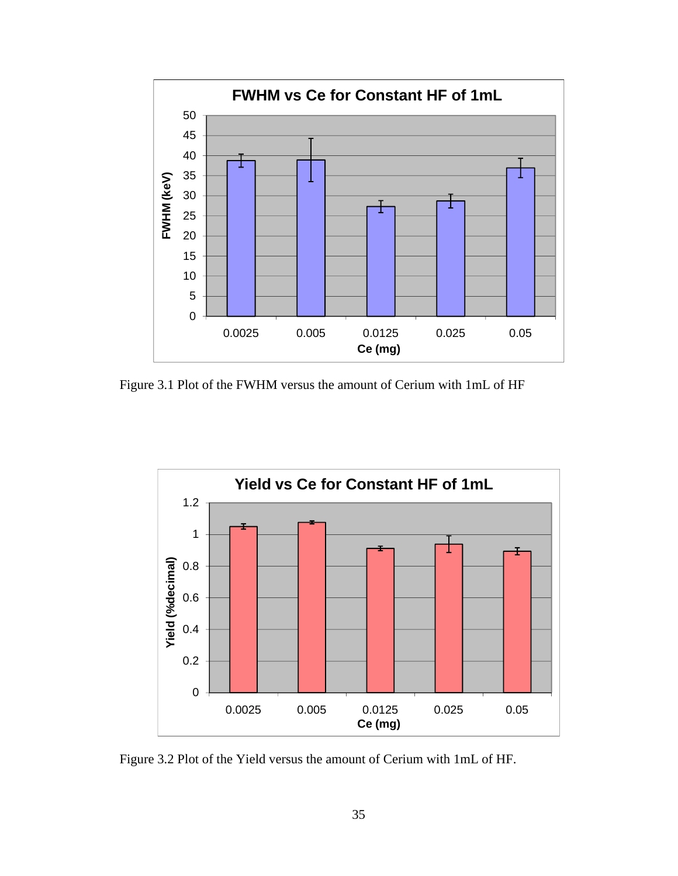

Figure 3.1 Plot of the FWHM versus the amount of Cerium with 1mL of HF



Figure 3.2 Plot of the Yield versus the amount of Cerium with 1mL of HF.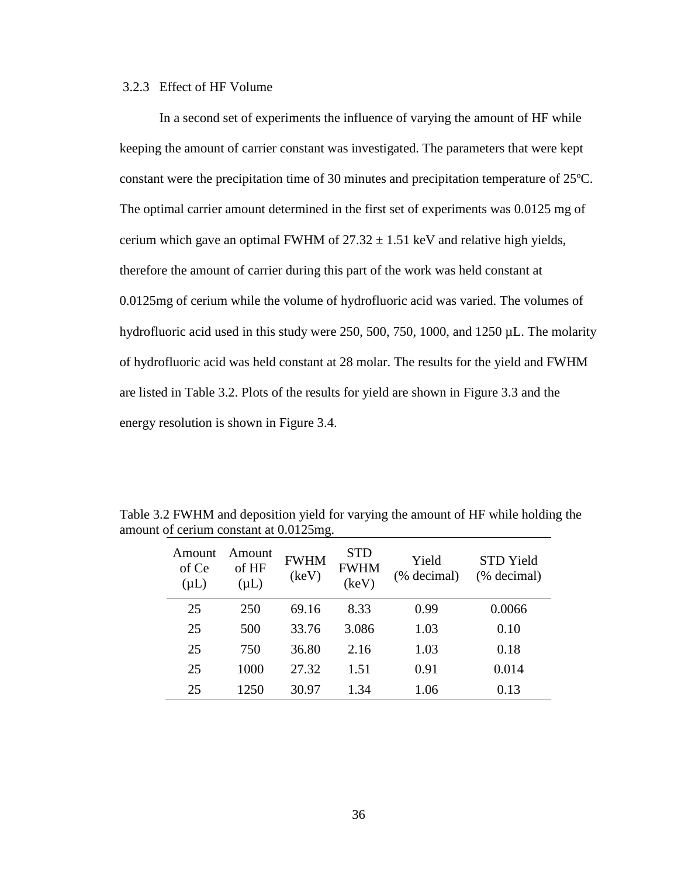## 3.2.3 Effect of HF Volume

In a second set of experiments the influence of varying the amount of HF while keeping the amount of carrier constant was investigated. The parameters that were kept constant were the precipitation time of 30 minutes and precipitation temperature of 25ºC. The optimal carrier amount determined in the first set of experiments was 0.0125 mg of cerium which gave an optimal FWHM of  $27.32 \pm 1.51$  keV and relative high yields, therefore the amount of carrier during this part of the work was held constant at 0.0125mg of cerium while the volume of hydrofluoric acid was varied. The volumes of hydrofluoric acid used in this study were 250, 500, 750, 1000, and 1250 µL. The molarity of hydrofluoric acid was held constant at 28 molar. The results for the yield and FWHM are listed in Table 3.2. Plots of the results for yield are shown in Figure 3.3 and the energy resolution is shown in Figure 3.4.

| Amount<br>of Ce<br>$(\mu L)$ | Amount<br>of HF<br>$(\mu L)$ | <b>FWHM</b><br>(keV) | <b>STD</b><br><b>FWHM</b><br>(keV) | Yield<br>(% decimal) | STD Yield<br>(% decimal) |
|------------------------------|------------------------------|----------------------|------------------------------------|----------------------|--------------------------|
| 25                           | 250                          | 69.16                | 8.33                               | 0.99                 | 0.0066                   |
| 25                           | 500                          | 33.76                | 3.086                              | 1.03                 | 0.10                     |
| 25                           | 750                          | 36.80                | 2.16                               | 1.03                 | 0.18                     |
| 25                           | 1000                         | 27.32                | 1.51                               | 0.91                 | 0.014                    |
| 25                           | 1250                         | 30.97                | 1.34                               | 1.06                 | 0.13                     |

Table 3.2 FWHM and deposition yield for varying the amount of HF while holding the amount of cerium constant at 0.0125mg.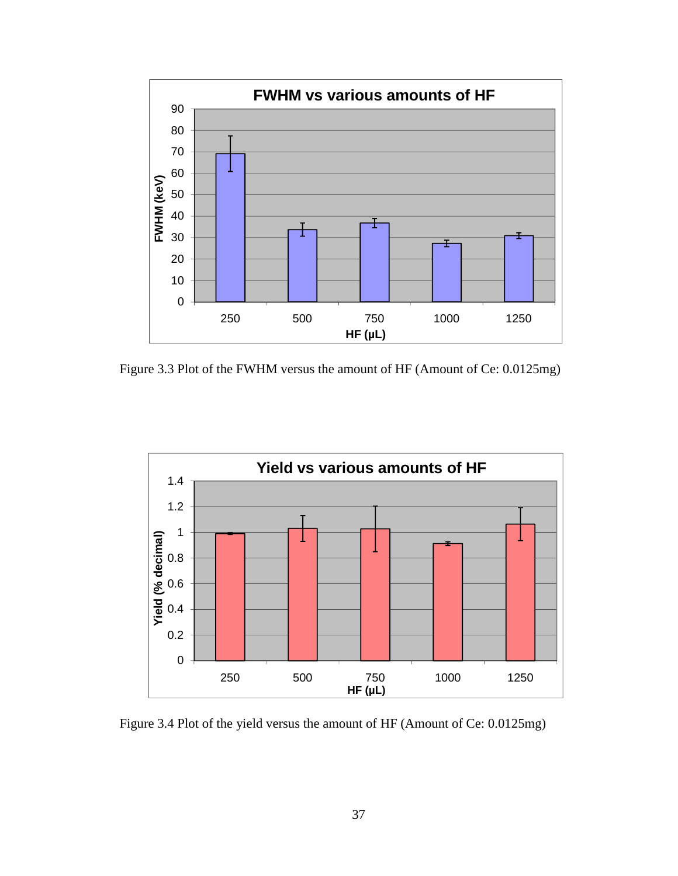

Figure 3.3 Plot of the FWHM versus the amount of HF (Amount of Ce: 0.0125mg)



Figure 3.4 Plot of the yield versus the amount of HF (Amount of Ce: 0.0125mg)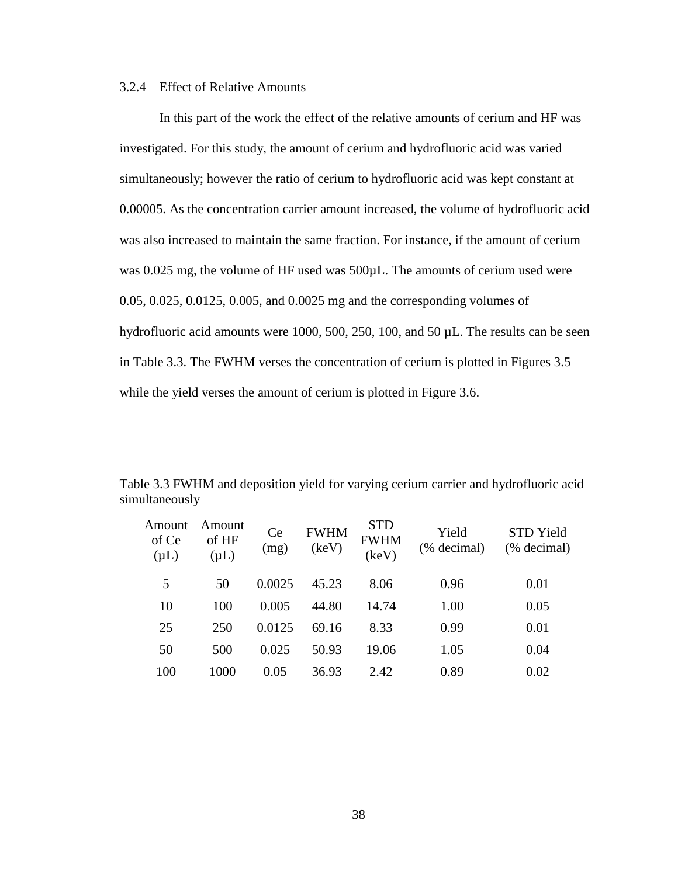## 3.2.4 Effect of Relative Amounts

In this part of the work the effect of the relative amounts of cerium and HF was investigated. For this study, the amount of cerium and hydrofluoric acid was varied simultaneously; however the ratio of cerium to hydrofluoric acid was kept constant at 0.00005. As the concentration carrier amount increased, the volume of hydrofluoric acid was also increased to maintain the same fraction. For instance, if the amount of cerium was 0.025 mg, the volume of HF used was 500 $\mu$ L. The amounts of cerium used were 0.05, 0.025, 0.0125, 0.005, and 0.0025 mg and the corresponding volumes of hydrofluoric acid amounts were 1000, 500, 250, 100, and 50 µL. The results can be seen in Table 3.3. The FWHM verses the concentration of cerium is plotted in Figures 3.5 while the yield verses the amount of cerium is plotted in Figure 3.6.

| Amount<br>of Ce<br>$(\mu L)$ | Amount<br>of HF<br>$(\mu L)$ | Ce<br>(mg) | <b>FWHM</b><br>(keV) | <b>STD</b><br><b>FWHM</b><br>(keV) | Yield<br>(% decimal) | STD Yield<br>(% decimal) |
|------------------------------|------------------------------|------------|----------------------|------------------------------------|----------------------|--------------------------|
| 5                            | 50                           | 0.0025     | 45.23                | 8.06                               | 0.96                 | 0.01                     |
| 10                           | 100                          | 0.005      | 44.80                | 14.74                              | 1.00                 | 0.05                     |
| 25                           | 250                          | 0.0125     | 69.16                | 8.33                               | 0.99                 | 0.01                     |
| 50                           | 500                          | 0.025      | 50.93                | 19.06                              | 1.05                 | 0.04                     |
| 100                          | 1000                         | 0.05       | 36.93                | 2.42                               | 0.89                 | 0.02                     |

Table 3.3 FWHM and deposition yield for varying cerium carrier and hydrofluoric acid simultaneously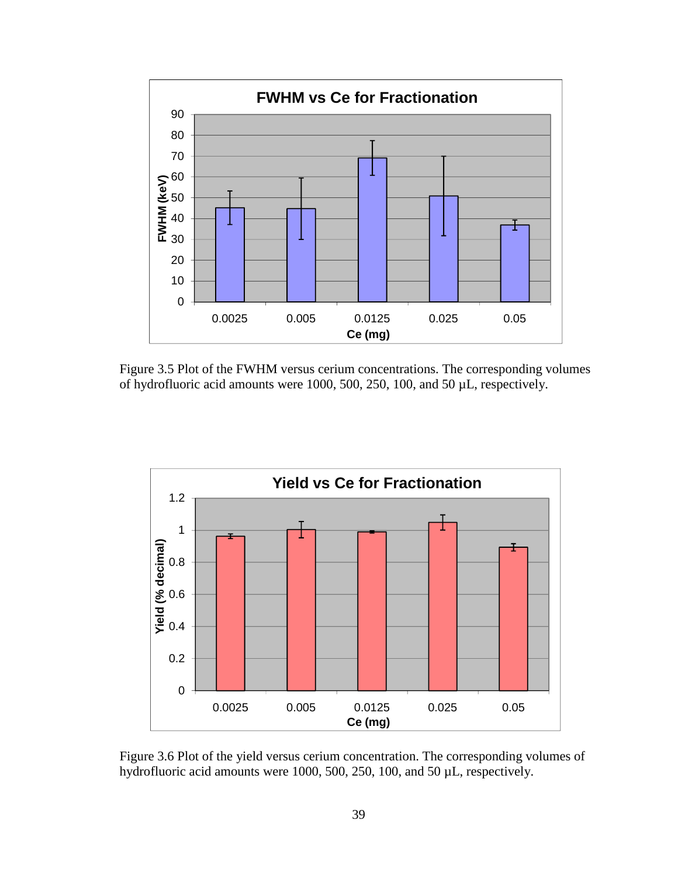

Figure 3.5 Plot of the FWHM versus cerium concentrations. The corresponding volumes of hydrofluoric acid amounts were 1000, 500, 250, 100, and 50 µL, respectively.



Figure 3.6 Plot of the yield versus cerium concentration. The corresponding volumes of hydrofluoric acid amounts were 1000, 500, 250, 100, and 50 µL, respectively.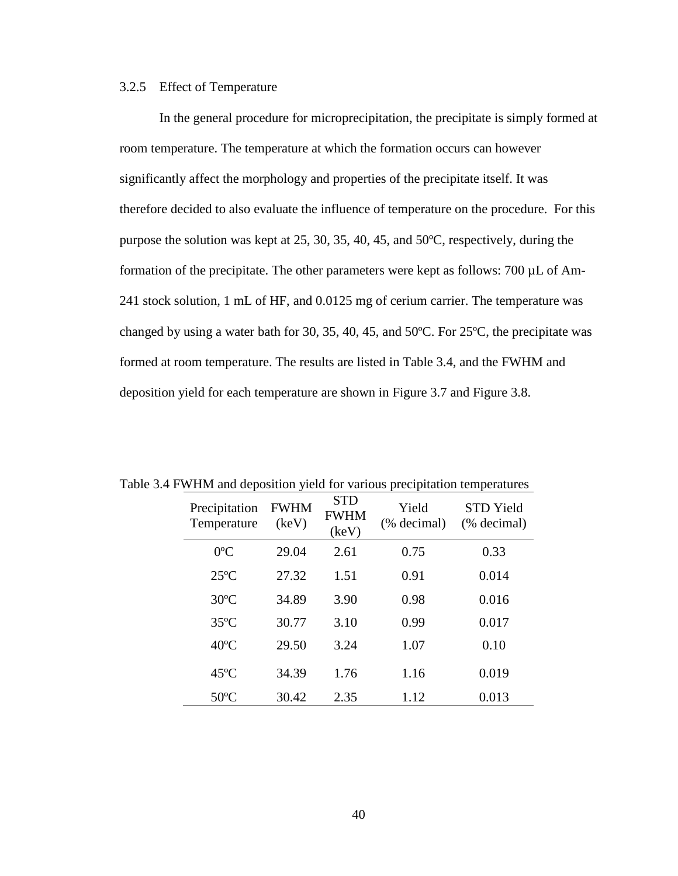### 3.2.5 Effect of Temperature

In the general procedure for microprecipitation, the precipitate is simply formed at room temperature. The temperature at which the formation occurs can however significantly affect the morphology and properties of the precipitate itself. It was therefore decided to also evaluate the influence of temperature on the procedure. For this purpose the solution was kept at 25, 30, 35, 40, 45, and 50ºC, respectively, during the formation of the precipitate. The other parameters were kept as follows: 700 µL of Am-241 stock solution, 1 mL of HF, and 0.0125 mg of cerium carrier. The temperature was changed by using a water bath for 30, 35, 40, 45, and 50ºC. For 25ºC, the precipitate was formed at room temperature. The results are listed in Table 3.4, and the FWHM and deposition yield for each temperature are shown in Figure 3.7 and Figure 3.8.

| $\cdots$ The drive $\alpha$<br><i>read for various precipitation temperatures</i> |                              |                      |                                    |                      |                                 |  |
|-----------------------------------------------------------------------------------|------------------------------|----------------------|------------------------------------|----------------------|---------------------------------|--|
|                                                                                   | Precipitation<br>Temperature | <b>FWHM</b><br>(key) | <b>STD</b><br><b>FWHM</b><br>(keV) | Yield<br>(% decimal) | <b>STD Yield</b><br>(% decimal) |  |
|                                                                                   | $0^{\circ}$ C                | 29.04                | 2.61                               | 0.75                 | 0.33                            |  |
|                                                                                   | $25^{\circ}$ C               | 27.32                | 1.51                               | 0.91                 | 0.014                           |  |
|                                                                                   | $30^{\circ}$ C               | 34.89                | 3.90                               | 0.98                 | 0.016                           |  |
|                                                                                   | $35^{\circ}$ C               | 30.77                | 3.10                               | 0.99                 | 0.017                           |  |
|                                                                                   | $40^{\circ}$ C               | 29.50                | 3.24                               | 1.07                 | 0.10                            |  |
|                                                                                   | $45^{\circ}$ C               | 34.39                | 1.76                               | 1.16                 | 0.019                           |  |
|                                                                                   | $50^{\circ}$ C               | 30.42                | 2.35                               | 1.12                 | 0.013                           |  |

Table 3.4 FWHM and deposition yield for various precipitation temperatures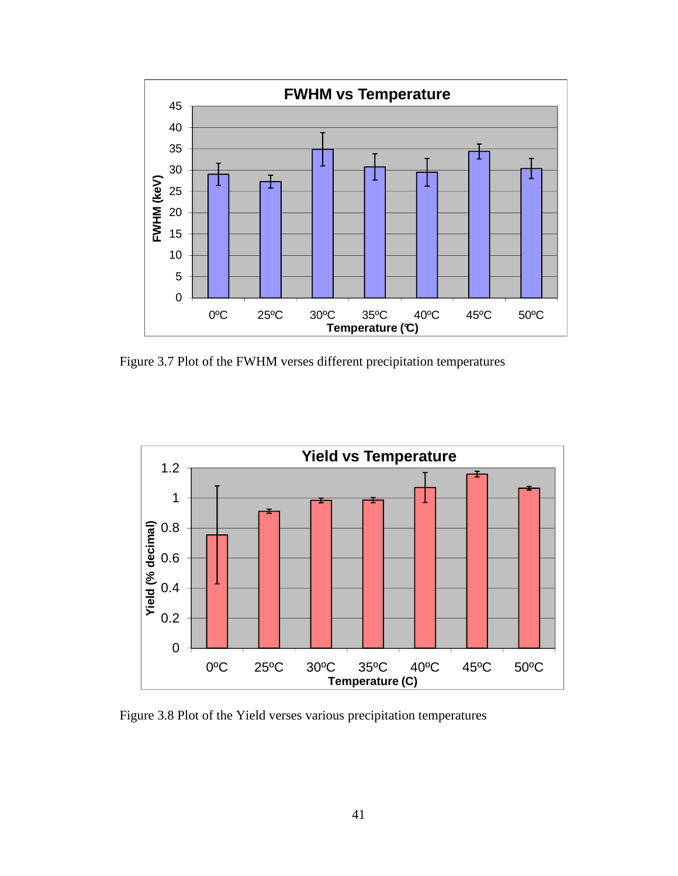

Figure 3.7 Plot of the FWHM verses different precipitation temperatures



Figure 3.8 Plot of the Yield verses various precipitation temperatures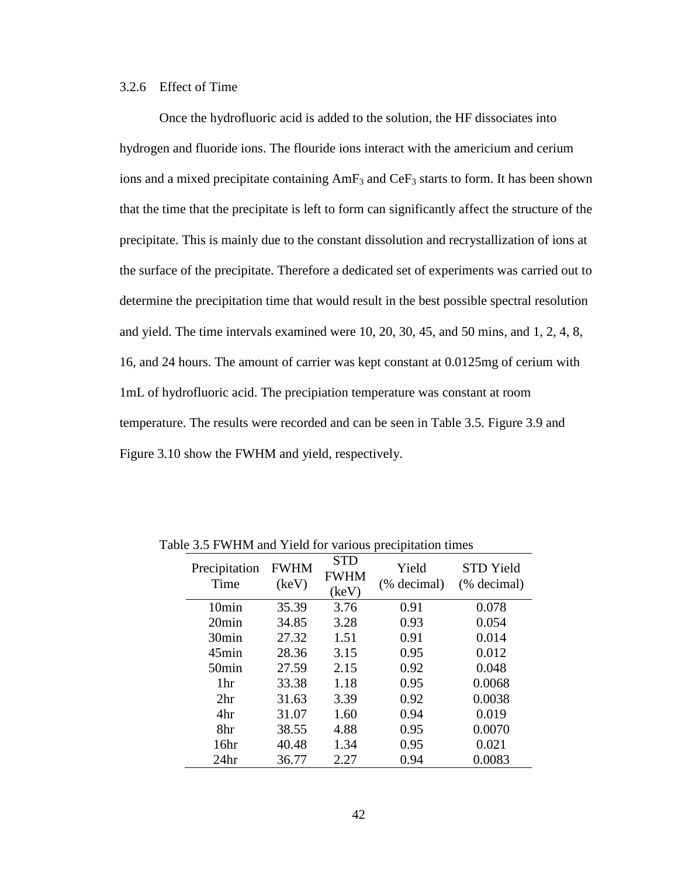## 3.2.6 Effect of Time

Once the hydrofluoric acid is added to the solution, the HF dissociates into hydrogen and fluoride ions. The flouride ions interact with the americium and cerium ions and a mixed precipitate containing  $AmF_3$  and  $CeF_3$  starts to form. It has been shown that the time that the precipitate is left to form can significantly affect the structure of the precipitate. This is mainly due to the constant dissolution and recrystallization of ions at the surface of the precipitate. Therefore a dedicated set of experiments was carried out to determine the precipitation time that would result in the best possible spectral resolution and yield. The time intervals examined were 10, 20, 30, 45, and 50 mins, and 1, 2, 4, 8, 16, and 24 hours. The amount of carrier was kept constant at 0.0125mg of cerium with 1mL of hydrofluoric acid. The precipiation temperature was constant at room temperature. The results were recorded and can be seen in Table 3.5. Figure 3.9 and Figure 3.10 show the FWHM and yield, respectively.

| Precipitation<br>Time | <b>FWHM</b><br>(keV) | <b>STD</b><br><b>FWHM</b><br>(keV) | Yield<br>(% decimal) | <b>STD</b> Yield<br>(% decimal) |
|-----------------------|----------------------|------------------------------------|----------------------|---------------------------------|
| 10min                 | 35.39                | 3.76                               | 0.91                 | 0.078                           |
| 20min                 | 34.85                | 3.28                               | 0.93                 | 0.054                           |
| 30 <sub>min</sub>     | 27.32                | 1.51                               | 0.91                 | 0.014                           |
| $45$ min              | 28.36                | 3.15                               | 0.95                 | 0.012                           |
| 50 <sub>min</sub>     | 27.59                | 2.15                               | 0.92                 | 0.048                           |
| 1hr                   | 33.38                | 1.18                               | 0.95                 | 0.0068                          |
| 2 <sup>hr</sup>       | 31.63                | 3.39                               | 0.92                 | 0.0038                          |
| 4hr                   | 31.07                | 1.60                               | 0.94                 | 0.019                           |
| 8hr                   | 38.55                | 4.88                               | 0.95                 | 0.0070                          |
| 16 <sup>hr</sup>      | 40.48                | 1.34                               | 0.95                 | 0.021                           |
| 24 <sub>hr</sub>      | 36.77                | 2.27                               | 0.94                 | 0.0083                          |

Table 3.5 FWHM and Yield for various precipitation times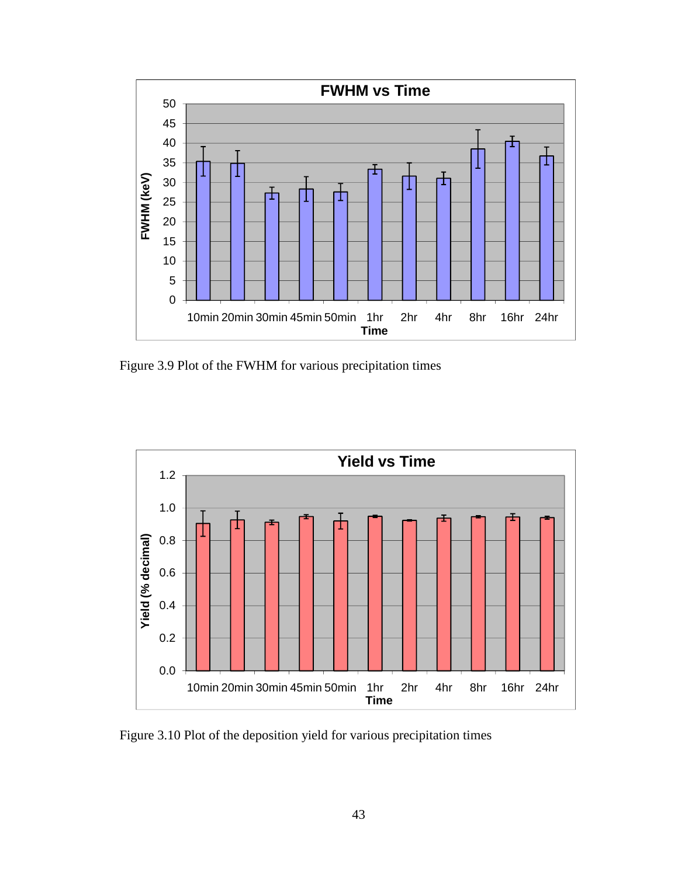

Figure 3.9 Plot of the FWHM for various precipitation times



Figure 3.10 Plot of the deposition yield for various precipitation times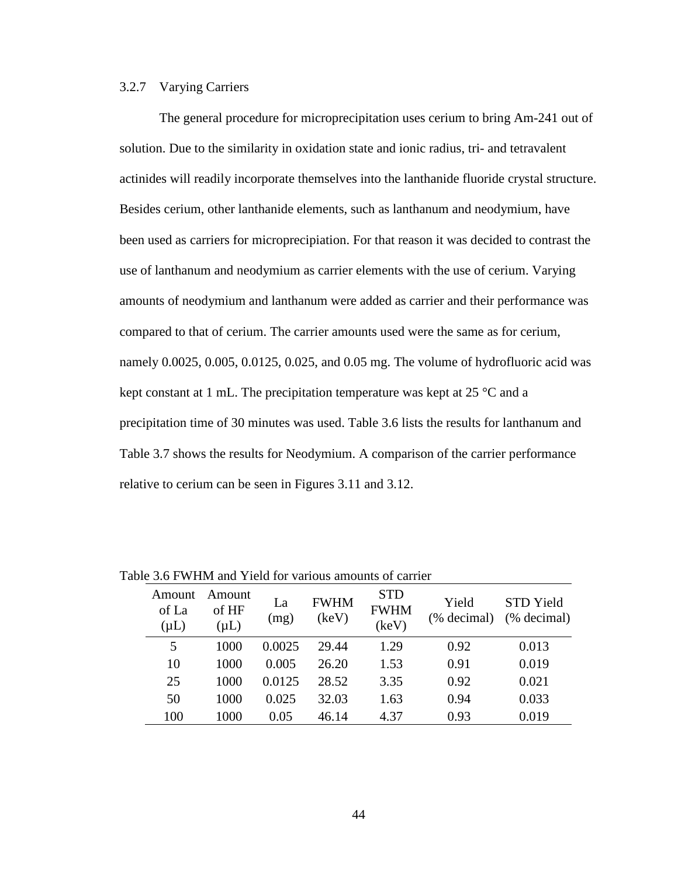## 3.2.7 Varying Carriers

The general procedure for microprecipitation uses cerium to bring Am-241 out of solution. Due to the similarity in oxidation state and ionic radius, tri- and tetravalent actinides will readily incorporate themselves into the lanthanide fluoride crystal structure. Besides cerium, other lanthanide elements, such as lanthanum and neodymium, have been used as carriers for microprecipiation. For that reason it was decided to contrast the use of lanthanum and neodymium as carrier elements with the use of cerium. Varying amounts of neodymium and lanthanum were added as carrier and their performance was compared to that of cerium. The carrier amounts used were the same as for cerium, namely 0.0025, 0.005, 0.0125, 0.025, and 0.05 mg. The volume of hydrofluoric acid was kept constant at 1 mL. The precipitation temperature was kept at  $25 \text{ °C}$  and a precipitation time of 30 minutes was used. Table 3.6 lists the results for lanthanum and Table 3.7 shows the results for Neodymium. A comparison of the carrier performance relative to cerium can be seen in Figures 3.11 and 3.12.

| Amount<br>of La<br>$(\mu L)$ | Amount<br>of HF<br>$(\mu L)$ | La<br>(mg) | <b>FWHM</b><br>(keV) | <b>STD</b><br><b>FWHM</b><br>(keV) | Yield<br>(% decimal) | <b>STD</b> Yield<br>(% decimal) |
|------------------------------|------------------------------|------------|----------------------|------------------------------------|----------------------|---------------------------------|
| 5                            | 1000                         | 0.0025     | 29.44                | 1.29                               | 0.92                 | 0.013                           |
| 10                           | 1000                         | 0.005      | 26.20                | 1.53                               | 0.91                 | 0.019                           |
| 25                           | 1000                         | 0.0125     | 28.52                | 3.35                               | 0.92                 | 0.021                           |
| 50                           | 1000                         | 0.025      | 32.03                | 1.63                               | 0.94                 | 0.033                           |
| 100                          | 1000                         | 0.05       | 46.14                | 4.37                               | 0.93                 | 0.019                           |

Table 3.6 FWHM and Yield for various amounts of carrier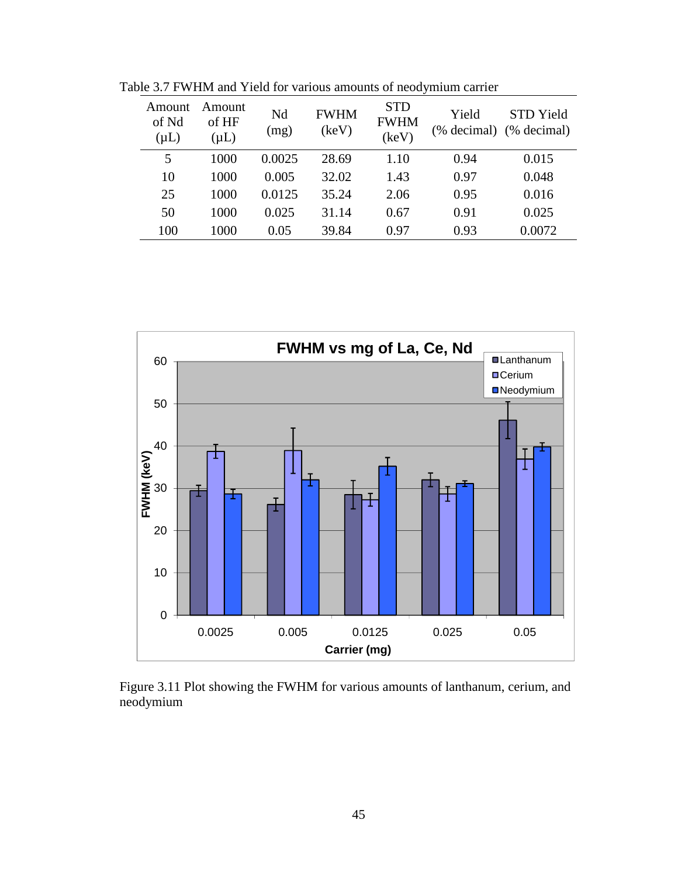| Amount<br>of Nd<br>$(\mu L)$ | Amount<br>of HF<br>$(\mu L)$ | Nd<br>(mg) | <b>FWHM</b><br>(keV) | <b>STD</b><br><b>FWHM</b><br>(keV) | Yield<br>(% decimal) | STD Yield<br>(% decimal) |
|------------------------------|------------------------------|------------|----------------------|------------------------------------|----------------------|--------------------------|
| 5                            | 1000                         | 0.0025     | 28.69                | 1.10                               | 0.94                 | 0.015                    |
| 10                           | 1000                         | 0.005      | 32.02                | 1.43                               | 0.97                 | 0.048                    |
| 25                           | 1000                         | 0.0125     | 35.24                | 2.06                               | 0.95                 | 0.016                    |
| 50                           | 1000                         | 0.025      | 31.14                | 0.67                               | 0.91                 | 0.025                    |
| 100                          | 1000                         | 0.05       | 39.84                | 0.97                               | 0.93                 | 0.0072                   |

Table 3.7 FWHM and Yield for various amounts of neodymium carrier



Figure 3.11 Plot showing the FWHM for various amounts of lanthanum, cerium, and neodymium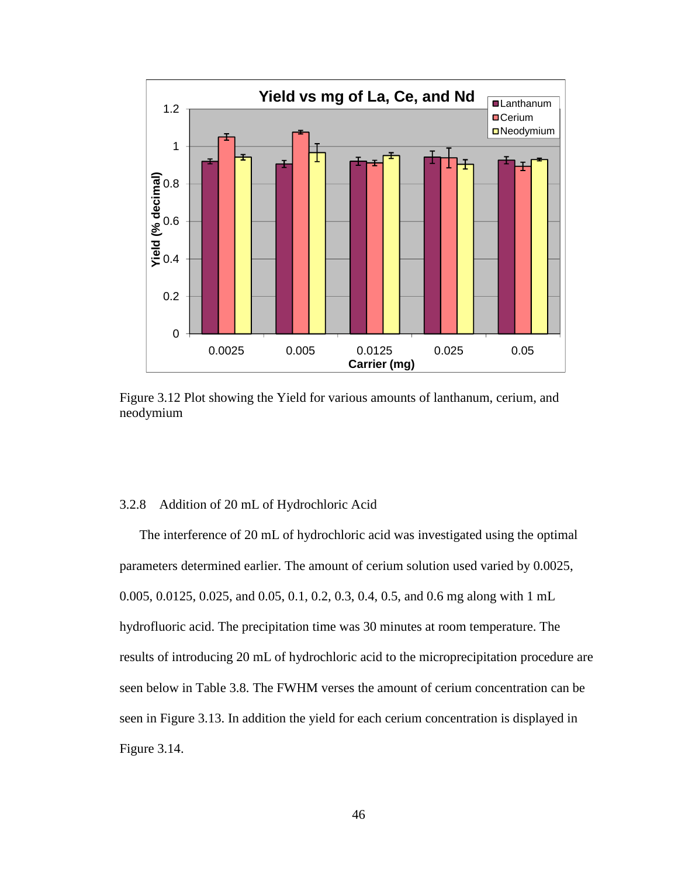

Figure 3.12 Plot showing the Yield for various amounts of lanthanum, cerium, and neodymium

## 3.2.8 Addition of 20 mL of Hydrochloric Acid

 The interference of 20 mL of hydrochloric acid was investigated using the optimal parameters determined earlier. The amount of cerium solution used varied by 0.0025, 0.005, 0.0125, 0.025, and 0.05, 0.1, 0.2, 0.3, 0.4, 0.5, and 0.6 mg along with 1 mL hydrofluoric acid. The precipitation time was 30 minutes at room temperature. The results of introducing 20 mL of hydrochloric acid to the microprecipitation procedure are seen below in Table 3.8. The FWHM verses the amount of cerium concentration can be seen in Figure 3.13. In addition the yield for each cerium concentration is displayed in Figure 3.14.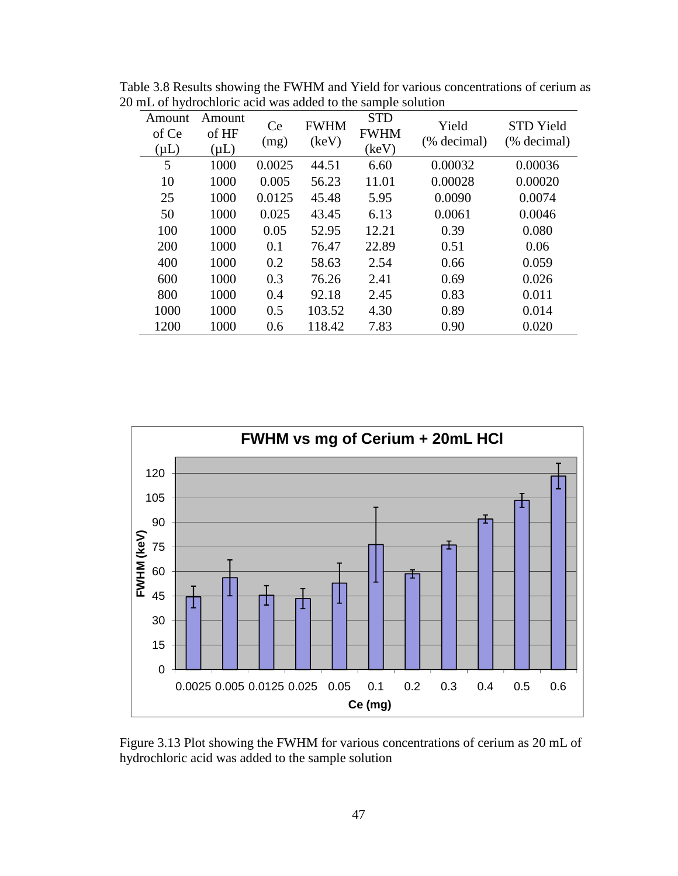| Amount<br>of Ce<br>$(\mu L)$ | Amount<br>of HF<br>$(\mu L)$ | Ce<br>(mg) | <b>FWHM</b><br>(keV) | <b>STD</b><br><b>FWHM</b><br>(keV) | Yield<br>(% decimal) | <b>STD</b> Yield<br>(% decimal) |
|------------------------------|------------------------------|------------|----------------------|------------------------------------|----------------------|---------------------------------|
| 5                            | 1000                         | 0.0025     | 44.51                | 6.60                               | 0.00032              | 0.00036                         |
| 10                           | 1000                         | 0.005      | 56.23                | 11.01                              | 0.00028              | 0.00020                         |
| 25                           | 1000                         | 0.0125     | 45.48                | 5.95                               | 0.0090               | 0.0074                          |
| 50                           | 1000                         | 0.025      | 43.45                | 6.13                               | 0.0061               | 0.0046                          |
| 100                          | 1000                         | 0.05       | 52.95                | 12.21                              | 0.39                 | 0.080                           |
| 200                          | 1000                         | 0.1        | 76.47                | 22.89                              | 0.51                 | 0.06                            |
| 400                          | 1000                         | 0.2        | 58.63                | 2.54                               | 0.66                 | 0.059                           |
| 600                          | 1000                         | 0.3        | 76.26                | 2.41                               | 0.69                 | 0.026                           |
| 800                          | 1000                         | 0.4        | 92.18                | 2.45                               | 0.83                 | 0.011                           |
| 1000                         | 1000                         | 0.5        | 103.52               | 4.30                               | 0.89                 | 0.014                           |
| 1200                         | 1000                         | 0.6        | 118.42               | 7.83                               | 0.90                 | 0.020                           |

Table 3.8 Results showing the FWHM and Yield for various concentrations of cerium as 20 mL of hydrochloric acid was added to the sample solution



Figure 3.13 Plot showing the FWHM for various concentrations of cerium as 20 mL of hydrochloric acid was added to the sample solution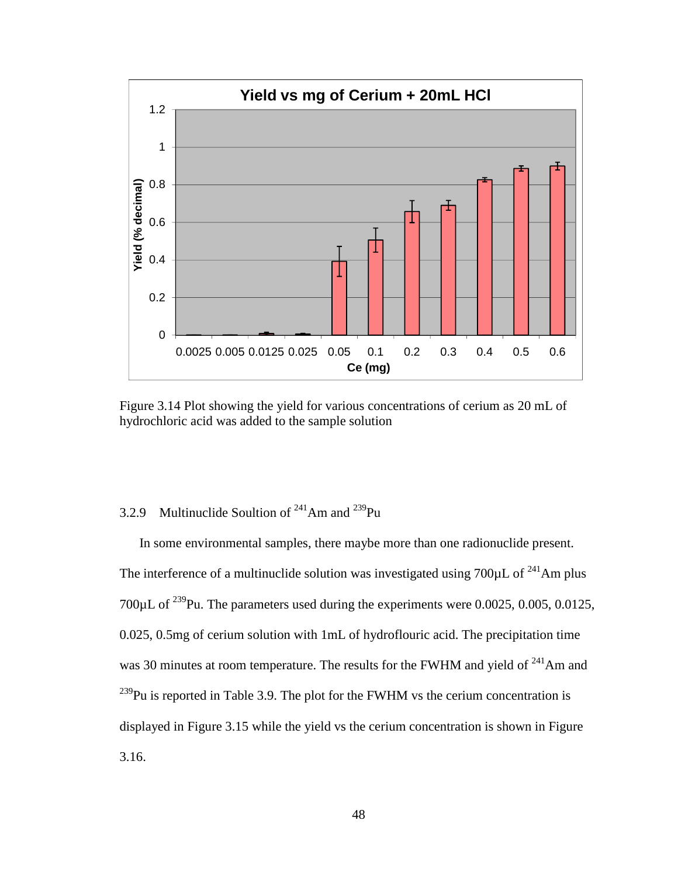

Figure 3.14 Plot showing the yield for various concentrations of cerium as 20 mL of hydrochloric acid was added to the sample solution

# 3.2.9 Multinuclide Soultion of  $241$ Am and  $239$ Pu

In some environmental samples, there maybe more than one radionuclide present. The interference of a multinuclide solution was investigated using  $700\mu$ L of  $^{241}$ Am plus 700 $\mu$ L of <sup>239</sup>Pu. The parameters used during the experiments were 0.0025, 0.005, 0.0125, 0.025, 0.5mg of cerium solution with 1mL of hydroflouric acid. The precipitation time was 30 minutes at room temperature. The results for the FWHM and yield of <sup>241</sup>Am and  $^{239}$ Pu is reported in Table 3.9. The plot for the FWHM vs the cerium concentration is displayed in Figure 3.15 while the yield vs the cerium concentration is shown in Figure 3.16.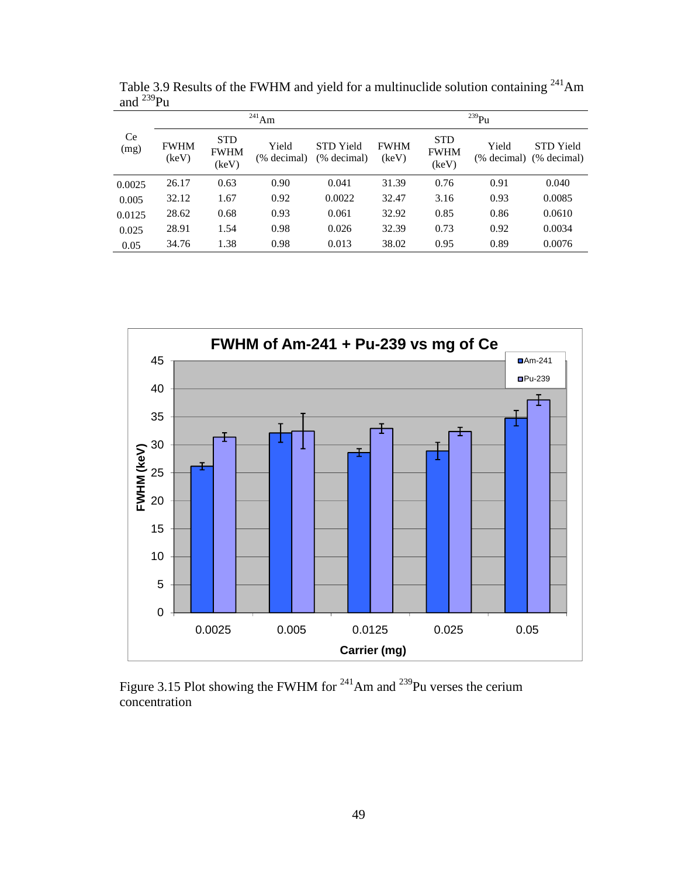|            | $^{241}$ Am          |                                    |                      |                                 |                      | $^{239}Pu$                         |       |                                             |  |
|------------|----------------------|------------------------------------|----------------------|---------------------------------|----------------------|------------------------------------|-------|---------------------------------------------|--|
| Ce<br>(mg) | <b>FWHM</b><br>(keV) | <b>STD</b><br><b>FWHM</b><br>(keV) | Yield<br>(% decimal) | <b>STD</b> Yield<br>(% decimal) | <b>FWHM</b><br>(keV) | <b>STD</b><br><b>FWHM</b><br>(keV) | Yield | <b>STD</b> Yield<br>(% decimal) (% decimal) |  |
| 0.0025     | 26.17                | 0.63                               | 0.90                 | 0.041                           | 31.39                | 0.76                               | 0.91  | 0.040                                       |  |
| 0.005      | 32.12                | 1.67                               | 0.92                 | 0.0022                          | 32.47                | 3.16                               | 0.93  | 0.0085                                      |  |
| 0.0125     | 28.62                | 0.68                               | 0.93                 | 0.061                           | 32.92                | 0.85                               | 0.86  | 0.0610                                      |  |
| 0.025      | 28.91                | 1.54                               | 0.98                 | 0.026                           | 32.39                | 0.73                               | 0.92  | 0.0034                                      |  |
| 0.05       | 34.76                | 1.38                               | 0.98                 | 0.013                           | 38.02                | 0.95                               | 0.89  | 0.0076                                      |  |

Table 3.9 Results of the FWHM and yield for a multinuclide solution containing  $241$ Am and  $^{239}$ Pu



Figure 3.15 Plot showing the FWHM for  $^{241}$ Am and  $^{239}$ Pu verses the cerium concentration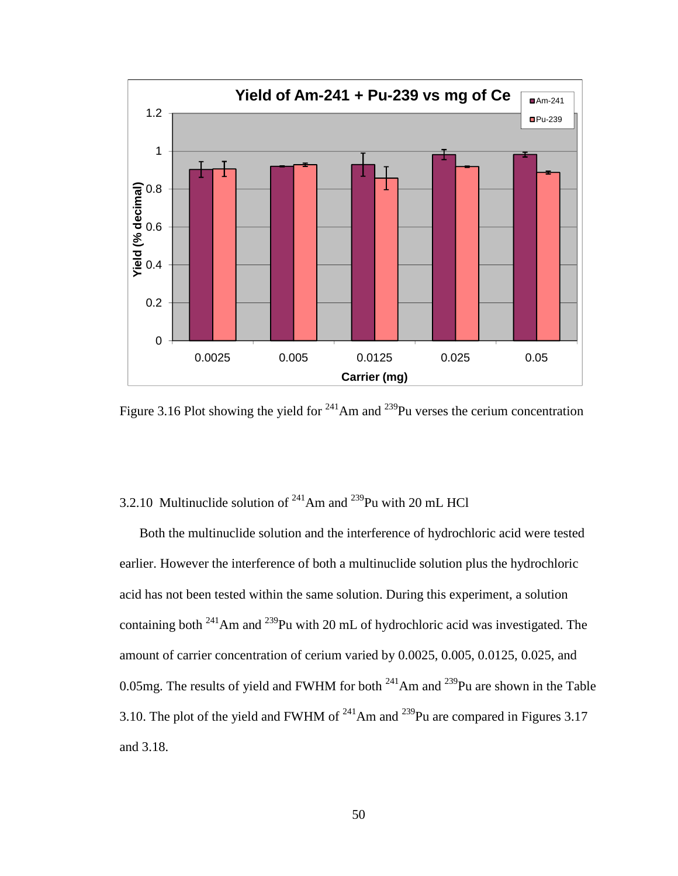

Figure 3.16 Plot showing the yield for  $^{241}$ Am and  $^{239}$ Pu verses the cerium concentration

# 3.2.10 Multinuclide solution of  $^{241}$ Am and  $^{239}$ Pu with 20 mL HCl

Both the multinuclide solution and the interference of hydrochloric acid were tested earlier. However the interference of both a multinuclide solution plus the hydrochloric acid has not been tested within the same solution. During this experiment, a solution containing both  $^{241}$ Am and  $^{239}$ Pu with 20 mL of hydrochloric acid was investigated. The amount of carrier concentration of cerium varied by 0.0025, 0.005, 0.0125, 0.025, and 0.05mg. The results of yield and FWHM for both  $^{241}$ Am and  $^{239}$ Pu are shown in the Table 3.10. The plot of the yield and FWHM of  $^{241}$ Am and  $^{239}$ Pu are compared in Figures 3.17 and 3.18.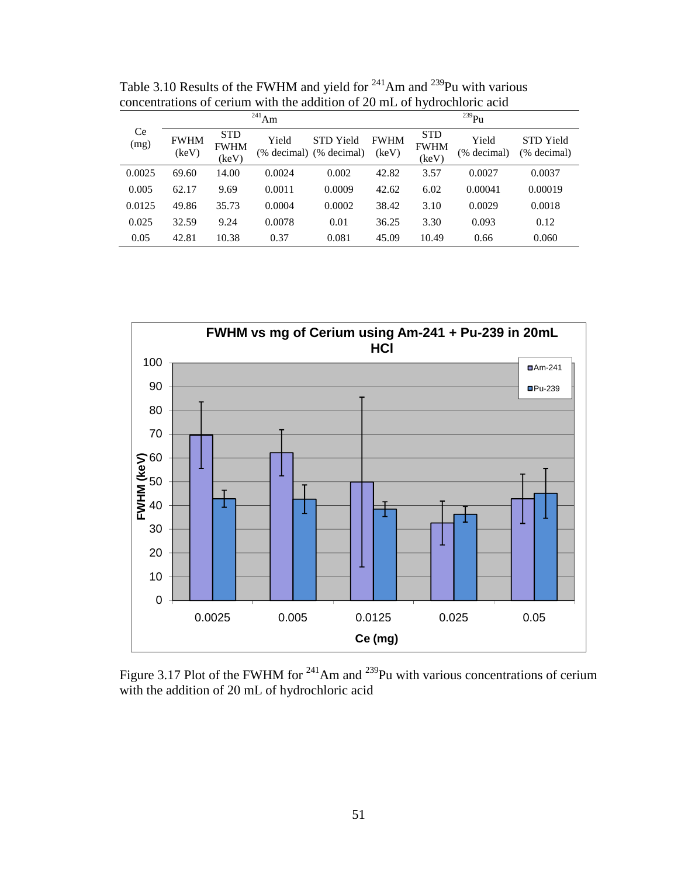|            |                      |                                    | $^{241}$ Am |                                             | $^{239}Pu$           |                                    |                      |                          |  |
|------------|----------------------|------------------------------------|-------------|---------------------------------------------|----------------------|------------------------------------|----------------------|--------------------------|--|
| Ce<br>(mg) | <b>FWHM</b><br>(keV) | <b>STD</b><br><b>FWHM</b><br>(keV) | Yield       | <b>STD</b> Yield<br>(% decimal) (% decimal) | <b>FWHM</b><br>(keV) | <b>STD</b><br><b>FWHM</b><br>(keV) | Yield<br>(% decimal) | STD Yield<br>(% decimal) |  |
| 0.0025     | 69.60                | 14.00                              | 0.0024      | 0.002                                       | 42.82                | 3.57                               | 0.0027               | 0.0037                   |  |
| 0.005      | 62.17                | 9.69                               | 0.0011      | 0.0009                                      | 42.62                | 6.02                               | 0.00041              | 0.00019                  |  |
| 0.0125     | 49.86                | 35.73                              | 0.0004      | 0.0002                                      | 38.42                | 3.10                               | 0.0029               | 0.0018                   |  |
| 0.025      | 32.59                | 9.24                               | 0.0078      | 0.01                                        | 36.25                | 3.30                               | 0.093                | 0.12                     |  |
| 0.05       | 42.81                | 10.38                              | 0.37        | 0.081                                       | 45.09                | 10.49                              | 0.66                 | 0.060                    |  |

Table 3.10 Results of the FWHM and yield for  $241$ Am and  $239$ Pu with various concentrations of cerium with the addition of 20 mL of hydrochloric acid



Figure 3.17 Plot of the FWHM for  $^{241}$ Am and  $^{239}$ Pu with various concentrations of cerium with the addition of 20 mL of hydrochloric acid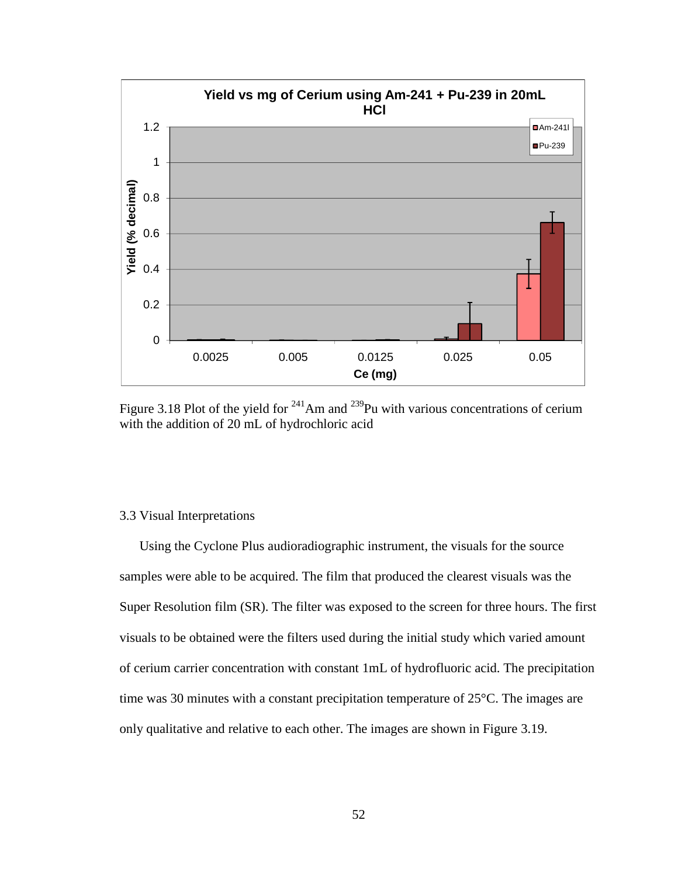

Figure 3.18 Plot of the yield for  $241$ Am and  $239$ Pu with various concentrations of cerium with the addition of 20 mL of hydrochloric acid

### 3.3 Visual Interpretations

Using the Cyclone Plus audioradiographic instrument, the visuals for the source samples were able to be acquired. The film that produced the clearest visuals was the Super Resolution film (SR). The filter was exposed to the screen for three hours. The first visuals to be obtained were the filters used during the initial study which varied amount of cerium carrier concentration with constant 1mL of hydrofluoric acid. The precipitation time was 30 minutes with a constant precipitation temperature of 25°C. The images are only qualitative and relative to each other. The images are shown in Figure 3.19.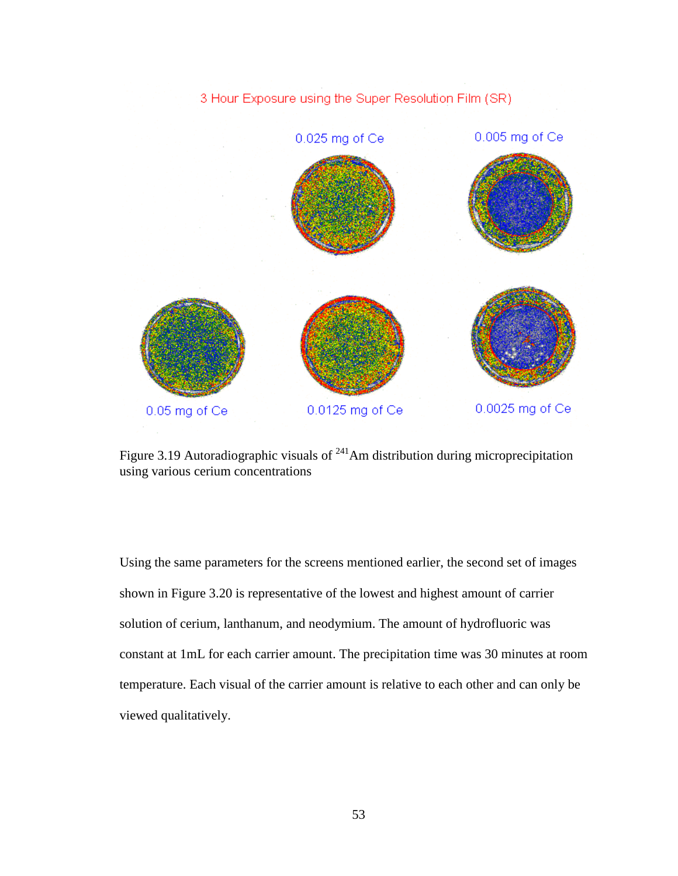

Figure 3.19 Autoradiographic visuals of <sup>241</sup>Am distribution during microprecipitation using various cerium concentrations

Using the same parameters for the screens mentioned earlier, the second set of images shown in Figure 3.20 is representative of the lowest and highest amount of carrier solution of cerium, lanthanum, and neodymium. The amount of hydrofluoric was constant at 1mL for each carrier amount. The precipitation time was 30 minutes at room temperature. Each visual of the carrier amount is relative to each other and can only be viewed qualitatively.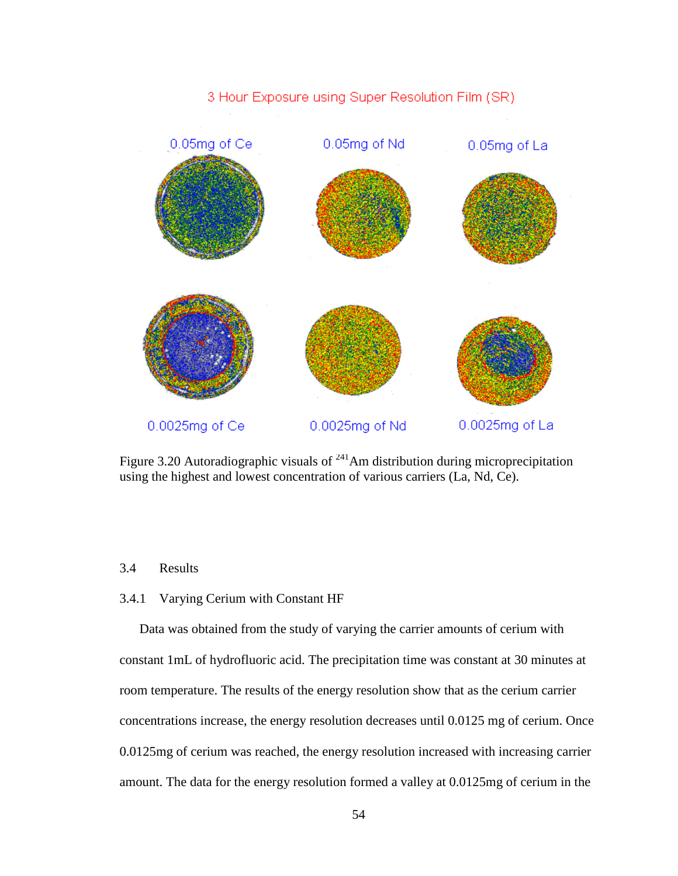

Figure 3.20 Autoradiographic visuals of  $^{241}$ Am distribution during microprecipitation using the highest and lowest concentration of various carriers (La, Nd, Ce).

## 3.4 Results

### 3.4.1 Varying Cerium with Constant HF

Data was obtained from the study of varying the carrier amounts of cerium with constant 1mL of hydrofluoric acid. The precipitation time was constant at 30 minutes at room temperature. The results of the energy resolution show that as the cerium carrier concentrations increase, the energy resolution decreases until 0.0125 mg of cerium. Once 0.0125mg of cerium was reached, the energy resolution increased with increasing carrier amount. The data for the energy resolution formed a valley at 0.0125mg of cerium in the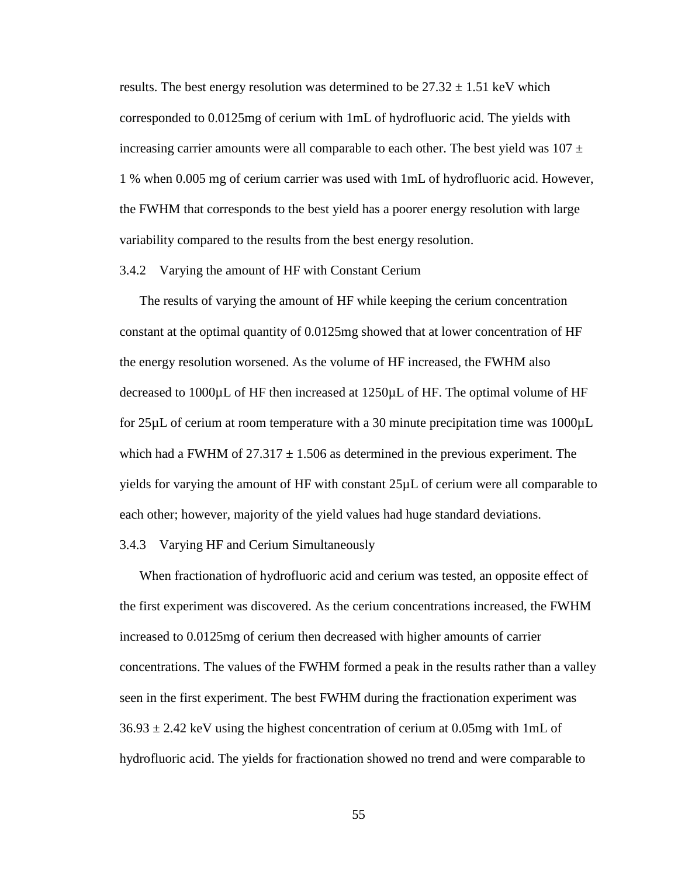results. The best energy resolution was determined to be  $27.32 \pm 1.51$  keV which corresponded to 0.0125mg of cerium with 1mL of hydrofluoric acid. The yields with increasing carrier amounts were all comparable to each other. The best yield was  $107 \pm$ 1 % when 0.005 mg of cerium carrier was used with 1mL of hydrofluoric acid. However, the FWHM that corresponds to the best yield has a poorer energy resolution with large variability compared to the results from the best energy resolution.

#### 3.4.2 Varying the amount of HF with Constant Cerium

The results of varying the amount of HF while keeping the cerium concentration constant at the optimal quantity of 0.0125mg showed that at lower concentration of HF the energy resolution worsened. As the volume of HF increased, the FWHM also decreased to 1000µL of HF then increased at 1250µL of HF. The optimal volume of HF for  $25\mu$ L of cerium at room temperature with a 30 minute precipitation time was  $1000\mu$ L which had a FWHM of  $27.317 \pm 1.506$  as determined in the previous experiment. The yields for varying the amount of HF with constant 25µL of cerium were all comparable to each other; however, majority of the yield values had huge standard deviations.

### 3.4.3 Varying HF and Cerium Simultaneously

When fractionation of hydrofluoric acid and cerium was tested, an opposite effect of the first experiment was discovered. As the cerium concentrations increased, the FWHM increased to 0.0125mg of cerium then decreased with higher amounts of carrier concentrations. The values of the FWHM formed a peak in the results rather than a valley seen in the first experiment. The best FWHM during the fractionation experiment was  $36.93 \pm 2.42$  keV using the highest concentration of cerium at 0.05mg with 1mL of hydrofluoric acid. The yields for fractionation showed no trend and were comparable to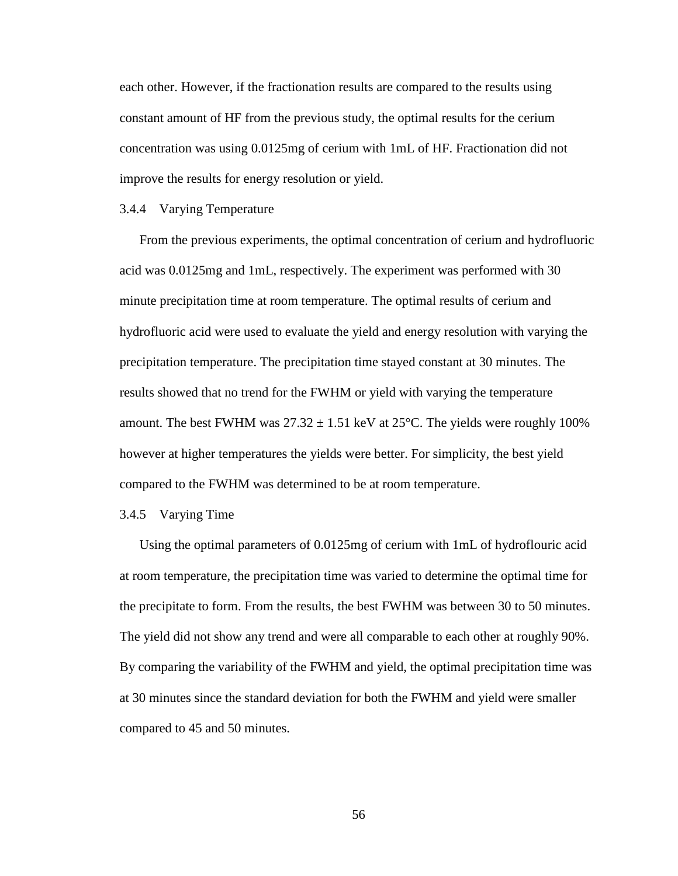each other. However, if the fractionation results are compared to the results using constant amount of HF from the previous study, the optimal results for the cerium concentration was using 0.0125mg of cerium with 1mL of HF. Fractionation did not improve the results for energy resolution or yield.

### 3.4.4 Varying Temperature

From the previous experiments, the optimal concentration of cerium and hydrofluoric acid was 0.0125mg and 1mL, respectively. The experiment was performed with 30 minute precipitation time at room temperature. The optimal results of cerium and hydrofluoric acid were used to evaluate the yield and energy resolution with varying the precipitation temperature. The precipitation time stayed constant at 30 minutes. The results showed that no trend for the FWHM or yield with varying the temperature amount. The best FWHM was  $27.32 \pm 1.51$  keV at  $25^{\circ}$ C. The yields were roughly 100% however at higher temperatures the yields were better. For simplicity, the best yield compared to the FWHM was determined to be at room temperature.

### 3.4.5 Varying Time

Using the optimal parameters of 0.0125mg of cerium with 1mL of hydroflouric acid at room temperature, the precipitation time was varied to determine the optimal time for the precipitate to form. From the results, the best FWHM was between 30 to 50 minutes. The yield did not show any trend and were all comparable to each other at roughly 90%. By comparing the variability of the FWHM and yield, the optimal precipitation time was at 30 minutes since the standard deviation for both the FWHM and yield were smaller compared to 45 and 50 minutes.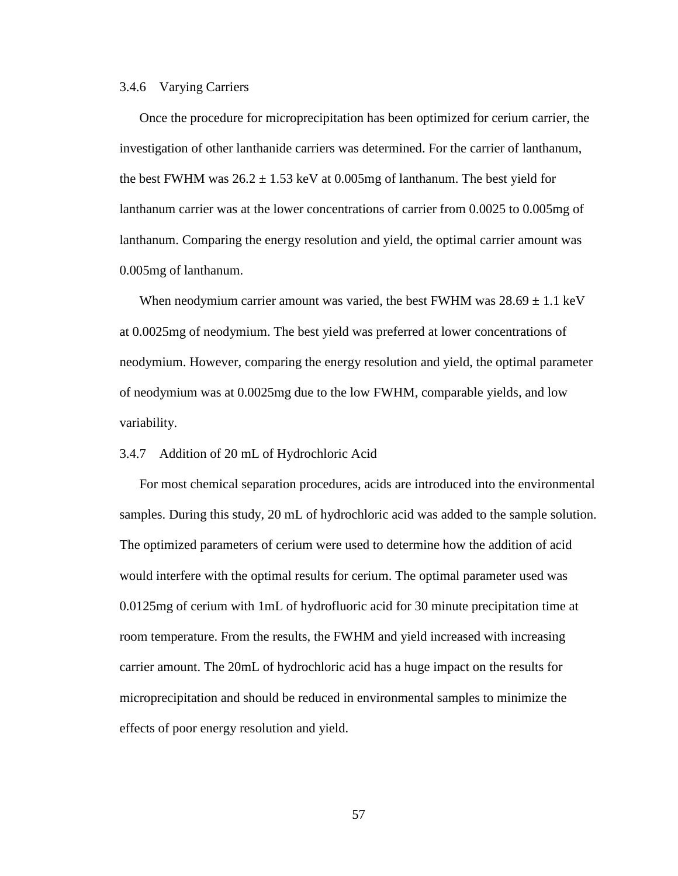### 3.4.6 Varying Carriers

Once the procedure for microprecipitation has been optimized for cerium carrier, the investigation of other lanthanide carriers was determined. For the carrier of lanthanum, the best FWHM was  $26.2 \pm 1.53$  keV at 0.005mg of lanthanum. The best yield for lanthanum carrier was at the lower concentrations of carrier from 0.0025 to 0.005mg of lanthanum. Comparing the energy resolution and yield, the optimal carrier amount was 0.005mg of lanthanum.

When neodymium carrier amount was varied, the best FWHM was  $28.69 \pm 1.1$  keV at 0.0025mg of neodymium. The best yield was preferred at lower concentrations of neodymium. However, comparing the energy resolution and yield, the optimal parameter of neodymium was at 0.0025mg due to the low FWHM, comparable yields, and low variability.

### 3.4.7 Addition of 20 mL of Hydrochloric Acid

For most chemical separation procedures, acids are introduced into the environmental samples. During this study, 20 mL of hydrochloric acid was added to the sample solution. The optimized parameters of cerium were used to determine how the addition of acid would interfere with the optimal results for cerium. The optimal parameter used was 0.0125mg of cerium with 1mL of hydrofluoric acid for 30 minute precipitation time at room temperature. From the results, the FWHM and yield increased with increasing carrier amount. The 20mL of hydrochloric acid has a huge impact on the results for microprecipitation and should be reduced in environmental samples to minimize the effects of poor energy resolution and yield.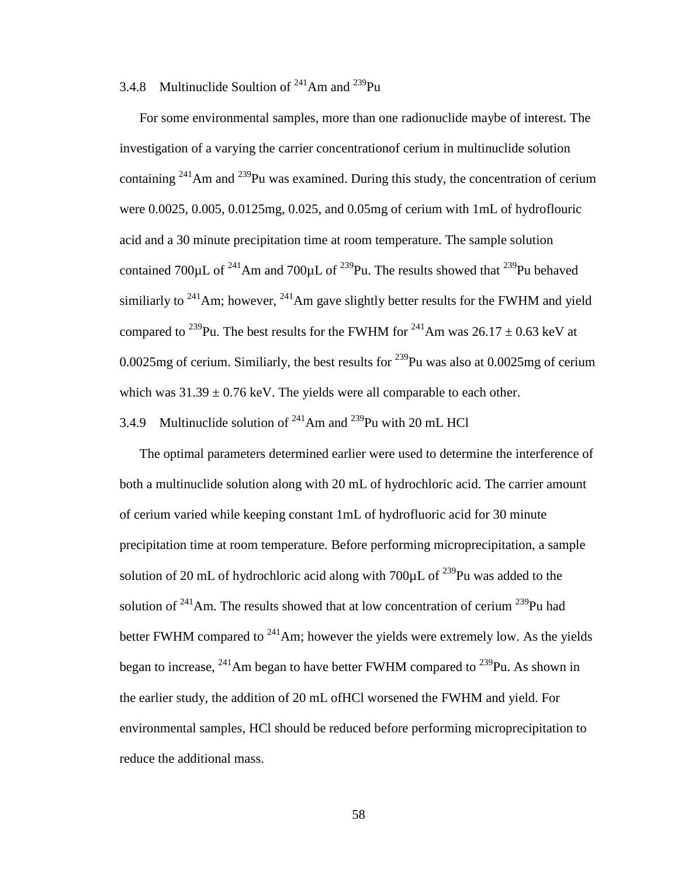## 3.4.8 Multinuclide Soultion of  $241$ Am and  $239$ Pu

For some environmental samples, more than one radionuclide maybe of interest. The investigation of a varying the carrier concentrationof cerium in multinuclide solution containing  $241$ Am and  $239$ Pu was examined. During this study, the concentration of cerium were 0.0025, 0.005, 0.0125mg, 0.025, and 0.05mg of cerium with 1mL of hydroflouric acid and a 30 minute precipitation time at room temperature. The sample solution contained 700 $\mu$ L of <sup>241</sup>Am and 700 $\mu$ L of <sup>239</sup>Pu. The results showed that <sup>239</sup>Pu behaved similiarly to  $241$ Am; however,  $241$ Am gave slightly better results for the FWHM and yield compared to <sup>239</sup>Pu. The best results for the FWHM for <sup>241</sup>Am was 26.17  $\pm$  0.63 keV at 0.0025mg of cerium. Similiarly, the best results for  $^{239}$ Pu was also at 0.0025mg of cerium which was  $31.39 \pm 0.76$  keV. The yields were all comparable to each other.

# 3.4.9 Multinuclide solution of  $241$ Am and  $239$ Pu with 20 mL HCl

The optimal parameters determined earlier were used to determine the interference of both a multinuclide solution along with 20 mL of hydrochloric acid. The carrier amount of cerium varied while keeping constant 1mL of hydrofluoric acid for 30 minute precipitation time at room temperature. Before performing microprecipitation, a sample solution of 20 mL of hydrochloric acid along with  $700 \mu$ L of  $^{239}$ Pu was added to the solution of  $241$ Am. The results showed that at low concentration of cerium  $239$ Pu had better FWHM compared to  $^{241}$ Am; however the yields were extremely low. As the yields began to increase,  $^{241}$ Am began to have better FWHM compared to  $^{239}$ Pu. As shown in the earlier study, the addition of 20 mL ofHCl worsened the FWHM and yield. For environmental samples, HCl should be reduced before performing microprecipitation to reduce the additional mass.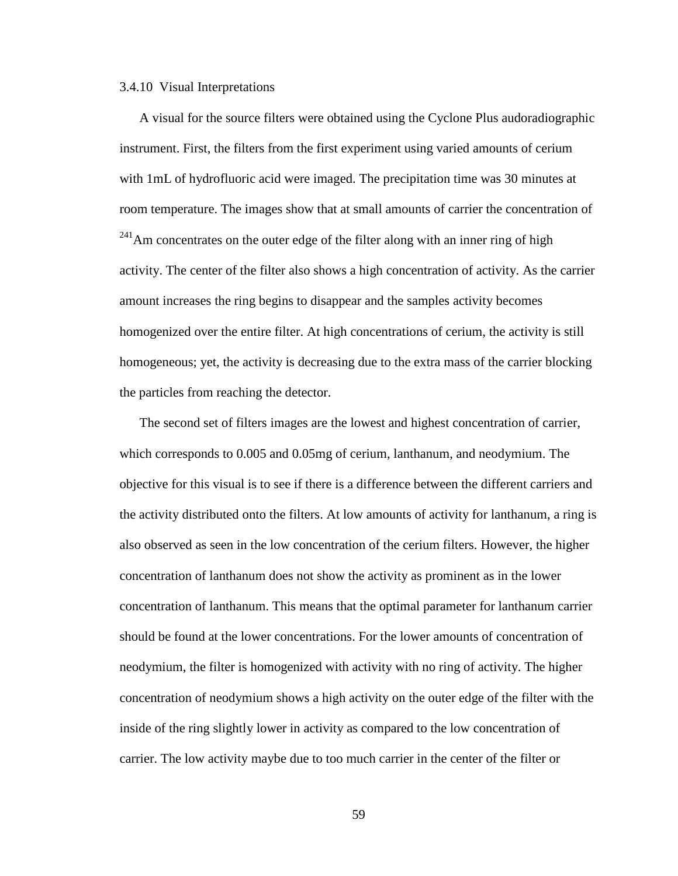### 3.4.10 Visual Interpretations

A visual for the source filters were obtained using the Cyclone Plus audoradiographic instrument. First, the filters from the first experiment using varied amounts of cerium with 1mL of hydrofluoric acid were imaged. The precipitation time was 30 minutes at room temperature. The images show that at small amounts of carrier the concentration of  $241$ Am concentrates on the outer edge of the filter along with an inner ring of high activity. The center of the filter also shows a high concentration of activity. As the carrier amount increases the ring begins to disappear and the samples activity becomes homogenized over the entire filter. At high concentrations of cerium, the activity is still homogeneous; yet, the activity is decreasing due to the extra mass of the carrier blocking the particles from reaching the detector.

The second set of filters images are the lowest and highest concentration of carrier, which corresponds to 0.005 and 0.05mg of cerium, lanthanum, and neodymium. The objective for this visual is to see if there is a difference between the different carriers and the activity distributed onto the filters. At low amounts of activity for lanthanum, a ring is also observed as seen in the low concentration of the cerium filters. However, the higher concentration of lanthanum does not show the activity as prominent as in the lower concentration of lanthanum. This means that the optimal parameter for lanthanum carrier should be found at the lower concentrations. For the lower amounts of concentration of neodymium, the filter is homogenized with activity with no ring of activity. The higher concentration of neodymium shows a high activity on the outer edge of the filter with the inside of the ring slightly lower in activity as compared to the low concentration of carrier. The low activity maybe due to too much carrier in the center of the filter or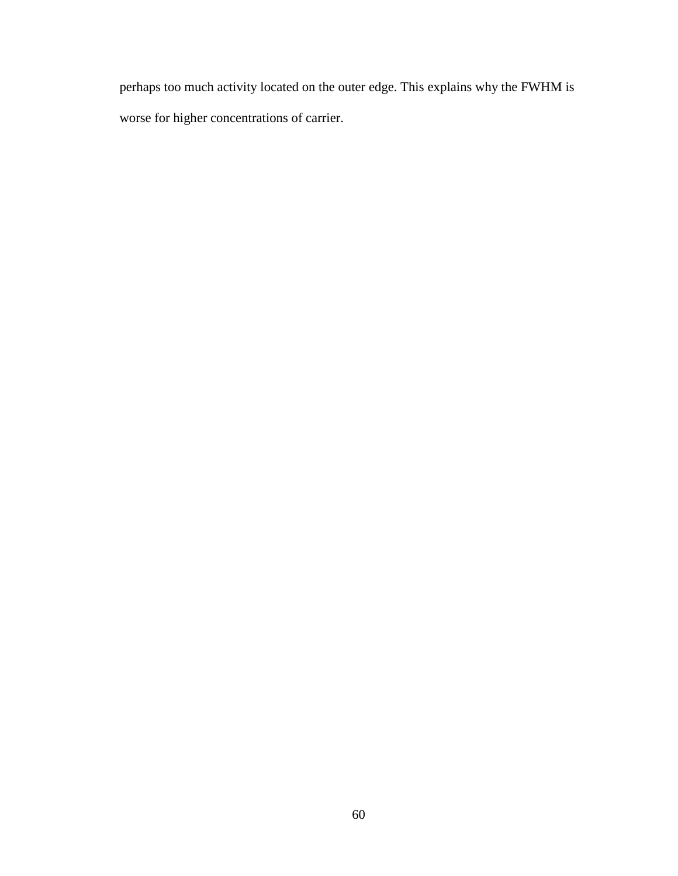perhaps too much activity located on the outer edge. This explains why the FWHM is worse for higher concentrations of carrier.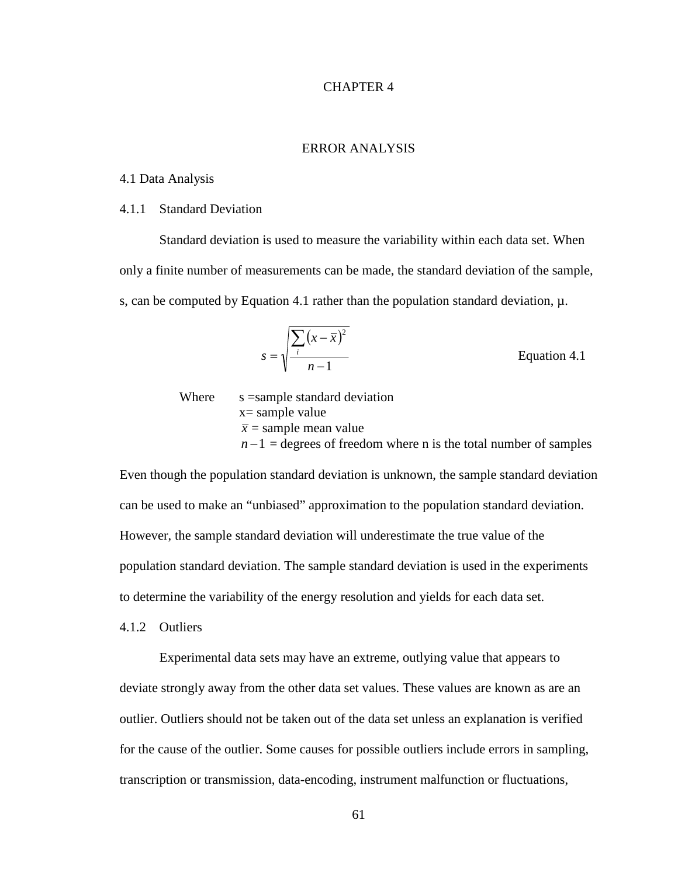## CHAPTER 4

## ERROR ANALYSIS

### 4.1 Data Analysis

### 4.1.1 Standard Deviation

Standard deviation is used to measure the variability within each data set. When only a finite number of measurements can be made, the standard deviation of the sample, s, can be computed by Equation 4.1 rather than the population standard deviation,  $\mu$ .

$$
s = \sqrt{\frac{\sum_{i} (x - \overline{x})^2}{n - 1}}
$$
 Equation 4.1

Where  $s =$ s sample standard deviation x= sample value  $\bar{x}$  = sample mean value  $n-1$  = degrees of freedom where n is the total number of samples

Even though the population standard deviation is unknown, the sample standard deviation can be used to make an "unbiased" approximation to the population standard deviation. However, the sample standard deviation will underestimate the true value of the population standard deviation. The sample standard deviation is used in the experiments to determine the variability of the energy resolution and yields for each data set.

4.1.2 Outliers

Experimental data sets may have an extreme, outlying value that appears to deviate strongly away from the other data set values. These values are known as are an outlier. Outliers should not be taken out of the data set unless an explanation is verified for the cause of the outlier. Some causes for possible outliers include errors in sampling, transcription or transmission, data-encoding, instrument malfunction or fluctuations,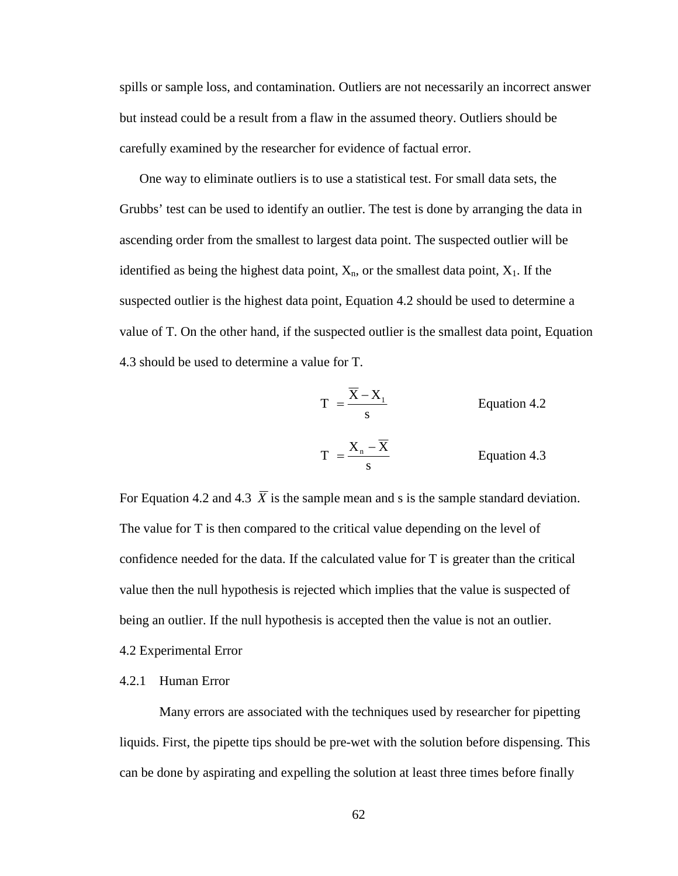spills or sample loss, and contamination. Outliers are not necessarily an incorrect answer but instead could be a result from a flaw in the assumed theory. Outliers should be carefully examined by the researcher for evidence of factual error.

 One way to eliminate outliers is to use a statistical test. For small data sets, the Grubbs' test can be used to identify an outlier. The test is done by arranging the data in ascending order from the smallest to largest data point. The suspected outlier will be identified as being the highest data point,  $X_n$ , or the smallest data point,  $X_1$ . If the suspected outlier is the highest data point, Equation 4.2 should be used to determine a value of T. On the other hand, if the suspected outlier is the smallest data point, Equation 4.3 should be used to determine a value for T.

$$
T = \frac{X - X_1}{s}
$$
 Equation 4.2  

$$
T = \frac{X_n - \overline{X}}{s}
$$
 Equation 4.3

For Equation 4.2 and 4.3  $\overline{X}$  is the sample mean and s is the sample standard deviation. The value for T is then compared to the critical value depending on the level of confidence needed for the data. If the calculated value for T is greater than the critical value then the null hypothesis is rejected which implies that the value is suspected of being an outlier. If the null hypothesis is accepted then the value is not an outlier.

4.2 Experimental Error

### 4.2.1 Human Error

Many errors are associated with the techniques used by researcher for pipetting liquids. First, the pipette tips should be pre-wet with the solution before dispensing. This can be done by aspirating and expelling the solution at least three times before finally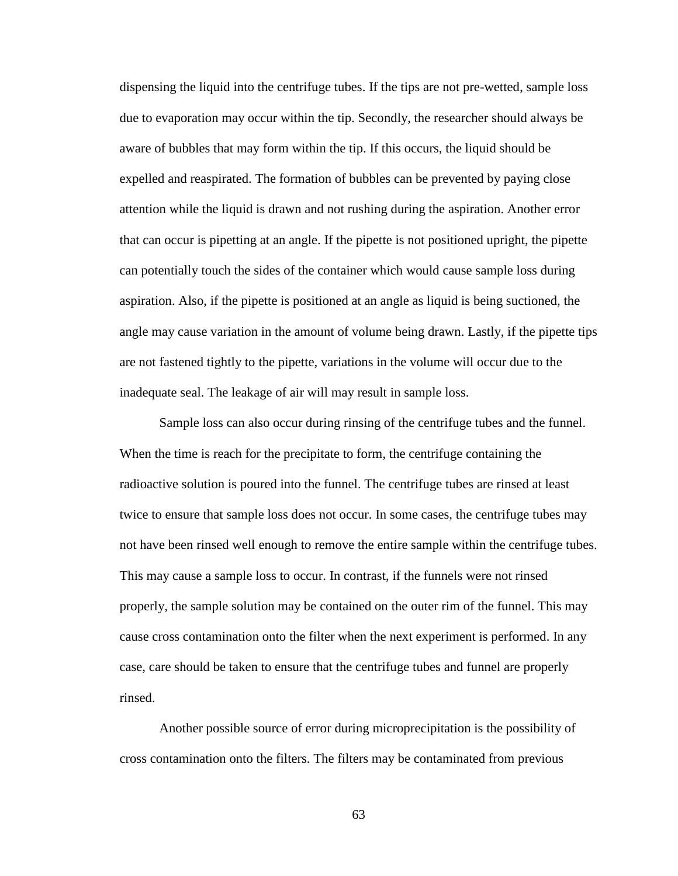dispensing the liquid into the centrifuge tubes. If the tips are not pre-wetted, sample loss due to evaporation may occur within the tip. Secondly, the researcher should always be aware of bubbles that may form within the tip. If this occurs, the liquid should be expelled and reaspirated. The formation of bubbles can be prevented by paying close attention while the liquid is drawn and not rushing during the aspiration. Another error that can occur is pipetting at an angle. If the pipette is not positioned upright, the pipette can potentially touch the sides of the container which would cause sample loss during aspiration. Also, if the pipette is positioned at an angle as liquid is being suctioned, the angle may cause variation in the amount of volume being drawn. Lastly, if the pipette tips are not fastened tightly to the pipette, variations in the volume will occur due to the inadequate seal. The leakage of air will may result in sample loss.

Sample loss can also occur during rinsing of the centrifuge tubes and the funnel. When the time is reach for the precipitate to form, the centrifuge containing the radioactive solution is poured into the funnel. The centrifuge tubes are rinsed at least twice to ensure that sample loss does not occur. In some cases, the centrifuge tubes may not have been rinsed well enough to remove the entire sample within the centrifuge tubes. This may cause a sample loss to occur. In contrast, if the funnels were not rinsed properly, the sample solution may be contained on the outer rim of the funnel. This may cause cross contamination onto the filter when the next experiment is performed. In any case, care should be taken to ensure that the centrifuge tubes and funnel are properly rinsed.

Another possible source of error during microprecipitation is the possibility of cross contamination onto the filters. The filters may be contaminated from previous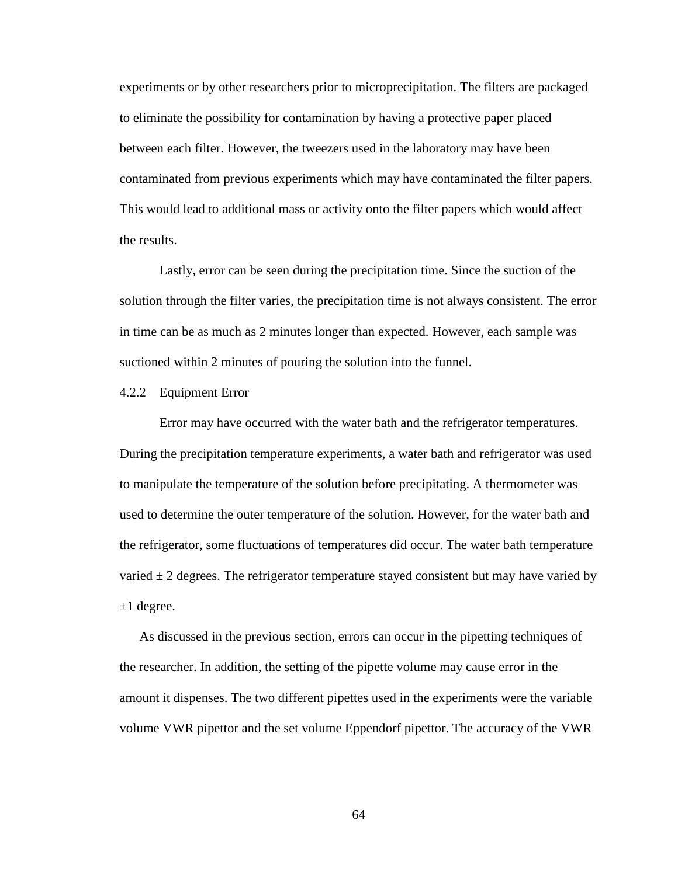experiments or by other researchers prior to microprecipitation. The filters are packaged to eliminate the possibility for contamination by having a protective paper placed between each filter. However, the tweezers used in the laboratory may have been contaminated from previous experiments which may have contaminated the filter papers. This would lead to additional mass or activity onto the filter papers which would affect the results.

Lastly, error can be seen during the precipitation time. Since the suction of the solution through the filter varies, the precipitation time is not always consistent. The error in time can be as much as 2 minutes longer than expected. However, each sample was suctioned within 2 minutes of pouring the solution into the funnel.

#### 4.2.2 Equipment Error

Error may have occurred with the water bath and the refrigerator temperatures. During the precipitation temperature experiments, a water bath and refrigerator was used to manipulate the temperature of the solution before precipitating. A thermometer was used to determine the outer temperature of the solution. However, for the water bath and the refrigerator, some fluctuations of temperatures did occur. The water bath temperature varied  $\pm$  2 degrees. The refrigerator temperature stayed consistent but may have varied by  $\pm 1$  degree.

 As discussed in the previous section, errors can occur in the pipetting techniques of the researcher. In addition, the setting of the pipette volume may cause error in the amount it dispenses. The two different pipettes used in the experiments were the variable volume VWR pipettor and the set volume Eppendorf pipettor. The accuracy of the VWR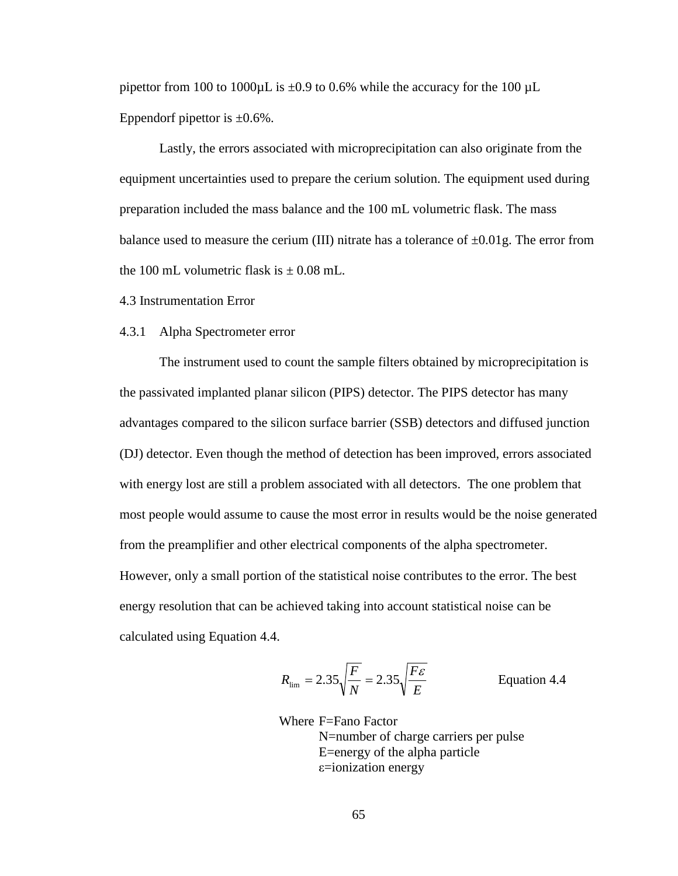pipettor from 100 to 1000 $\mu$ L is  $\pm 0.9$  to 0.6% while the accuracy for the 100  $\mu$ L Eppendorf pipettor is  $\pm 0.6\%$ .

Lastly, the errors associated with microprecipitation can also originate from the equipment uncertainties used to prepare the cerium solution. The equipment used during preparation included the mass balance and the 100 mL volumetric flask. The mass balance used to measure the cerium (III) nitrate has a tolerance of  $\pm 0.01$ g. The error from the 100 mL volumetric flask is  $\pm$  0.08 mL.

4.3 Instrumentation Error

#### 4.3.1 Alpha Spectrometer error

The instrument used to count the sample filters obtained by microprecipitation is the passivated implanted planar silicon (PIPS) detector. The PIPS detector has many advantages compared to the silicon surface barrier (SSB) detectors and diffused junction (DJ) detector. Even though the method of detection has been improved, errors associated with energy lost are still a problem associated with all detectors. The one problem that most people would assume to cause the most error in results would be the noise generated from the preamplifier and other electrical components of the alpha spectrometer. However, only a small portion of the statistical noise contributes to the error. The best energy resolution that can be achieved taking into account statistical noise can be calculated using Equation 4.4.

$$
R_{\text{lim}} = 2.35 \sqrt{\frac{F}{N}} = 2.35 \sqrt{\frac{F\epsilon}{E}}
$$
 Equation 4.4

Where F=Fano Factor N=number of charge carriers per pulse E=energy of the alpha particle ε=ionization energy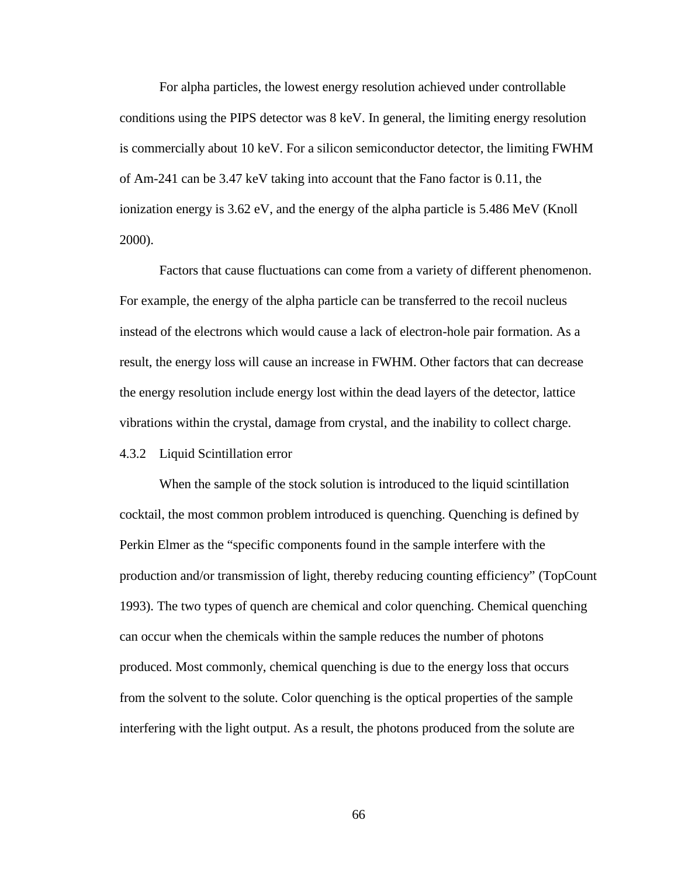For alpha particles, the lowest energy resolution achieved under controllable conditions using the PIPS detector was 8 keV. In general, the limiting energy resolution is commercially about 10 keV. For a silicon semiconductor detector, the limiting FWHM of Am-241 can be 3.47 keV taking into account that the Fano factor is 0.11, the ionization energy is 3.62 eV, and the energy of the alpha particle is 5.486 MeV (Knoll 2000).

Factors that cause fluctuations can come from a variety of different phenomenon. For example, the energy of the alpha particle can be transferred to the recoil nucleus instead of the electrons which would cause a lack of electron-hole pair formation. As a result, the energy loss will cause an increase in FWHM. Other factors that can decrease the energy resolution include energy lost within the dead layers of the detector, lattice vibrations within the crystal, damage from crystal, and the inability to collect charge.

## 4.3.2 Liquid Scintillation error

When the sample of the stock solution is introduced to the liquid scintillation cocktail, the most common problem introduced is quenching. Quenching is defined by Perkin Elmer as the "specific components found in the sample interfere with the production and/or transmission of light, thereby reducing counting efficiency" (TopCount 1993). The two types of quench are chemical and color quenching. Chemical quenching can occur when the chemicals within the sample reduces the number of photons produced. Most commonly, chemical quenching is due to the energy loss that occurs from the solvent to the solute. Color quenching is the optical properties of the sample interfering with the light output. As a result, the photons produced from the solute are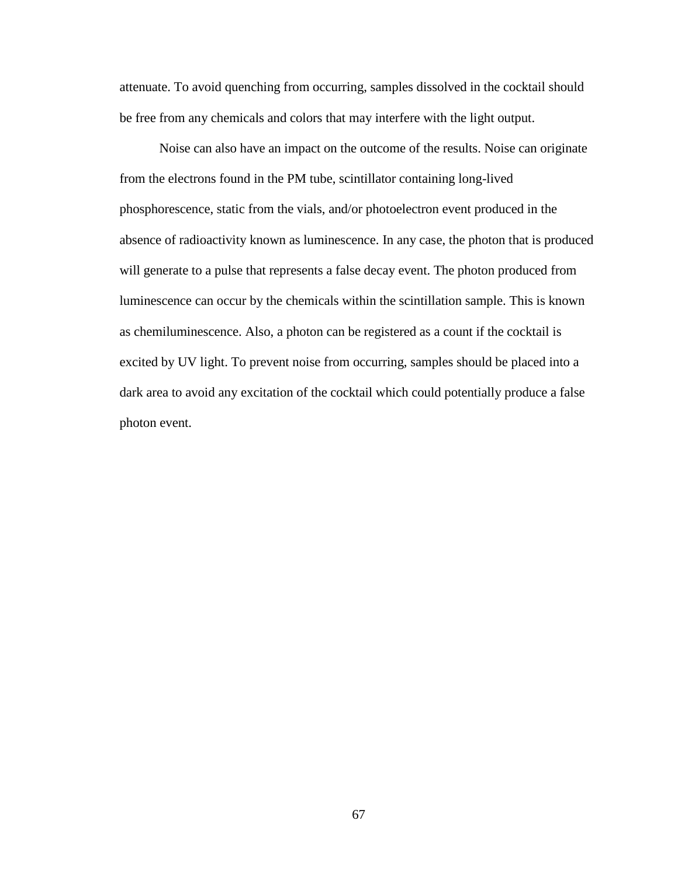attenuate. To avoid quenching from occurring, samples dissolved in the cocktail should be free from any chemicals and colors that may interfere with the light output.

Noise can also have an impact on the outcome of the results. Noise can originate from the electrons found in the PM tube, scintillator containing long-lived phosphorescence, static from the vials, and/or photoelectron event produced in the absence of radioactivity known as luminescence. In any case, the photon that is produced will generate to a pulse that represents a false decay event. The photon produced from luminescence can occur by the chemicals within the scintillation sample. This is known as chemiluminescence. Also, a photon can be registered as a count if the cocktail is excited by UV light. To prevent noise from occurring, samples should be placed into a dark area to avoid any excitation of the cocktail which could potentially produce a false photon event.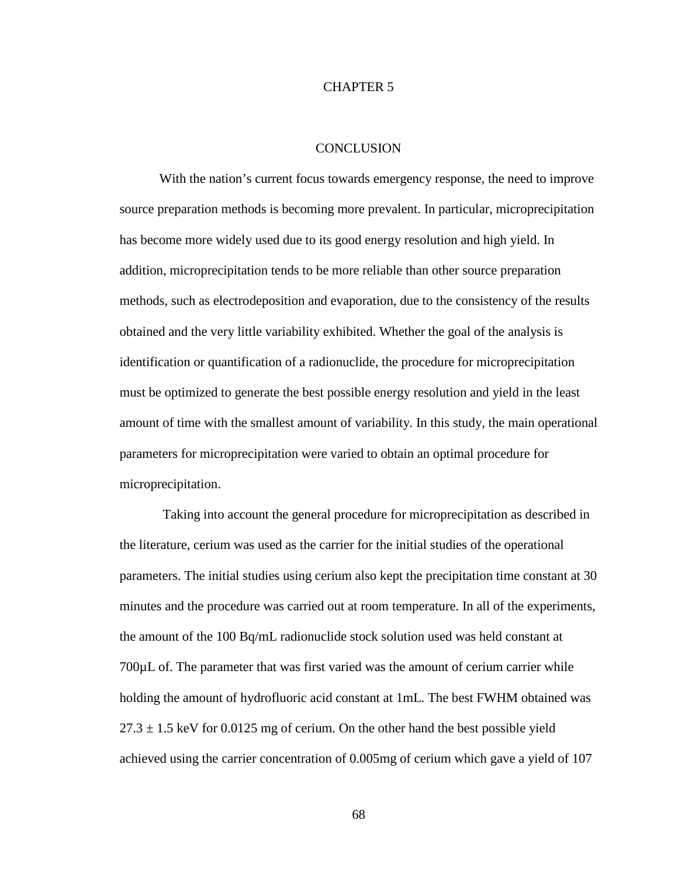#### CHAPTER 5

#### **CONCLUSION**

With the nation's current focus towards emergency response, the need to improve source preparation methods is becoming more prevalent. In particular, microprecipitation has become more widely used due to its good energy resolution and high yield. In addition, microprecipitation tends to be more reliable than other source preparation methods, such as electrodeposition and evaporation, due to the consistency of the results obtained and the very little variability exhibited. Whether the goal of the analysis is identification or quantification of a radionuclide, the procedure for microprecipitation must be optimized to generate the best possible energy resolution and yield in the least amount of time with the smallest amount of variability. In this study, the main operational parameters for microprecipitation were varied to obtain an optimal procedure for microprecipitation.

 Taking into account the general procedure for microprecipitation as described in the literature, cerium was used as the carrier for the initial studies of the operational parameters. The initial studies using cerium also kept the precipitation time constant at 30 minutes and the procedure was carried out at room temperature. In all of the experiments, the amount of the 100 Bq/mL radionuclide stock solution used was held constant at 700µL of. The parameter that was first varied was the amount of cerium carrier while holding the amount of hydrofluoric acid constant at 1mL. The best FWHM obtained was  $27.3 \pm 1.5$  keV for 0.0125 mg of cerium. On the other hand the best possible yield achieved using the carrier concentration of 0.005mg of cerium which gave a yield of 107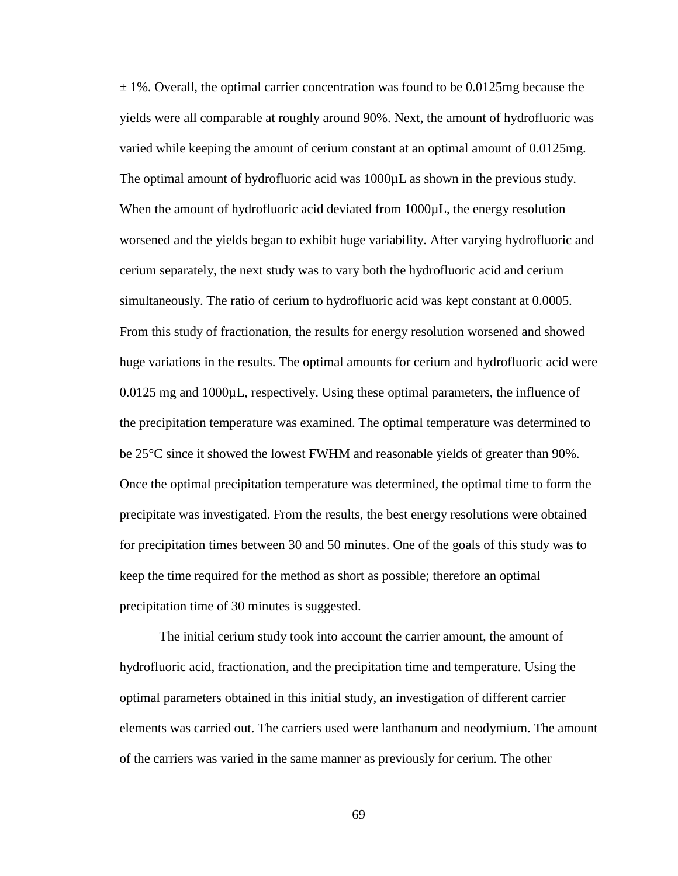$\pm$  1%. Overall, the optimal carrier concentration was found to be 0.0125mg because the yields were all comparable at roughly around 90%. Next, the amount of hydrofluoric was varied while keeping the amount of cerium constant at an optimal amount of 0.0125mg. The optimal amount of hydrofluoric acid was 1000µL as shown in the previous study. When the amount of hydrofluoric acid deviated from 1000 $\mu$ L, the energy resolution worsened and the yields began to exhibit huge variability. After varying hydrofluoric and cerium separately, the next study was to vary both the hydrofluoric acid and cerium simultaneously. The ratio of cerium to hydrofluoric acid was kept constant at 0.0005. From this study of fractionation, the results for energy resolution worsened and showed huge variations in the results. The optimal amounts for cerium and hydrofluoric acid were 0.0125 mg and 1000µL, respectively. Using these optimal parameters, the influence of the precipitation temperature was examined. The optimal temperature was determined to be 25°C since it showed the lowest FWHM and reasonable yields of greater than 90%. Once the optimal precipitation temperature was determined, the optimal time to form the precipitate was investigated. From the results, the best energy resolutions were obtained for precipitation times between 30 and 50 minutes. One of the goals of this study was to keep the time required for the method as short as possible; therefore an optimal precipitation time of 30 minutes is suggested.

The initial cerium study took into account the carrier amount, the amount of hydrofluoric acid, fractionation, and the precipitation time and temperature. Using the optimal parameters obtained in this initial study, an investigation of different carrier elements was carried out. The carriers used were lanthanum and neodymium. The amount of the carriers was varied in the same manner as previously for cerium. The other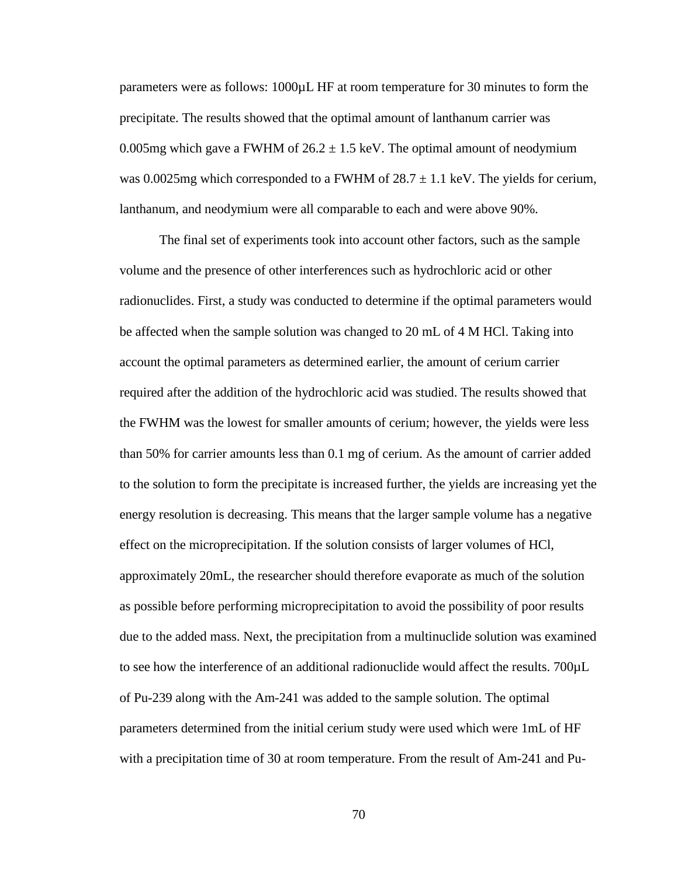parameters were as follows: 1000µL HF at room temperature for 30 minutes to form the precipitate. The results showed that the optimal amount of lanthanum carrier was 0.005mg which gave a FWHM of  $26.2 \pm 1.5$  keV. The optimal amount of neodymium was 0.0025mg which corresponded to a FWHM of  $28.7 \pm 1.1$  keV. The yields for cerium, lanthanum, and neodymium were all comparable to each and were above 90%.

The final set of experiments took into account other factors, such as the sample volume and the presence of other interferences such as hydrochloric acid or other radionuclides. First, a study was conducted to determine if the optimal parameters would be affected when the sample solution was changed to 20 mL of 4 M HCl. Taking into account the optimal parameters as determined earlier, the amount of cerium carrier required after the addition of the hydrochloric acid was studied. The results showed that the FWHM was the lowest for smaller amounts of cerium; however, the yields were less than 50% for carrier amounts less than 0.1 mg of cerium. As the amount of carrier added to the solution to form the precipitate is increased further, the yields are increasing yet the energy resolution is decreasing. This means that the larger sample volume has a negative effect on the microprecipitation. If the solution consists of larger volumes of HCl, approximately 20mL, the researcher should therefore evaporate as much of the solution as possible before performing microprecipitation to avoid the possibility of poor results due to the added mass. Next, the precipitation from a multinuclide solution was examined to see how the interference of an additional radionuclide would affect the results. 700µL of Pu-239 along with the Am-241 was added to the sample solution. The optimal parameters determined from the initial cerium study were used which were 1mL of HF with a precipitation time of 30 at room temperature. From the result of Am-241 and Pu-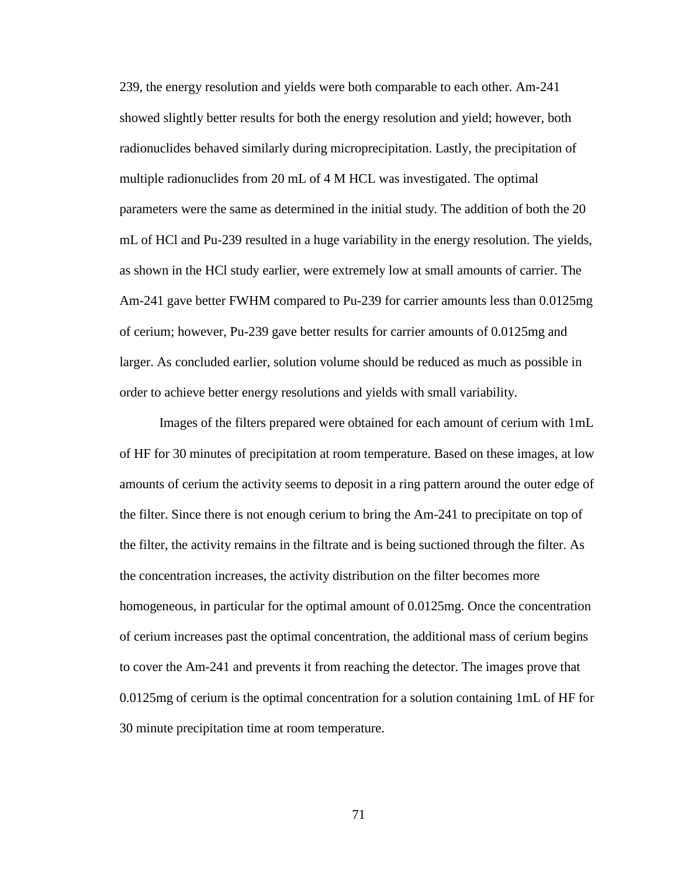239, the energy resolution and yields were both comparable to each other. Am-241 showed slightly better results for both the energy resolution and yield; however, both radionuclides behaved similarly during microprecipitation. Lastly, the precipitation of multiple radionuclides from 20 mL of 4 M HCL was investigated. The optimal parameters were the same as determined in the initial study. The addition of both the 20 mL of HCl and Pu-239 resulted in a huge variability in the energy resolution. The yields, as shown in the HCl study earlier, were extremely low at small amounts of carrier. The Am-241 gave better FWHM compared to Pu-239 for carrier amounts less than 0.0125mg of cerium; however, Pu-239 gave better results for carrier amounts of 0.0125mg and larger. As concluded earlier, solution volume should be reduced as much as possible in order to achieve better energy resolutions and yields with small variability.

Images of the filters prepared were obtained for each amount of cerium with 1mL of HF for 30 minutes of precipitation at room temperature. Based on these images, at low amounts of cerium the activity seems to deposit in a ring pattern around the outer edge of the filter. Since there is not enough cerium to bring the Am-241 to precipitate on top of the filter, the activity remains in the filtrate and is being suctioned through the filter. As the concentration increases, the activity distribution on the filter becomes more homogeneous, in particular for the optimal amount of 0.0125mg. Once the concentration of cerium increases past the optimal concentration, the additional mass of cerium begins to cover the Am-241 and prevents it from reaching the detector. The images prove that 0.0125mg of cerium is the optimal concentration for a solution containing 1mL of HF for 30 minute precipitation time at room temperature.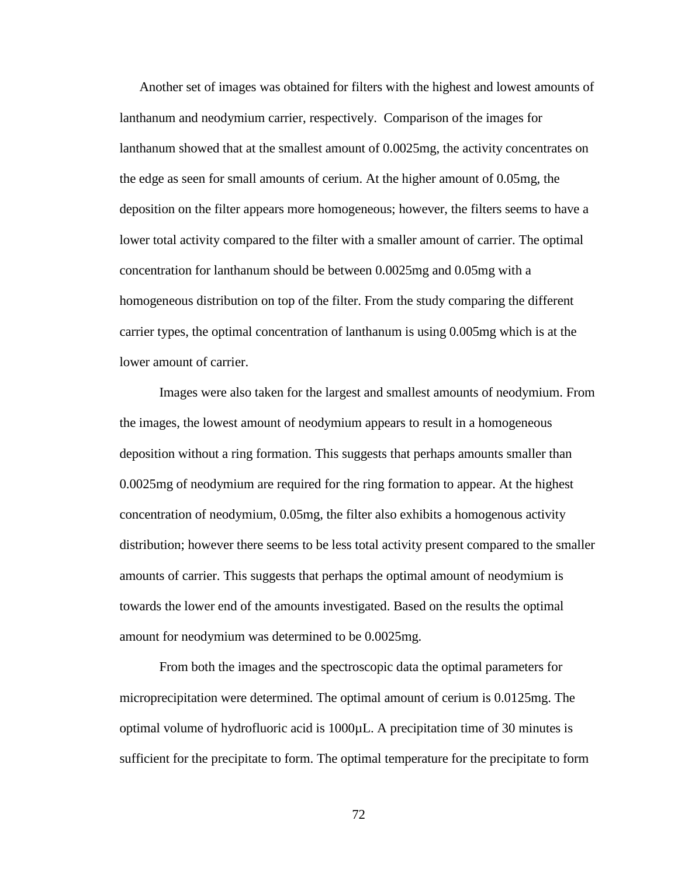Another set of images was obtained for filters with the highest and lowest amounts of lanthanum and neodymium carrier, respectively. Comparison of the images for lanthanum showed that at the smallest amount of 0.0025mg, the activity concentrates on the edge as seen for small amounts of cerium. At the higher amount of 0.05mg, the deposition on the filter appears more homogeneous; however, the filters seems to have a lower total activity compared to the filter with a smaller amount of carrier. The optimal concentration for lanthanum should be between 0.0025mg and 0.05mg with a homogeneous distribution on top of the filter. From the study comparing the different carrier types, the optimal concentration of lanthanum is using 0.005mg which is at the lower amount of carrier.

Images were also taken for the largest and smallest amounts of neodymium. From the images, the lowest amount of neodymium appears to result in a homogeneous deposition without a ring formation. This suggests that perhaps amounts smaller than 0.0025mg of neodymium are required for the ring formation to appear. At the highest concentration of neodymium, 0.05mg, the filter also exhibits a homogenous activity distribution; however there seems to be less total activity present compared to the smaller amounts of carrier. This suggests that perhaps the optimal amount of neodymium is towards the lower end of the amounts investigated. Based on the results the optimal amount for neodymium was determined to be 0.0025mg.

From both the images and the spectroscopic data the optimal parameters for microprecipitation were determined. The optimal amount of cerium is 0.0125mg. The optimal volume of hydrofluoric acid is 1000µL. A precipitation time of 30 minutes is sufficient for the precipitate to form. The optimal temperature for the precipitate to form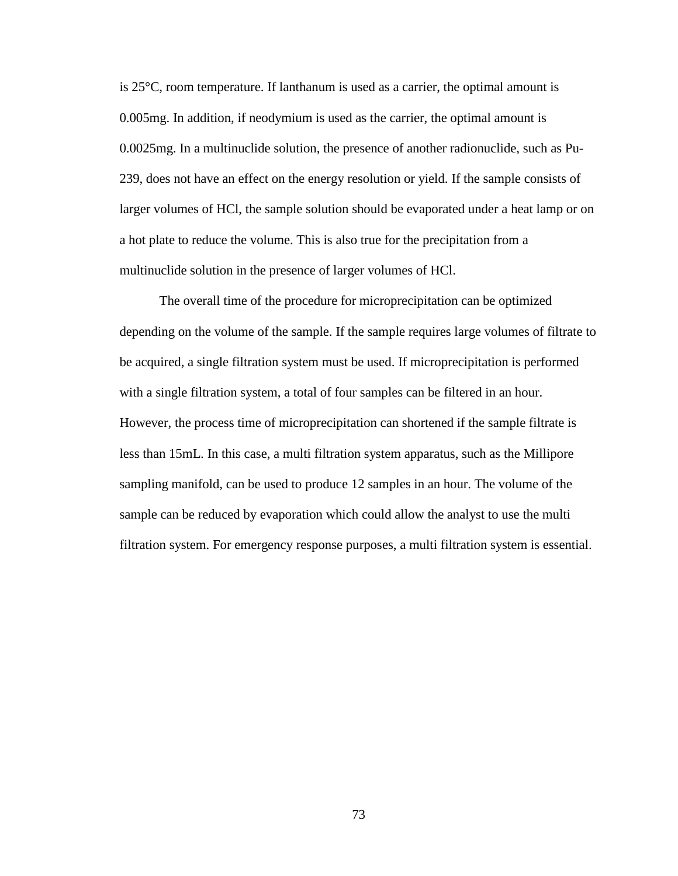is 25°C, room temperature. If lanthanum is used as a carrier, the optimal amount is 0.005mg. In addition, if neodymium is used as the carrier, the optimal amount is 0.0025mg. In a multinuclide solution, the presence of another radionuclide, such as Pu-239, does not have an effect on the energy resolution or yield. If the sample consists of larger volumes of HCl, the sample solution should be evaporated under a heat lamp or on a hot plate to reduce the volume. This is also true for the precipitation from a multinuclide solution in the presence of larger volumes of HCl.

The overall time of the procedure for microprecipitation can be optimized depending on the volume of the sample. If the sample requires large volumes of filtrate to be acquired, a single filtration system must be used. If microprecipitation is performed with a single filtration system, a total of four samples can be filtered in an hour. However, the process time of microprecipitation can shortened if the sample filtrate is less than 15mL. In this case, a multi filtration system apparatus, such as the Millipore sampling manifold, can be used to produce 12 samples in an hour. The volume of the sample can be reduced by evaporation which could allow the analyst to use the multi filtration system. For emergency response purposes, a multi filtration system is essential.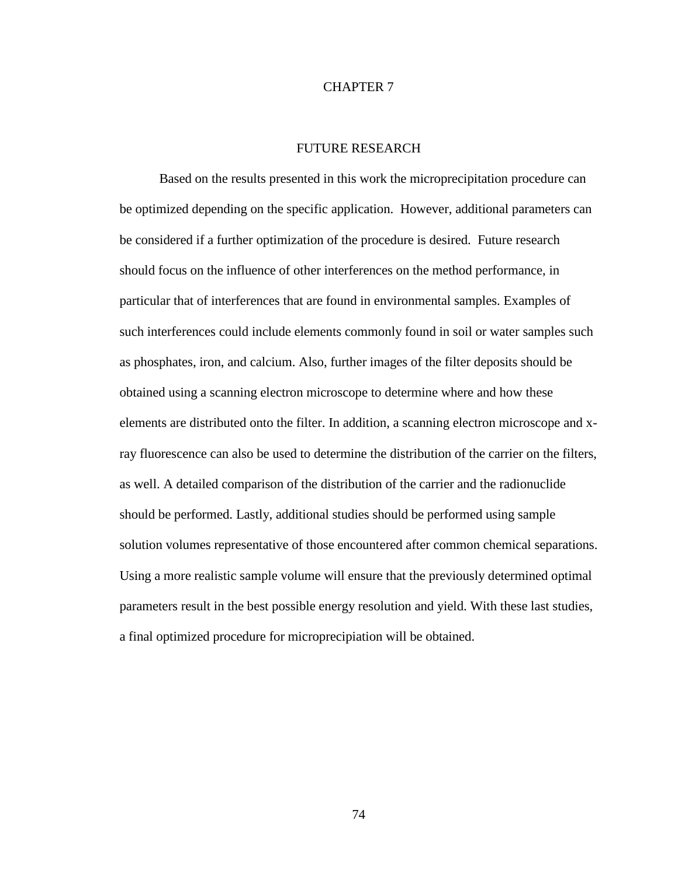### CHAPTER 7

### FUTURE RESEARCH

Based on the results presented in this work the microprecipitation procedure can be optimized depending on the specific application. However, additional parameters can be considered if a further optimization of the procedure is desired. Future research should focus on the influence of other interferences on the method performance, in particular that of interferences that are found in environmental samples. Examples of such interferences could include elements commonly found in soil or water samples such as phosphates, iron, and calcium. Also, further images of the filter deposits should be obtained using a scanning electron microscope to determine where and how these elements are distributed onto the filter. In addition, a scanning electron microscope and xray fluorescence can also be used to determine the distribution of the carrier on the filters, as well. A detailed comparison of the distribution of the carrier and the radionuclide should be performed. Lastly, additional studies should be performed using sample solution volumes representative of those encountered after common chemical separations. Using a more realistic sample volume will ensure that the previously determined optimal parameters result in the best possible energy resolution and yield. With these last studies, a final optimized procedure for microprecipiation will be obtained.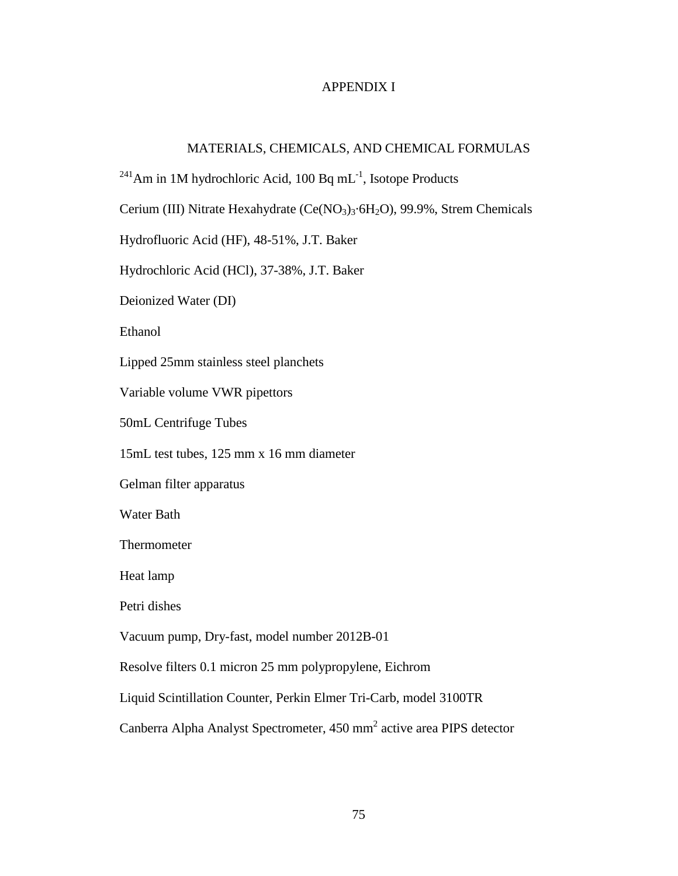## APPENDIX I

# MATERIALS, CHEMICALS, AND CHEMICAL FORMULAS

<sup>241</sup>Am in 1M hydrochloric Acid, 100 Bq mL<sup>-1</sup>, Isotope Products

Cerium (III) Nitrate Hexahydrate (Ce(NO<sub>3</sub>)<sub>3</sub>·6H<sub>2</sub>O), 99.9%, Strem Chemicals

Hydrofluoric Acid (HF), 48-51%, J.T. Baker

Hydrochloric Acid (HCl), 37-38%, J.T. Baker

Deionized Water (DI)

Ethanol

Lipped 25mm stainless steel planchets

Variable volume VWR pipettors

50mL Centrifuge Tubes

15mL test tubes, 125 mm x 16 mm diameter

Gelman filter apparatus

Water Bath

Thermometer

Heat lamp

Petri dishes

Vacuum pump, Dry-fast, model number 2012B-01

Resolve filters 0.1 micron 25 mm polypropylene, Eichrom

Liquid Scintillation Counter, Perkin Elmer Tri-Carb, model 3100TR

Canberra Alpha Analyst Spectrometer, 450 mm<sup>2</sup> active area PIPS detector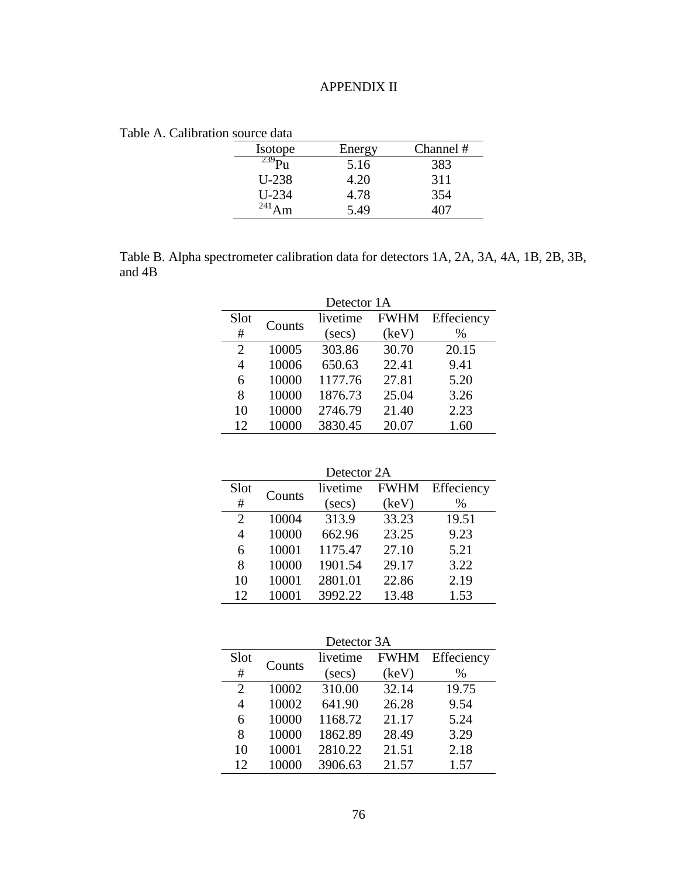# APPENDIX II

Table A. Calibration source data

| Isotope       | Energy | Channel # |
|---------------|--------|-----------|
|               | 5.16   | 383       |
| $U-238$       | 4.20   | 311       |
| $U-234$       | 4.78   | 354       |
| 241 $\lambda$ | 5.49   |           |

Table B. Alpha spectrometer calibration data for detectors 1A, 2A, 3A, 4A, 1B, 2B, 3B, and 4B

| Detector 1A |        |            |             |            |  |  |  |  |  |
|-------------|--------|------------|-------------|------------|--|--|--|--|--|
| Slot        | Counts | livetime   | <b>FWHM</b> | Effeciency |  |  |  |  |  |
| #           |        | $(\sec s)$ | (keV)       | %          |  |  |  |  |  |
| 2           | 10005  | 303.86     | 30.70       | 20.15      |  |  |  |  |  |
| 4           | 10006  | 650.63     | 22.41       | 9.41       |  |  |  |  |  |
| 6           | 10000  | 1177.76    | 27.81       | 5.20       |  |  |  |  |  |
| 8           | 10000  | 1876.73    | 25.04       | 3.26       |  |  |  |  |  |
| 10          | 10000  | 2746.79    | 21.40       | 2.23       |  |  |  |  |  |
| 12          | 10000  | 3830.45    | 20.07       | 1.60       |  |  |  |  |  |

| Detector 2A |            |             |            |  |  |  |  |  |  |
|-------------|------------|-------------|------------|--|--|--|--|--|--|
|             | livetime   | <b>FWHM</b> | Effeciency |  |  |  |  |  |  |
|             | $(\sec s)$ | (keV)       | $\%$       |  |  |  |  |  |  |
| 10004       | 313.9      | 33.23       | 19.51      |  |  |  |  |  |  |
| 10000       | 662.96     | 23.25       | 9.23       |  |  |  |  |  |  |
| 10001       | 1175.47    | 27.10       | 5.21       |  |  |  |  |  |  |
| 10000       | 1901.54    | 29.17       | 3.22       |  |  |  |  |  |  |
| 10001       | 2801.01    | 22.86       | 2.19       |  |  |  |  |  |  |
| 10001       | 3992.22    | 13.48       | 1.53       |  |  |  |  |  |  |
|             | Counts     |             |            |  |  |  |  |  |  |

| Detector 3A    |        |            |             |            |  |  |  |  |
|----------------|--------|------------|-------------|------------|--|--|--|--|
| Slot           | Counts | livetime   | <b>FWHM</b> | Effeciency |  |  |  |  |
| #              |        | $(\sec s)$ | (keV)       | $\%$       |  |  |  |  |
| $\overline{2}$ | 10002  | 310.00     | 32.14       | 19.75      |  |  |  |  |
| 4              | 10002  | 641.90     | 26.28       | 9.54       |  |  |  |  |
| 6              | 10000  | 1168.72    | 21.17       | 5.24       |  |  |  |  |
| 8              | 10000  | 1862.89    | 28.49       | 3.29       |  |  |  |  |
| 10             | 10001  | 2810.22    | 21.51       | 2.18       |  |  |  |  |
| 12             | 10000  | 3906.63    | 21.57       | 1.57       |  |  |  |  |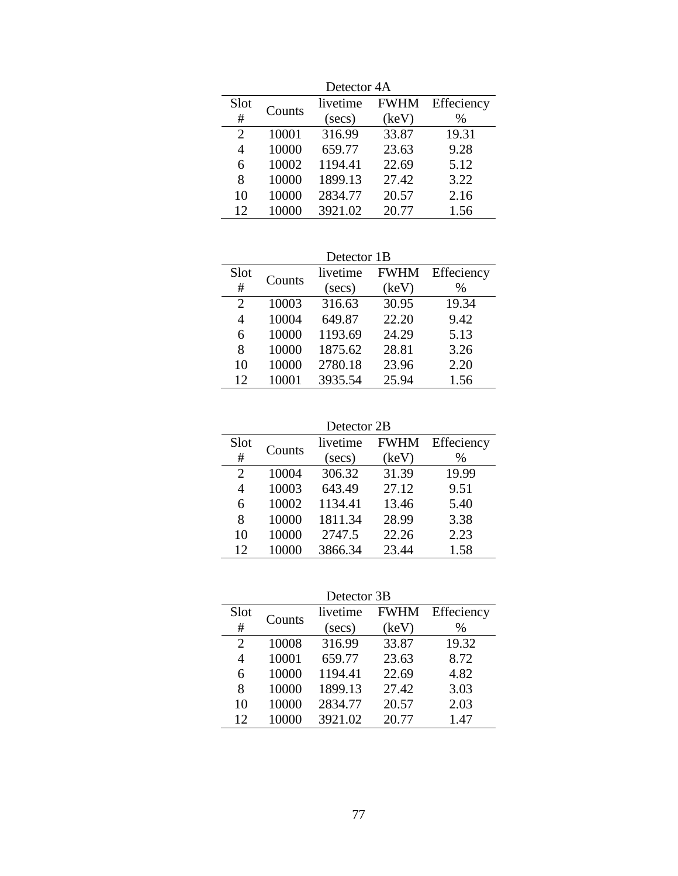| Detector 4A                 |        |            |             |            |  |  |  |  |
|-----------------------------|--------|------------|-------------|------------|--|--|--|--|
| Slot                        | Counts | livetime   | <b>FWHM</b> | Effeciency |  |  |  |  |
| #                           |        | $(\sec s)$ | (keV)       | %          |  |  |  |  |
| $\mathcal{D}_{\mathcal{L}}$ | 10001  | 316.99     | 33.87       | 19.31      |  |  |  |  |
| 4                           | 10000  | 659.77     | 23.63       | 9.28       |  |  |  |  |
| 6                           | 10002  | 1194.41    | 22.69       | 5.12       |  |  |  |  |
| 8                           | 10000  | 1899.13    | 27.42       | 3.22       |  |  |  |  |
| 10                          | 10000  | 2834.77    | 20.57       | 2.16       |  |  |  |  |
| 12                          | 10000  | 3921.02    | 20.77       | 1.56       |  |  |  |  |

Detector 1B

| Slot                        | Counts | livetime   | <b>FWHM</b> | Effeciency |
|-----------------------------|--------|------------|-------------|------------|
| #                           |        | $(\sec s)$ | (keV)       | %          |
| $\mathcal{D}_{\mathcal{L}}$ | 10003  | 316.63     | 30.95       | 19.34      |
| 4                           | 10004  | 649.87     | 22.20       | 9.42       |
| 6                           | 10000  | 1193.69    | 24.29       | 5.13       |
| 8                           | 10000  | 1875.62    | 28.81       | 3.26       |
| 10                          | 10000  | 2780.18    | 23.96       | 2.20       |
| 12                          | 10001  | 3935.54    | 25.94       | 1.56       |

| Detector 2B                 |        |            |             |            |  |  |  |
|-----------------------------|--------|------------|-------------|------------|--|--|--|
| Slot                        | Counts | livetime   | <b>FWHM</b> | Effeciency |  |  |  |
| #                           |        | $(\sec s)$ | (keV)       | %          |  |  |  |
| $\mathcal{D}_{\mathcal{L}}$ | 10004  | 306.32     | 31.39       | 19.99      |  |  |  |
| 4                           | 10003  | 643.49     | 27.12       | 9.51       |  |  |  |
| 6                           | 10002  | 1134.41    | 13.46       | 5.40       |  |  |  |
| 8                           | 10000  | 1811.34    | 28.99       | 3.38       |  |  |  |
| 10                          | 10000  | 2747.5     | 22.26       | 2.23       |  |  |  |
| 12                          | 10000  | 3866.34    | 23.44       | 1.58       |  |  |  |

Detector 3B

| belevis <i>ob</i>           |        |                         |       |            |  |  |  |
|-----------------------------|--------|-------------------------|-------|------------|--|--|--|
| Slot                        | Counts | <b>FWHM</b><br>livetime |       | Effeciency |  |  |  |
| #                           |        | $(\sec s)$              | (key) | %          |  |  |  |
| $\mathcal{D}_{\mathcal{L}}$ | 10008  | 316.99                  | 33.87 | 19.32      |  |  |  |
| 4                           | 10001  | 659.77                  | 23.63 | 8.72       |  |  |  |
| 6                           | 10000  | 1194.41                 | 22.69 | 4.82       |  |  |  |
| 8                           | 10000  | 1899.13                 | 27.42 | 3.03       |  |  |  |
| 10                          | 10000  | 2834.77                 | 20.57 | 2.03       |  |  |  |
| 12                          | 10000  | 3921.02                 | 20.77 | 1.47       |  |  |  |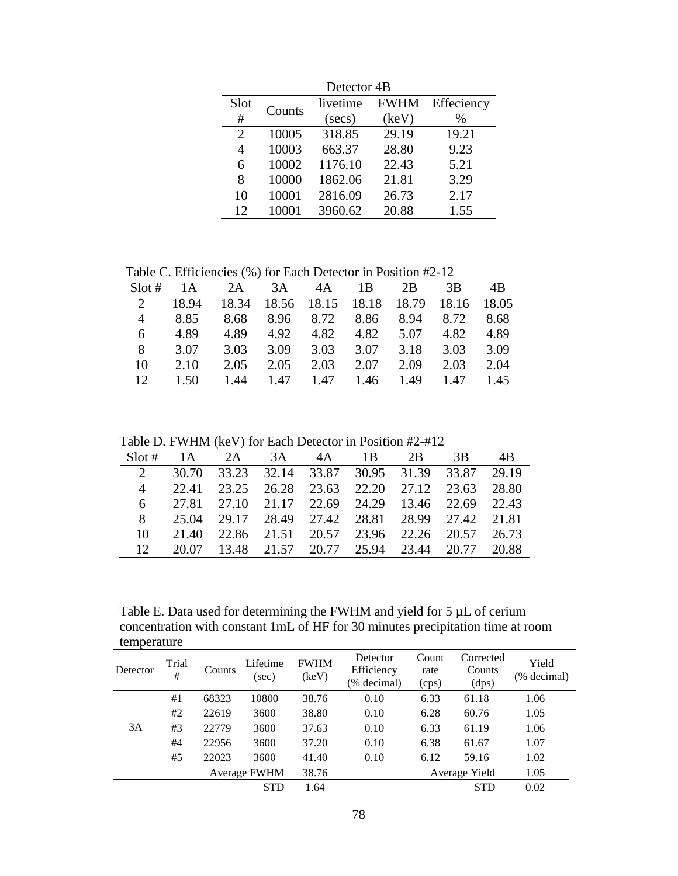| Detector 4B                 |        |            |             |            |  |  |  |  |
|-----------------------------|--------|------------|-------------|------------|--|--|--|--|
| Slot                        | Counts | livetime   | <b>FWHM</b> | Effeciency |  |  |  |  |
| #                           |        | $(\sec s)$ | (keV)       | $\%$       |  |  |  |  |
| $\mathcal{D}_{\mathcal{L}}$ | 10005  | 318.85     | 29.19       | 19.21      |  |  |  |  |
| 4                           | 10003  | 663.37     | 28.80       | 9.23       |  |  |  |  |
| 6                           | 10002  | 1176.10    | 22.43       | 5.21       |  |  |  |  |
| 8                           | 10000  | 1862.06    | 21.81       | 3.29       |  |  |  |  |
| 10                          | 10001  | 2816.09    | 26.73       | 2.17       |  |  |  |  |
| 12                          | 10001  | 3960.62    | 20.88       | 1.55       |  |  |  |  |

Table C. Efficiencies (%) for Each Detector in Position #2-12

| $Slot \#$ | 1А    | 2A    | 3A    | 4A    | 1Β    | 2В    | 3B    | 4B    |
|-----------|-------|-------|-------|-------|-------|-------|-------|-------|
|           | 18.94 | 18.34 | 18.56 | 18.15 | 18.18 | 18.79 | 18.16 | 18.05 |
|           | 8.85  | 8.68  | 8.96  | 8.72  | 8.86  | 8.94  | 8.72  | 8.68  |
| 6         | 4.89  | 4.89  | 4.92  | 4.82  | 4.82  | 5.07  | 4.82  | 4.89  |
| 8         | 3.07  | 3.03  | 3.09  | 3.03  | 3.07  | 3.18  | 3.03  | 3.09  |
| 10        | 2.10  | 2.05  | 2.05  | 2.03  | 2.07  | 2.09  | 2.03  | 2.04  |
| 12        | 1.50  | 1.44  | 1.47  | 1.47  | 1.46  | 1.49  | 1.47  | 1.45  |

Table D. FWHM (keV) for Each Detector in Position #2-#12

| $Slot \#$                   | 1 A   | 2A          | 3A                      | 4A | 1B                            | 2 <sub>B</sub> | 3B          | 4B    |
|-----------------------------|-------|-------------|-------------------------|----|-------------------------------|----------------|-------------|-------|
| $\mathcal{D}_{\mathcal{L}}$ | 30.70 | 33.23 32.14 |                         |    | 33.87 30.95 31.39             |                | 33.87       | 29.19 |
| $\overline{4}$              | 22.41 | 23.25       | 26.28                   |    | 23.63 22.20                   |                | 27.12 23.63 | 28.80 |
| 6                           | 27.81 |             | 27.10 21.17 22.69 24.29 |    |                               | - 13.46        | 22.69       | 22.43 |
| 8                           | 25.04 |             |                         |    | 29.17 28.49 27.42 28.81 28.99 |                | 27.42       | 21.81 |
| 10                          | 21.40 |             |                         |    | 22.86 21.51 20.57 23.96 22.26 |                | 20.57       | 26.73 |
| 12                          | 20.07 |             | 13.48 21.57 20.77 25.94 |    |                               | 23.44          | 20.77       | 20.88 |
|                             |       |             |                         |    |                               |                |             |       |

Table E. Data used for determining the FWHM and yield for 5  $\mu$ L of cerium concentration with constant 1mL of HF for 30 minutes precipitation time at room temperature

| temperature  |            |        |                   |                      |                                       |                        |                              |                      |
|--------------|------------|--------|-------------------|----------------------|---------------------------------------|------------------------|------------------------------|----------------------|
| Detector     | Trial<br># | Counts | Lifetime<br>(sec) | <b>FWHM</b><br>(keV) | Detector<br>Efficiency<br>(% decimal) | Count<br>rate<br>(cps) | Corrected<br>Counts<br>(dps) | Yield<br>(% decimal) |
|              | #1         | 68323  | 10800             | 38.76                | 0.10                                  | 6.33                   | 61.18                        | 1.06                 |
|              | #2         | 22619  | 3600              | 38.80                | 0.10                                  | 6.28                   | 60.76                        | 1.05                 |
| 3A           | #3         | 22779  | 3600              | 37.63                | 0.10                                  | 6.33                   | 61.19                        | 1.06                 |
|              | #4         | 22956  | 3600              | 37.20                | 0.10                                  | 6.38                   | 61.67                        | 1.07                 |
|              | #5         | 22023  | 3600              | 41.40                | 0.10                                  | 6.12                   | 59.16                        | 1.02                 |
| Average FWHM |            | 38.76  |                   |                      | Average Yield                         | 1.05                   |                              |                      |
|              |            |        | <b>STD</b>        | 1.64                 |                                       |                        | <b>STD</b>                   | 0.02                 |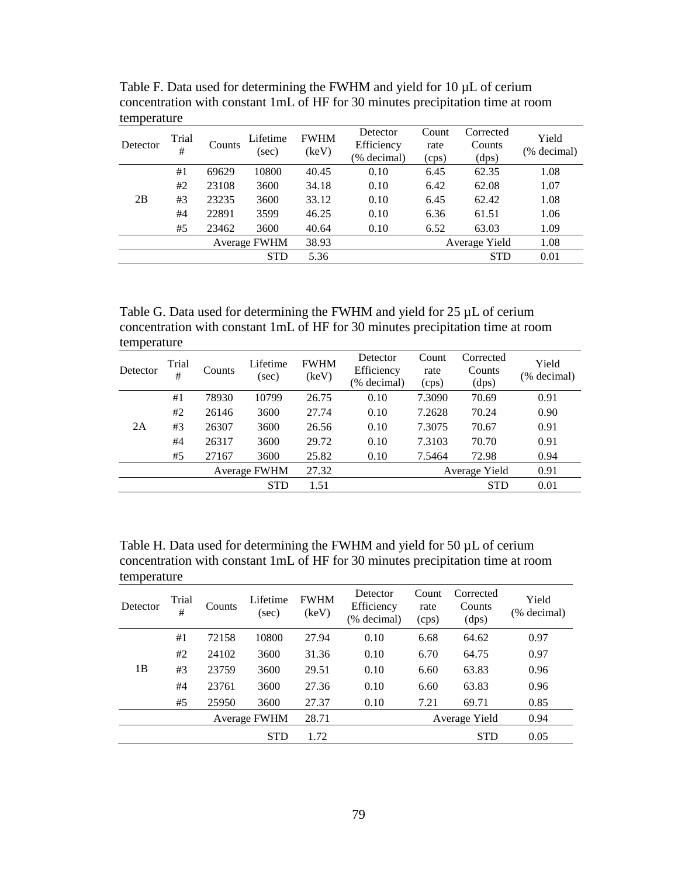| Detector | Trial<br># | Counts | Lifetime<br>(sec) | <b>FWHM</b><br>(key) | Detector<br>Efficiency<br>(% decimal) | Count<br>rate<br>(cps) | Corrected<br>Counts<br>(dps) | Yield<br>(% decimal) |
|----------|------------|--------|-------------------|----------------------|---------------------------------------|------------------------|------------------------------|----------------------|
|          | #1         | 69629  | 10800             | 40.45                | 0.10                                  | 6.45                   | 62.35                        | 1.08                 |
|          | #2         | 23108  | 3600              | 34.18                | 0.10                                  | 6.42                   | 62.08                        | 1.07                 |
| 2B       | #3         | 23235  | 3600              | 33.12                | 0.10                                  | 6.45                   | 62.42                        | 1.08                 |
|          | #4         | 22891  | 3599              | 46.25                | 0.10                                  | 6.36                   | 61.51                        | 1.06                 |
|          | #5         | 23462  | 3600              | 40.64                | 0.10                                  | 6.52                   | 63.03                        | 1.09                 |
|          |            |        | Average FWHM      | 38.93                |                                       |                        | Average Yield                | 1.08                 |
|          |            |        | <b>STD</b>        | 5.36                 |                                       |                        | <b>STD</b>                   | 0.01                 |

Table F. Data used for determining the FWHM and yield for 10  $\mu$ L of cerium concentration with constant 1mL of HF for 30 minutes precipitation time at room temperature

Table G. Data used for determining the FWHM and yield for 25 µL of cerium concentration with constant 1mL of HF for 30 minutes precipitation time at room temperature

| Detector | Trial<br># | Counts | Lifetime<br>(sec) | <b>FWHM</b><br>(key) | Detector<br>Efficiency<br>(% decimal) | Count<br>rate<br>(cps) | Corrected<br>Counts<br>(dps) | Yield<br>(% decimal) |
|----------|------------|--------|-------------------|----------------------|---------------------------------------|------------------------|------------------------------|----------------------|
|          | #1         | 78930  | 10799             | 26.75                | 0.10                                  | 7.3090                 | 70.69                        | 0.91                 |
|          | #2         | 26146  | 3600              | 27.74                | 0.10                                  | 7.2628                 | 70.24                        | 0.90                 |
| 2A       | #3         | 26307  | 3600              | 26.56                | 0.10                                  | 7.3075                 | 70.67                        | 0.91                 |
|          | #4         | 26317  | 3600              | 29.72                | 0.10                                  | 7.3103                 | 70.70                        | 0.91                 |
|          | #5         | 27167  | 3600              | 25.82                | 0.10                                  | 7.5464                 | 72.98                        | 0.94                 |
|          |            |        | Average FWHM      | 27.32                |                                       |                        | Average Yield                | 0.91                 |
|          |            |        | <b>STD</b>        | 1.51                 |                                       |                        | <b>STD</b>                   | 0.01                 |

Table H. Data used for determining the FWHM and yield for 50  $\mu$ L of cerium concentration with constant 1mL of HF for 30 minutes precipitation time at room temperature

| Detector | Trial<br># | Counts | Lifetime<br>(sec)   | <b>FWHM</b><br>(keV) | Detector<br>Efficiency<br>(% decimal) | Count<br>rate<br>(cps) | Corrected<br>Counts<br>(dps) | Yield<br>(% decimal) |
|----------|------------|--------|---------------------|----------------------|---------------------------------------|------------------------|------------------------------|----------------------|
|          | #1         | 72158  | 10800               | 27.94                | 0.10                                  | 6.68                   | 64.62                        | 0.97                 |
|          | #2         | 24102  | 3600                | 31.36                | 0.10                                  | 6.70                   | 64.75                        | 0.97                 |
| 1B       | #3         | 23759  | 3600                | 29.51                | 0.10                                  | 6.60                   | 63.83                        | 0.96                 |
|          | #4         | 23761  | 3600                | 27.36                | 0.10                                  | 6.60                   | 63.83                        | 0.96                 |
|          | #5         | 25950  | 3600                | 27.37                | 0.10                                  | 7.21                   | 69.71                        | 0.85                 |
|          |            |        | <b>Average FWHM</b> | 28.71                |                                       |                        | Average Yield                | 0.94                 |
|          |            |        | <b>STD</b>          | 1.72                 |                                       |                        | <b>STD</b>                   | 0.05                 |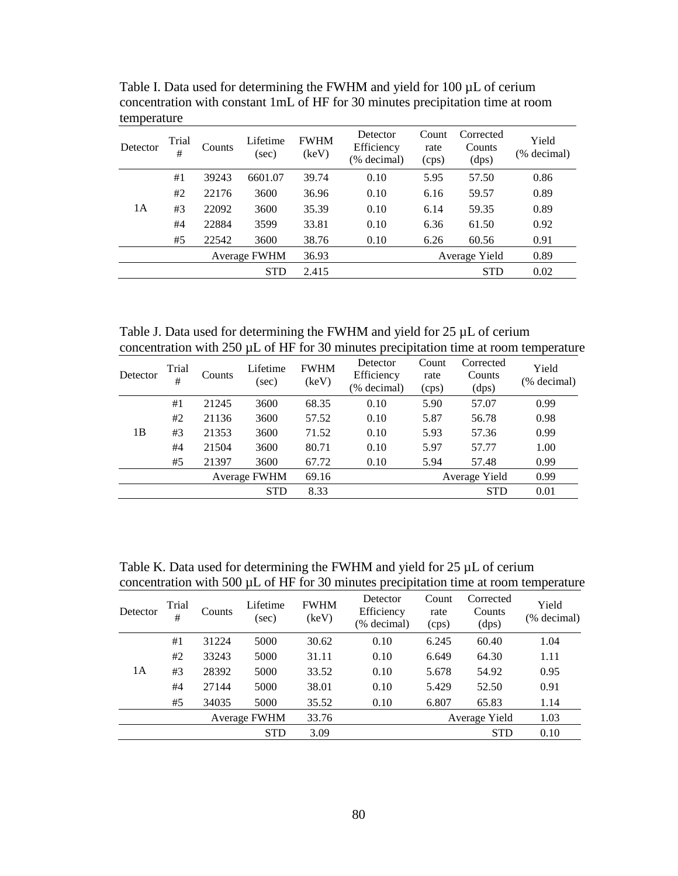| Detector | Trial<br># | Counts | Lifetime<br>(sec) | <b>FWHM</b><br>(keV) | Detector<br>Efficiency<br>(% decimal) | Count<br>rate<br>(cps) | Corrected<br>Counts<br>(dps) | Yield<br>(% decimal) |
|----------|------------|--------|-------------------|----------------------|---------------------------------------|------------------------|------------------------------|----------------------|
|          | #1         | 39243  | 6601.07           | 39.74                | 0.10                                  | 5.95                   | 57.50                        | 0.86                 |
|          | #2         | 22176  | 3600              | 36.96                | 0.10                                  | 6.16                   | 59.57                        | 0.89                 |
| 1A       | #3         | 22092  | 3600              | 35.39                | 0.10                                  | 6.14                   | 59.35                        | 0.89                 |
|          | #4         | 22884  | 3599              | 33.81                | 0.10                                  | 6.36                   | 61.50                        | 0.92                 |
|          | #5         | 22542  | 3600              | 38.76                | 0.10                                  | 6.26                   | 60.56                        | 0.91                 |
|          |            |        | Average FWHM      | 36.93                |                                       |                        | Average Yield                | 0.89                 |
|          |            |        | <b>STD</b>        | 2.415                |                                       |                        | <b>STD</b>                   | 0.02                 |

Table I. Data used for determining the FWHM and yield for 100  $\mu$ L of cerium concentration with constant 1mL of HF for 30 minutes precipitation time at room temperature

Table J. Data used for determining the FWHM and yield for 25  $\mu$ L of cerium concentration with  $250 \mu L$  of HF for 30 minutes precipitation time at room temperature

| Detector | Trial<br># | Counts | Lifetime<br>(sec) | <b>FWHM</b><br>(keV) | Detector<br>Efficiency<br>(% decimal) | Count<br>rate<br>(cps) | Corrected<br>Counts<br>(dps) | Yield<br>(% decimal) |
|----------|------------|--------|-------------------|----------------------|---------------------------------------|------------------------|------------------------------|----------------------|
|          | #1         | 21245  | 3600              | 68.35                | 0.10                                  | 5.90                   | 57.07                        | 0.99                 |
|          | #2         | 21136  | 3600              | 57.52                | 0.10                                  | 5.87                   | 56.78                        | 0.98                 |
| 1B       | #3         | 21353  | 3600              | 71.52                | 0.10                                  | 5.93                   | 57.36                        | 0.99                 |
|          | #4         | 21504  | 3600              | 80.71                | 0.10                                  | 5.97                   | 57.77                        | 1.00                 |
|          | #5         | 21397  | 3600              | 67.72                | 0.10                                  | 5.94                   | 57.48                        | 0.99                 |
|          |            |        | Average FWHM      | 69.16                |                                       |                        | Average Yield                | 0.99                 |
|          |            |        | <b>STD</b>        | 8.33                 |                                       |                        | <b>STD</b>                   | 0.01                 |

Table K. Data used for determining the FWHM and yield for 25  $\mu$ L of cerium concentration with 500  $\mu$ L of HF for 30 minutes precipitation time at room temperature

| Detector | Trial<br># | Counts | Lifetime<br>(sec) | <b>FWHM</b><br>(keV) | Detector<br>Efficiency<br>(% decimal) | Count<br>rate<br>(cps) | Corrected<br>Counts<br>(dps) | Yield<br>(% decimal) |
|----------|------------|--------|-------------------|----------------------|---------------------------------------|------------------------|------------------------------|----------------------|
|          | #1         | 31224  | 5000              | 30.62                | 0.10                                  | 6.245                  | 60.40                        | 1.04                 |
|          | #2         | 33243  | 5000              | 31.11                | 0.10                                  | 6.649                  | 64.30                        | 1.11                 |
| 1A       | #3         | 28392  | 5000              | 33.52                | 0.10                                  | 5.678                  | 54.92                        | 0.95                 |
|          | #4         | 27144  | 5000              | 38.01                | 0.10                                  | 5.429                  | 52.50                        | 0.91                 |
|          | #5         | 34035  | 5000              | 35.52                | 0.10                                  | 6.807                  | 65.83                        | 1.14                 |
|          |            |        | Average FWHM      | 33.76                |                                       |                        | Average Yield                | 1.03                 |
|          |            |        | <b>STD</b>        | 3.09                 |                                       |                        | <b>STD</b>                   | 0.10                 |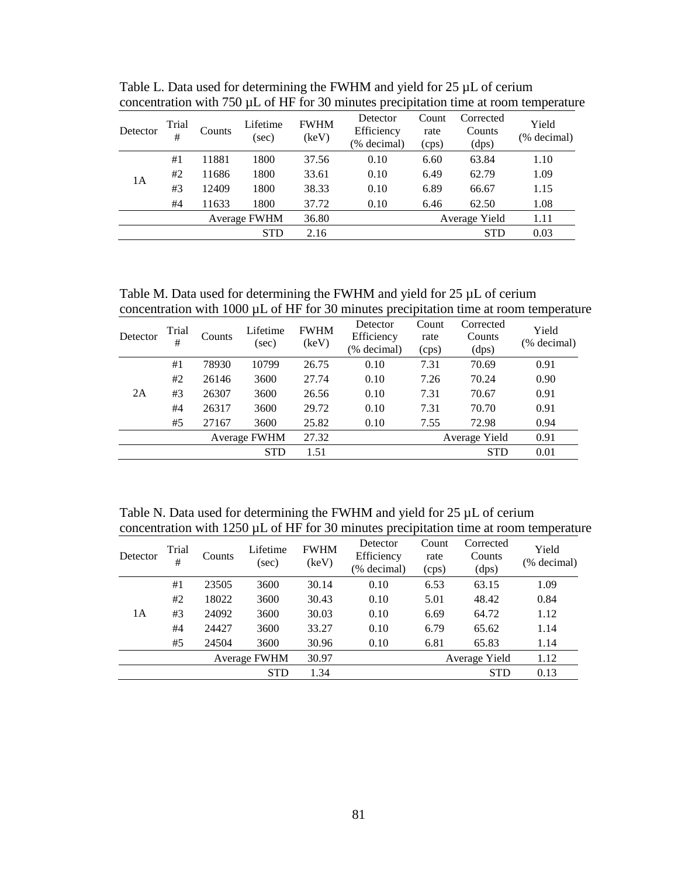| Detector | Trial<br>#   | Counts | Lifetime<br>(sec) | <b>FWHM</b><br>(keV) | Detector<br>Efficiency<br>(% decimal) | Count<br>rate<br>(cps) | Corrected<br>Counts<br>(dps) | Yield<br>(% decimal) |
|----------|--------------|--------|-------------------|----------------------|---------------------------------------|------------------------|------------------------------|----------------------|
|          | #1           | 11881  | 1800              | 37.56                | 0.10                                  | 6.60                   | 63.84                        | 1.10                 |
| 1А       | #2           | 11686  | 1800              | 33.61                | 0.10                                  | 6.49                   | 62.79                        | 1.09                 |
|          | #3           | 12409  | 1800              | 38.33                | 0.10                                  | 6.89                   | 66.67                        | 1.15                 |
|          | #4           | 11633  | 1800              | 37.72                | 0.10                                  | 6.46                   | 62.50                        | 1.08                 |
|          | Average FWHM |        |                   | 36.80                |                                       |                        | Average Yield                | 1.11                 |
|          | <b>STD</b>   |        |                   |                      |                                       |                        | <b>STD</b>                   | 0.03                 |

Table L. Data used for determining the FWHM and yield for 25  $\mu$ L of cerium concentration with 750  $\mu$ L of HF for 30 minutes precipitation time at room temperature

Table M. Data used for determining the FWHM and yield for  $25 \mu L$  of cerium concentration with 1000 µL of HF for 30 minutes precipitation time at room temperature

| Detector | Trial<br>#   | Counts | Lifetime<br>(sec) | <b>FWHM</b><br>(keV) | Detector<br>Efficiency<br>(% decimal) | Count<br>rate<br>(cps) | Corrected<br>Counts<br>(dps) | Yield<br>(% decimal) |
|----------|--------------|--------|-------------------|----------------------|---------------------------------------|------------------------|------------------------------|----------------------|
|          | #1           | 78930  | 10799             | 26.75                | 0.10                                  | 7.31                   | 70.69                        | 0.91                 |
|          | #2           | 26146  | 3600              | 27.74                | 0.10                                  | 7.26                   | 70.24                        | 0.90                 |
| 2A       | #3           | 26307  | 3600              | 26.56                | 0.10                                  | 7.31                   | 70.67                        | 0.91                 |
|          | #4           | 26317  | 3600              | 29.72                | 0.10                                  | 7.31                   | 70.70                        | 0.91                 |
|          | #5           | 27167  | 3600              | 25.82                | 0.10                                  | 7.55                   | 72.98                        | 0.94                 |
|          | Average FWHM |        |                   | 27.32                |                                       |                        | Average Yield                | 0.91                 |
|          | <b>STD</b>   |        |                   |                      |                                       |                        | <b>STD</b>                   | 0.01                 |

Table N. Data used for determining the FWHM and yield for 25  $\mu$ L of cerium concentration with 1250 µL of HF for 30 minutes precipitation time at room temperature

| Detector | Trial<br># | Counts | Lifetime<br>(sec) | <b>FWHM</b><br>(keV) | Detector<br>Efficiency<br>(% decimal) | Count<br>rate<br>(cps) | Corrected<br>Counts<br>(dps) | Yield<br>(% decimal) |
|----------|------------|--------|-------------------|----------------------|---------------------------------------|------------------------|------------------------------|----------------------|
|          | #1         | 23505  | 3600              | 30.14                | 0.10                                  | 6.53                   | 63.15                        | 1.09                 |
|          | #2         | 18022  | 3600              | 30.43                | 0.10                                  | 5.01                   | 48.42                        | 0.84                 |
| 1A       | #3         | 24092  | 3600              | 30.03                | 0.10                                  | 6.69                   | 64.72                        | 1.12                 |
|          | #4         | 24427  | 3600              | 33.27                | 0.10                                  | 6.79                   | 65.62                        | 1.14                 |
|          | #5         | 24504  | 3600              | 30.96                | 0.10                                  | 6.81                   | 65.83                        | 1.14                 |
|          |            |        | Average FWHM      | 30.97                |                                       |                        | Average Yield                | 1.12                 |
|          |            |        | <b>STD</b>        | 1.34                 |                                       |                        | <b>STD</b>                   | 0.13                 |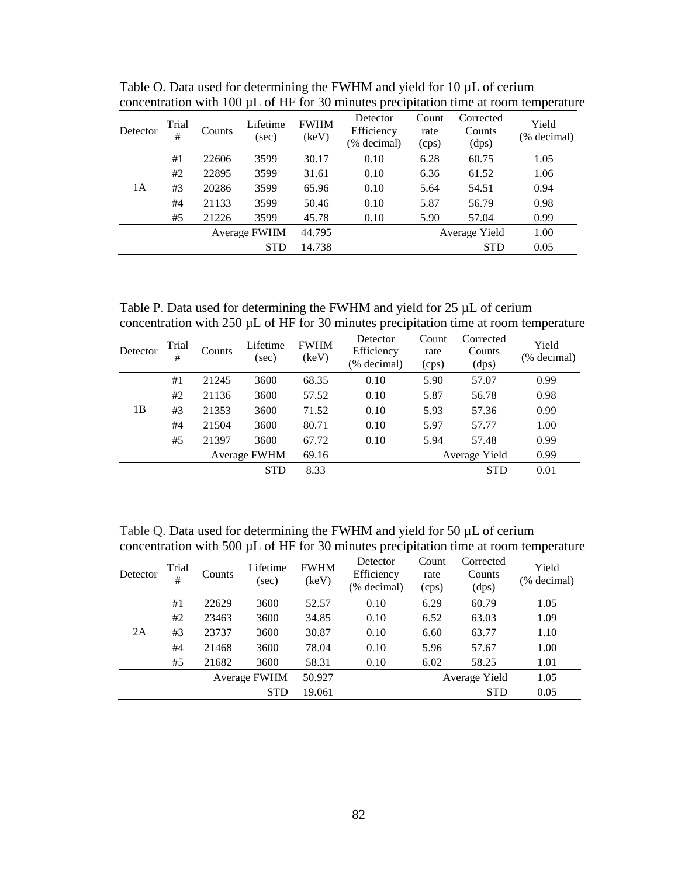| Detector | Trial<br># | Counts | Lifetime<br>(sec) | <b>FWHM</b><br>(keV) | Detector<br>Efficiency<br>(% decimal) | Count<br>rate<br>(cps) | Corrected<br>Counts<br>(dps) | Yield<br>(% decimal) |
|----------|------------|--------|-------------------|----------------------|---------------------------------------|------------------------|------------------------------|----------------------|
|          | #1         | 22606  | 3599              | 30.17                | 0.10                                  | 6.28                   | 60.75                        | 1.05                 |
|          | #2         | 22895  | 3599              | 31.61                | 0.10                                  | 6.36                   | 61.52                        | 1.06                 |
| 1А       | #3         | 20286  | 3599              | 65.96                | 0.10                                  | 5.64                   | 54.51                        | 0.94                 |
|          | #4         | 21133  | 3599              | 50.46                | 0.10                                  | 5.87                   | 56.79                        | 0.98                 |
|          | #5         | 21226  | 3599              | 45.78                | 0.10                                  | 5.90                   | 57.04                        | 0.99                 |
|          |            |        | Average FWHM      | 44.795               |                                       |                        | Average Yield                | 1.00                 |
|          | <b>STD</b> |        |                   | 14.738               |                                       |                        | <b>STD</b>                   | 0.05                 |

Table O. Data used for determining the FWHM and yield for 10  $\mu$ L of cerium concentration with  $100 \mu L$  of HF for 30 minutes precipitation time at room temperature

Table P. Data used for determining the FWHM and yield for 25  $\mu$ L of cerium concentration with  $250 \mu L$  of HF for 30 minutes precipitation time at room temperature

| Detector | Trial<br># | Counts | Lifetime<br>(sec) | <b>FWHM</b><br>(keV) | Detector<br>Efficiency<br>(% decimal) | Count<br>rate<br>(cps) | Corrected<br>Counts<br>(dps) | Yield<br>(% decimal) |
|----------|------------|--------|-------------------|----------------------|---------------------------------------|------------------------|------------------------------|----------------------|
|          | #1         | 21245  | 3600              | 68.35                | 0.10                                  | 5.90                   | 57.07                        | 0.99                 |
|          | #2         | 21136  | 3600              | 57.52                | 0.10                                  | 5.87                   | 56.78                        | 0.98                 |
| 1B       | #3         | 21353  | 3600              | 71.52                | 0.10                                  | 5.93                   | 57.36                        | 0.99                 |
|          | #4         | 21504  | 3600              | 80.71                | 0.10                                  | 5.97                   | 57.77                        | 1.00                 |
|          | #5         | 21397  | 3600              | 67.72                | 0.10                                  | 5.94                   | 57.48                        | 0.99                 |
|          |            |        | Average FWHM      | 69.16                |                                       |                        | Average Yield                | 0.99                 |
|          |            |        | <b>STD</b>        | 8.33                 |                                       |                        | <b>STD</b>                   | 0.01                 |

Table Q. Data used for determining the FWHM and yield for 50  $\mu$ L of cerium concentration with 500  $\mu$ L of HF for 30 minutes precipitation time at room temperature

| Detector | Trial<br># | Counts | Lifetime<br>(sec) | <b>FWHM</b><br>(keV) | Detector<br>Efficiency<br>(% decimal) | Count<br>rate<br>(cps) | Corrected<br>Counts<br>(dps) | Yield<br>(% decimal) |
|----------|------------|--------|-------------------|----------------------|---------------------------------------|------------------------|------------------------------|----------------------|
|          | #1         | 22629  | 3600              | 52.57                | 0.10                                  | 6.29                   | 60.79                        | 1.05                 |
|          | #2         | 23463  | 3600              | 34.85                | 0.10                                  | 6.52                   | 63.03                        | 1.09                 |
| 2A       | #3         | 23737  | 3600              | 30.87                | 0.10                                  | 6.60                   | 63.77                        | 1.10                 |
|          | #4         | 21468  | 3600              | 78.04                | 0.10                                  | 5.96                   | 57.67                        | 1.00                 |
|          | #5         | 21682  | 3600              | 58.31                | 0.10                                  | 6.02                   | 58.25                        | 1.01                 |
|          |            |        | Average FWHM      | 50.927               |                                       |                        | Average Yield                | 1.05                 |
|          | <b>STD</b> |        |                   | 19.061               |                                       |                        | <b>STD</b>                   | 0.05                 |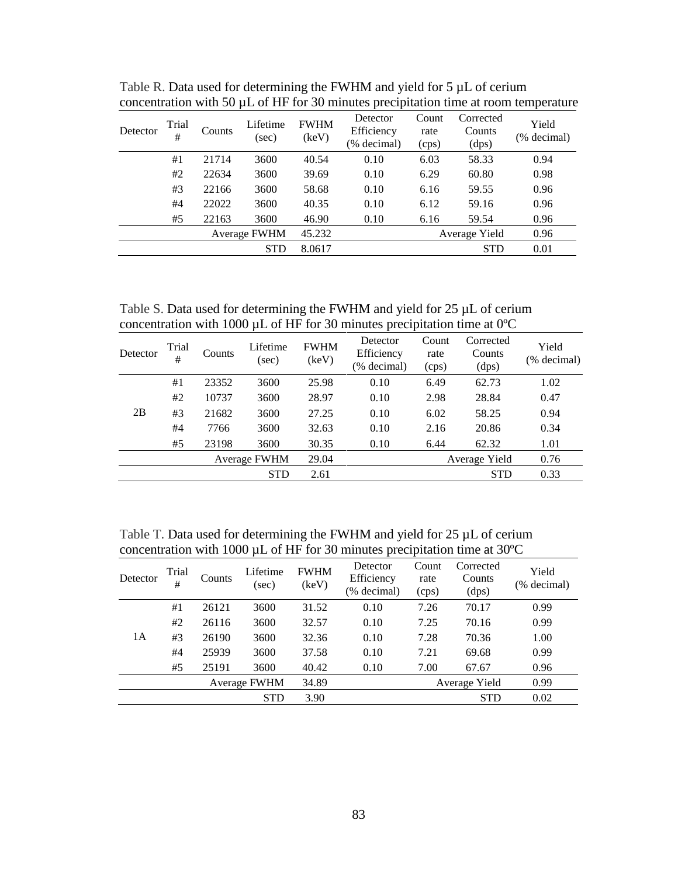| Detector | Trial<br># | Counts | Lifetime<br>(sec) | <b>FWHM</b><br>(keV) | Detector<br>Efficiency<br>(% decimal) | Count<br>rate<br>(cps) | Corrected<br>Counts<br>(dps) | Yield<br>(% decimal) |
|----------|------------|--------|-------------------|----------------------|---------------------------------------|------------------------|------------------------------|----------------------|
|          | #1         | 21714  | 3600              | 40.54                | 0.10                                  | 6.03                   | 58.33                        | 0.94                 |
|          | #2         | 22634  | 3600              | 39.69                | 0.10                                  | 6.29                   | 60.80                        | 0.98                 |
|          | #3         | 22166  | 3600              | 58.68                | 0.10                                  | 6.16                   | 59.55                        | 0.96                 |
|          | #4         | 22022  | 3600              | 40.35                | 0.10                                  | 6.12                   | 59.16                        | 0.96                 |
|          | #5         | 22163  | 3600              | 46.90                | 0.10                                  | 6.16                   | 59.54                        | 0.96                 |
|          |            |        | Average FWHM      | 45.232               |                                       |                        | Average Yield                | 0.96                 |
|          | <b>STD</b> |        |                   | 8.0617               |                                       |                        | <b>STD</b>                   | 0.01                 |

Table R. Data used for determining the FWHM and yield for 5  $\mu$ L of cerium concentration with 50  $\mu$ L of HF for 30 minutes precipitation time at room temperature

Table S. Data used for determining the FWHM and yield for 25  $\mu$ L of cerium concentration with 1000  $\mu$ L of HF for 30 minutes precipitation time at 0°C

| Detector | Trial<br># | Counts | Lifetime<br>(sec) | <b>FWHM</b><br>(keV) | Detector<br>Efficiency<br>(% decimal) | Count<br>rate<br>(cps) | Corrected<br>Counts<br>(dps) | Yield<br>(% decimal) |
|----------|------------|--------|-------------------|----------------------|---------------------------------------|------------------------|------------------------------|----------------------|
|          | #1         | 23352  | 3600              | 25.98                | 0.10                                  | 6.49                   | 62.73                        | 1.02                 |
|          | #2         | 10737  | 3600              | 28.97                | 0.10                                  | 2.98                   | 28.84                        | 0.47                 |
| 2B       | #3         | 21682  | 3600              | 27.25                | 0.10                                  | 6.02                   | 58.25                        | 0.94                 |
|          | #4         | 7766   | 3600              | 32.63                | 0.10                                  | 2.16                   | 20.86                        | 0.34                 |
|          | #5         | 23198  | 3600              | 30.35                | 0.10                                  | 6.44                   | 62.32                        | 1.01                 |
|          |            |        | Average FWHM      | 29.04                |                                       |                        | Average Yield                | 0.76                 |
|          |            |        | <b>STD</b>        | 2.61                 |                                       |                        | <b>STD</b>                   | 0.33                 |

Table T. Data used for determining the FWHM and yield for 25  $\mu$ L of cerium concentration with 1000 µL of HF for 30 minutes precipitation time at 30ºC

| Trial<br>#   | Counts | Lifetime<br>(sec) | <b>FWHM</b><br>(keV) | Detector<br>Efficiency<br>(% decimal) | Count<br>rate<br>(cps) | Corrected<br>Counts<br>(dps) | Yield<br>(% decimal) |
|--------------|--------|-------------------|----------------------|---------------------------------------|------------------------|------------------------------|----------------------|
| #1           | 26121  | 3600              | 31.52                | 0.10                                  | 7.26                   | 70.17                        | 0.99                 |
| #2           | 26116  | 3600              | 32.57                | 0.10                                  | 7.25                   | 70.16                        | 0.99                 |
| #3           | 26190  | 3600              | 32.36                | 0.10                                  | 7.28                   | 70.36                        | 1.00                 |
| #4           | 25939  | 3600              | 37.58                | 0.10                                  | 7.21                   | 69.68                        | 0.99                 |
| #5           | 25191  | 3600              | 40.42                | 0.10                                  | 7.00                   | 67.67                        | 0.96                 |
| Average FWHM |        |                   | 34.89                |                                       |                        |                              | 0.99                 |
|              |        | <b>STD</b>        | 3.90                 |                                       |                        | <b>STD</b>                   | 0.02                 |
|              |        |                   |                      |                                       |                        |                              | Average Yield        |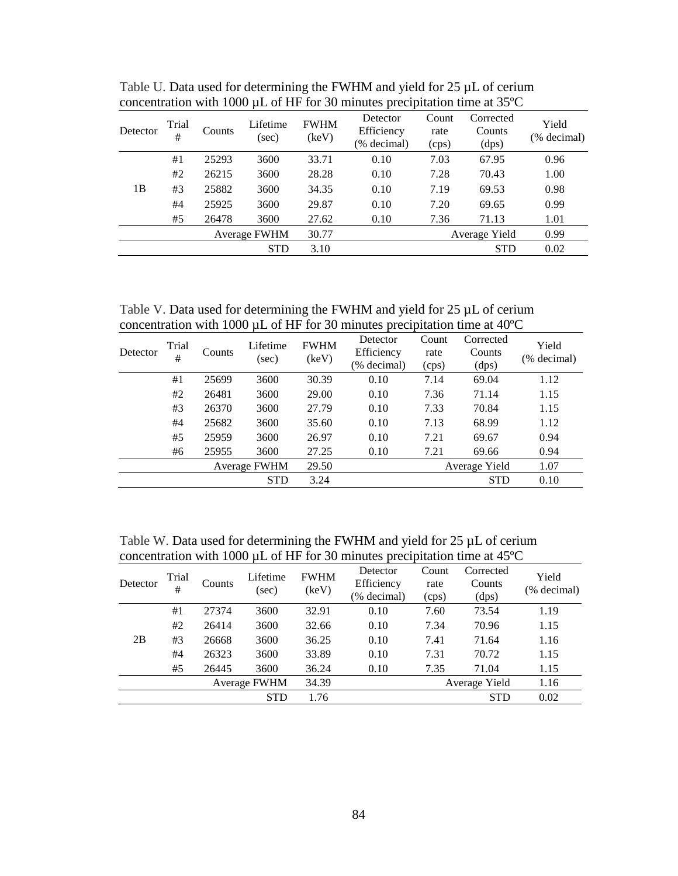| Detector | Trial<br># | Counts | Lifetime<br>(sec) | <b>FWHM</b><br>(keV) | Detector<br>Efficiency<br>(% decimal) | Count<br>rate<br>(cps) | Corrected<br>Counts<br>(dps) | Yield<br>(% decimal) |
|----------|------------|--------|-------------------|----------------------|---------------------------------------|------------------------|------------------------------|----------------------|
|          | #1         | 25293  | 3600              | 33.71                | 0.10                                  | 7.03                   | 67.95                        | 0.96                 |
|          | #2         | 26215  | 3600              | 28.28                | 0.10                                  | 7.28                   | 70.43                        | 1.00                 |
| 1B       | #3         | 25882  | 3600              | 34.35                | 0.10                                  | 7.19                   | 69.53                        | 0.98                 |
|          | #4         | 25925  | 3600              | 29.87                | 0.10                                  | 7.20                   | 69.65                        | 0.99                 |
|          | #5         | 26478  | 3600              | 27.62                | 0.10                                  | 7.36                   | 71.13                        | 1.01                 |
|          |            |        | Average FWHM      | 30.77                |                                       |                        | Average Yield                | 0.99                 |
|          |            |        | <b>STD</b>        | 3.10                 |                                       |                        | <b>STD</b>                   | 0.02                 |

Table U. Data used for determining the FWHM and yield for 25 µL of cerium concentration with 1000 µL of HF for 30 minutes precipitation time at 35ºC

Table V. Data used for determining the FWHM and yield for 25 µL of cerium concentration with 1000 µL of HF for 30 minutes precipitation time at 40ºC

| Detector | Trial<br># | Counts | Lifetime<br>(sec) | <b>FWHM</b><br>(keV) | Detector<br>Efficiency<br>(% decimal) | Count<br>rate<br>(cps) | Corrected<br>Counts<br>(dps) | Yield<br>(% decimal) |
|----------|------------|--------|-------------------|----------------------|---------------------------------------|------------------------|------------------------------|----------------------|
|          | #1         | 25699  | 3600              | 30.39                | 0.10                                  | 7.14                   | 69.04                        | 1.12                 |
|          | #2         | 26481  | 3600              | 29.00                | 0.10                                  | 7.36                   | 71.14                        | 1.15                 |
|          | #3         | 26370  | 3600              | 27.79                | 0.10                                  | 7.33                   | 70.84                        | 1.15                 |
|          | #4         | 25682  | 3600              | 35.60                | 0.10                                  | 7.13                   | 68.99                        | 1.12                 |
|          | #5         | 25959  | 3600              | 26.97                | 0.10                                  | 7.21                   | 69.67                        | 0.94                 |
|          | #6         | 25955  | 3600              | 27.25                | 0.10                                  | 7.21                   | 69.66                        | 0.94                 |
|          |            |        | Average FWHM      | 29.50                |                                       |                        | Average Yield                | 1.07                 |
|          |            |        | <b>STD</b>        | 3.24                 |                                       |                        | <b>STD</b>                   | 0.10                 |

Table W. Data used for determining the FWHM and yield for 25 µL of cerium concentration with 1000 µL of HF for 30 minutes precipitation time at 45ºC

| Detector | Trial<br># | Counts | Lifetime<br>(sec) | <b>FWHM</b><br>(keV) | Detector<br>Efficiency<br>(% decimal) | Count<br>rate<br>(cps) | Corrected<br>Counts<br>(dps) | Yield<br>(% decimal) |
|----------|------------|--------|-------------------|----------------------|---------------------------------------|------------------------|------------------------------|----------------------|
|          | #1         | 27374  | 3600              | 32.91                | 0.10                                  | 7.60                   | 73.54                        | 1.19                 |
|          | #2         | 26414  | 3600              | 32.66                | 0.10                                  | 7.34                   | 70.96                        | 1.15                 |
| 2B       | #3         | 26668  | 3600              | 36.25                | 0.10                                  | 7.41                   | 71.64                        | 1.16                 |
|          | #4         | 26323  | 3600              | 33.89                | 0.10                                  | 7.31                   | 70.72                        | 1.15                 |
|          | #5         | 26445  | 3600              | 36.24                | 0.10                                  | 7.35                   | 71.04                        | 1.15                 |
|          |            |        | Average FWHM      | 34.39                |                                       |                        | Average Yield                | 1.16                 |
|          |            |        | <b>STD</b>        | 1.76                 |                                       |                        | <b>STD</b>                   | 0.02                 |
|          |            |        |                   |                      |                                       |                        |                              |                      |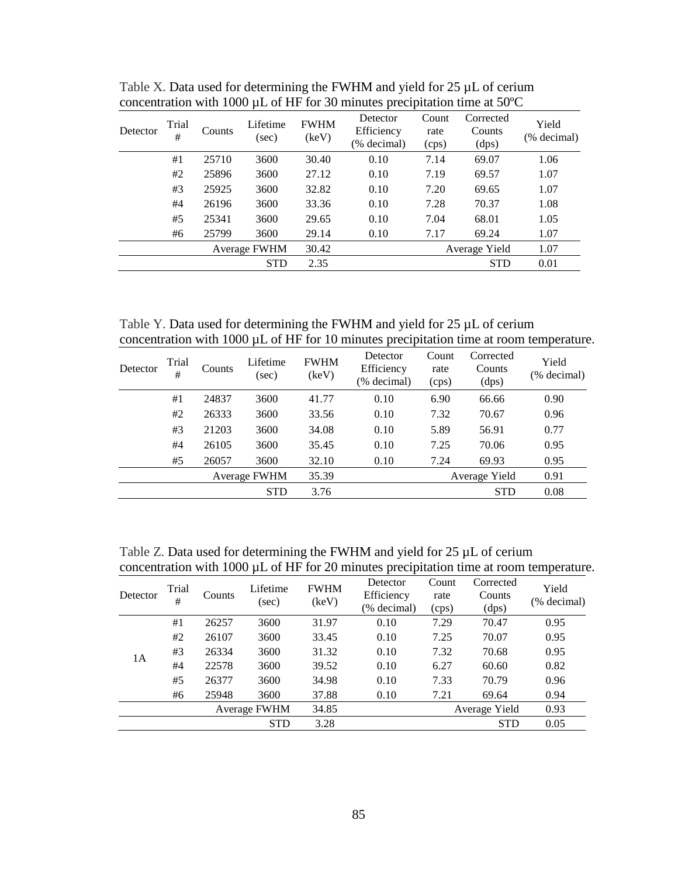| Detector | Trial<br># | Counts | Lifetime<br>(sec) | <b>FWHM</b><br>(keV) | Detector<br>Efficiency<br>(% decimal) | Count<br>rate<br>(cps) | Corrected<br>Counts<br>(dps) | Yield<br>(% decimal) |
|----------|------------|--------|-------------------|----------------------|---------------------------------------|------------------------|------------------------------|----------------------|
|          | #1         | 25710  | 3600              | 30.40                | 0.10                                  | 7.14                   | 69.07                        | 1.06                 |
|          | #2         | 25896  | 3600              | 27.12                | 0.10                                  | 7.19                   | 69.57                        | 1.07                 |
|          | #3         | 25925  | 3600              | 32.82                | 0.10                                  | 7.20                   | 69.65                        | 1.07                 |
|          | #4         | 26196  | 3600              | 33.36                | 0.10                                  | 7.28                   | 70.37                        | 1.08                 |
|          | #5         | 25341  | 3600              | 29.65                | 0.10                                  | 7.04                   | 68.01                        | 1.05                 |
|          | #6         | 25799  | 3600              | 29.14                | 0.10                                  | 7.17                   | 69.24                        | 1.07                 |
|          |            |        | Average FWHM      | 30.42                |                                       |                        | Average Yield                | 1.07                 |
|          |            |        | <b>STD</b>        | 2.35                 |                                       |                        | <b>STD</b>                   | 0.01                 |

Table X. Data used for determining the FWHM and yield for 25  $\mu$ L of cerium concentration with 1000 µL of HF for 30 minutes precipitation time at 50ºC

Table Y. Data used for determining the FWHM and yield for 25 µL of cerium concentration with 1000 µL of HF for 10 minutes precipitation time at room temperature.

| Detector | Trial<br># | Counts | Lifetime<br>(sec) | <b>FWHM</b><br>(key) | Detector<br>Efficiency<br>(% decimal) | Count<br>rate<br>(cps) | Corrected<br>Counts<br>(dps) | Yield<br>(% decimal) |
|----------|------------|--------|-------------------|----------------------|---------------------------------------|------------------------|------------------------------|----------------------|
|          | #1         | 24837  | 3600              | 41.77                | 0.10                                  | 6.90                   | 66.66                        | 0.90                 |
|          | #2         | 26333  | 3600              | 33.56                | 0.10                                  | 7.32                   | 70.67                        | 0.96                 |
|          | #3         | 21203  | 3600              | 34.08                | 0.10                                  | 5.89                   | 56.91                        | 0.77                 |
|          | #4         | 26105  | 3600              | 35.45                | 0.10                                  | 7.25                   | 70.06                        | 0.95                 |
|          | #5         | 26057  | 3600              | 32.10                | 0.10                                  | 7.24                   | 69.93                        | 0.95                 |
|          |            |        | Average FWHM      | 35.39                |                                       |                        | Average Yield                | 0.91                 |
|          |            |        | <b>STD</b>        | 3.76                 |                                       |                        | <b>STD</b>                   | 0.08                 |

Table Z. Data used for determining the FWHM and yield for 25 µL of cerium concentration with 1000 µL of HF for 20 minutes precipitation time at room temperature.

| Detector | Trial<br># | Counts | Lifetime<br>(sec) | <b>FWHM</b><br>(key) | Detector<br>Efficiency<br>(% decimal) | Count<br>rate<br>(cps) | Corrected<br>Counts<br>(dps) | Yield<br>(% decimal) |
|----------|------------|--------|-------------------|----------------------|---------------------------------------|------------------------|------------------------------|----------------------|
|          | #1         | 26257  | 3600              | 31.97                | 0.10                                  | 7.29                   | 70.47                        | 0.95                 |
| 1A       | #2         | 26107  | 3600              | 33.45                | 0.10                                  | 7.25                   | 70.07                        | 0.95                 |
|          | #3         | 26334  | 3600              | 31.32                | 0.10                                  | 7.32                   | 70.68                        | 0.95                 |
|          | #4         | 22578  | 3600              | 39.52                | 0.10                                  | 6.27                   | 60.60                        | 0.82                 |
|          | #5         | 26377  | 3600              | 34.98                | 0.10                                  | 7.33                   | 70.79                        | 0.96                 |
|          | #6         | 25948  | 3600              | 37.88                | 0.10                                  | 7.21                   | 69.64                        | 0.94                 |
|          |            |        | Average FWHM      | 34.85                |                                       |                        | Average Yield                | 0.93                 |
|          |            |        | <b>STD</b>        | 3.28                 |                                       |                        | <b>STD</b>                   | 0.05                 |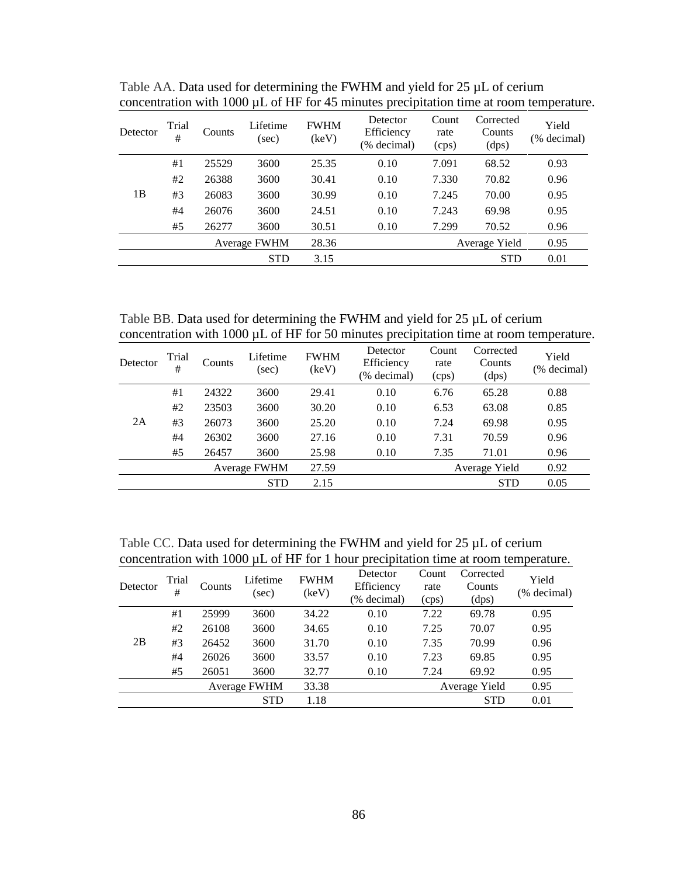| Detector | Trial<br># | Counts | Lifetime<br>(sec) | <b>FWHM</b><br>(keV) | Detector<br>Efficiency<br>(% decimal) | Count<br>rate<br>(cps) | Corrected<br>Counts<br>(dps) | Yield<br>(% decimal) |
|----------|------------|--------|-------------------|----------------------|---------------------------------------|------------------------|------------------------------|----------------------|
|          | #1         | 25529  | 3600              | 25.35                | 0.10                                  | 7.091                  | 68.52                        | 0.93                 |
|          | #2         | 26388  | 3600              | 30.41                | 0.10                                  | 7.330                  | 70.82                        | 0.96                 |
| 1B       | #3         | 26083  | 3600              | 30.99                | 0.10                                  | 7.245                  | 70.00                        | 0.95                 |
|          | #4         | 26076  | 3600              | 24.51                | 0.10                                  | 7.243                  | 69.98                        | 0.95                 |
|          | #5         | 26277  | 3600              | 30.51                | 0.10                                  | 7.299                  | 70.52                        | 0.96                 |
|          |            |        | Average FWHM      | 28.36                |                                       |                        | Average Yield                | 0.95                 |
|          |            |        | <b>STD</b>        | 3.15                 |                                       |                        | <b>STD</b>                   | 0.01                 |

Table AA. Data used for determining the FWHM and yield for 25  $\mu$ L of cerium concentration with 1000 µL of HF for 45 minutes precipitation time at room temperature.

Table BB. Data used for determining the FWHM and yield for 25  $\mu$ L of cerium concentration with 1000 µL of HF for 50 minutes precipitation time at room temperature.

| Detector | Trial<br># | Counts | Lifetime<br>(sec)   | <b>FWHM</b><br>(keV) | Detector<br>Efficiency<br>(% decimal) | Count<br>rate<br>(cps) | Corrected<br>Counts<br>(dps) | Yield<br>(% decimal) |
|----------|------------|--------|---------------------|----------------------|---------------------------------------|------------------------|------------------------------|----------------------|
|          | #1         | 24322  | 3600                | 29.41                | 0.10                                  | 6.76                   | 65.28                        | 0.88                 |
|          | #2         | 23503  | 3600                | 30.20                | 0.10                                  | 6.53                   | 63.08                        | 0.85                 |
| 2A       | #3         | 26073  | 3600                | 25.20                | 0.10                                  | 7.24                   | 69.98                        | 0.95                 |
|          | #4         | 26302  | 3600                | 27.16                | 0.10                                  | 7.31                   | 70.59                        | 0.96                 |
|          | #5         | 26457  | 3600                | 25.98                | 0.10                                  | 7.35                   | 71.01                        | 0.96                 |
|          |            |        | <b>Average FWHM</b> | 27.59                |                                       |                        | Average Yield                | 0.92                 |
|          |            |        | <b>STD</b>          | 2.15                 |                                       |                        | <b>STD</b>                   | 0.05                 |
|          |            |        |                     |                      |                                       |                        |                              |                      |

Table CC. Data used for determining the FWHM and yield for 25  $\mu$ L of cerium concentration with 1000 µL of HF for 1 hour precipitation time at room temperature.

| Detector | Trial<br># | Counts | Lifetime<br>(sec) | <b>FWHM</b><br>(keV) | Detector<br>Efficiency<br>(% decimal) | Count<br>rate<br>(cps) | Corrected<br>Counts<br>(dps) | Yield<br>(% decimal) |
|----------|------------|--------|-------------------|----------------------|---------------------------------------|------------------------|------------------------------|----------------------|
|          | #1         | 25999  | 3600              | 34.22                | 0.10                                  | 7.22                   | 69.78                        | 0.95                 |
|          | #2         | 26108  | 3600              | 34.65                | 0.10                                  | 7.25                   | 70.07                        | 0.95                 |
| 2B       | #3         | 26452  | 3600              | 31.70                | 0.10                                  | 7.35                   | 70.99                        | 0.96                 |
|          | #4         | 26026  | 3600              | 33.57                | 0.10                                  | 7.23                   | 69.85                        | 0.95                 |
|          | #5         | 26051  | 3600              | 32.77                | 0.10                                  | 7.24                   | 69.92                        | 0.95                 |
|          |            |        | Average FWHM      | 33.38                |                                       |                        | Average Yield                | 0.95                 |
|          |            |        | <b>STD</b>        | 1.18                 |                                       |                        | <b>STD</b>                   | 0.01                 |
|          |            |        |                   |                      |                                       |                        |                              |                      |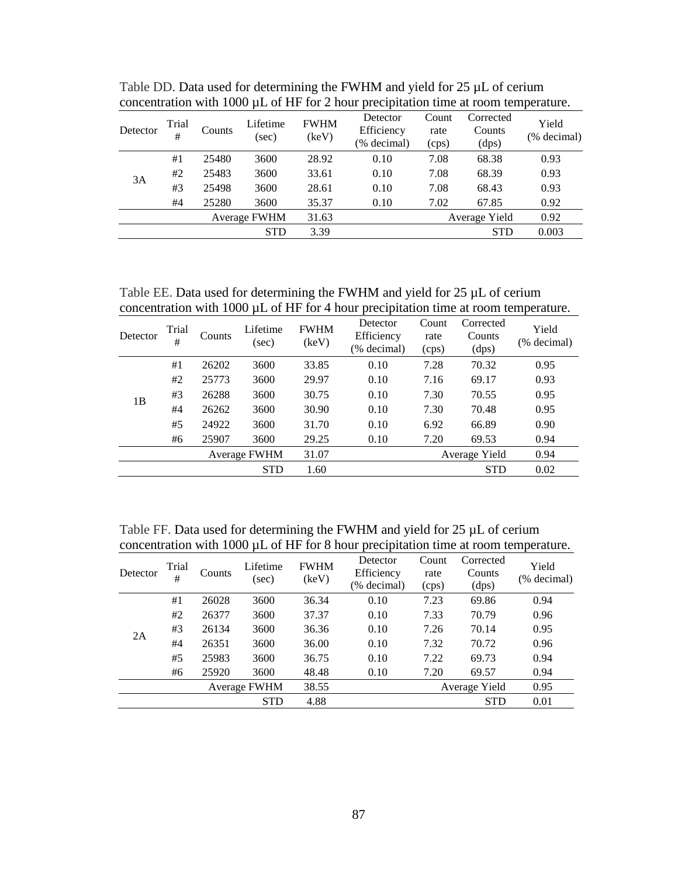| Detector | Trial<br># | Counts | Lifetime<br>(sec) | <b>FWHM</b><br>(keV) | Detector<br>Efficiency<br>(% decimal) | Count<br>rate<br>(cps) | Corrected<br>Counts<br>(dps) | Yield<br>(% decimal) |
|----------|------------|--------|-------------------|----------------------|---------------------------------------|------------------------|------------------------------|----------------------|
|          | #1         | 25480  | 3600              | 28.92                | 0.10                                  | 7.08                   | 68.38                        | 0.93                 |
| 3A       | #2         | 25483  | 3600              | 33.61                | 0.10                                  | 7.08                   | 68.39                        | 0.93                 |
|          | #3         | 25498  | 3600              | 28.61                | 0.10                                  | 7.08                   | 68.43                        | 0.93                 |
|          | #4         | 25280  | 3600              | 35.37                | 0.10                                  | 7.02                   | 67.85                        | 0.92                 |
|          |            |        | Average FWHM      | 31.63                |                                       |                        | Average Yield                | 0.92                 |
|          |            |        | <b>STD</b>        | 3.39                 |                                       |                        | <b>STD</b>                   | 0.003                |

Table DD. Data used for determining the FWHM and yield for 25  $\mu$ L of cerium concentration with 1000 µL of HF for 2 hour precipitation time at room temperature.

Table EE. Data used for determining the FWHM and yield for 25  $\mu$ L of cerium concentration with 1000 µL of HF for 4 hour precipitation time at room temperature.

| Detector | Trial<br># | Counts | Lifetime<br>(sec) | <b>FWHM</b><br>(keV) | Detector<br>Efficiency<br>(% decimal) | Count<br>rate<br>(cps) | Corrected<br>Counts<br>(dps) | Yield<br>(% decimal) |
|----------|------------|--------|-------------------|----------------------|---------------------------------------|------------------------|------------------------------|----------------------|
|          | #1         | 26202  | 3600              | 33.85                | 0.10                                  | 7.28                   | 70.32                        | 0.95                 |
| 1B       | #2         | 25773  | 3600              | 29.97                | 0.10                                  | 7.16                   | 69.17                        | 0.93                 |
|          | #3         | 26288  | 3600              | 30.75                | 0.10                                  | 7.30                   | 70.55                        | 0.95                 |
|          | #4         | 26262  | 3600              | 30.90                | 0.10                                  | 7.30                   | 70.48                        | 0.95                 |
|          | #5         | 24922  | 3600              | 31.70                | 0.10                                  | 6.92                   | 66.89                        | 0.90                 |
|          | #6         | 25907  | 3600              | 29.25                | 0.10                                  | 7.20                   | 69.53                        | 0.94                 |
|          |            |        | Average FWHM      | 31.07                |                                       |                        | Average Yield                | 0.94                 |
|          |            |        | <b>STD</b>        | 1.60                 |                                       |                        | <b>STD</b>                   | 0.02                 |

Table FF. Data used for determining the FWHM and yield for 25  $\mu$ L of cerium concentration with 1000 µL of HF for 8 hour precipitation time at room temperature.

| Detector | Trial<br># | Counts | Lifetime<br>(sec) | <b>FWHM</b><br>(keV) | Detector<br>Efficiency<br>(% decimal) | Count<br>rate<br>(cps) | Corrected<br>Counts<br>(dps) | Yield<br>(% decimal) |
|----------|------------|--------|-------------------|----------------------|---------------------------------------|------------------------|------------------------------|----------------------|
|          | #1         | 26028  | 3600              | 36.34                | 0.10                                  | 7.23                   | 69.86                        | 0.94                 |
| 2A       | #2         | 26377  | 3600              | 37.37                | 0.10                                  | 7.33                   | 70.79                        | 0.96                 |
|          | #3         | 26134  | 3600              | 36.36                | 0.10                                  | 7.26                   | 70.14                        | 0.95                 |
|          | #4         | 26351  | 3600              | 36.00                | 0.10                                  | 7.32                   | 70.72                        | 0.96                 |
|          | #5         | 25983  | 3600              | 36.75                | 0.10                                  | 7.22                   | 69.73                        | 0.94                 |
|          | #6         | 25920  | 3600              | 48.48                | 0.10                                  | 7.20                   | 69.57                        | 0.94                 |
|          |            |        | Average FWHM      | 38.55                |                                       |                        | Average Yield                | 0.95                 |
|          |            |        | <b>STD</b>        | 4.88                 |                                       |                        | <b>STD</b>                   | 0.01                 |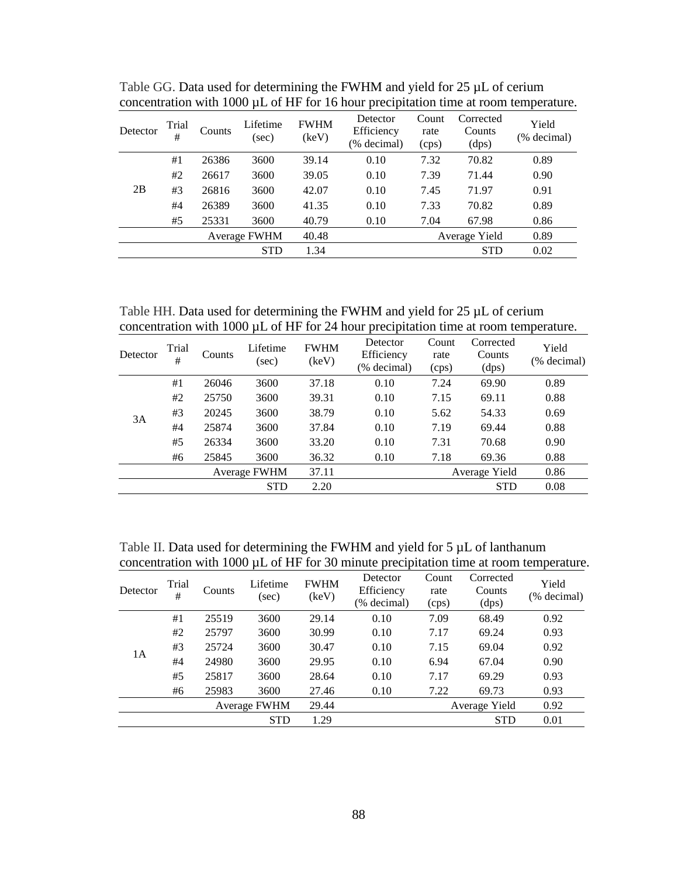| Detector | Trial<br># | Counts | Lifetime<br>(sec) | <b>FWHM</b><br>(keV) | Detector<br>Efficiency<br>(% decimal) | Count<br>rate<br>(cps) | Corrected<br>Counts<br>(dps) | Yield<br>(% decimal) |
|----------|------------|--------|-------------------|----------------------|---------------------------------------|------------------------|------------------------------|----------------------|
|          | #1         | 26386  | 3600              | 39.14                | 0.10                                  | 7.32                   | 70.82                        | 0.89                 |
|          | #2         | 26617  | 3600              | 39.05                | 0.10                                  | 7.39                   | 71.44                        | 0.90                 |
| 2B       | #3         | 26816  | 3600              | 42.07                | 0.10                                  | 7.45                   | 71.97                        | 0.91                 |
|          | #4         | 26389  | 3600              | 41.35                | 0.10                                  | 7.33                   | 70.82                        | 0.89                 |
|          | #5         | 25331  | 3600              | 40.79                | 0.10                                  | 7.04                   | 67.98                        | 0.86                 |
|          |            |        | Average FWHM      | 40.48                |                                       |                        | Average Yield                | 0.89                 |
|          |            |        | <b>STD</b>        | 1.34                 |                                       |                        | <b>STD</b>                   | 0.02                 |

Table GG. Data used for determining the FWHM and yield for 25  $\mu$ L of cerium concentration with 1000 µL of HF for 16 hour precipitation time at room temperature.

Table HH. Data used for determining the FWHM and yield for 25 µL of cerium concentration with 1000 µL of HF for 24 hour precipitation time at room temperature.

| Detector | Trial<br># | Counts | Lifetime<br>(sec) | <b>FWHM</b><br>(keV) | Detector<br>Efficiency<br>(% decimal) | Count<br>rate<br>(cps) | Corrected<br>Counts<br>(dps) | Yield<br>(% decimal) |
|----------|------------|--------|-------------------|----------------------|---------------------------------------|------------------------|------------------------------|----------------------|
|          | #1         | 26046  | 3600              | 37.18                | 0.10                                  | 7.24                   | 69.90                        | 0.89                 |
|          | #2         | 25750  | 3600              | 39.31                | 0.10                                  | 7.15                   | 69.11                        | 0.88                 |
| 3A       | #3         | 20245  | 3600              | 38.79                | 0.10                                  | 5.62                   | 54.33                        | 0.69                 |
|          | #4         | 25874  | 3600              | 37.84                | 0.10                                  | 7.19                   | 69.44                        | 0.88                 |
|          | #5         | 26334  | 3600              | 33.20                | 0.10                                  | 7.31                   | 70.68                        | 0.90                 |
|          | #6         | 25845  | 3600              | 36.32                | 0.10                                  | 7.18                   | 69.36                        | 0.88                 |
|          |            |        | Average FWHM      | 37.11                |                                       |                        | Average Yield                | 0.86                 |
|          |            |        | <b>STD</b>        | 2.20                 |                                       |                        | <b>STD</b>                   | 0.08                 |

Table II. Data used for determining the FWHM and yield for 5  $\mu$ L of lanthanum concentration with 1000 µL of HF for 30 minute precipitation time at room temperature.

| Detector | Trial<br># | Counts | Lifetime<br>(sec) | <b>FWHM</b><br>(keV) | Detector<br>Efficiency<br>(% decimal) | Count<br>rate<br>(cps) | Corrected<br>Counts<br>(dps) | Yield<br>(% decimal) |
|----------|------------|--------|-------------------|----------------------|---------------------------------------|------------------------|------------------------------|----------------------|
|          | #1         | 25519  | 3600              | 29.14                | 0.10                                  | 7.09                   | 68.49                        | 0.92                 |
| 1А       | #2         | 25797  | 3600              | 30.99                | 0.10                                  | 7.17                   | 69.24                        | 0.93                 |
|          | #3         | 25724  | 3600              | 30.47                | 0.10                                  | 7.15                   | 69.04                        | 0.92                 |
|          | #4         | 24980  | 3600              | 29.95                | 0.10                                  | 6.94                   | 67.04                        | 0.90                 |
|          | #5         | 25817  | 3600              | 28.64                | 0.10                                  | 7.17                   | 69.29                        | 0.93                 |
|          | #6         | 25983  | 3600              | 27.46                | 0.10                                  | 7.22                   | 69.73                        | 0.93                 |
|          |            |        | Average FWHM      | 29.44                |                                       |                        | Average Yield                | 0.92                 |
|          |            |        | <b>STD</b>        | 1.29                 |                                       |                        | <b>STD</b>                   | 0.01                 |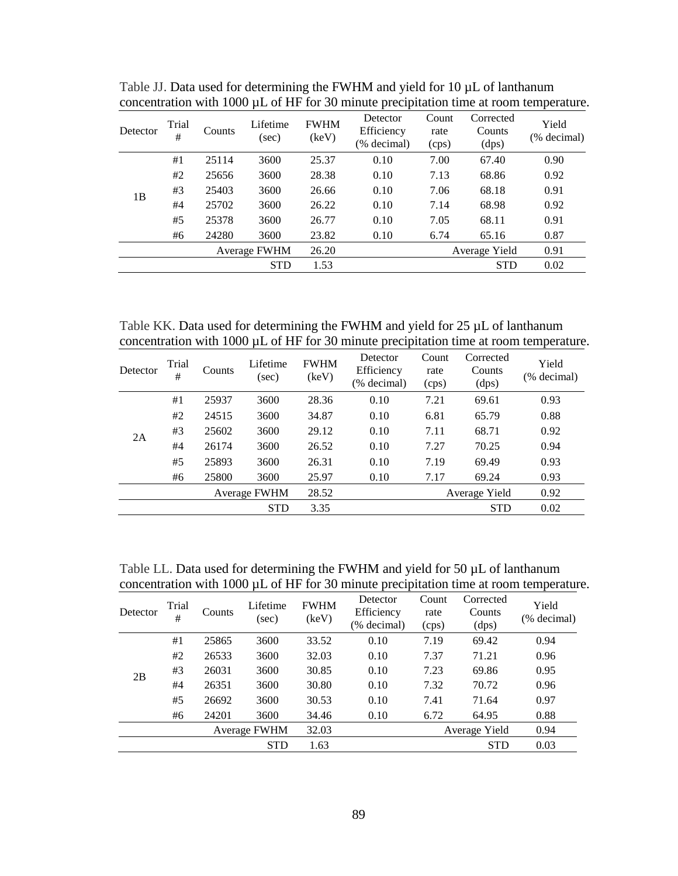| Detector | Trial<br># | Counts | Lifetime<br>(sec) | <b>FWHM</b><br>(keV) | Detector<br>Efficiency<br>(% decimal) | Count<br>rate<br>(cps) | Corrected<br>Counts<br>(dps) | Yield<br>(% decimal) |
|----------|------------|--------|-------------------|----------------------|---------------------------------------|------------------------|------------------------------|----------------------|
| 1B       | #1         | 25114  | 3600              | 25.37                | 0.10                                  | 7.00                   | 67.40                        | 0.90                 |
|          | #2         | 25656  | 3600              | 28.38                | 0.10                                  | 7.13                   | 68.86                        | 0.92                 |
|          | #3         | 25403  | 3600              | 26.66                | 0.10                                  | 7.06                   | 68.18                        | 0.91                 |
|          | #4         | 25702  | 3600              | 26.22                | 0.10                                  | 7.14                   | 68.98                        | 0.92                 |
|          | #5         | 25378  | 3600              | 26.77                | 0.10                                  | 7.05                   | 68.11                        | 0.91                 |
|          | #6         | 24280  | 3600              | 23.82                | 0.10                                  | 6.74                   | 65.16                        | 0.87                 |
|          |            |        | Average FWHM      | 26.20                |                                       |                        | Average Yield                | 0.91                 |
|          |            |        | <b>STD</b>        | 1.53                 |                                       |                        | <b>STD</b>                   | 0.02                 |

Table JJ. Data used for determining the FWHM and yield for  $10 \mu L$  of lanthanum concentration with 1000 µL of HF for 30 minute precipitation time at room temperature.

Table KK. Data used for determining the FWHM and yield for 25 µL of lanthanum concentration with 1000 µL of HF for 30 minute precipitation time at room temperature.

| Detector | Trial<br># | Counts | Lifetime<br>(sec) | <b>FWHM</b><br>(keV) | Detector<br>Efficiency<br>(% decimal) | Count<br>rate<br>(cps) | Corrected<br>Counts<br>(dps) | Yield<br>(% decimal) |
|----------|------------|--------|-------------------|----------------------|---------------------------------------|------------------------|------------------------------|----------------------|
|          | #1         | 25937  | 3600              | 28.36                | 0.10                                  | 7.21                   | 69.61                        | 0.93                 |
| 2A       | #2         | 24515  | 3600              | 34.87                | 0.10                                  | 6.81                   | 65.79                        | 0.88                 |
|          | #3         | 25602  | 3600              | 29.12                | 0.10                                  | 7.11                   | 68.71                        | 0.92                 |
|          | #4         | 26174  | 3600              | 26.52                | 0.10                                  | 7.27                   | 70.25                        | 0.94                 |
|          | #5         | 25893  | 3600              | 26.31                | 0.10                                  | 7.19                   | 69.49                        | 0.93                 |
|          | #6         | 25800  | 3600              | 25.97                | 0.10                                  | 7.17                   | 69.24                        | 0.93                 |
|          |            |        | Average FWHM      | 28.52                |                                       |                        | Average Yield                | 0.92                 |
|          |            |        | <b>STD</b>        | 3.35                 |                                       |                        | <b>STD</b>                   | 0.02                 |

Table LL. Data used for determining the FWHM and yield for 50 µL of lanthanum concentration with 1000 µL of HF for 30 minute precipitation time at room temperature.

| Detector | Trial<br># | Counts | Lifetime<br>(sec) | <b>FWHM</b><br>(keV) | Detector<br>Efficiency<br>(% decimal) | Count<br>rate<br>(cps) | Corrected<br>Counts<br>(dps) | Yield<br>(% decimal) |
|----------|------------|--------|-------------------|----------------------|---------------------------------------|------------------------|------------------------------|----------------------|
|          | #1         | 25865  | 3600              | 33.52                | 0.10                                  | 7.19                   | 69.42                        | 0.94                 |
|          | #2         | 26533  | 3600              | 32.03                | 0.10                                  | 7.37                   | 71.21                        | 0.96                 |
| 2B       | #3         | 26031  | 3600              | 30.85                | 0.10                                  | 7.23                   | 69.86                        | 0.95                 |
|          | #4         | 26351  | 3600              | 30.80                | 0.10                                  | 7.32                   | 70.72                        | 0.96                 |
|          | #5         | 26692  | 3600              | 30.53                | 0.10                                  | 7.41                   | 71.64                        | 0.97                 |
|          | #6         | 24201  | 3600              | 34.46                | 0.10                                  | 6.72                   | 64.95                        | 0.88                 |
|          |            |        | Average FWHM      | 32.03                |                                       |                        | Average Yield                | 0.94                 |
|          |            |        | <b>STD</b>        | 1.63                 |                                       |                        | <b>STD</b>                   | 0.03                 |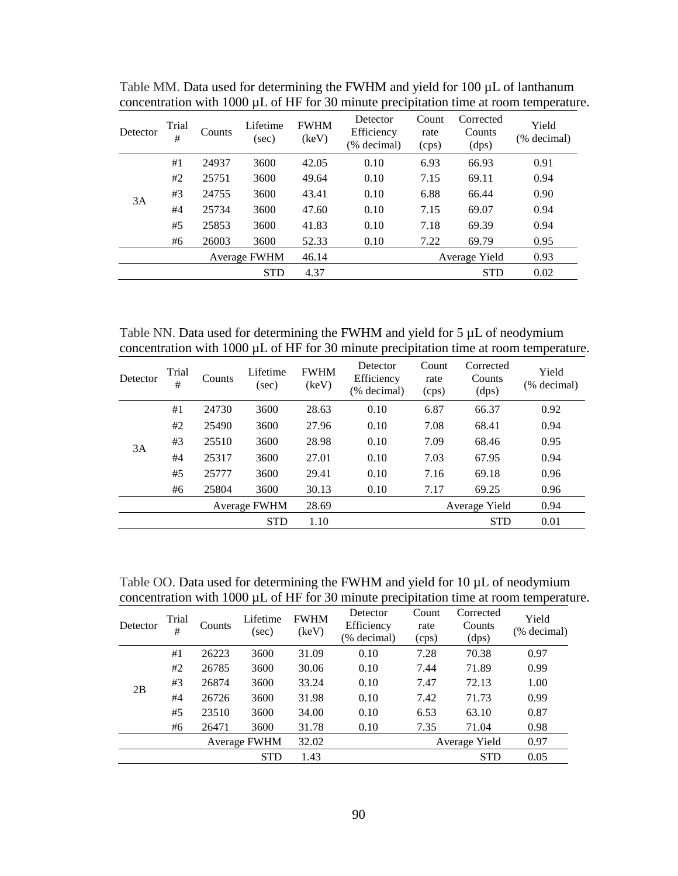| Detector | Trial<br># | Counts | Lifetime<br>(sec) | <b>FWHM</b><br>(keV) | Detector<br>Efficiency<br>(% decimal) | Count<br>rate<br>(cps) | Corrected<br>Counts<br>(dps) | Yield<br>(% decimal) |
|----------|------------|--------|-------------------|----------------------|---------------------------------------|------------------------|------------------------------|----------------------|
|          | #1         | 24937  | 3600              | 42.05                | 0.10                                  | 6.93                   | 66.93                        | 0.91                 |
| 3A       | #2         | 25751  | 3600              | 49.64                | 0.10                                  | 7.15                   | 69.11                        | 0.94                 |
|          | #3         | 24755  | 3600              | 43.41                | 0.10                                  | 6.88                   | 66.44                        | 0.90                 |
|          | #4         | 25734  | 3600              | 47.60                | 0.10                                  | 7.15                   | 69.07                        | 0.94                 |
|          | #5         | 25853  | 3600              | 41.83                | 0.10                                  | 7.18                   | 69.39                        | 0.94                 |
|          | #6         | 26003  | 3600              | 52.33                | 0.10                                  | 7.22                   | 69.79                        | 0.95                 |
|          |            |        | Average FWHM      | 46.14                |                                       |                        | Average Yield                | 0.93                 |
|          |            |        | <b>STD</b>        | 4.37                 |                                       |                        | <b>STD</b>                   | 0.02                 |

Table MM. Data used for determining the FWHM and yield for 100 µL of lanthanum concentration with 1000 µL of HF for 30 minute precipitation time at room temperature.

Table NN. Data used for determining the FWHM and yield for 5  $\mu$ L of neodymium concentration with 1000 µL of HF for 30 minute precipitation time at room temperature.

| Detector | Trial<br># | Counts | Lifetime<br>(sec) | <b>FWHM</b><br>(key) | Detector<br>Efficiency<br>(% decimal) | Count<br>rate<br>(cps) | Corrected<br>Counts<br>(dps) | Yield<br>(% decimal) |
|----------|------------|--------|-------------------|----------------------|---------------------------------------|------------------------|------------------------------|----------------------|
|          | #1         | 24730  | 3600              | 28.63                | 0.10                                  | 6.87                   | 66.37                        | 0.92                 |
| 3A       | #2         | 25490  | 3600              | 27.96                | 0.10                                  | 7.08                   | 68.41                        | 0.94                 |
|          | #3         | 25510  | 3600              | 28.98                | 0.10                                  | 7.09                   | 68.46                        | 0.95                 |
|          | #4         | 25317  | 3600              | 27.01                | 0.10                                  | 7.03                   | 67.95                        | 0.94                 |
|          | #5         | 25777  | 3600              | 29.41                | 0.10                                  | 7.16                   | 69.18                        | 0.96                 |
|          | #6         | 25804  | 3600              | 30.13                | 0.10                                  | 7.17                   | 69.25                        | 0.96                 |
|          |            |        | Average FWHM      | 28.69                |                                       |                        | Average Yield                | 0.94                 |
|          |            |        | <b>STD</b>        | 1.10                 |                                       |                        | <b>STD</b>                   | 0.01                 |

Table OO. Data used for determining the FWHM and yield for 10  $\mu$ L of neodymium concentration with 1000 µL of HF for 30 minute precipitation time at room temperature.

| Detector | Trial<br># | Counts | Lifetime<br>(sec) | <b>FWHM</b><br>(key) | Detector<br>Efficiency<br>(% decimal) | Count<br>rate<br>(cps) | Corrected<br>Counts<br>(dps) | Yield<br>(% decimal) |
|----------|------------|--------|-------------------|----------------------|---------------------------------------|------------------------|------------------------------|----------------------|
| 2B       | #1         | 26223  | 3600              | 31.09                | 0.10                                  | 7.28                   | 70.38                        | 0.97                 |
|          | #2         | 26785  | 3600              | 30.06                | 0.10                                  | 7.44                   | 71.89                        | 0.99                 |
|          | #3         | 26874  | 3600              | 33.24                | 0.10                                  | 7.47                   | 72.13                        | 1.00                 |
|          | #4         | 26726  | 3600              | 31.98                | 0.10                                  | 7.42                   | 71.73                        | 0.99                 |
|          | #5         | 23510  | 3600              | 34.00                | 0.10                                  | 6.53                   | 63.10                        | 0.87                 |
|          | #6         | 26471  | 3600              | 31.78                | 0.10                                  | 7.35                   | 71.04                        | 0.98                 |
|          |            |        | Average FWHM      | 32.02                |                                       |                        | Average Yield                | 0.97                 |
|          |            |        | <b>STD</b>        | 1.43                 |                                       |                        | <b>STD</b>                   | 0.05                 |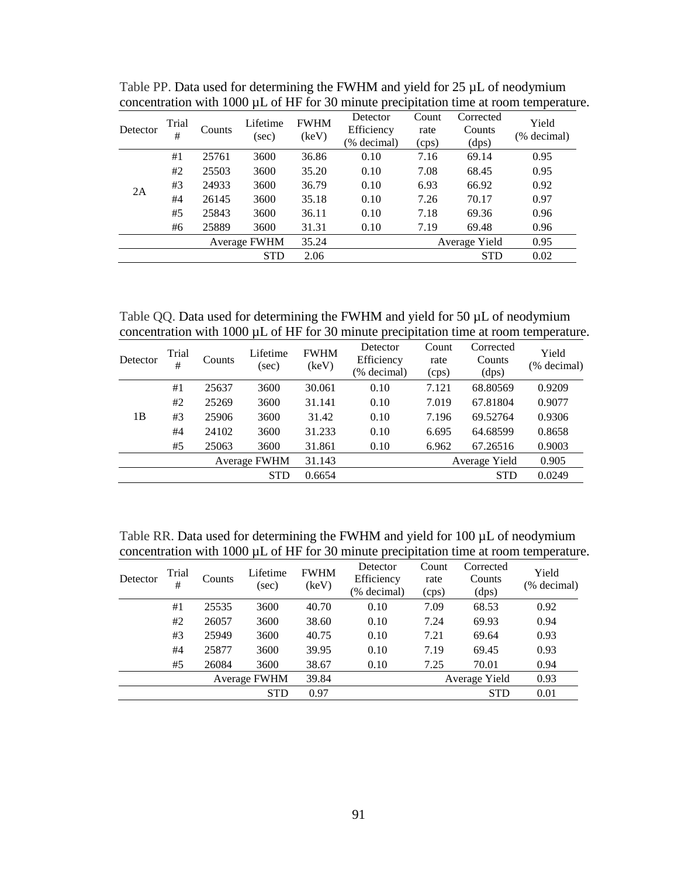| Detector | Trial<br>#   | Counts | Lifetime<br>(sec) | <b>FWHM</b><br>(keV) | Detector<br>Efficiency<br>(% decimal) | Count<br>rate<br>(cps) | Corrected<br>Counts<br>(dps) | Yield<br>(% decimal) |
|----------|--------------|--------|-------------------|----------------------|---------------------------------------|------------------------|------------------------------|----------------------|
|          | #1           | 25761  | 3600              | 36.86                | 0.10                                  | 7.16                   | 69.14                        | 0.95                 |
|          | #2           | 25503  | 3600              | 35.20                | 0.10                                  | 7.08                   | 68.45                        | 0.95                 |
|          | #3           | 24933  | 3600              | 36.79                | 0.10                                  | 6.93                   | 66.92                        | 0.92                 |
| 2A       | #4           | 26145  | 3600              | 35.18                | 0.10                                  | 7.26                   | 70.17                        | 0.97                 |
|          | #5           | 25843  | 3600              | 36.11                | 0.10                                  | 7.18                   | 69.36                        | 0.96                 |
|          | #6           | 25889  | 3600              | 31.31                | 0.10                                  | 7.19                   | 69.48                        | 0.96                 |
|          | Average FWHM |        |                   | 35.24                |                                       |                        | Average Yield                | 0.95                 |
|          |              |        | <b>STD</b>        | 2.06                 |                                       |                        | <b>STD</b>                   | 0.02                 |

Table PP. Data used for determining the FWHM and yield for 25  $\mu$ L of neodymium concentration with 1000 µL of HF for 30 minute precipitation time at room temperature.

Table QQ. Data used for determining the FWHM and yield for 50  $\mu$ L of neodymium concentration with 1000 µL of HF for 30 minute precipitation time at room temperature.

| Detector       | Trial<br>#   | Counts | Lifetime<br>$(\sec)$ | <b>FWHM</b><br>(key) | Detector<br>Efficiency<br>(% decimal) | Count<br>rate<br>(cps) | Corrected<br>Counts<br>(dps) | Yield<br>(% decimal) |
|----------------|--------------|--------|----------------------|----------------------|---------------------------------------|------------------------|------------------------------|----------------------|
|                | #1           | 25637  | 3600                 | 30.061               | 0.10                                  | 7.121                  | 68.80569                     | 0.9209               |
|                | #2           | 25269  | 3600                 | 31.141               | 0.10                                  | 7.019                  | 67.81804                     | 0.9077               |
| 1 <sub>B</sub> | #3           | 25906  | 3600                 | 31.42                | 0.10                                  | 7.196                  | 69.52764                     | 0.9306               |
|                | #4           | 24102  | 3600                 | 31.233               | 0.10                                  | 6.695                  | 64.68599                     | 0.8658               |
|                | #5           | 25063  | 3600                 | 31.861               | 0.10                                  | 6.962                  | 67.26516                     | 0.9003               |
|                | Average FWHM |        |                      | 31.143               |                                       |                        | Average Yield                | 0.905                |
|                | <b>STD</b>   |        |                      |                      |                                       |                        | <b>STD</b>                   | 0.0249               |

Table RR. Data used for determining the FWHM and yield for 100  $\mu$ L of neodymium concentration with 1000 µL of HF for 30 minute precipitation time at room temperature.

| Detector | Trial<br># | Counts | Lifetime<br>(sec) | <b>FWHM</b><br>(keV) | Detector<br>Efficiency<br>(% decimal) | Count<br>rate<br>(cps) | Corrected<br>Counts<br>(dps) | Yield<br>(% decimal) |
|----------|------------|--------|-------------------|----------------------|---------------------------------------|------------------------|------------------------------|----------------------|
|          | #1         | 25535  | 3600              | 40.70                | 0.10                                  | 7.09                   | 68.53                        | 0.92                 |
|          | #2         | 26057  | 3600              | 38.60                | 0.10                                  | 7.24                   | 69.93                        | 0.94                 |
|          | #3         | 25949  | 3600              | 40.75                | 0.10                                  | 7.21                   | 69.64                        | 0.93                 |
|          | #4         | 25877  | 3600              | 39.95                | 0.10                                  | 7.19                   | 69.45                        | 0.93                 |
|          | #5         | 26084  | 3600              | 38.67                | 0.10                                  | 7.25                   | 70.01                        | 0.94                 |
|          |            |        | Average FWHM      | 39.84                |                                       |                        | Average Yield                | 0.93                 |
|          |            |        | <b>STD</b>        | 0.97                 |                                       |                        | <b>STD</b>                   | 0.01                 |
|          |            |        |                   |                      |                                       |                        |                              |                      |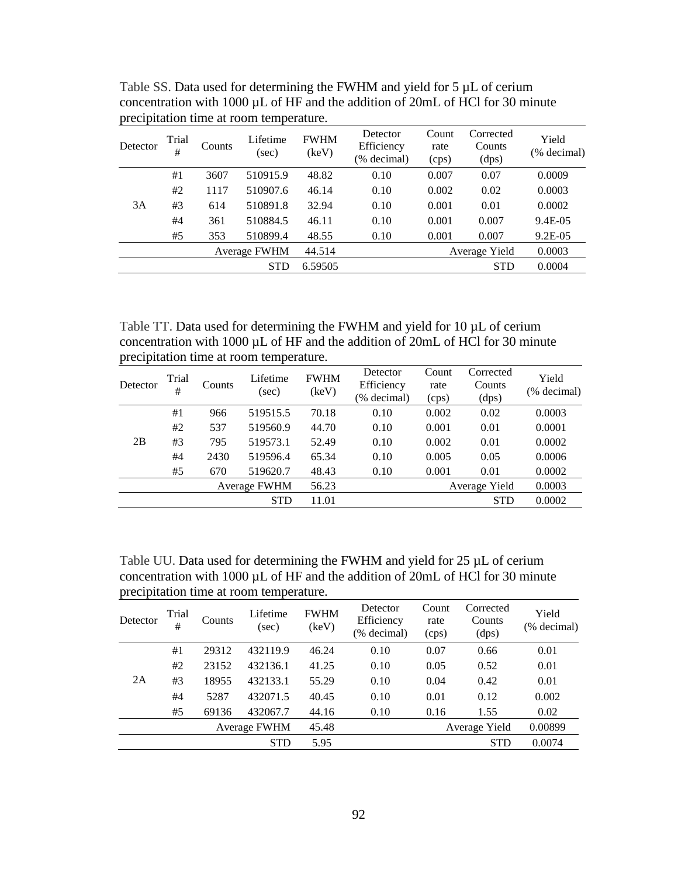| Detector | Trial<br>#   | Counts | Lifetime<br>(sec) | <b>FWHM</b><br>(keV) | Detector<br>Efficiency<br>(% decimal) | Count<br>rate<br>(cps) | Corrected<br>Counts<br>(dps) | Yield<br>(% decimal) |
|----------|--------------|--------|-------------------|----------------------|---------------------------------------|------------------------|------------------------------|----------------------|
|          | #1           | 3607   | 510915.9          | 48.82                | 0.10                                  | 0.007                  | 0.07                         | 0.0009               |
|          | #2           | 1117   | 510907.6          | 46.14                | 0.10                                  | 0.002                  | 0.02                         | 0.0003               |
| 3A       | #3           | 614    | 510891.8          | 32.94                | 0.10                                  | 0.001                  | 0.01                         | 0.0002               |
|          | #4           | 361    | 510884.5          | 46.11                | 0.10                                  | 0.001                  | 0.007                        | 9.4E-05              |
|          | #5           | 353    | 510899.4          | 48.55                | 0.10                                  | 0.001                  | 0.007                        | $9.2E - 0.5$         |
|          | Average FWHM |        |                   | 44.514               |                                       |                        | Average Yield                | 0.0003               |
|          | <b>STD</b>   |        |                   |                      |                                       |                        | <b>STD</b>                   | 0.0004               |

Table SS. Data used for determining the FWHM and yield for 5  $\mu$ L of cerium concentration with 1000 µL of HF and the addition of 20mL of HCl for 30 minute precipitation time at room temperature.

Table TT. Data used for determining the FWHM and yield for 10  $\mu$ L of cerium concentration with 1000 µL of HF and the addition of 20mL of HCl for 30 minute precipitation time at room temperature.

| Detector | Trial<br>#   | Counts | Lifetime<br>(sec) | <b>FWHM</b><br>(keV) | Detector<br>Efficiency<br>(% decimal) | Count<br>rate<br>(cps) | Corrected<br>Counts<br>(dps) | Yield<br>(% decimal) |
|----------|--------------|--------|-------------------|----------------------|---------------------------------------|------------------------|------------------------------|----------------------|
|          | #1           | 966    | 519515.5          | 70.18                | 0.10                                  | 0.002                  | 0.02                         | 0.0003               |
|          | #2           | 537    | 519560.9          | 44.70                | 0.10                                  | 0.001                  | 0.01                         | 0.0001               |
| 2B       | #3           | 795    | 519573.1          | 52.49                | 0.10                                  | 0.002                  | 0.01                         | 0.0002               |
|          | #4           | 2430   | 519596.4          | 65.34                | 0.10                                  | 0.005                  | 0.05                         | 0.0006               |
|          | #5           | 670    | 519620.7          | 48.43                | 0.10                                  | 0.001                  | 0.01                         | 0.0002               |
|          | Average FWHM |        |                   | 56.23                |                                       |                        | Average Yield                | 0.0003               |
|          |              |        | <b>STD</b>        | 11.01                |                                       |                        | <b>STD</b>                   | 0.0002               |
|          |              |        |                   |                      |                                       |                        |                              |                      |

Table UU. Data used for determining the FWHM and yield for 25  $\mu$ L of cerium concentration with 1000 µL of HF and the addition of 20mL of HCl for 30 minute precipitation time at room temperature.

| Detector | Trial<br>#   | Counts | Lifetime<br>(sec) | <b>FWHM</b><br>(keV) | Detector<br>Efficiency<br>(% decimal) | Count<br>rate<br>(cps) | Corrected<br>Counts<br>(dps) | Yield<br>(% decimal) |
|----------|--------------|--------|-------------------|----------------------|---------------------------------------|------------------------|------------------------------|----------------------|
|          | #1           | 29312  | 432119.9          | 46.24                | 0.10                                  | 0.07                   | 0.66                         | 0.01                 |
|          | #2           | 23152  | 432136.1          | 41.25                | 0.10                                  | 0.05                   | 0.52                         | 0.01                 |
| 2A       | #3           | 18955  | 432133.1          | 55.29                | 0.10                                  | 0.04                   | 0.42                         | 0.01                 |
|          | #4           | 5287   | 432071.5          | 40.45                | 0.10                                  | 0.01                   | 0.12                         | 0.002                |
|          | #5           | 69136  | 432067.7          | 44.16                | 0.10                                  | 0.16                   | 1.55                         | 0.02                 |
|          | Average FWHM |        |                   | 45.48                |                                       |                        | Average Yield                | 0.00899              |
|          |              |        | <b>STD</b>        | 5.95                 |                                       |                        | <b>STD</b>                   | 0.0074               |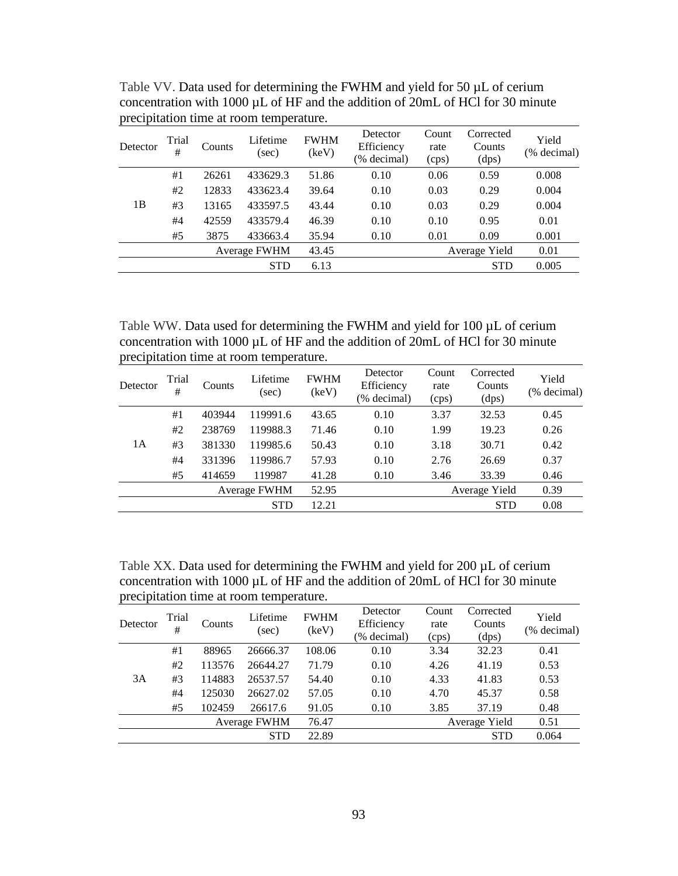| Detector | Trial<br>#          | Counts | Lifetime<br>(sec) | <b>FWHM</b><br>(key) | Detector<br>Efficiency<br>(% decimal) | Count<br>rate<br>(cps) | Corrected<br>Counts<br>(dps) | Yield<br>(% decimal) |
|----------|---------------------|--------|-------------------|----------------------|---------------------------------------|------------------------|------------------------------|----------------------|
|          | #1                  | 26261  | 433629.3          | 51.86                | 0.10                                  | 0.06                   | 0.59                         | 0.008                |
|          | #2                  | 12833  | 433623.4          | 39.64                | 0.10                                  | 0.03                   | 0.29                         | 0.004                |
| 1 B      | #3                  | 13165  | 433597.5          | 43.44                | 0.10                                  | 0.03                   | 0.29                         | 0.004                |
|          | #4                  | 42559  | 433579.4          | 46.39                | 0.10                                  | 0.10                   | 0.95                         | 0.01                 |
|          | #5                  | 3875   | 433663.4          | 35.94                | 0.10                                  | 0.01                   | 0.09                         | 0.001                |
|          | <b>Average FWHM</b> |        |                   | 43.45                |                                       |                        | Average Yield                | 0.01                 |
|          |                     |        | <b>STD</b>        | 6.13                 |                                       |                        | <b>STD</b>                   | 0.005                |

Table VV. Data used for determining the FWHM and yield for 50  $\mu$ L of cerium concentration with 1000 µL of HF and the addition of 20mL of HCl for 30 minute precipitation time at room temperature.

Table WW. Data used for determining the FWHM and yield for 100  $\mu$ L of cerium concentration with 1000 µL of HF and the addition of 20mL of HCl for 30 minute precipitation time at room temperature.

| Detector | Trial<br>#          | <b>Counts</b> | Lifetime<br>(sec) | <b>FWHM</b><br>(keV) | Detector<br>Efficiency<br>(% decimal) | Count<br>rate<br>(cps) | Corrected<br>Counts<br>(dps) | Yield<br>(% decimal) |
|----------|---------------------|---------------|-------------------|----------------------|---------------------------------------|------------------------|------------------------------|----------------------|
|          | #1                  | 403944        | 119991.6          | 43.65                | 0.10                                  | 3.37                   | 32.53                        | 0.45                 |
|          | #2                  | 238769        | 119988.3          | 71.46                | 0.10                                  | 1.99                   | 19.23                        | 0.26                 |
| 1A       | #3                  | 381330        | 119985.6          | 50.43                | 0.10                                  | 3.18                   | 30.71                        | 0.42                 |
|          | #4                  | 331396        | 119986.7          | 57.93                | 0.10                                  | 2.76                   | 26.69                        | 0.37                 |
|          | #5                  | 414659        | 119987            | 41.28                | 0.10                                  | 3.46                   | 33.39                        | 0.46                 |
|          | <b>Average FWHM</b> |               |                   | 52.95                |                                       |                        | Average Yield                | 0.39                 |
|          |                     |               | <b>STD</b>        | 12.21                |                                       |                        | <b>STD</b>                   | 0.08                 |
|          |                     |               |                   |                      |                                       |                        |                              |                      |

Table XX. Data used for determining the FWHM and yield for 200 µL of cerium concentration with 1000 µL of HF and the addition of 20mL of HCl for 30 minute precipitation time at room temperature.

| Detector | Trial<br>#   | Counts | Lifetime<br>(sec) | <b>FWHM</b><br>(keV) | Detector<br>Efficiency<br>(% decimal) | Count<br>rate<br>(cps) | Corrected<br>Counts<br>(dps) | Yield<br>(% decimal) |
|----------|--------------|--------|-------------------|----------------------|---------------------------------------|------------------------|------------------------------|----------------------|
|          | #1           | 88965  | 26666.37          | 108.06               | 0.10                                  | 3.34                   | 32.23                        | 0.41                 |
|          | #2           | 113576 | 26644.27          | 71.79                | 0.10                                  | 4.26                   | 41.19                        | 0.53                 |
| 3A       | #3           | 114883 | 26537.57          | 54.40                | 0.10                                  | 4.33                   | 41.83                        | 0.53                 |
|          | #4           | 125030 | 26627.02          | 57.05                | 0.10                                  | 4.70                   | 45.37                        | 0.58                 |
|          | #5           | 102459 | 26617.6           | 91.05                | 0.10                                  | 3.85                   | 37.19                        | 0.48                 |
|          | Average FWHM |        |                   | 76.47                |                                       |                        | Average Yield                | 0.51                 |
|          |              |        | <b>STD</b>        | 22.89                |                                       |                        | <b>STD</b>                   | 0.064                |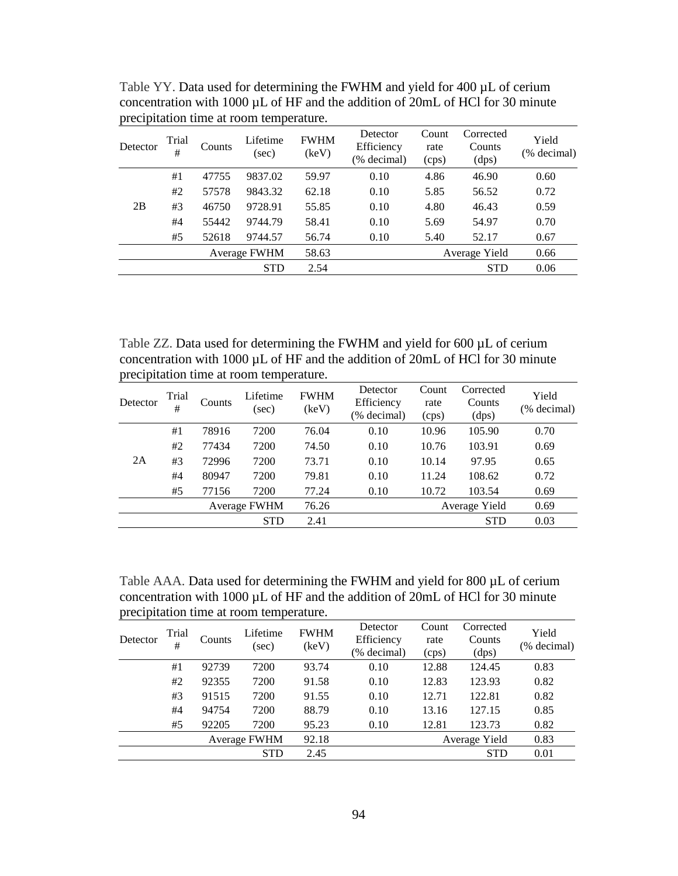| Detector | Trial<br>#   | Counts | Lifetime<br>(sec) | <b>FWHM</b><br>(key) | Detector<br>Efficiency<br>(% decimal) | Count<br>rate<br>(cps) | Corrected<br>Counts<br>(dps) | Yield<br>(% decimal) |
|----------|--------------|--------|-------------------|----------------------|---------------------------------------|------------------------|------------------------------|----------------------|
|          | #1           | 47755  | 9837.02           | 59.97                | 0.10                                  | 4.86                   | 46.90                        | 0.60                 |
|          | #2           | 57578  | 9843.32           | 62.18                | 0.10                                  | 5.85                   | 56.52                        | 0.72                 |
| 2B       | #3           | 46750  | 9728.91           | 55.85                | 0.10                                  | 4.80                   | 46.43                        | 0.59                 |
|          | #4           | 55442  | 9744.79           | 58.41                | 0.10                                  | 5.69                   | 54.97                        | 0.70                 |
|          | #5           | 52618  | 9744.57           | 56.74                | 0.10                                  | 5.40                   | 52.17                        | 0.67                 |
|          | Average FWHM |        |                   | 58.63                |                                       |                        | Average Yield                | 0.66                 |
|          |              |        | <b>STD</b>        | 2.54                 |                                       |                        | <b>STD</b>                   | 0.06                 |

Table YY. Data used for determining the FWHM and yield for 400  $\mu$ L of cerium concentration with 1000 µL of HF and the addition of 20mL of HCl for 30 minute precipitation time at room temperature.

Table ZZ. Data used for determining the FWHM and yield for 600 µL of cerium concentration with 1000 µL of HF and the addition of 20mL of HCl for 30 minute precipitation time at room temperature.

| Detector | Trial<br># | Counts | Lifetime<br>(sec) | <b>FWHM</b><br>(keV) | Detector<br>Efficiency<br>(% decimal) | Count<br>rate<br>(cps) | Corrected<br>Counts<br>(dps) | Yield<br>(% decimal) |
|----------|------------|--------|-------------------|----------------------|---------------------------------------|------------------------|------------------------------|----------------------|
|          | #1         | 78916  | 7200              | 76.04                | 0.10                                  | 10.96                  | 105.90                       | 0.70                 |
|          | #2         | 77434  | 7200              | 74.50                | 0.10                                  | 10.76                  | 103.91                       | 0.69                 |
| 2A       | #3         | 72996  | 7200              | 73.71                | 0.10                                  | 10.14                  | 97.95                        | 0.65                 |
|          | #4         | 80947  | 7200              | 79.81                | 0.10                                  | 11.24                  | 108.62                       | 0.72                 |
|          | #5         | 77156  | 7200              | 77.24                | 0.10                                  | 10.72                  | 103.54                       | 0.69                 |
|          |            |        | Average FWHM      | 76.26                |                                       |                        | Average Yield                | 0.69                 |
|          |            |        | <b>STD</b>        | 2.41                 |                                       |                        | <b>STD</b>                   | 0.03                 |

Table AAA. Data used for determining the FWHM and yield for 800 µL of cerium concentration with 1000 µL of HF and the addition of 20mL of HCl for 30 minute precipitation time at room temperature.

| Detector | Trial<br># | Counts | Lifetime<br>(sec) | <b>FWHM</b><br>(keV) | Detector<br>Efficiency<br>(% decimal) | Count<br>rate<br>(cps) | Corrected<br>Counts<br>(dps) | Yield<br>(% decimal) |
|----------|------------|--------|-------------------|----------------------|---------------------------------------|------------------------|------------------------------|----------------------|
|          | #1         | 92739  | 7200              | 93.74                | 0.10                                  | 12.88                  | 124.45                       | 0.83                 |
|          | #2         | 92355  | 7200              | 91.58                | 0.10                                  | 12.83                  | 123.93                       | 0.82                 |
|          | #3         | 91515  | 7200              | 91.55                | 0.10                                  | 12.71                  | 122.81                       | 0.82                 |
|          | #4         | 94754  | 7200              | 88.79                | 0.10                                  | 13.16                  | 127.15                       | 0.85                 |
|          | #5         | 92205  | 7200              | 95.23                | 0.10                                  | 12.81                  | 123.73                       | 0.82                 |
|          |            |        | Average FWHM      | 92.18                |                                       |                        | Average Yield                | 0.83                 |
|          |            |        | <b>STD</b>        | 2.45                 |                                       |                        | <b>STD</b>                   | 0.01                 |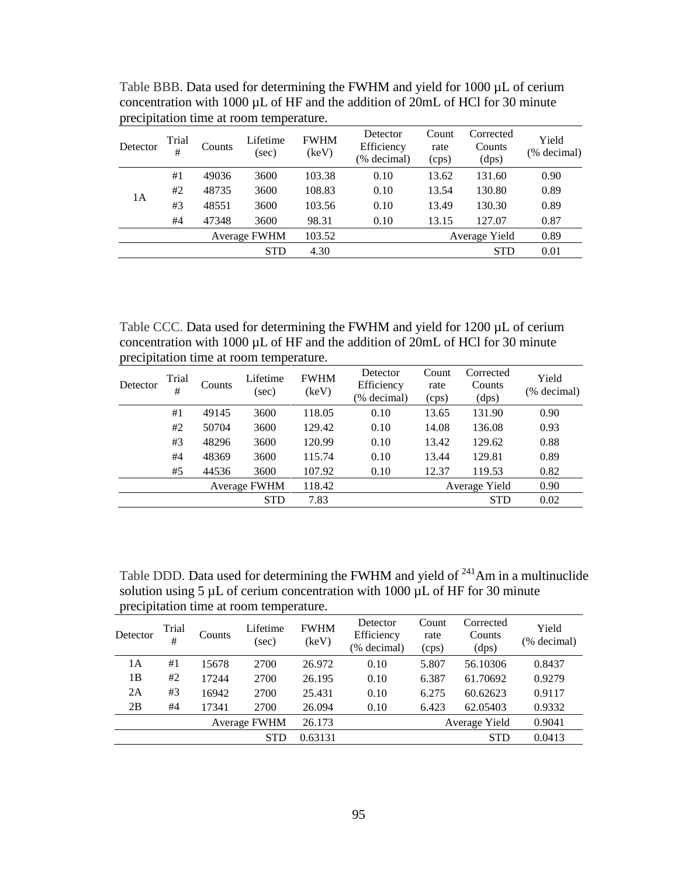| Detector | Trial<br># | Counts | Lifetime<br>(sec)   | <b>FWHM</b><br>(keV) | Detector<br>Efficiency<br>(% decimal) | Count<br>rate<br>(cps) | Corrected<br>Counts<br>(dps) | Yield<br>(% decimal) |
|----------|------------|--------|---------------------|----------------------|---------------------------------------|------------------------|------------------------------|----------------------|
|          | #1         | 49036  | 3600                | 103.38               | 0.10                                  | 13.62                  | 131.60                       | 0.90                 |
| 1А       | #2         | 48735  | 3600                | 108.83               | 0.10                                  | 13.54                  | 130.80                       | 0.89                 |
|          | #3         | 48551  | 3600                | 103.56               | 0.10                                  | 13.49                  | 130.30                       | 0.89                 |
|          | #4         | 47348  | 3600                | 98.31                | 0.10                                  | 13.15                  | 127.07                       | 0.87                 |
|          |            |        | <b>Average FWHM</b> | 103.52               |                                       |                        | Average Yield                | 0.89                 |
|          |            |        | <b>STD</b>          | 4.30                 |                                       |                        | <b>STD</b>                   | 0.01                 |

Table BBB. Data used for determining the FWHM and yield for 1000  $\mu$ L of cerium concentration with 1000 µL of HF and the addition of 20mL of HCl for 30 minute precipitation time at room temperature.

Table CCC. Data used for determining the FWHM and yield for 1200 µL of cerium concentration with 1000 µL of HF and the addition of 20mL of HCl for 30 minute precipitation time at room temperature.

| Detector | Trial<br># | Counts | Lifetime<br>(sec) | <b>FWHM</b><br>(keV) | Detector<br>Efficiency<br>(% decimal) | Count<br>rate<br>(cps) | Corrected<br>Counts<br>(dps) | Yield<br>(% decimal) |
|----------|------------|--------|-------------------|----------------------|---------------------------------------|------------------------|------------------------------|----------------------|
|          | #1         | 49145  | 3600              | 118.05               | 0.10                                  | 13.65                  | 131.90                       | 0.90                 |
|          | #2         | 50704  | 3600              | 129.42               | 0.10                                  | 14.08                  | 136.08                       | 0.93                 |
|          | #3         | 48296  | 3600              | 120.99               | 0.10                                  | 13.42                  | 129.62                       | 0.88                 |
|          | #4         | 48369  | 3600              | 115.74               | 0.10                                  | 13.44                  | 129.81                       | 0.89                 |
|          | #5         | 44536  | 3600              | 107.92               | 0.10                                  | 12.37                  | 119.53                       | 0.82                 |
|          |            |        | Average FWHM      | 118.42               |                                       |                        | Average Yield                | 0.90                 |
|          |            |        | <b>STD</b>        | 7.83                 |                                       |                        | <b>STD</b>                   | 0.02                 |
|          |            |        |                   |                      |                                       |                        |                              |                      |

Table DDD. Data used for determining the FWHM and yield of  $241$ Am in a multinuclide solution using 5  $\mu$ L of cerium concentration with 1000  $\mu$ L of HF for 30 minute precipitation time at room temperature.

| Detector | Trial<br># | Counts | Lifetime<br>(sec) | <b>FWHM</b><br>(key) | Detector<br>Efficiency<br>(% decimal) | Count<br>rate<br>(cps) | Corrected<br>Counts<br>(dps) | Yield<br>(% decimal) |
|----------|------------|--------|-------------------|----------------------|---------------------------------------|------------------------|------------------------------|----------------------|
| 1A       | #1         | 15678  | 2700              | 26.972               | 0.10                                  | 5.807                  | 56.10306                     | 0.8437               |
| 1B       | #2         | 17244  | 2700              | 26.195               | 0.10                                  | 6.387                  | 61.70692                     | 0.9279               |
| 2A       | #3         | 16942  | 2700              | 25.431               | 0.10                                  | 6.275                  | 60.62623                     | 0.9117               |
| 2B       | #4         | 17341  | 2700              | 26.094               | 0.10                                  | 6.423                  | 62.05403                     | 0.9332               |
|          |            |        | Average FWHM      | 26.173               |                                       |                        | Average Yield                | 0.9041               |
|          |            |        | <b>STD</b>        | 0.63131              |                                       |                        | <b>STD</b>                   | 0.0413               |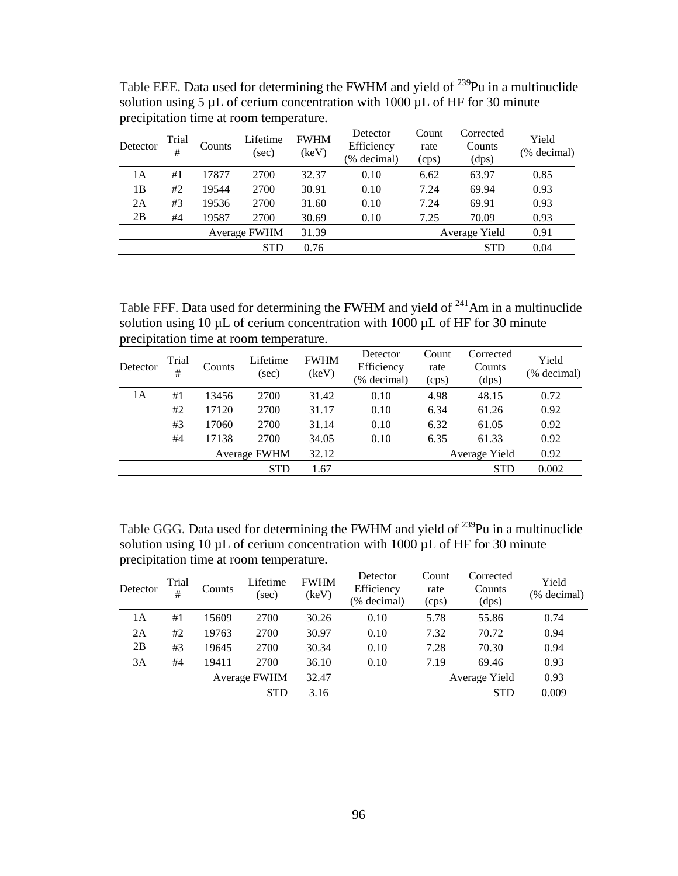| Detector | Trial<br># | Counts | Lifetime<br>(sec) | <b>FWHM</b><br>(keV) | Detector<br>Efficiency<br>(% decimal) | Count<br>rate<br>(cps) | Corrected<br>Counts<br>(dps) | Yield<br>(% decimal) |
|----------|------------|--------|-------------------|----------------------|---------------------------------------|------------------------|------------------------------|----------------------|
| 1А       | #1         | 17877  | 2700              | 32.37                | 0.10                                  | 6.62                   | 63.97                        | 0.85                 |
| 1В       | #2         | 19544  | 2700              | 30.91                | 0.10                                  | 7.24                   | 69.94                        | 0.93                 |
| 2A       | #3         | 19536  | 2700              | 31.60                | 0.10                                  | 7.24                   | 69.91                        | 0.93                 |
| 2B       | #4         | 19587  | 2700              | 30.69                | 0.10                                  | 7.25                   | 70.09                        | 0.93                 |
|          |            |        | Average FWHM      | 31.39                |                                       |                        | Average Yield                | 0.91                 |
|          |            |        | <b>STD</b>        | 0.76                 |                                       |                        | <b>STD</b>                   | 0.04                 |

Table EEE. Data used for determining the FWHM and yield of <sup>239</sup>Pu in a multinuclide solution using 5  $\mu$ L of cerium concentration with 1000  $\mu$ L of HF for 30 minute precipitation time at room temperature.

Table FFF. Data used for determining the FWHM and yield of  $^{241}$ Am in a multinuclide solution using 10  $\mu$ L of cerium concentration with 1000  $\mu$ L of HF for 30 minute precipitation time at room temperature.

| Detector | Trial<br># | Counts | Lifetime<br>(sec) | <b>FWHM</b><br>(key) | Detector<br>Efficiency<br>(% decimal) | Count<br>rate<br>(cps) | Corrected<br>Counts<br>(dps) | Yield<br>(% decimal) |
|----------|------------|--------|-------------------|----------------------|---------------------------------------|------------------------|------------------------------|----------------------|
| 1А       | #1         | 13456  | 2700              | 31.42                | 0.10                                  | 4.98                   | 48.15                        | 0.72                 |
|          | #2         | 17120  | 2700              | 31.17                | 0.10                                  | 6.34                   | 61.26                        | 0.92                 |
|          | #3         | 17060  | 2700              | 31.14                | 0.10                                  | 6.32                   | 61.05                        | 0.92                 |
|          | #4         | 17138  | 2700              | 34.05                | 0.10                                  | 6.35                   | 61.33                        | 0.92                 |
|          |            |        | Average FWHM      | 32.12                |                                       |                        | Average Yield                | 0.92                 |
|          |            |        | <b>STD</b>        | 1.67                 |                                       |                        | <b>STD</b>                   | 0.002                |

Table GGG. Data used for determining the FWHM and yield of <sup>239</sup>Pu in a multinuclide solution using 10  $\mu$ L of cerium concentration with 1000  $\mu$ L of HF for 30 minute precipitation time at room temperature.

| Detector | Trial<br># | Counts | Lifetime<br>(sec) | <b>FWHM</b><br>(key) | Detector<br>Efficiency<br>(% decimal) | Count<br>rate<br>(cps) | Corrected<br>Counts<br>(dps) | Yield<br>(% decimal) |
|----------|------------|--------|-------------------|----------------------|---------------------------------------|------------------------|------------------------------|----------------------|
| 1A       | #1         | 15609  | 2700              | 30.26                | 0.10                                  | 5.78                   | 55.86                        | 0.74                 |
| 2A       | #2         | 19763  | 2700              | 30.97                | 0.10                                  | 7.32                   | 70.72                        | 0.94                 |
| 2B       | #3         | 19645  | 2700              | 30.34                | 0.10                                  | 7.28                   | 70.30                        | 0.94                 |
| 3A       | #4         | 19411  | 2700              | 36.10                | 0.10                                  | 7.19                   | 69.46                        | 0.93                 |
|          |            |        | Average FWHM      | 32.47                |                                       |                        | Average Yield                | 0.93                 |
|          |            |        | <b>STD</b>        | 3.16                 |                                       |                        | <b>STD</b>                   | 0.009                |
|          |            |        |                   |                      |                                       |                        |                              |                      |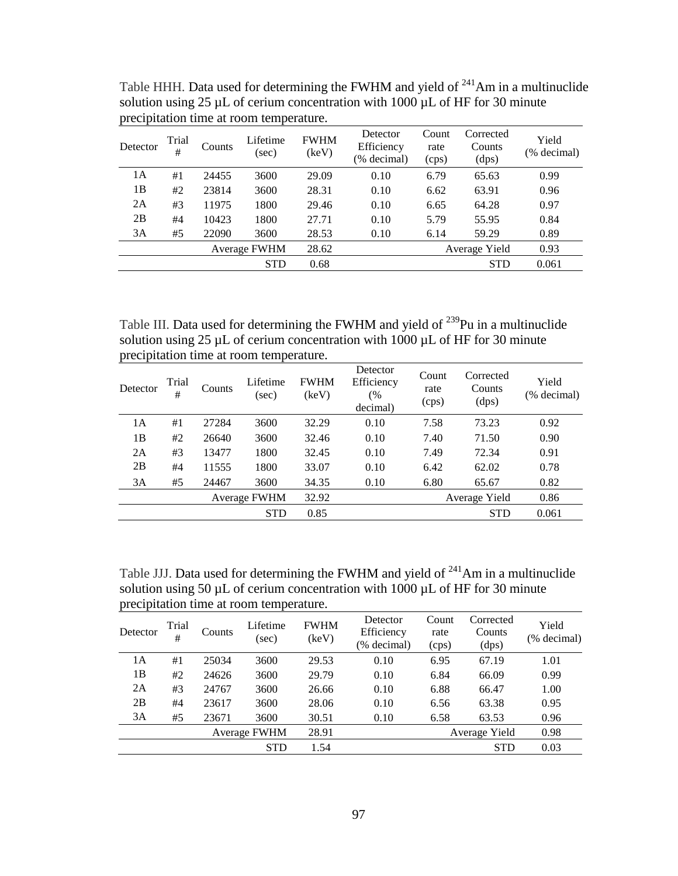| Detector | Trial<br># | <b>Counts</b> | Lifetime<br>(sec) | <b>FWHM</b><br>(keV) | Detector<br>Efficiency<br>(% decimal) | Count<br>rate<br>(cps) | Corrected<br>Counts<br>(dps) | Yield<br>(% decimal) |
|----------|------------|---------------|-------------------|----------------------|---------------------------------------|------------------------|------------------------------|----------------------|
| 1А       | #1         | 24455         | 3600              | 29.09                | 0.10                                  | 6.79                   | 65.63                        | 0.99                 |
| 1B       | #2         | 23814         | 3600              | 28.31                | 0.10                                  | 6.62                   | 63.91                        | 0.96                 |
| 2A       | #3         | 11975         | 1800              | 29.46                | 0.10                                  | 6.65                   | 64.28                        | 0.97                 |
| 2B       | #4         | 10423         | 1800              | 27.71                | 0.10                                  | 5.79                   | 55.95                        | 0.84                 |
| 3A       | #5         | 22090         | 3600              | 28.53                | 0.10                                  | 6.14                   | 59.29                        | 0.89                 |
|          |            |               | Average FWHM      | 28.62                |                                       |                        | Average Yield                | 0.93                 |
|          |            |               | <b>STD</b>        | 0.68                 |                                       |                        | <b>STD</b>                   | 0.061                |

Table HHH. Data used for determining the FWHM and yield of  $241$ Am in a multinuclide solution using 25  $\mu$ L of cerium concentration with 1000  $\mu$ L of HF for 30 minute precipitation time at room temperature.

Table III. Data used for determining the FWHM and yield of <sup>239</sup>Pu in a multinuclide solution using 25  $\mu$ L of cerium concentration with 1000  $\mu$ L of HF for 30 minute precipitation time at room temperature.

| Detector | Trial<br># | Counts | Lifetime<br>(sec) | <b>FWHM</b><br>(keV) | Detector<br>Efficiency<br>(%<br>decimal) | Count<br>rate<br>(cps) | Corrected<br>Counts<br>(dps) | Yield<br>(% decimal) |
|----------|------------|--------|-------------------|----------------------|------------------------------------------|------------------------|------------------------------|----------------------|
| 1A       | #1         | 27284  | 3600              | 32.29                | 0.10                                     | 7.58                   | 73.23                        | 0.92                 |
| 1B       | #2         | 26640  | 3600              | 32.46                | 0.10                                     | 7.40                   | 71.50                        | 0.90                 |
| 2A       | #3         | 13477  | 1800              | 32.45                | 0.10                                     | 7.49                   | 72.34                        | 0.91                 |
| 2B       | #4         | 11555  | 1800              | 33.07                | 0.10                                     | 6.42                   | 62.02                        | 0.78                 |
| 3A       | #5         | 24467  | 3600              | 34.35                | 0.10                                     | 6.80                   | 65.67                        | 0.82                 |
|          |            |        | Average FWHM      | 32.92                |                                          |                        | Average Yield                | 0.86                 |
|          |            |        | <b>STD</b>        | 0.85                 |                                          |                        | <b>STD</b>                   | 0.061                |

Table JJJ. Data used for determining the FWHM and yield of <sup>241</sup>Am in a multinuclide solution using 50  $\mu$ L of cerium concentration with 1000  $\mu$ L of HF for 30 minute precipitation time at room temperature.

| Detector | Trial<br># | Counts | Lifetime<br>(sec) | <b>FWHM</b><br>(keV) | Detector<br>Efficiency<br>(% decimal) | Count<br>rate<br>(cps) | Corrected<br>Counts<br>(dps) | Yield<br>(% decimal) |
|----------|------------|--------|-------------------|----------------------|---------------------------------------|------------------------|------------------------------|----------------------|
| 1A       | #1         | 25034  | 3600              | 29.53                | 0.10                                  | 6.95                   | 67.19                        | 1.01                 |
| 1B       | #2         | 24626  | 3600              | 29.79                | 0.10                                  | 6.84                   | 66.09                        | 0.99                 |
| 2A       | #3         | 24767  | 3600              | 26.66                | 0.10                                  | 6.88                   | 66.47                        | 1.00                 |
| 2B       | #4         | 23617  | 3600              | 28.06                | 0.10                                  | 6.56                   | 63.38                        | 0.95                 |
| 3A       | #5         | 23671  | 3600              | 30.51                | 0.10                                  | 6.58                   | 63.53                        | 0.96                 |
|          |            |        | Average FWHM      | 28.91                |                                       |                        | Average Yield                | 0.98                 |
|          |            |        | <b>STD</b>        | 1.54                 |                                       |                        | <b>STD</b>                   | 0.03                 |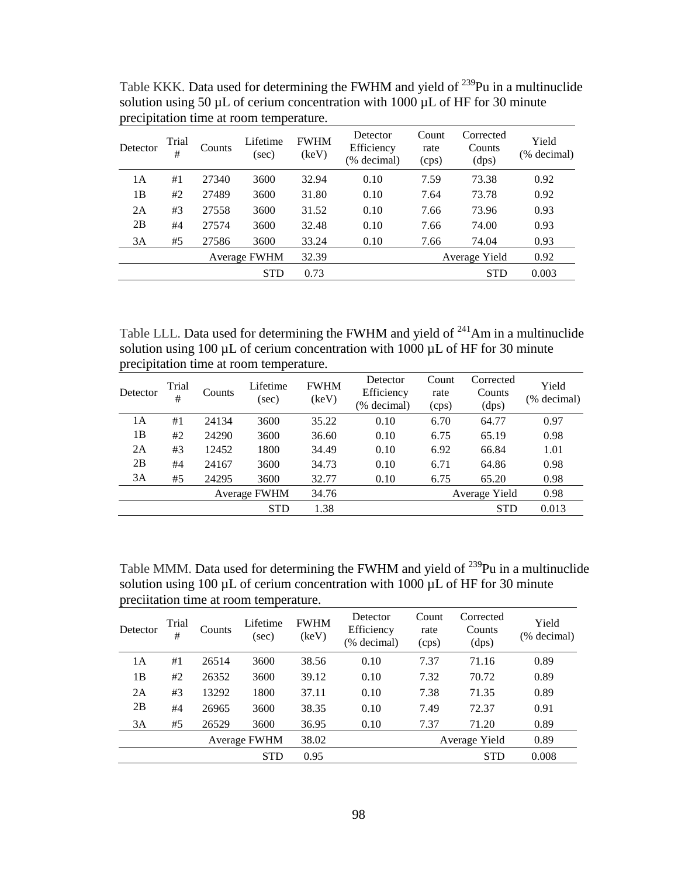| Detector | Trial<br># | Counts | Lifetime<br>(sec) | <b>FWHM</b><br>(keV) | Detector<br>Efficiency<br>(% decimal) | Count<br>rate<br>(cps) | Corrected<br>Counts<br>(dps) | Yield<br>(% decimal) |
|----------|------------|--------|-------------------|----------------------|---------------------------------------|------------------------|------------------------------|----------------------|
| 1А       | #1         | 27340  | 3600              | 32.94                | 0.10                                  | 7.59                   | 73.38                        | 0.92                 |
| 1B       | #2         | 27489  | 3600              | 31.80                | 0.10                                  | 7.64                   | 73.78                        | 0.92                 |
| 2A       | #3         | 27558  | 3600              | 31.52                | 0.10                                  | 7.66                   | 73.96                        | 0.93                 |
| 2B       | #4         | 27574  | 3600              | 32.48                | 0.10                                  | 7.66                   | 74.00                        | 0.93                 |
| 3A       | #5         | 27586  | 3600              | 33.24                | 0.10                                  | 7.66                   | 74.04                        | 0.93                 |
|          |            |        | Average FWHM      | 32.39                |                                       |                        | Average Yield                | 0.92                 |
|          |            |        | <b>STD</b>        | 0.73                 |                                       |                        | <b>STD</b>                   | 0.003                |

Table KKK. Data used for determining the FWHM and yield of <sup>239</sup>Pu in a multinuclide solution using 50  $\mu$ L of cerium concentration with 1000  $\mu$ L of HF for 30 minute precipitation time at room temperature.

Table LLL. Data used for determining the FWHM and yield of  $^{241}$ Am in a multinuclide solution using 100  $\mu$ L of cerium concentration with 1000  $\mu$ L of HF for 30 minute precipitation time at room temperature.

| Detector | Trial<br># | Counts | Lifetime<br>(sec)   | <b>FWHM</b><br>(keV) | Detector<br>Efficiency<br>(% decimal) | Count<br>rate<br>(cps) | Corrected<br>Counts<br>(dps) | Yield<br>(% decimal) |
|----------|------------|--------|---------------------|----------------------|---------------------------------------|------------------------|------------------------------|----------------------|
| 1A       | #1         | 24134  | 3600                | 35.22                | 0.10                                  | 6.70                   | 64.77                        | 0.97                 |
| 1 B      | #2         | 24290  | 3600                | 36.60                | 0.10                                  | 6.75                   | 65.19                        | 0.98                 |
| 2A       | #3         | 12452  | 1800                | 34.49                | 0.10                                  | 6.92                   | 66.84                        | 1.01                 |
| 2B       | #4         | 24167  | 3600                | 34.73                | 0.10                                  | 6.71                   | 64.86                        | 0.98                 |
| 3A       | #5         | 24295  | 3600                | 32.77                | 0.10                                  | 6.75                   | 65.20                        | 0.98                 |
|          |            |        | <b>Average FWHM</b> | 34.76                |                                       |                        | Average Yield                | 0.98                 |
|          |            |        | <b>STD</b>          | 1.38                 |                                       |                        | <b>STD</b>                   | 0.013                |

Table MMM. Data used for determining the FWHM and yield of <sup>239</sup>Pu in a multinuclide solution using 100  $\mu$ L of cerium concentration with 1000  $\mu$ L of HF for 30 minute preciitation time at room temperature.

| Detector | Trial<br># | Counts | Lifetime<br>(sec) | <b>FWHM</b><br>(keV) | Detector<br>Efficiency<br>(% decimal) | Count<br>rate<br>(cps) | Corrected<br>Counts<br>(dps) | Yield<br>(% decimal) |
|----------|------------|--------|-------------------|----------------------|---------------------------------------|------------------------|------------------------------|----------------------|
| 1А       | #1         | 26514  | 3600              | 38.56                | 0.10                                  | 7.37                   | 71.16                        | 0.89                 |
| 1B       | #2         | 26352  | 3600              | 39.12                | 0.10                                  | 7.32                   | 70.72                        | 0.89                 |
| 2A       | #3         | 13292  | 1800              | 37.11                | 0.10                                  | 7.38                   | 71.35                        | 0.89                 |
| 2B       | #4         | 26965  | 3600              | 38.35                | 0.10                                  | 7.49                   | 72.37                        | 0.91                 |
| 3A       | #5         | 26529  | 3600              | 36.95                | 0.10                                  | 7.37                   | 71.20                        | 0.89                 |
|          |            |        | Average FWHM      | 38.02                |                                       |                        | Average Yield                | 0.89                 |
|          |            |        | <b>STD</b>        | 0.95                 |                                       |                        | <b>STD</b>                   | 0.008                |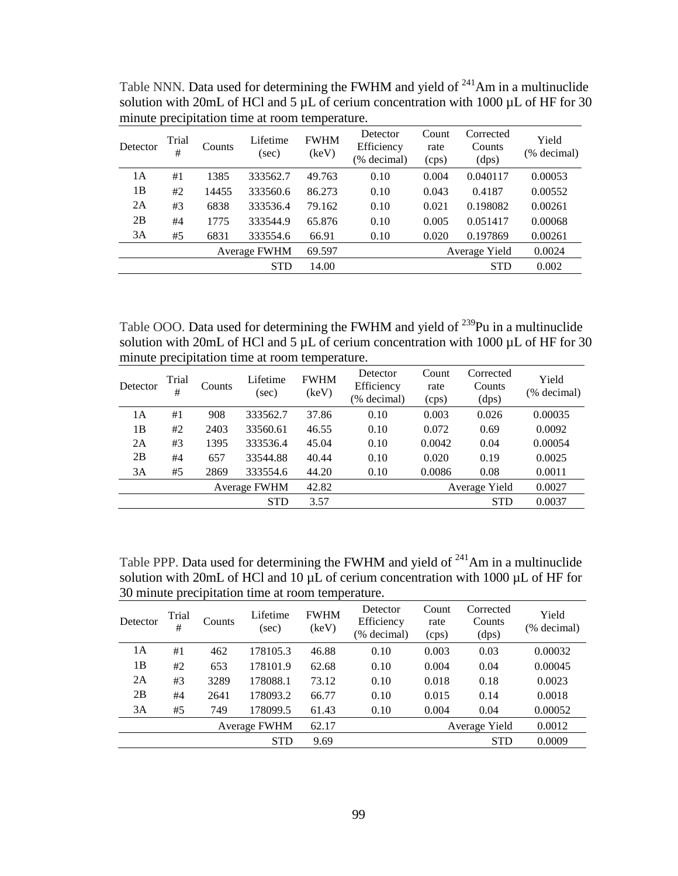| Detector | Trial<br>#   | Counts | Lifetime<br>(sec) | <b>FWHM</b><br>(key) | Detector<br>Efficiency<br>(% decimal) | Count<br>rate<br>(cps) | Corrected<br>Counts<br>(dps) | Yield<br>(% decimal) |
|----------|--------------|--------|-------------------|----------------------|---------------------------------------|------------------------|------------------------------|----------------------|
| 1A       | #1           | 1385   | 333562.7          | 49.763               | 0.10                                  | 0.004                  | 0.040117                     | 0.00053              |
| 1B       | #2           | 14455  | 333560.6          | 86.273               | 0.10                                  | 0.043                  | 0.4187                       | 0.00552              |
| 2A       | #3           | 6838   | 333536.4          | 79.162               | 0.10                                  | 0.021                  | 0.198082                     | 0.00261              |
| 2B       | #4           | 1775   | 333544.9          | 65.876               | 0.10                                  | 0.005                  | 0.051417                     | 0.00068              |
| 3A       | #5           | 6831   | 333554.6          | 66.91                | 0.10                                  | 0.020                  | 0.197869                     | 0.00261              |
|          | Average FWHM |        |                   | 69.597               |                                       |                        | Average Yield                | 0.0024               |
|          |              |        | <b>STD</b>        | 14.00                |                                       |                        | <b>STD</b>                   | 0.002                |

Table NNN. Data used for determining the FWHM and yield of  $241$ Am in a multinuclide solution with 20mL of HCl and 5  $\mu$ L of cerium concentration with 1000  $\mu$ L of HF for 30 minute precipitation time at room temperature.

Table OOO. Data used for determining the FWHM and yield of <sup>239</sup>Pu in a multinuclide solution with 20mL of HCl and 5  $\mu$ L of cerium concentration with 1000  $\mu$ L of HF for 30 minute precipitation time at room temperature.

| Detector | Trial<br>#          | Counts | Lifetime<br>(sec) | <b>FWHM</b><br>(keV) | Detector<br>Efficiency<br>(% decimal) | Count<br>rate<br>(cps) | Corrected<br>Counts<br>(dps) | Yield<br>(% decimal) |
|----------|---------------------|--------|-------------------|----------------------|---------------------------------------|------------------------|------------------------------|----------------------|
| 1А       | #1                  | 908    | 333562.7          | 37.86                | 0.10                                  | 0.003                  | 0.026                        | 0.00035              |
| 1B       | #2                  | 2403   | 33560.61          | 46.55                | 0.10                                  | 0.072                  | 0.69                         | 0.0092               |
| 2A       | #3                  | 1395   | 333536.4          | 45.04                | 0.10                                  | 0.0042                 | 0.04                         | 0.00054              |
| 2B       | #4                  | 657    | 33544.88          | 40.44                | 0.10                                  | 0.020                  | 0.19                         | 0.0025               |
| 3A       | #5                  | 2869   | 333554.6          | 44.20                | 0.10                                  | 0.0086                 | 0.08                         | 0.0011               |
|          | <b>Average FWHM</b> |        |                   | 42.82                |                                       |                        | Average Yield                | 0.0027               |
|          |                     |        | <b>STD</b>        | 3.57                 |                                       |                        | <b>STD</b>                   | 0.0037               |

Table PPP. Data used for determining the FWHM and yield of  $241$ Am in a multinuclide solution with 20mL of HCl and 10  $\mu$ L of cerium concentration with 1000  $\mu$ L of HF for 30 minute precipitation time at room temperature.

| Detector | Trial<br>#   | Counts | Lifetime<br>(sec) | <b>FWHM</b><br>(keV) | Detector<br>Efficiency<br>(% decimal) | Count<br>rate<br>(cps) | Corrected<br>Counts<br>(dps) | Yield<br>(% decimal) |
|----------|--------------|--------|-------------------|----------------------|---------------------------------------|------------------------|------------------------------|----------------------|
| 1A       | #1           | 462    | 178105.3          | 46.88                | 0.10                                  | 0.003                  | 0.03                         | 0.00032              |
| 1B       | #2           | 653    | 178101.9          | 62.68                | 0.10                                  | 0.004                  | 0.04                         | 0.00045              |
| 2A       | #3           | 3289   | 178088.1          | 73.12                | 0.10                                  | 0.018                  | 0.18                         | 0.0023               |
| 2B       | #4           | 2641   | 178093.2          | 66.77                | 0.10                                  | 0.015                  | 0.14                         | 0.0018               |
| 3A       | #5           | 749    | 178099.5          | 61.43                | 0.10                                  | 0.004                  | 0.04                         | 0.00052              |
|          | Average FWHM |        |                   | 62.17                |                                       |                        | Average Yield                | 0.0012               |
|          |              |        | <b>STD</b>        | 9.69                 |                                       |                        | <b>STD</b>                   | 0.0009               |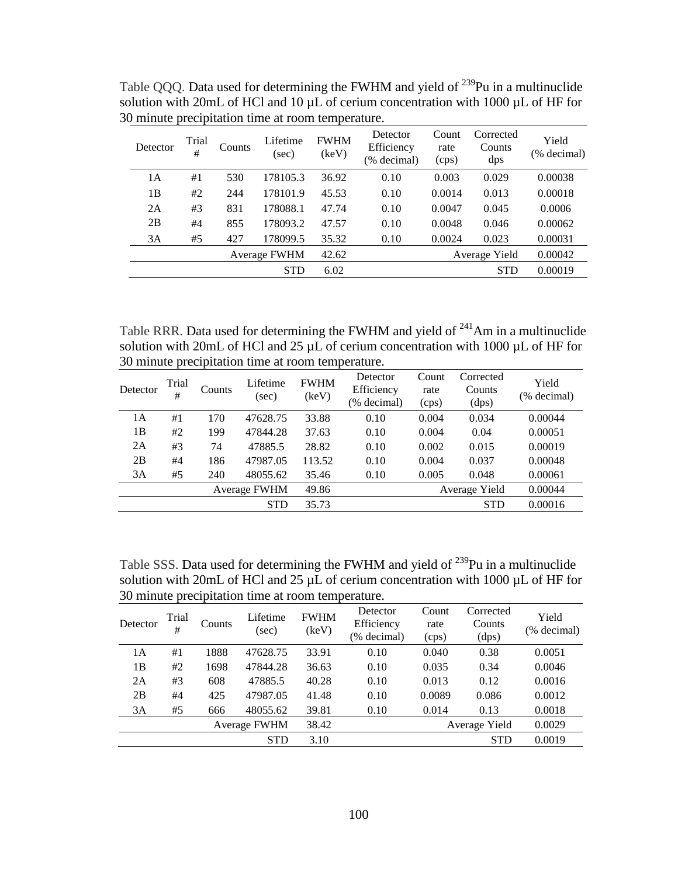| Detector | Trial<br>#          | Counts | Lifetime<br>(sec) | <b>FWHM</b><br>(keV) | Detector<br>Efficiency<br>(% decimal) | Count<br>rate<br>(cps) | Corrected<br>Counts<br>dps | Yield<br>(% decimal) |
|----------|---------------------|--------|-------------------|----------------------|---------------------------------------|------------------------|----------------------------|----------------------|
| 1A       | #1                  | 530    | 178105.3          | 36.92                | 0.10                                  | 0.003                  | 0.029                      | 0.00038              |
| 1B       | #2                  | 244    | 178101.9          | 45.53                | 0.10                                  | 0.0014                 | 0.013                      | 0.00018              |
| 2A       | #3                  | 831    | 178088.1          | 47.74                | 0.10                                  | 0.0047                 | 0.045                      | 0.0006               |
| 2B       | #4                  | 855    | 178093.2          | 47.57                | 0.10                                  | 0.0048                 | 0.046                      | 0.00062              |
| 3A       | #5                  | 427    | 178099.5          | 35.32                | 0.10                                  | 0.0024                 | 0.023                      | 0.00031              |
|          | <b>Average FWHM</b> |        |                   | 42.62                |                                       |                        | Average Yield              | 0.00042              |
|          |                     |        | <b>STD</b>        | 6.02                 |                                       |                        | <b>STD</b>                 | 0.00019              |

Table QQQ. Data used for determining the FWHM and yield of <sup>239</sup>Pu in a multinuclide solution with 20mL of HCl and 10  $\mu$ L of cerium concentration with 1000  $\mu$ L of HF for 30 minute precipitation time at room temperature.

Table RRR. Data used for determining the FWHM and yield of  $241$ Am in a multinuclide solution with 20mL of HCl and 25  $\mu$ L of cerium concentration with 1000  $\mu$ L of HF for 30 minute precipitation time at room temperature.

| Detector | Trial<br>#   | Counts | Lifetime<br>(sec) | <b>FWHM</b><br>(keV) | Detector<br>Efficiency<br>(% decimal) | Count<br>rate<br>(cps) | Corrected<br>Counts<br>(dps) | Yield<br>(% decimal) |
|----------|--------------|--------|-------------------|----------------------|---------------------------------------|------------------------|------------------------------|----------------------|
| 1А       | #1           | 170    | 47628.75          | 33.88                | 0.10                                  | 0.004                  | 0.034                        | 0.00044              |
| 1B       | #2           | 199    | 47844.28          | 37.63                | 0.10                                  | 0.004                  | 0.04                         | 0.00051              |
| 2A       | #3           | 74     | 47885.5           | 28.82                | 0.10                                  | 0.002                  | 0.015                        | 0.00019              |
| 2B       | #4           | 186    | 47987.05          | 113.52               | 0.10                                  | 0.004                  | 0.037                        | 0.00048              |
| 3A       | #5           | 240    | 48055.62          | 35.46                | 0.10                                  | 0.005                  | 0.048                        | 0.00061              |
|          | Average FWHM |        |                   | 49.86                |                                       |                        | Average Yield                | 0.00044              |
|          |              |        | <b>STD</b>        | 35.73                |                                       |                        | <b>STD</b>                   | 0.00016              |

Table SSS. Data used for determining the FWHM and yield of <sup>239</sup>Pu in a multinuclide solution with 20mL of HCl and 25  $\mu$ L of cerium concentration with 1000  $\mu$ L of HF for 30 minute precipitation time at room temperature.

| Detector | Trial<br>#   | Counts | Lifetime<br>(sec) | <b>FWHM</b><br>(keV) | Detector<br>Efficiency<br>(% decimal) | Count<br>rate<br>(cps) | Corrected<br>Counts<br>(dps) | Yield<br>(% decimal) |
|----------|--------------|--------|-------------------|----------------------|---------------------------------------|------------------------|------------------------------|----------------------|
| 1Α       | #1           | 1888   | 47628.75          | 33.91                | 0.10                                  | 0.040                  | 0.38                         | 0.0051               |
| 1B       | #2           | 1698   | 47844.28          | 36.63                | 0.10                                  | 0.035                  | 0.34                         | 0.0046               |
| 2A       | #3           | 608    | 47885.5           | 40.28                | 0.10                                  | 0.013                  | 0.12                         | 0.0016               |
| 2B       | #4           | 425    | 47987.05          | 41.48                | 0.10                                  | 0.0089                 | 0.086                        | 0.0012               |
| 3A       | #5           | 666    | 48055.62          | 39.81                | 0.10                                  | 0.014                  | 0.13                         | 0.0018               |
|          | Average FWHM |        |                   | 38.42                |                                       |                        | Average Yield                | 0.0029               |
|          |              |        | <b>STD</b>        | 3.10                 |                                       |                        | <b>STD</b>                   | 0.0019               |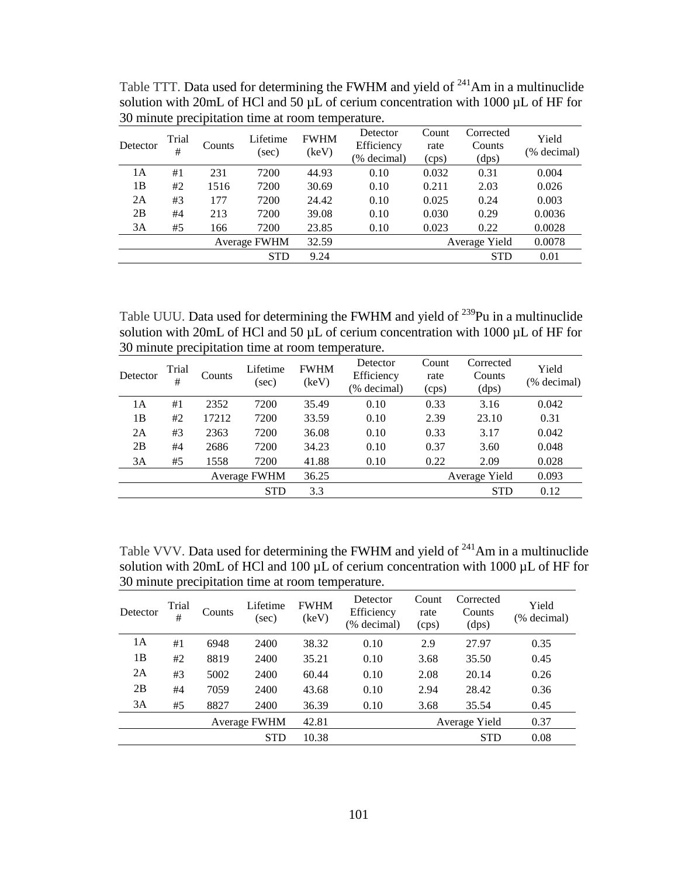| Detector | Trial<br># | Counts              | Lifetime<br>(sec) | <b>FWHM</b><br>(key) | Detector<br>Efficiency<br>(% decimal) | Count<br>rate<br>(cps) | Corrected<br>Counts<br>(dps) | Yield<br>(% decimal) |
|----------|------------|---------------------|-------------------|----------------------|---------------------------------------|------------------------|------------------------------|----------------------|
| 1А       | #1         | 231                 | 7200              | 44.93                | 0.10                                  | 0.032                  | 0.31                         | 0.004                |
| 1B       | #2         | 1516                | 7200              | 30.69                | 0.10                                  | 0.211                  | 2.03                         | 0.026                |
| 2A       | #3         | 177                 | 7200              | 24.42                | 0.10                                  | 0.025                  | 0.24                         | 0.003                |
| 2B       | #4         | 213                 | 7200              | 39.08                | 0.10                                  | 0.030                  | 0.29                         | 0.0036               |
| 3A       | #5         | 166                 | 7200              | 23.85                | 0.10                                  | 0.023                  | 0.22                         | 0.0028               |
|          |            | <b>Average FWHM</b> |                   | 32.59                |                                       |                        | Average Yield                | 0.0078               |
|          |            |                     | <b>STD</b>        | 9.24                 |                                       |                        | <b>STD</b>                   | 0.01                 |

Table TTT. Data used for determining the FWHM and yield of  $^{241}$ Am in a multinuclide solution with 20mL of HCl and 50  $\mu$ L of cerium concentration with 1000  $\mu$ L of HF for 30 minute precipitation time at room temperature.

Table UUU. Data used for determining the FWHM and yield of <sup>239</sup>Pu in a multinuclide solution with 20mL of HCl and 50  $\mu$ L of cerium concentration with 1000  $\mu$ L of HF for 30 minute precipitation time at room temperature.

| Detector | Trial<br>#   | Counts | Lifetime<br>(sec) | <b>FWHM</b><br>(keV) | Detector<br>Efficiency<br>(% decimal) | Count<br>rate<br>(cps) | Corrected<br>Counts<br>(dps) | Yield<br>(% decimal) |
|----------|--------------|--------|-------------------|----------------------|---------------------------------------|------------------------|------------------------------|----------------------|
| 1А       | #1           | 2352   | 7200              | 35.49                | 0.10                                  | 0.33                   | 3.16                         | 0.042                |
| 1B       | #2           | 17212  | 7200              | 33.59                | 0.10                                  | 2.39                   | 23.10                        | 0.31                 |
| 2A       | #3           | 2363   | 7200              | 36.08                | 0.10                                  | 0.33                   | 3.17                         | 0.042                |
| 2B       | #4           | 2686   | 7200              | 34.23                | 0.10                                  | 0.37                   | 3.60                         | 0.048                |
| 3A       | #5           | 1558   | 7200              | 41.88                | 0.10                                  | 0.22                   | 2.09                         | 0.028                |
|          | Average FWHM |        |                   | 36.25                |                                       |                        | Average Yield                | 0.093                |
|          |              |        | <b>STD</b>        | 3.3                  |                                       |                        | <b>STD</b>                   | 0.12                 |

Table VVV. Data used for determining the FWHM and yield of <sup>241</sup>Am in a multinuclide solution with 20mL of HCl and 100  $\mu$ L of cerium concentration with 1000  $\mu$ L of HF for 30 minute precipitation time at room temperature.

| Detector | Trial<br># | Counts       | Lifetime<br>(sec) | <b>FWHM</b><br>(keV) | Detector<br>Efficiency<br>(% decimal) | Count<br>rate<br>(cps) | Corrected<br>Counts<br>(dps) | Yield<br>(% decimal) |
|----------|------------|--------------|-------------------|----------------------|---------------------------------------|------------------------|------------------------------|----------------------|
| 1А       | #1         | 6948         | 2400              | 38.32                | 0.10                                  | 2.9                    | 27.97                        | 0.35                 |
| 1B       | #2         | 8819         | 2400              | 35.21                | 0.10                                  | 3.68                   | 35.50                        | 0.45                 |
| 2A       | #3         | 5002         | 2400              | 60.44                | 0.10                                  | 2.08                   | 20.14                        | 0.26                 |
| 2B       | #4         | 7059         | 2400              | 43.68                | 0.10                                  | 2.94                   | 28.42                        | 0.36                 |
| 3A       | #5         | 8827         | 2400              | 36.39                | 0.10                                  | 3.68                   | 35.54                        | 0.45                 |
|          |            | Average FWHM |                   | 42.81                |                                       |                        | Average Yield                | 0.37                 |
|          |            |              | <b>STD</b>        | 10.38                |                                       |                        | <b>STD</b>                   | 0.08                 |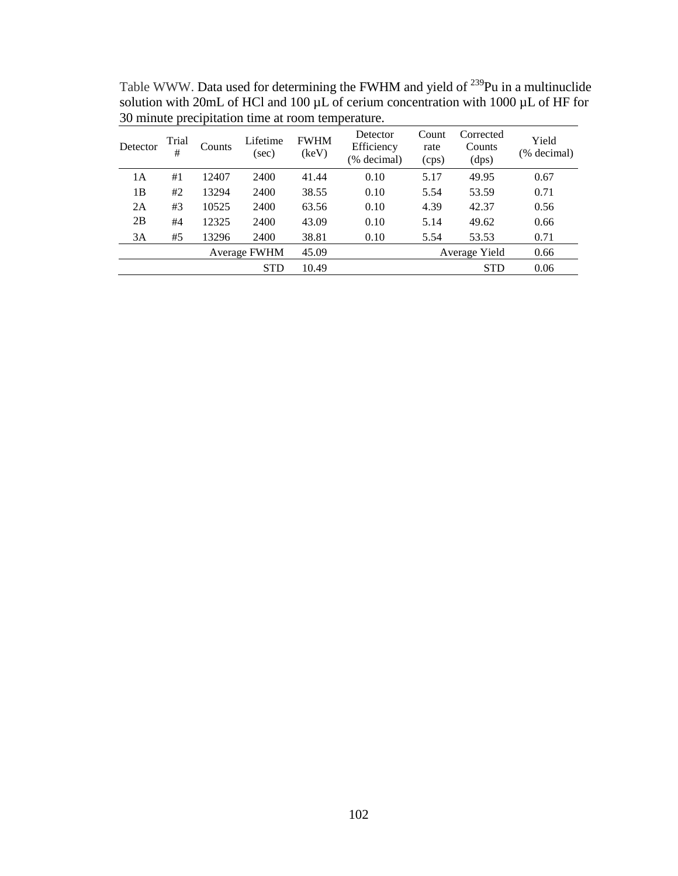| Detector | Trial<br>#   | Counts | Lifetime<br>(sec) | <b>FWHM</b><br>(keV) | Detector<br>Efficiency<br>(% decimal) | Count<br>rate<br>(cps) | Corrected<br>Counts<br>(dps) | Yield<br>(% decimal) |
|----------|--------------|--------|-------------------|----------------------|---------------------------------------|------------------------|------------------------------|----------------------|
| 1А       | #1           | 12407  | 2400              | 41.44                | 0.10                                  | 5.17                   | 49.95                        | 0.67                 |
| 1B       | #2           | 13294  | 2400              | 38.55                | 0.10                                  | 5.54                   | 53.59                        | 0.71                 |
| 2A       | #3           | 10525  | 2400              | 63.56                | 0.10                                  | 4.39                   | 42.37                        | 0.56                 |
| 2B       | #4           | 12325  | 2400              | 43.09                | 0.10                                  | 5.14                   | 49.62                        | 0.66                 |
| 3A       | #5           | 13296  | 2400              | 38.81                | 0.10                                  | 5.54                   | 53.53                        | 0.71                 |
|          | Average FWHM |        | 45.09             |                      |                                       | Average Yield          | 0.66                         |                      |
|          |              |        | <b>STD</b>        | 10.49                |                                       |                        | <b>STD</b>                   | 0.06                 |

Table WWW. Data used for determining the FWHM and yield of <sup>239</sup>Pu in a multinuclide solution with 20mL of HCl and 100  $\mu$ L of cerium concentration with 1000  $\mu$ L of HF for 30 minute precipitation time at room temperature.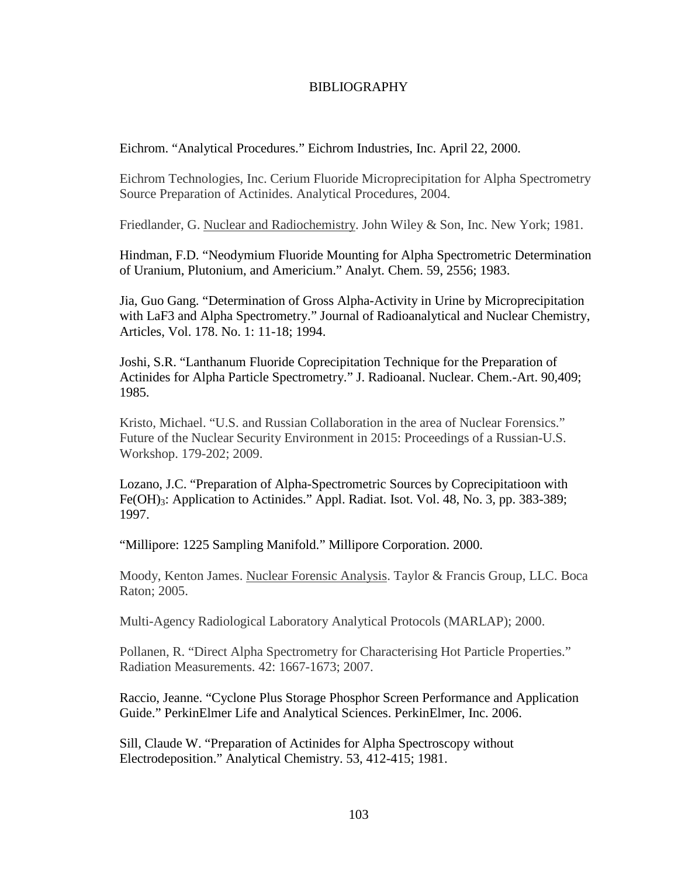## BIBLIOGRAPHY

Eichrom. "Analytical Procedures." Eichrom Industries, Inc. April 22, 2000.

Eichrom Technologies, Inc. Cerium Fluoride Microprecipitation for Alpha Spectrometry Source Preparation of Actinides. Analytical Procedures, 2004.

Friedlander, G. Nuclear and Radiochemistry. John Wiley & Son, Inc. New York; 1981.

Hindman, F.D. "Neodymium Fluoride Mounting for Alpha Spectrometric Determination of Uranium, Plutonium, and Americium." Analyt. Chem. 59, 2556; 1983.

Jia, Guo Gang. "Determination of Gross Alpha-Activity in Urine by Microprecipitation with LaF3 and Alpha Spectrometry." Journal of Radioanalytical and Nuclear Chemistry, Articles, Vol. 178. No. 1: 11-18; 1994.

Joshi, S.R. "Lanthanum Fluoride Coprecipitation Technique for the Preparation of Actinides for Alpha Particle Spectrometry." J. Radioanal. Nuclear. Chem.-Art. 90,409; 1985.

Kristo, Michael. "U.S. and Russian Collaboration in the area of Nuclear Forensics." Future of the Nuclear Security Environment in 2015: Proceedings of a Russian-U.S. Workshop. 179-202; 2009.

Lozano, J.C. "Preparation of Alpha-Spectrometric Sources by Coprecipitatioon with Fe(OH)<sub>3</sub>: Application to Actinides." Appl. Radiat. Isot. Vol. 48, No. 3, pp. 383-389; 1997.

"Millipore: 1225 Sampling Manifold." Millipore Corporation. 2000.

Moody, Kenton James. Nuclear Forensic Analysis. Taylor & Francis Group, LLC. Boca Raton; 2005.

Multi-Agency Radiological Laboratory Analytical Protocols (MARLAP); 2000.

Pollanen, R. "Direct Alpha Spectrometry for Characterising Hot Particle Properties." Radiation Measurements. 42: 1667-1673; 2007.

Raccio, Jeanne. "Cyclone Plus Storage Phosphor Screen Performance and Application Guide." PerkinElmer Life and Analytical Sciences. PerkinElmer, Inc. 2006.

Sill, Claude W. "Preparation of Actinides for Alpha Spectroscopy without Electrodeposition." Analytical Chemistry. 53, 412-415; 1981.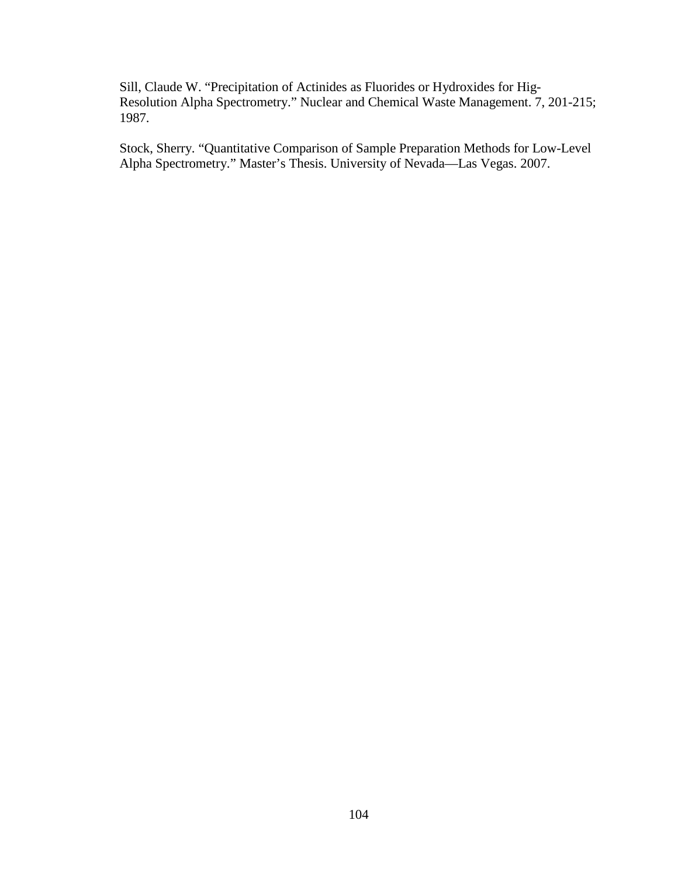Sill, Claude W. "Precipitation of Actinides as Fluorides or Hydroxides for Hig-Resolution Alpha Spectrometry." Nuclear and Chemical Waste Management. 7, 201-215; 1987.

Stock, Sherry. "Quantitative Comparison of Sample Preparation Methods for Low-Level Alpha Spectrometry." Master's Thesis. University of Nevada—Las Vegas. 2007.